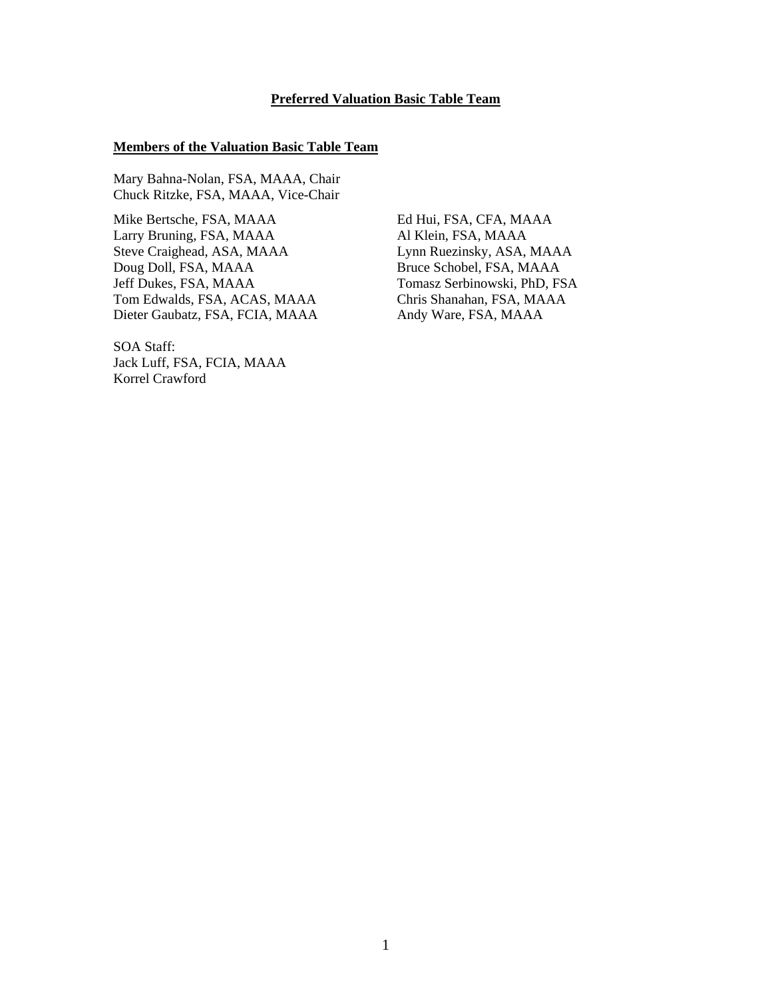#### **Preferred Valuation Basic Table Team**

#### **Members of the Valuation Basic Table Team**

Mary Bahna-Nolan, FSA, MAAA, Chair Chuck Ritzke, FSA, MAAA, Vice-Chair

Mike Bertsche, FSA, MAAA Ed Hui, FSA, CFA, MAAA Larry Bruning, FSA, MAAA Al Klein, FSA, MAAA Steve Craighead, ASA, MAAA Lynn Ruezinsky, ASA, MAAA Doug Doll, FSA, MAAA Bruce Schobel, FSA, MAAA Jeff Dukes, FSA, MAAA Tomasz Serbinowski, PhD, FSA<br>
Tom Edwalds, FSA, ACAS, MAAA Chris Shanahan, FSA, MAAA Tom Edwalds, FSA, ACAS, MAAA Dieter Gaubatz, FSA, FCIA, MAAA Andy Ware, FSA, MAAA

SOA Staff: Jack Luff, FSA, FCIA, MAAA Korrel Crawford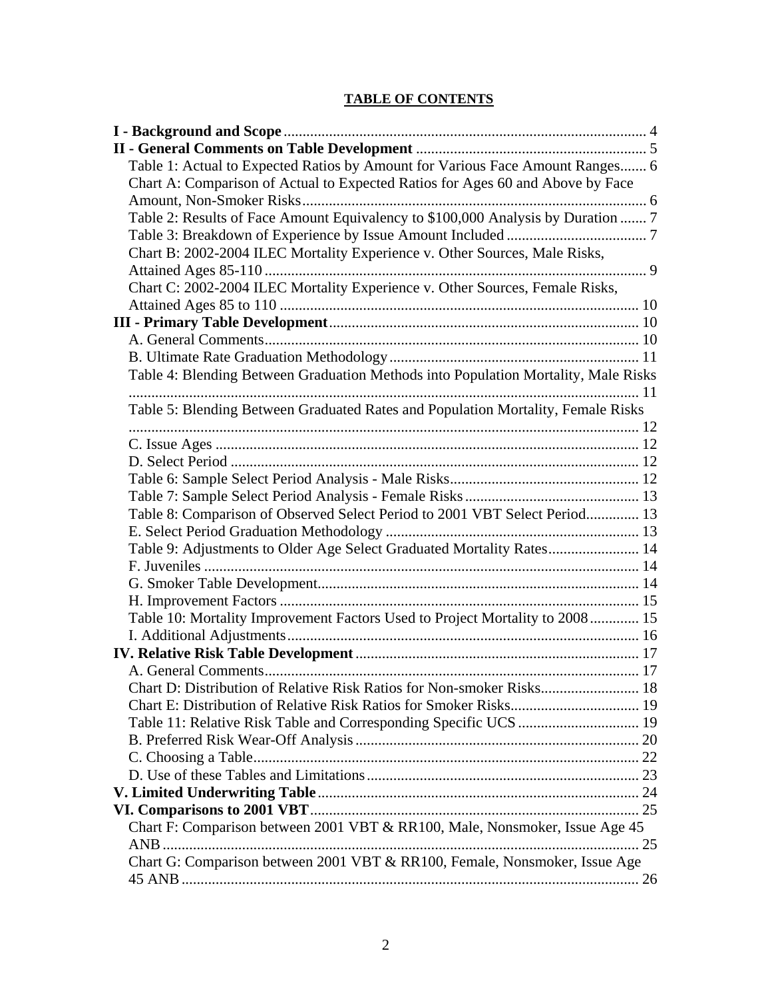# **TABLE OF CONTENTS**

| Table 1: Actual to Expected Ratios by Amount for Various Face Amount Ranges 6      |  |
|------------------------------------------------------------------------------------|--|
| Chart A: Comparison of Actual to Expected Ratios for Ages 60 and Above by Face     |  |
|                                                                                    |  |
| Table 2: Results of Face Amount Equivalency to \$100,000 Analysis by Duration  7   |  |
|                                                                                    |  |
| Chart B: 2002-2004 ILEC Mortality Experience v. Other Sources, Male Risks,         |  |
|                                                                                    |  |
| Chart C: 2002-2004 ILEC Mortality Experience v. Other Sources, Female Risks,       |  |
|                                                                                    |  |
|                                                                                    |  |
|                                                                                    |  |
|                                                                                    |  |
| Table 4: Blending Between Graduation Methods into Population Mortality, Male Risks |  |
|                                                                                    |  |
| Table 5: Blending Between Graduated Rates and Population Mortality, Female Risks   |  |
|                                                                                    |  |
|                                                                                    |  |
|                                                                                    |  |
|                                                                                    |  |
|                                                                                    |  |
| Table 8: Comparison of Observed Select Period to 2001 VBT Select Period 13         |  |
|                                                                                    |  |
| Table 9: Adjustments to Older Age Select Graduated Mortality Rates 14              |  |
|                                                                                    |  |
|                                                                                    |  |
|                                                                                    |  |
| Table 10: Mortality Improvement Factors Used to Project Mortality to 2008 15       |  |
|                                                                                    |  |
|                                                                                    |  |
|                                                                                    |  |
| Chart D: Distribution of Relative Risk Ratios for Non-smoker Risks 18              |  |
|                                                                                    |  |
|                                                                                    |  |
|                                                                                    |  |
|                                                                                    |  |
|                                                                                    |  |
|                                                                                    |  |
|                                                                                    |  |
| Chart F: Comparison between 2001 VBT & RR100, Male, Nonsmoker, Issue Age 45        |  |
|                                                                                    |  |
| Chart G: Comparison between 2001 VBT & RR100, Female, Nonsmoker, Issue Age         |  |
|                                                                                    |  |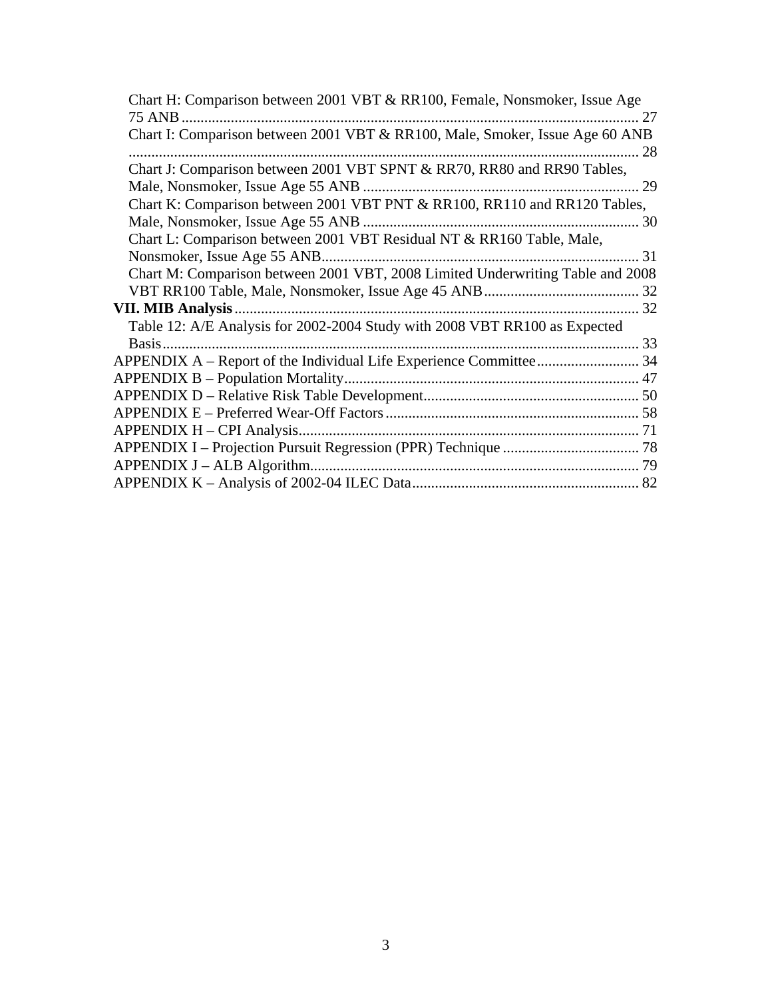| Chart H: Comparison between 2001 VBT & RR100, Female, Nonsmoker, Issue Age     |    |
|--------------------------------------------------------------------------------|----|
| 75 ANB.<br>27                                                                  |    |
| Chart I: Comparison between 2001 VBT & RR100, Male, Smoker, Issue Age 60 ANB   |    |
|                                                                                | 28 |
| Chart J: Comparison between 2001 VBT SPNT & RR70, RR80 and RR90 Tables,        |    |
|                                                                                |    |
| Chart K: Comparison between 2001 VBT PNT & RR100, RR110 and RR120 Tables,      |    |
| Male, Nonsmoker, Issue Age 55 ANB                                              |    |
| Chart L: Comparison between 2001 VBT Residual NT & RR160 Table, Male,          |    |
|                                                                                | 31 |
| Chart M: Comparison between 2001 VBT, 2008 Limited Underwriting Table and 2008 |    |
|                                                                                |    |
| <b>VII. MIB Analysis.</b><br>. 32                                              |    |
| Table 12: A/E Analysis for 2002-2004 Study with 2008 VBT RR100 as Expected     |    |
| Basis.                                                                         |    |
|                                                                                |    |
|                                                                                |    |
|                                                                                |    |
|                                                                                |    |
|                                                                                |    |
|                                                                                |    |
|                                                                                |    |
|                                                                                |    |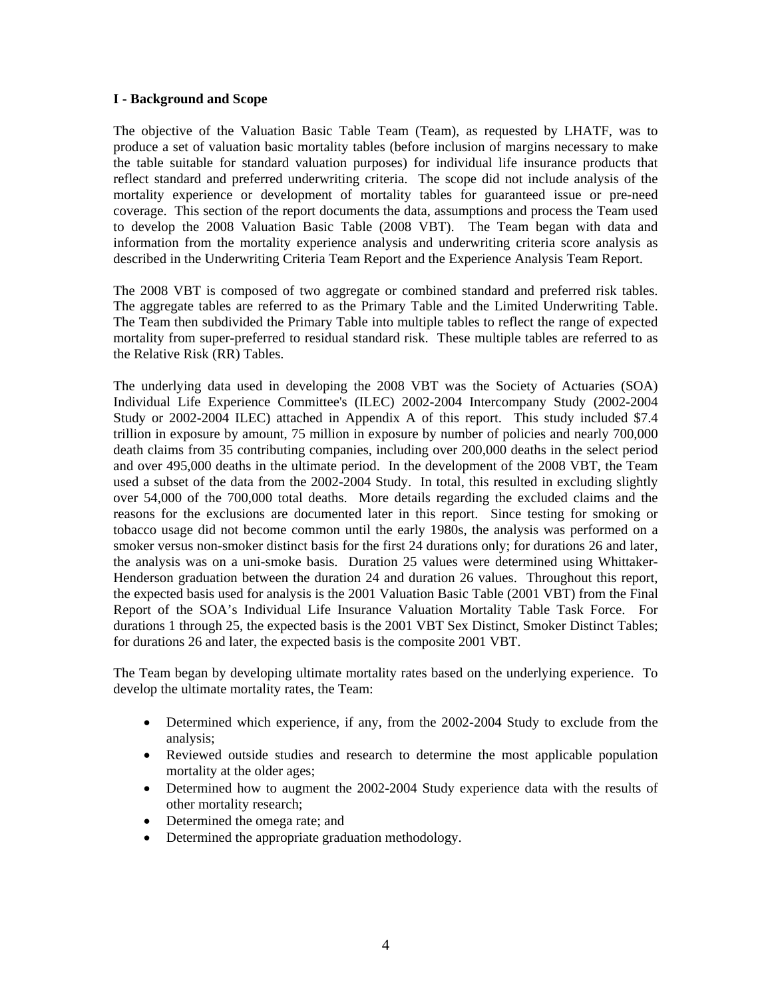#### **I - Background and Scope**

The objective of the Valuation Basic Table Team (Team), as requested by LHATF, was to produce a set of valuation basic mortality tables (before inclusion of margins necessary to make the table suitable for standard valuation purposes) for individual life insurance products that reflect standard and preferred underwriting criteria. The scope did not include analysis of the mortality experience or development of mortality tables for guaranteed issue or pre-need coverage. This section of the report documents the data, assumptions and process the Team used to develop the 2008 Valuation Basic Table (2008 VBT). The Team began with data and information from the mortality experience analysis and underwriting criteria score analysis as described in the Underwriting Criteria Team Report and the Experience Analysis Team Report.

The 2008 VBT is composed of two aggregate or combined standard and preferred risk tables. The aggregate tables are referred to as the Primary Table and the Limited Underwriting Table. The Team then subdivided the Primary Table into multiple tables to reflect the range of expected mortality from super-preferred to residual standard risk. These multiple tables are referred to as the Relative Risk (RR) Tables.

The underlying data used in developing the 2008 VBT was the Society of Actuaries (SOA) Individual Life Experience Committee's (ILEC) 2002-2004 Intercompany Study (2002-2004 Study or 2002-2004 ILEC) attached in Appendix A of this report. This study included \$7.4 trillion in exposure by amount, 75 million in exposure by number of policies and nearly 700,000 death claims from 35 contributing companies, including over 200,000 deaths in the select period and over 495,000 deaths in the ultimate period. In the development of the 2008 VBT, the Team used a subset of the data from the 2002-2004 Study. In total, this resulted in excluding slightly over 54,000 of the 700,000 total deaths. More details regarding the excluded claims and the reasons for the exclusions are documented later in this report. Since testing for smoking or tobacco usage did not become common until the early 1980s, the analysis was performed on a smoker versus non-smoker distinct basis for the first 24 durations only; for durations 26 and later, the analysis was on a uni-smoke basis. Duration 25 values were determined using Whittaker-Henderson graduation between the duration 24 and duration 26 values. Throughout this report, the expected basis used for analysis is the 2001 Valuation Basic Table (2001 VBT) from the Final Report of the SOA's Individual Life Insurance Valuation Mortality Table Task Force. For durations 1 through 25, the expected basis is the 2001 VBT Sex Distinct, Smoker Distinct Tables; for durations 26 and later, the expected basis is the composite 2001 VBT.

The Team began by developing ultimate mortality rates based on the underlying experience. To develop the ultimate mortality rates, the Team:

- Determined which experience, if any, from the 2002-2004 Study to exclude from the analysis;
- Reviewed outside studies and research to determine the most applicable population mortality at the older ages;
- Determined how to augment the 2002-2004 Study experience data with the results of other mortality research;
- Determined the omega rate; and
- Determined the appropriate graduation methodology.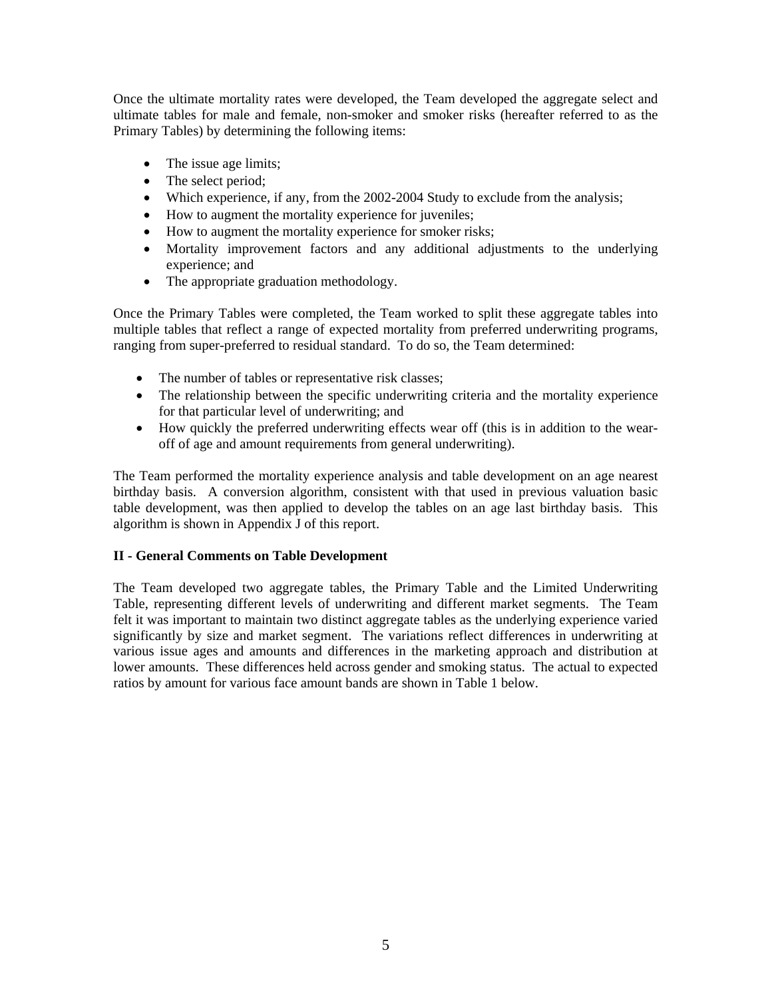Once the ultimate mortality rates were developed, the Team developed the aggregate select and ultimate tables for male and female, non-smoker and smoker risks (hereafter referred to as the Primary Tables) by determining the following items:

- The issue age limits;
- The select period;
- Which experience, if any, from the 2002-2004 Study to exclude from the analysis;
- How to augment the mortality experience for juveniles;
- How to augment the mortality experience for smoker risks;
- Mortality improvement factors and any additional adjustments to the underlying experience; and
- The appropriate graduation methodology.

Once the Primary Tables were completed, the Team worked to split these aggregate tables into multiple tables that reflect a range of expected mortality from preferred underwriting programs, ranging from super-preferred to residual standard. To do so, the Team determined:

- The number of tables or representative risk classes;
- The relationship between the specific underwriting criteria and the mortality experience for that particular level of underwriting; and
- How quickly the preferred underwriting effects wear off (this is in addition to the wearoff of age and amount requirements from general underwriting).

The Team performed the mortality experience analysis and table development on an age nearest birthday basis. A conversion algorithm, consistent with that used in previous valuation basic table development, was then applied to develop the tables on an age last birthday basis. This algorithm is shown in Appendix J of this report.

# **II - General Comments on Table Development**

The Team developed two aggregate tables, the Primary Table and the Limited Underwriting Table, representing different levels of underwriting and different market segments. The Team felt it was important to maintain two distinct aggregate tables as the underlying experience varied significantly by size and market segment. The variations reflect differences in underwriting at various issue ages and amounts and differences in the marketing approach and distribution at lower amounts. These differences held across gender and smoking status. The actual to expected ratios by amount for various face amount bands are shown in Table 1 below.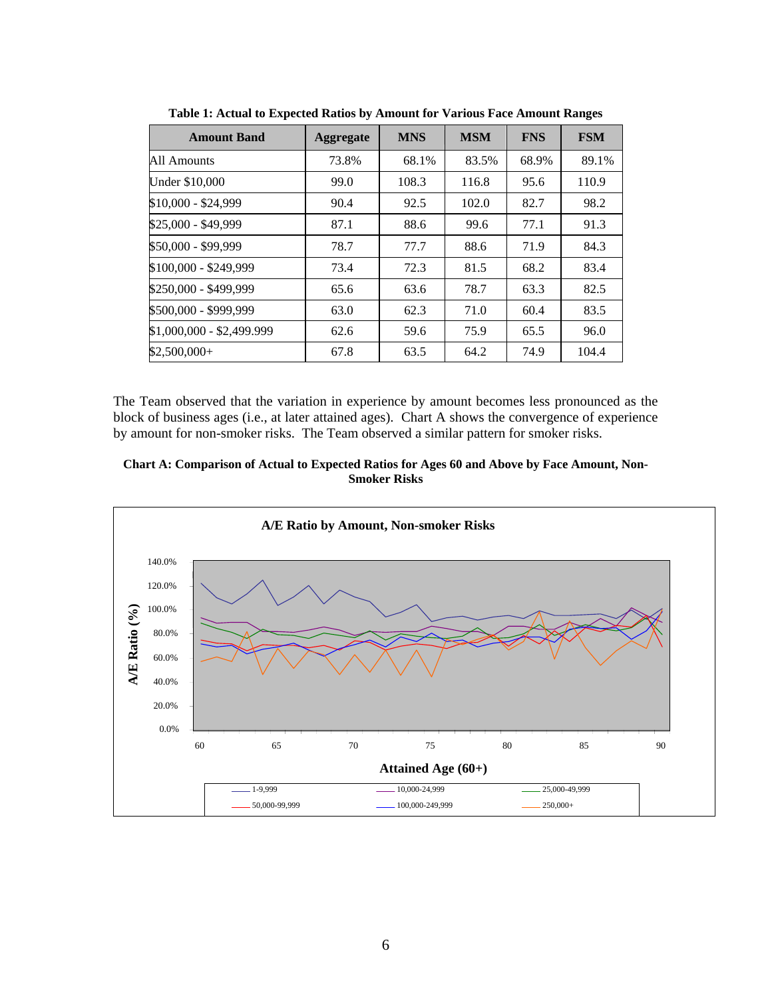| <b>Amount Band</b>        | <b>Aggregate</b> | <b>MNS</b> | <b>MSM</b> | <b>FNS</b> | <b>FSM</b> |
|---------------------------|------------------|------------|------------|------------|------------|
| All Amounts               | 73.8%            | 68.1%      | 83.5%      | 68.9%      | 89.1%      |
| Under \$10,000            | 99.0             | 108.3      | 116.8      | 95.6       | 110.9      |
| \$10,000 - \$24,999       | 90.4             | 92.5       | 102.0      | 82.7       | 98.2       |
| \$25,000 - \$49,999       | 87.1             | 88.6       | 99.6       | 77.1       | 91.3       |
| \$50,000 - \$99,999       | 78.7             | 77.7       | 88.6       | 71.9       | 84.3       |
| \$100,000 - \$249,999     | 73.4             | 72.3       | 81.5       | 68.2       | 83.4       |
| \$250,000 - \$499,999     | 65.6             | 63.6       | 78.7       | 63.3       | 82.5       |
| \$500,000 - \$999,999     | 63.0             | 62.3       | 71.0       | 60.4       | 83.5       |
| \$1,000,000 - \$2,499.999 | 62.6             | 59.6       | 75.9       | 65.5       | 96.0       |
| $$2,500,000+$             | 67.8             | 63.5       | 64.2       | 74.9       | 104.4      |

**Table 1: Actual to Expected Ratios by Amount for Various Face Amount Ranges** 

The Team observed that the variation in experience by amount becomes less pronounced as the block of business ages (i.e., at later attained ages). Chart A shows the convergence of experience by amount for non-smoker risks. The Team observed a similar pattern for smoker risks.



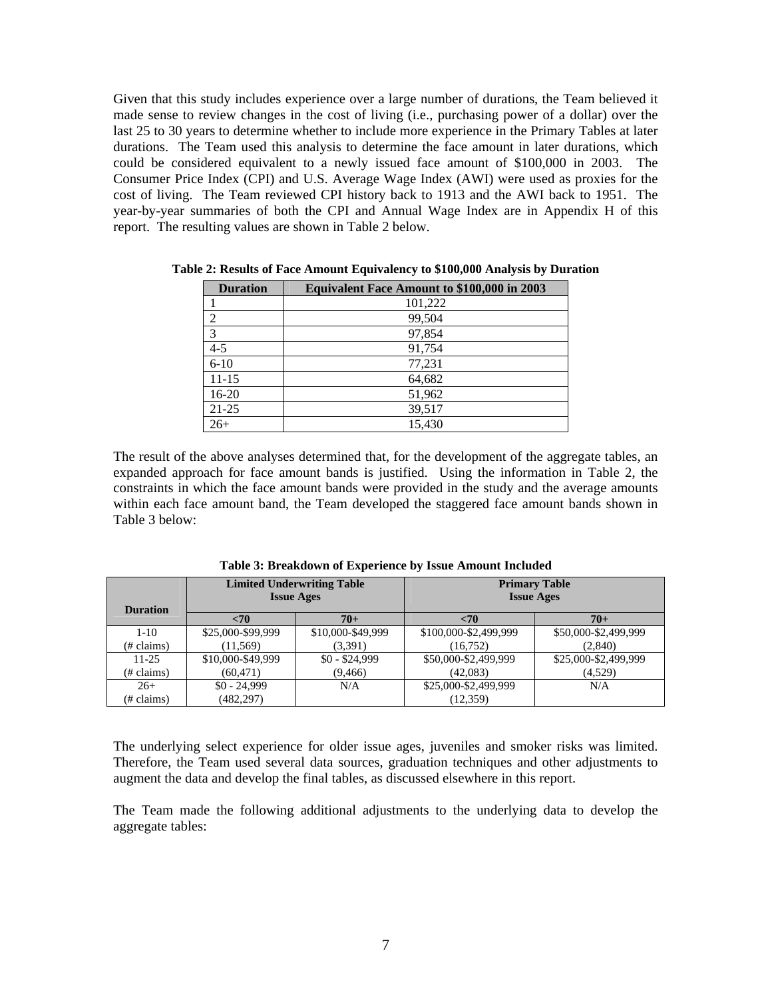Given that this study includes experience over a large number of durations, the Team believed it made sense to review changes in the cost of living (i.e., purchasing power of a dollar) over the last 25 to 30 years to determine whether to include more experience in the Primary Tables at later durations. The Team used this analysis to determine the face amount in later durations, which could be considered equivalent to a newly issued face amount of \$100,000 in 2003. The Consumer Price Index (CPI) and U.S. Average Wage Index (AWI) were used as proxies for the cost of living. The Team reviewed CPI history back to 1913 and the AWI back to 1951. The year-by-year summaries of both the CPI and Annual Wage Index are in Appendix H of this report. The resulting values are shown in Table 2 below.

| <b>Duration</b> | Equivalent Face Amount to \$100,000 in 2003 |
|-----------------|---------------------------------------------|
|                 | 101,222                                     |
| 2               | 99,504                                      |
| 3               | 97,854                                      |
| $4 - 5$         | 91,754                                      |
| $6 - 10$        | 77,231                                      |
| $11 - 15$       | 64,682                                      |
| $16-20$         | 51,962                                      |
| $21 - 25$       | 39,517                                      |
| $26+$           | 15.430                                      |

**Table 2: Results of Face Amount Equivalency to \$100,000 Analysis by Duration** 

The result of the above analyses determined that, for the development of the aggregate tables, an expanded approach for face amount bands is justified. Using the information in Table 2, the constraints in which the face amount bands were provided in the study and the average amounts within each face amount band, the Team developed the staggered face amount bands shown in Table 3 below:

| <b>Duration</b>       |                   | <b>Limited Underwriting Table</b><br><b>Issue Ages</b> | <b>Primary Table</b><br><b>Issue Ages</b> |                      |  |  |
|-----------------------|-------------------|--------------------------------------------------------|-------------------------------------------|----------------------|--|--|
|                       | $<$ 70            | $70+$                                                  | <70                                       | $70+$                |  |  |
| $1 - 10$              | \$25,000-\$99,999 | \$10,000-\$49,999                                      | \$100,000-\$2,499,999                     | \$50,000-\$2,499,999 |  |  |
| (# claims)            | (11, 569)         | (3,391)                                                | (16, 752)                                 | (2,840)              |  |  |
| $11 - 25$             | \$10,000-\$49,999 | $$0 - $24,999$                                         | \$50,000-\$2,499,999                      | \$25,000-\$2,499,999 |  |  |
| $(\# \text{ claims})$ | (60, 471)         | (9, 466)                                               | (42,083)                                  | (4,529)              |  |  |
| $26+$                 | $$0 - 24.999$     | N/A                                                    | \$25,000-\$2,499,999                      | N/A                  |  |  |
| (# claims)            | (482, 297)        |                                                        | (12, 359)                                 |                      |  |  |

**Table 3: Breakdown of Experience by Issue Amount Included** 

The underlying select experience for older issue ages, juveniles and smoker risks was limited. Therefore, the Team used several data sources, graduation techniques and other adjustments to augment the data and develop the final tables, as discussed elsewhere in this report.

The Team made the following additional adjustments to the underlying data to develop the aggregate tables: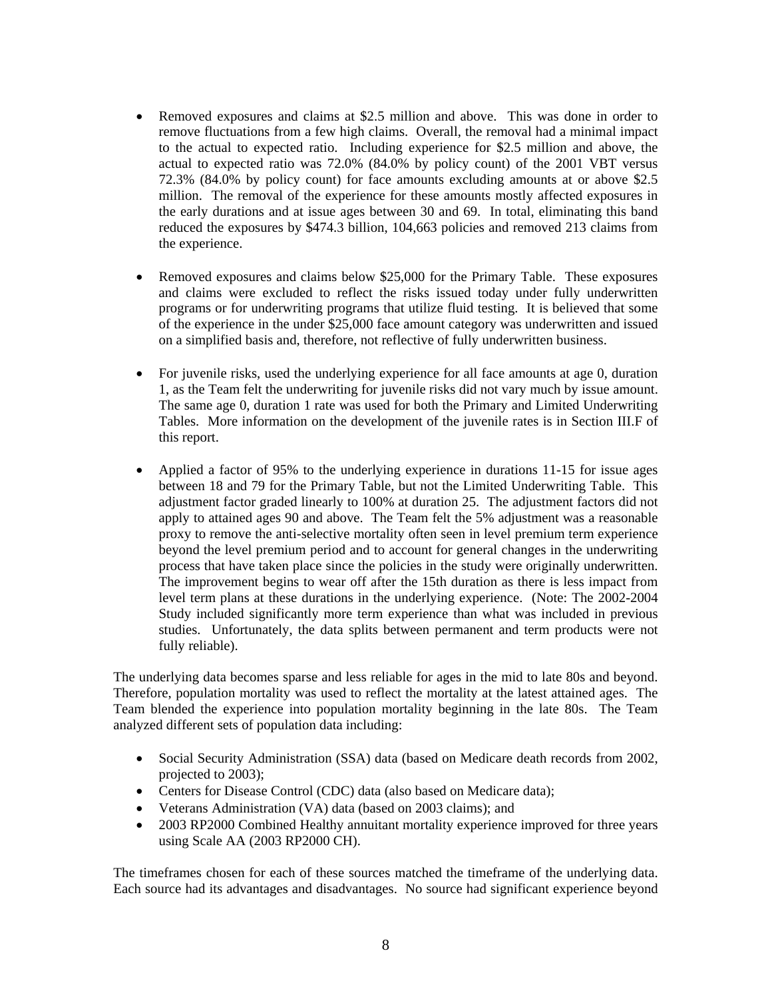- Removed exposures and claims at \$2.5 million and above. This was done in order to remove fluctuations from a few high claims. Overall, the removal had a minimal impact to the actual to expected ratio. Including experience for \$2.5 million and above, the actual to expected ratio was 72.0% (84.0% by policy count) of the 2001 VBT versus 72.3% (84.0% by policy count) for face amounts excluding amounts at or above \$2.5 million. The removal of the experience for these amounts mostly affected exposures in the early durations and at issue ages between 30 and 69. In total, eliminating this band reduced the exposures by \$474.3 billion, 104,663 policies and removed 213 claims from the experience.
- Removed exposures and claims below \$25,000 for the Primary Table. These exposures and claims were excluded to reflect the risks issued today under fully underwritten programs or for underwriting programs that utilize fluid testing. It is believed that some of the experience in the under \$25,000 face amount category was underwritten and issued on a simplified basis and, therefore, not reflective of fully underwritten business.
- For juvenile risks, used the underlying experience for all face amounts at age 0, duration 1, as the Team felt the underwriting for juvenile risks did not vary much by issue amount. The same age 0, duration 1 rate was used for both the Primary and Limited Underwriting Tables. More information on the development of the juvenile rates is in Section III.F of this report.
- Applied a factor of 95% to the underlying experience in durations 11-15 for issue ages between 18 and 79 for the Primary Table, but not the Limited Underwriting Table. This adjustment factor graded linearly to 100% at duration 25. The adjustment factors did not apply to attained ages 90 and above. The Team felt the 5% adjustment was a reasonable proxy to remove the anti-selective mortality often seen in level premium term experience beyond the level premium period and to account for general changes in the underwriting process that have taken place since the policies in the study were originally underwritten. The improvement begins to wear off after the 15th duration as there is less impact from level term plans at these durations in the underlying experience. (Note: The 2002-2004 Study included significantly more term experience than what was included in previous studies. Unfortunately, the data splits between permanent and term products were not fully reliable).

The underlying data becomes sparse and less reliable for ages in the mid to late 80s and beyond. Therefore, population mortality was used to reflect the mortality at the latest attained ages. The Team blended the experience into population mortality beginning in the late 80s. The Team analyzed different sets of population data including:

- Social Security Administration (SSA) data (based on Medicare death records from 2002, projected to 2003);
- Centers for Disease Control (CDC) data (also based on Medicare data);
- Veterans Administration (VA) data (based on 2003 claims); and
- 2003 RP2000 Combined Healthy annuitant mortality experience improved for three years using Scale AA (2003 RP2000 CH).

The timeframes chosen for each of these sources matched the timeframe of the underlying data. Each source had its advantages and disadvantages. No source had significant experience beyond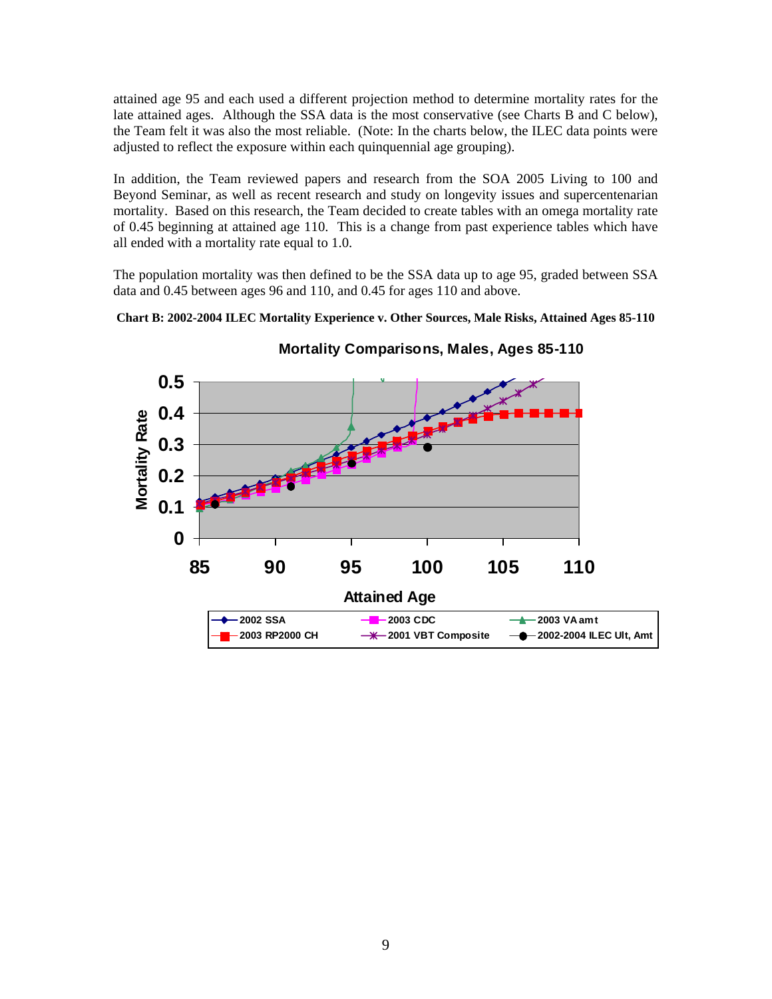attained age 95 and each used a different projection method to determine mortality rates for the late attained ages. Although the SSA data is the most conservative (see Charts B and C below), the Team felt it was also the most reliable. (Note: In the charts below, the ILEC data points were adjusted to reflect the exposure within each quinquennial age grouping).

In addition, the Team reviewed papers and research from the SOA 2005 Living to 100 and Beyond Seminar, as well as recent research and study on longevity issues and supercentenarian mortality. Based on this research, the Team decided to create tables with an omega mortality rate of 0.45 beginning at attained age 110. This is a change from past experience tables which have all ended with a mortality rate equal to 1.0.

The population mortality was then defined to be the SSA data up to age 95, graded between SSA data and 0.45 between ages 96 and 110, and 0.45 for ages 110 and above.

**Chart B: 2002-2004 ILEC Mortality Experience v. Other Sources, Male Risks, Attained Ages 85-110** 



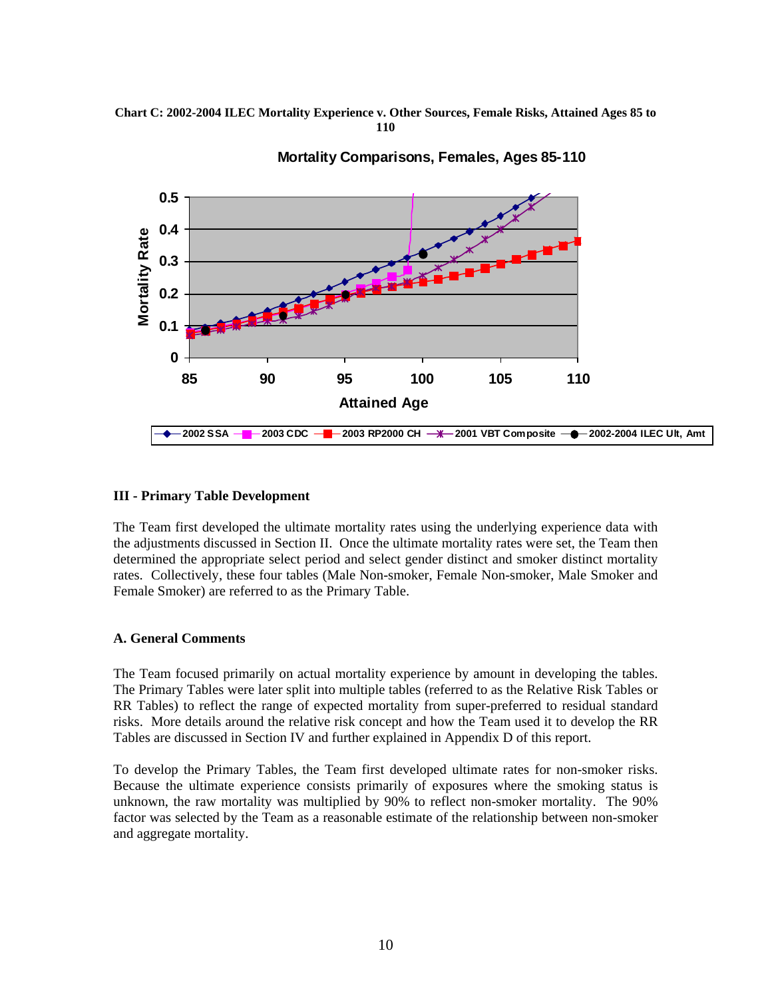#### **Chart C: 2002-2004 ILEC Mortality Experience v. Other Sources, Female Risks, Attained Ages 85 to 110**



#### **Mortality Comparisons, Females, Ages 85-110**

# **III - Primary Table Development**

The Team first developed the ultimate mortality rates using the underlying experience data with the adjustments discussed in Section II. Once the ultimate mortality rates were set, the Team then determined the appropriate select period and select gender distinct and smoker distinct mortality rates. Collectively, these four tables (Male Non-smoker, Female Non-smoker, Male Smoker and Female Smoker) are referred to as the Primary Table.

# **A. General Comments**

The Team focused primarily on actual mortality experience by amount in developing the tables. The Primary Tables were later split into multiple tables (referred to as the Relative Risk Tables or RR Tables) to reflect the range of expected mortality from super-preferred to residual standard risks. More details around the relative risk concept and how the Team used it to develop the RR Tables are discussed in Section IV and further explained in Appendix D of this report.

To develop the Primary Tables, the Team first developed ultimate rates for non-smoker risks. Because the ultimate experience consists primarily of exposures where the smoking status is unknown, the raw mortality was multiplied by 90% to reflect non-smoker mortality. The 90% factor was selected by the Team as a reasonable estimate of the relationship between non-smoker and aggregate mortality.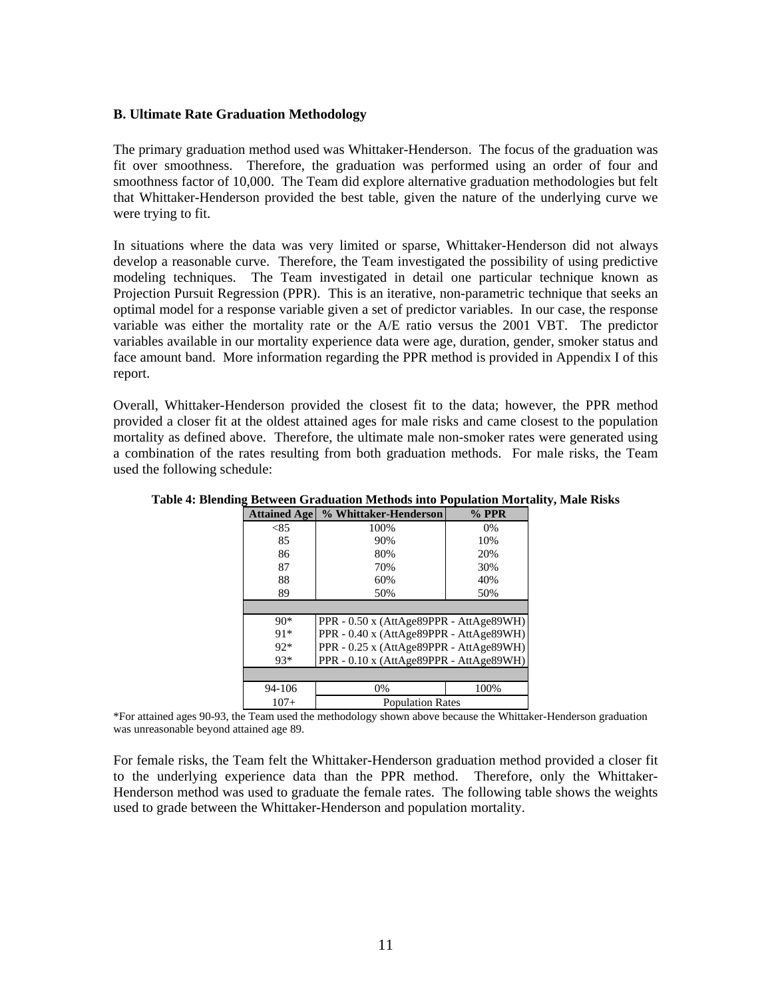#### **B. Ultimate Rate Graduation Methodology**

The primary graduation method used was Whittaker-Henderson. The focus of the graduation was fit over smoothness. Therefore, the graduation was performed using an order of four and smoothness factor of 10,000. The Team did explore alternative graduation methodologies but felt that Whittaker-Henderson provided the best table, given the nature of the underlying curve we were trying to fit.

In situations where the data was very limited or sparse, Whittaker-Henderson did not always develop a reasonable curve. Therefore, the Team investigated the possibility of using predictive modeling techniques. The Team investigated in detail one particular technique known as Projection Pursuit Regression (PPR). This is an iterative, non-parametric technique that seeks an optimal model for a response variable given a set of predictor variables. In our case, the response variable was either the mortality rate or the A/E ratio versus the 2001 VBT. The predictor variables available in our mortality experience data were age, duration, gender, smoker status and face amount band. More information regarding the PPR method is provided in Appendix I of this report.

Overall, Whittaker-Henderson provided the closest fit to the data; however, the PPR method provided a closer fit at the oldest attained ages for male risks and came closest to the population mortality as defined above. Therefore, the ultimate male non-smoker rates were generated using a combination of the rates resulting from both graduation methods. For male risks, the Team used the following schedule:

| <b>Attained Age</b> | % Whittaker-Henderson                   | $%$ PPR |
|---------------------|-----------------------------------------|---------|
| < 85                | 100%                                    | $0\%$   |
| 85                  | 90%                                     | 10%     |
| 86                  | 80%                                     | 20%     |
| 87                  | 70%                                     | 30%     |
| 88                  | 60%                                     | 40%     |
| 89                  | 50%                                     | 50%     |
|                     |                                         |         |
| $90*$               | PPR - 0.50 x (AttAge89PPR - AttAge89WH) |         |
| $91*$               | PPR - 0.40 x (AttAge89PPR - AttAge89WH) |         |
| $92*$               | PPR - 0.25 x (AttAge89PPR - AttAge89WH) |         |
| $93*$               | PPR - 0.10 x (AttAge89PPR - AttAge89WH) |         |
|                     |                                         |         |
| 94-106              | $0\%$                                   | 100%    |
| $107+$              | <b>Population Rates</b>                 |         |

**Table 4: Blending Between Graduation Methods into Population Mortality, Male Risks** 

\*For attained ages 90-93, the Team used the methodology shown above because the Whittaker-Henderson graduation was unreasonable beyond attained age 89.

For female risks, the Team felt the Whittaker-Henderson graduation method provided a closer fit to the underlying experience data than the PPR method. Therefore, only the Whittaker-Henderson method was used to graduate the female rates. The following table shows the weights used to grade between the Whittaker-Henderson and population mortality.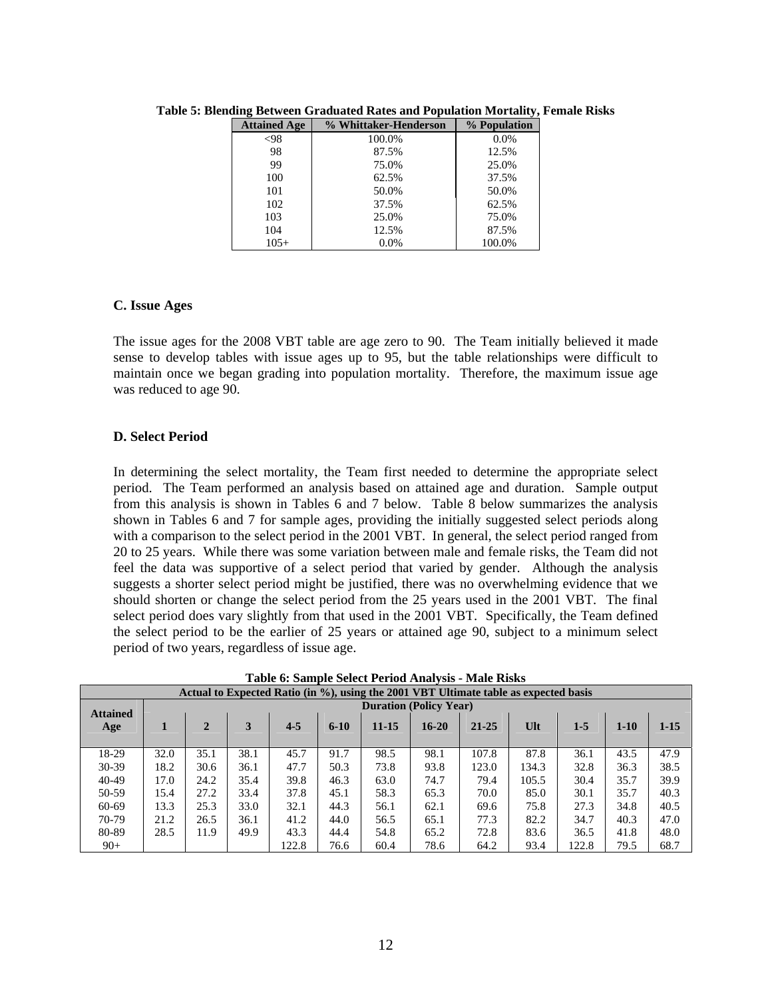| <b>Attained Age</b> | % Whittaker-Henderson | % Population |
|---------------------|-----------------------|--------------|
| $<$ 98              | 100.0%                | $0.0\%$      |
| 98                  | 87.5%                 | 12.5%        |
| 99                  | 75.0%                 | 25.0%        |
| 100                 | 62.5%                 | 37.5%        |
| 101                 | 50.0%                 | 50.0%        |
| 102                 | 37.5%                 | 62.5%        |
| 103                 | 25.0%                 | 75.0%        |
| 104                 | 12.5%                 | 87.5%        |
| $105+$              | 0.0%                  | 100.0%       |

**Table 5: Blending Between Graduated Rates and Population Mortality, Female Risks** 

#### **C. Issue Ages**

The issue ages for the 2008 VBT table are age zero to 90. The Team initially believed it made sense to develop tables with issue ages up to 95, but the table relationships were difficult to maintain once we began grading into population mortality. Therefore, the maximum issue age was reduced to age 90.

# **D. Select Period**

In determining the select mortality, the Team first needed to determine the appropriate select period. The Team performed an analysis based on attained age and duration. Sample output from this analysis is shown in Tables 6 and 7 below. Table 8 below summarizes the analysis shown in Tables 6 and 7 for sample ages, providing the initially suggested select periods along with a comparison to the select period in the 2001 VBT. In general, the select period ranged from 20 to 25 years. While there was some variation between male and female risks, the Team did not feel the data was supportive of a select period that varied by gender. Although the analysis suggests a shorter select period might be justified, there was no overwhelming evidence that we should shorten or change the select period from the 25 years used in the 2001 VBT. The final select period does vary slightly from that used in the 2001 VBT. Specifically, the Team defined the select period to be the earlier of 25 years or attained age 90, subject to a minimum select period of two years, regardless of issue age.

| Table 0. Sample Select Feriod Analysis - Male Risks                                  |                               |              |      |         |        |           |           |           |        |       |          |          |
|--------------------------------------------------------------------------------------|-------------------------------|--------------|------|---------|--------|-----------|-----------|-----------|--------|-------|----------|----------|
| Actual to Expected Ratio (in %), using the 2001 VBT Ultimate table as expected basis |                               |              |      |         |        |           |           |           |        |       |          |          |
|                                                                                      | <b>Duration (Policy Year)</b> |              |      |         |        |           |           |           |        |       |          |          |
| <b>Attained</b>                                                                      |                               |              |      |         |        |           |           |           |        |       |          |          |
| Age                                                                                  | 1                             | $\mathbf{2}$ | 3    | $4 - 5$ | $6-10$ | $11 - 15$ | $16 - 20$ | $21 - 25$ | $U$ lt | $1-5$ | $1 - 10$ | $1 - 15$ |
|                                                                                      |                               |              |      |         |        |           |           |           |        |       |          |          |
| 18-29                                                                                | 32.0                          | 35.1         | 38.1 | 45.7    | 91.7   | 98.5      | 98.1      | 107.8     | 87.8   | 36.1  | 43.5     | 47.9     |
| $30-39$                                                                              | 18.2                          | 30.6         | 36.1 | 47.7    | 50.3   | 73.8      | 93.8      | 123.0     | 134.3  | 32.8  | 36.3     | 38.5     |
| $40 - 49$                                                                            | 17.0                          | 24.2         | 35.4 | 39.8    | 46.3   | 63.0      | 74.7      | 79.4      | 105.5  | 30.4  | 35.7     | 39.9     |
| 50-59                                                                                | 15.4                          | 27.2         | 33.4 | 37.8    | 45.1   | 58.3      | 65.3      | 70.0      | 85.0   | 30.1  | 35.7     | 40.3     |
| 60-69                                                                                | 13.3                          | 25.3         | 33.0 | 32.1    | 44.3   | 56.1      | 62.1      | 69.6      | 75.8   | 27.3  | 34.8     | 40.5     |
| $70-79$                                                                              | 21.2                          | 26.5         | 36.1 | 41.2    | 44.0   | 56.5      | 65.1      | 77.3      | 82.2   | 34.7  | 40.3     | 47.0     |
| 80-89                                                                                | 28.5                          | 11.9         | 49.9 | 43.3    | 44.4   | 54.8      | 65.2      | 72.8      | 83.6   | 36.5  | 41.8     | 48.0     |
| $90+$                                                                                |                               |              |      | 122.8   | 76.6   | 60.4      | 78.6      | 64.2      | 93.4   | 122.8 | 79.5     | 68.7     |

**Table 6: Sample Select Period Analysis - Male Risks**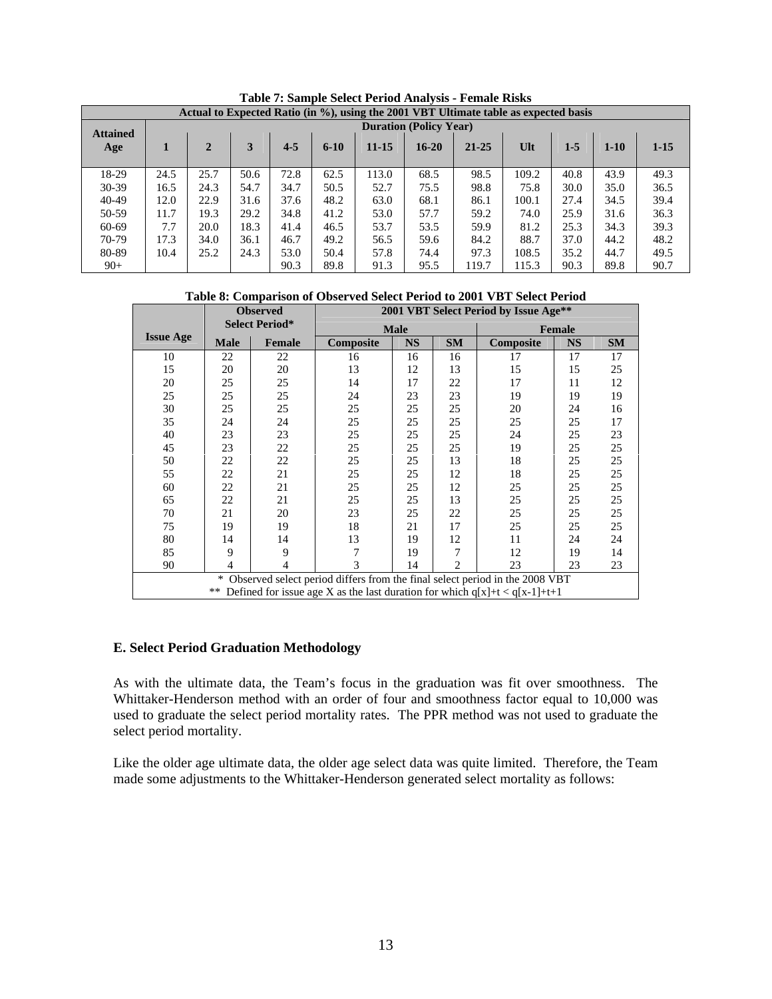|                 | Actual to Expected Ratio (in %), using the 2001 VBT Ultimate table as expected basis |              |      |         |          |           |           |           |        |       |        |          |  |
|-----------------|--------------------------------------------------------------------------------------|--------------|------|---------|----------|-----------|-----------|-----------|--------|-------|--------|----------|--|
| <b>Attained</b> | <b>Duration (Policy Year)</b>                                                        |              |      |         |          |           |           |           |        |       |        |          |  |
| Age             |                                                                                      | $\mathbf{2}$ | 3    | $4 - 5$ | $6 - 10$ | $11 - 15$ | $16 - 20$ | $21 - 25$ | $U$ lt | $1-5$ | $1-10$ | $1 - 15$ |  |
| 18-29           | 24.5                                                                                 | 25.7         | 50.6 | 72.8    | 62.5     | 113.0     | 68.5      | 98.5      | 109.2  | 40.8  | 43.9   | 49.3     |  |
| $30-39$         | 16.5                                                                                 | 24.3         | 54.7 | 34.7    | 50.5     | 52.7      | 75.5      | 98.8      | 75.8   | 30.0  | 35.0   | 36.5     |  |
| $40 - 49$       | 12.0                                                                                 | 22.9         | 31.6 | 37.6    | 48.2     | 63.0      | 68.1      | 86.1      | 100.1  | 27.4  | 34.5   | 39.4     |  |
| 50-59           | 11.7                                                                                 | 19.3         | 29.2 | 34.8    | 41.2     | 53.0      | 57.7      | 59.2      | 74.0   | 25.9  | 31.6   | 36.3     |  |
| 60-69           | 7.7                                                                                  | 20.0         | 18.3 | 41.4    | 46.5     | 53.7      | 53.5      | 59.9      | 81.2   | 25.3  | 34.3   | 39.3     |  |
| $70-79$         | 17.3                                                                                 | 34.0         | 36.1 | 46.7    | 49.2     | 56.5      | 59.6      | 84.2      | 88.7   | 37.0  | 44.2   | 48.2     |  |
| 80-89           | 10.4                                                                                 | 25.2         | 24.3 | 53.0    | 50.4     | 57.8      | 74.4      | 97.3      | 108.5  | 35.2  | 44.7   | 49.5     |  |
| $90+$           |                                                                                      |              |      | 90.3    | 89.8     | 91.3      | 95.5      | 119.7     | 115.3  | 90.3  | 89.8   | 90.7     |  |

**Table 7: Sample Select Period Analysis - Female Risks** 

**Table 8: Comparison of Observed Select Period to 2001 VBT Select Period** 

|                  |                | <b>Observed</b>       | 2001 VBT Select Period by Issue Age** |             |                |                                                                              |           |           |  |  |  |  |
|------------------|----------------|-----------------------|---------------------------------------|-------------|----------------|------------------------------------------------------------------------------|-----------|-----------|--|--|--|--|
|                  |                | <b>Select Period*</b> |                                       | <b>Male</b> |                | Female                                                                       |           |           |  |  |  |  |
| <b>Issue Age</b> | <b>Male</b>    | <b>Female</b>         | Composite                             | <b>NS</b>   | <b>SM</b>      | Composite                                                                    | <b>NS</b> | <b>SM</b> |  |  |  |  |
| 10               | 22             | 22                    | 16                                    | 16          | 16             | 17                                                                           | 17        | 17        |  |  |  |  |
| 15               | 20             | 20                    | 13                                    | 12          | 13             | 15                                                                           | 15        | 25        |  |  |  |  |
| 20               | 25             | 25                    | 14                                    | 17          | 22             | 17                                                                           | 11        | 12        |  |  |  |  |
| 25               | 25             | 25                    | 24                                    | 23          | 23             | 19                                                                           | 19        | 19        |  |  |  |  |
| 30               | 25             | 25                    | 25                                    | 25          | 25             | 20                                                                           | 24        | 16        |  |  |  |  |
| 35               | 24             | 24                    | 25                                    | 25          | 25             | 25                                                                           | 25        | 17        |  |  |  |  |
| 40               | 23             | 23                    | 25                                    | 25          | 25             | 24                                                                           | 25        | 23        |  |  |  |  |
| 45               | 23             | 22                    | 25                                    | 25          | 25             | 19                                                                           | 25        | 25        |  |  |  |  |
| 50               | 22             | 22                    | 25                                    | 25          | 13             | 18                                                                           | 25        | 25        |  |  |  |  |
| 55               | 22             | 21                    | 25                                    | 25          | 12             | 18                                                                           | 25        | 25        |  |  |  |  |
| 60               | 22             | 21                    | 25                                    | 25          | 12             | 25                                                                           | 25        | 25        |  |  |  |  |
| 65               | 22             | 21                    | 25                                    | 25          | 13             | 25                                                                           | 25        | 25        |  |  |  |  |
| 70               | 21             | 20                    | 23                                    | 25          | 22             | 25                                                                           | 25        | 25        |  |  |  |  |
| 75               | 19             | 19                    | 18                                    | 21          | 17             | 25                                                                           | 25        | 25        |  |  |  |  |
| 80               | 14             | 14                    | 13                                    | 19          | 12             | 11                                                                           | 24        | 24        |  |  |  |  |
| 85               | 9              | 9                     |                                       | 19          | 7              | 12                                                                           | 19        | 14        |  |  |  |  |
| 90               | $\overline{4}$ | 4                     | 3                                     | 14          | $\overline{2}$ | 23                                                                           | 23        | 23        |  |  |  |  |
|                  | $\ast$         |                       |                                       |             |                | Observed select period differs from the final select period in the 2008 VBT  |           |           |  |  |  |  |
|                  | **             |                       |                                       |             |                | Defined for issue age X as the last duration for which $q[x]+t < q[x-1]+t+1$ |           |           |  |  |  |  |

#### **E. Select Period Graduation Methodology**

As with the ultimate data, the Team's focus in the graduation was fit over smoothness. The Whittaker-Henderson method with an order of four and smoothness factor equal to 10,000 was used to graduate the select period mortality rates. The PPR method was not used to graduate the select period mortality.

Like the older age ultimate data, the older age select data was quite limited. Therefore, the Team made some adjustments to the Whittaker-Henderson generated select mortality as follows: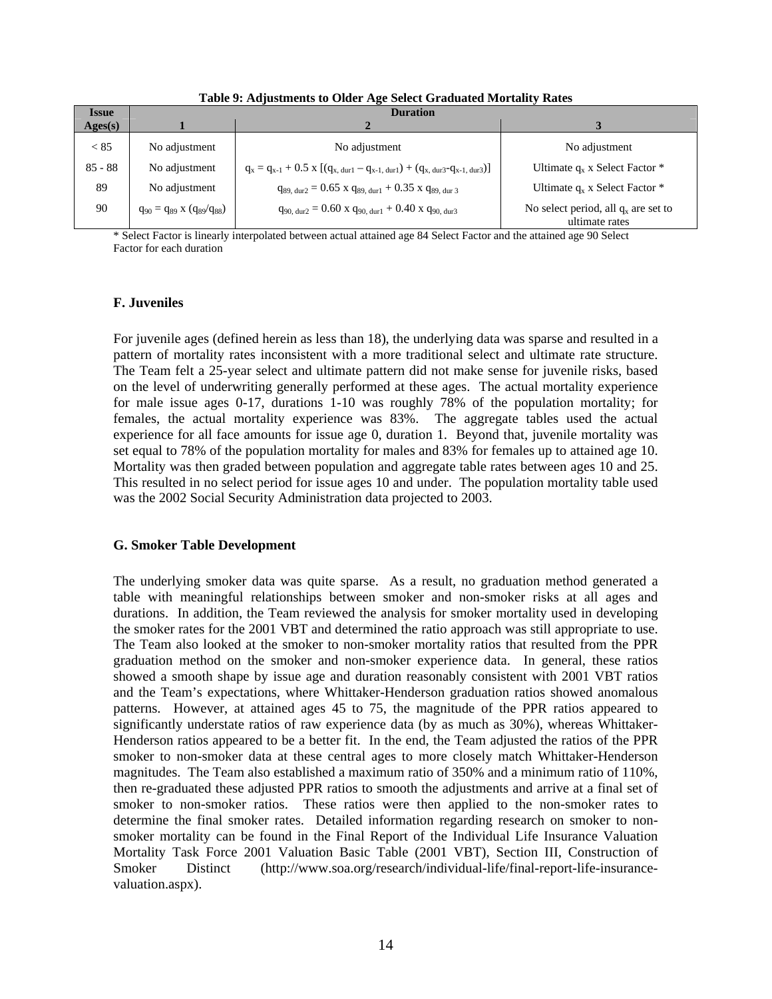| <b>Issue</b>     |                                     | <b>Duration</b>                                                                                                                  |                                                          |  |  |  |  |  |  |  |  |  |  |
|------------------|-------------------------------------|----------------------------------------------------------------------------------------------------------------------------------|----------------------------------------------------------|--|--|--|--|--|--|--|--|--|--|
| $\text{Ages}(s)$ |                                     |                                                                                                                                  |                                                          |  |  |  |  |  |  |  |  |  |  |
| < 85             | No adjustment                       | No adjustment                                                                                                                    | No adjustment                                            |  |  |  |  |  |  |  |  |  |  |
| $85 - 88$        | No adjustment                       | $q_x = q_{x-1} + 0.5 \text{ x } [(q_{x, \text{ dur1}} - q_{x-1, \text{ dur1}}) + (q_{x, \text{ dur3}} - q_{x-1, \text{ dur3}})]$ | Ultimate $q_x$ x Select Factor $*$                       |  |  |  |  |  |  |  |  |  |  |
| 89               | No adjustment                       | $q_{89, dur2} = 0.65$ x $q_{89, dur1} + 0.35$ x $q_{89, dur3}$                                                                   | Ultimate $q_x$ x Select Factor $*$                       |  |  |  |  |  |  |  |  |  |  |
| 90               | $q_{90} = q_{89} x (q_{89}/q_{88})$ | $q_{90, \text{ dur2}} = 0.60 \text{ x } q_{90, \text{ dur1}} + 0.40 \text{ x } q_{90, \text{ dur3}}$                             | No select period, all $q_x$ are set to<br>ultimate rates |  |  |  |  |  |  |  |  |  |  |

**Table 9: Adjustments to Older Age Select Graduated Mortality Rates** 

\* Select Factor is linearly interpolated between actual attained age 84 Select Factor and the attained age 90 Select Factor for each duration

# **F. Juveniles**

For juvenile ages (defined herein as less than 18), the underlying data was sparse and resulted in a pattern of mortality rates inconsistent with a more traditional select and ultimate rate structure. The Team felt a 25-year select and ultimate pattern did not make sense for juvenile risks, based on the level of underwriting generally performed at these ages. The actual mortality experience for male issue ages 0-17, durations 1-10 was roughly 78% of the population mortality; for females, the actual mortality experience was 83%. The aggregate tables used the actual experience for all face amounts for issue age 0, duration 1. Beyond that, juvenile mortality was set equal to 78% of the population mortality for males and 83% for females up to attained age 10. Mortality was then graded between population and aggregate table rates between ages 10 and 25. This resulted in no select period for issue ages 10 and under. The population mortality table used was the 2002 Social Security Administration data projected to 2003.

# **G. Smoker Table Development**

The underlying smoker data was quite sparse. As a result, no graduation method generated a table with meaningful relationships between smoker and non-smoker risks at all ages and durations. In addition, the Team reviewed the analysis for smoker mortality used in developing the smoker rates for the 2001 VBT and determined the ratio approach was still appropriate to use. The Team also looked at the smoker to non-smoker mortality ratios that resulted from the PPR graduation method on the smoker and non-smoker experience data. In general, these ratios showed a smooth shape by issue age and duration reasonably consistent with 2001 VBT ratios and the Team's expectations, where Whittaker-Henderson graduation ratios showed anomalous patterns. However, at attained ages 45 to 75, the magnitude of the PPR ratios appeared to significantly understate ratios of raw experience data (by as much as 30%), whereas Whittaker-Henderson ratios appeared to be a better fit. In the end, the Team adjusted the ratios of the PPR smoker to non-smoker data at these central ages to more closely match Whittaker-Henderson magnitudes. The Team also established a maximum ratio of 350% and a minimum ratio of 110%, then re-graduated these adjusted PPR ratios to smooth the adjustments and arrive at a final set of smoker to non-smoker ratios. These ratios were then applied to the non-smoker rates to determine the final smoker rates. Detailed information regarding research on smoker to nonsmoker mortality can be found in the Final Report of the Individual Life Insurance Valuation Mortality Task Force 2001 Valuation Basic Table (2001 VBT), Section III, Construction of Smoker Distinct (http://www.soa.org/research/individual-life/final-report-life-insurancevaluation.aspx).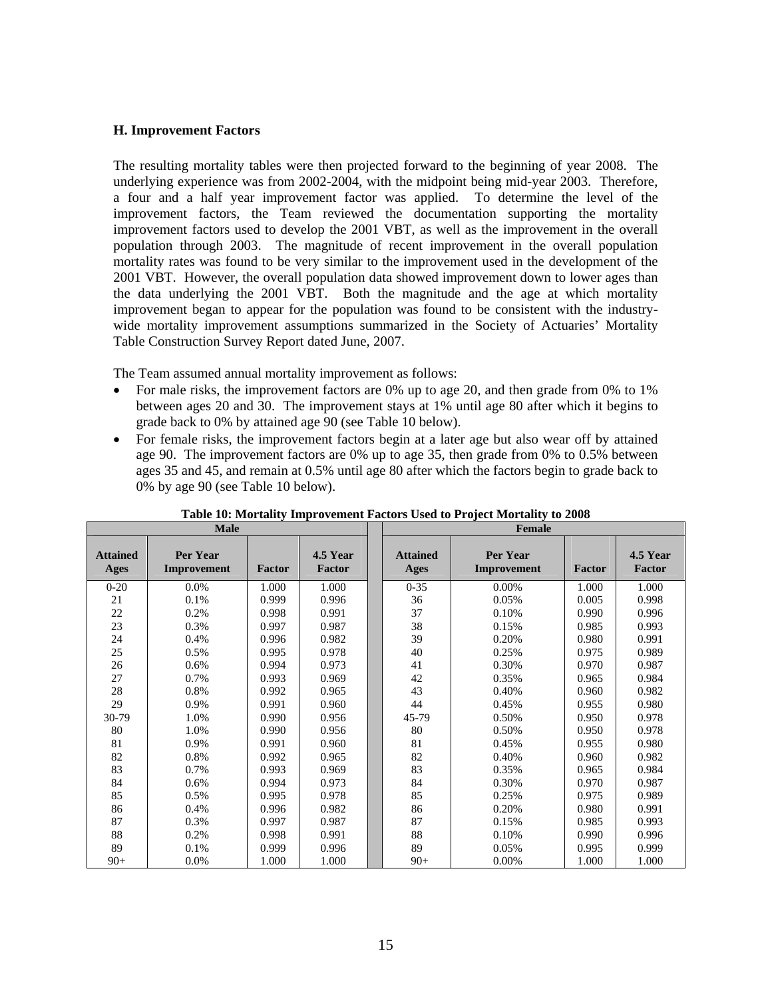#### **H. Improvement Factors**

The resulting mortality tables were then projected forward to the beginning of year 2008. The underlying experience was from 2002-2004, with the midpoint being mid-year 2003. Therefore, a four and a half year improvement factor was applied. To determine the level of the improvement factors, the Team reviewed the documentation supporting the mortality improvement factors used to develop the 2001 VBT, as well as the improvement in the overall population through 2003. The magnitude of recent improvement in the overall population mortality rates was found to be very similar to the improvement used in the development of the 2001 VBT. However, the overall population data showed improvement down to lower ages than the data underlying the 2001 VBT. Both the magnitude and the age at which mortality improvement began to appear for the population was found to be consistent with the industrywide mortality improvement assumptions summarized in the Society of Actuaries' Mortality Table Construction Survey Report dated June, 2007.

The Team assumed annual mortality improvement as follows:

- For male risks, the improvement factors are 0% up to age 20, and then grade from 0% to 1% between ages 20 and 30. The improvement stays at 1% until age 80 after which it begins to grade back to 0% by attained age 90 (see Table 10 below).
- For female risks, the improvement factors begin at a later age but also wear off by attained age 90. The improvement factors are 0% up to age 35, then grade from 0% to 0.5% between ages 35 and 45, and remain at 0.5% until age 80 after which the factors begin to grade back to 0% by age 90 (see Table 10 below).

|                         | <b>Male</b>             |        |                    | Female                  |                         |        |                    |  |  |
|-------------------------|-------------------------|--------|--------------------|-------------------------|-------------------------|--------|--------------------|--|--|
| <b>Attained</b><br>Ages | Per Year<br>Improvement | Factor | 4.5 Year<br>Factor | <b>Attained</b><br>Ages | Per Year<br>Improvement | Factor | 4.5 Year<br>Factor |  |  |
| $0 - 20$                | $0.0\%$                 | 1.000  | 1.000              | $0 - 35$                | 0.00%                   | 1.000  | 1.000              |  |  |
| 21                      | 0.1%                    | 0.999  | 0.996              | 36                      | 0.05%                   | 0.005  | 0.998              |  |  |
| 22                      | 0.2%                    | 0.998  | 0.991              | 37                      | 0.10%                   | 0.990  | 0.996              |  |  |
| 23                      | 0.3%                    | 0.997  | 0.987              | 38                      | 0.15%                   | 0.985  | 0.993              |  |  |
| 24                      | 0.4%                    | 0.996  | 0.982              | 39                      | 0.20%                   | 0.980  | 0.991              |  |  |
| 25                      | 0.5%                    | 0.995  | 0.978              | 40                      | 0.25%                   | 0.975  | 0.989              |  |  |
| 26                      | 0.6%                    | 0.994  | 0.973              | 41                      | 0.30%                   | 0.970  | 0.987              |  |  |
| 27                      | 0.7%                    | 0.993  | 0.969              | 42                      | 0.35%                   | 0.965  | 0.984              |  |  |
| 28                      | 0.8%                    | 0.992  | 0.965              | 43                      | 0.40%                   | 0.960  | 0.982              |  |  |
| 29                      | 0.9%                    | 0.991  | 0.960              | 44                      | 0.45%                   | 0.955  | 0.980              |  |  |
| $30-79$                 | 1.0%                    | 0.990  | 0.956              | 45-79                   | 0.50%                   | 0.950  | 0.978              |  |  |
| 80                      | 1.0%                    | 0.990  | 0.956              | 80                      | 0.50%                   | 0.950  | 0.978              |  |  |
| 81                      | 0.9%                    | 0.991  | 0.960              | 81                      | 0.45%                   | 0.955  | 0.980              |  |  |
| 82                      | 0.8%                    | 0.992  | 0.965              | 82                      | 0.40%                   | 0.960  | 0.982              |  |  |
| 83                      | 0.7%                    | 0.993  | 0.969              | 83                      | 0.35%                   | 0.965  | 0.984              |  |  |
| 84                      | 0.6%                    | 0.994  | 0.973              | 84                      | 0.30%                   | 0.970  | 0.987              |  |  |
| 85                      | 0.5%                    | 0.995  | 0.978              | 85                      | 0.25%                   | 0.975  | 0.989              |  |  |
| 86                      | 0.4%                    | 0.996  | 0.982              | 86                      | 0.20%                   | 0.980  | 0.991              |  |  |
| 87                      | 0.3%                    | 0.997  | 0.987              | 87                      | 0.15%                   | 0.985  | 0.993              |  |  |
| 88                      | 0.2%                    | 0.998  | 0.991              | 88                      | 0.10%                   | 0.990  | 0.996              |  |  |
| 89                      | 0.1%                    | 0.999  | 0.996              | 89                      | 0.05%                   | 0.995  | 0.999              |  |  |
| $90+$                   | 0.0%                    | 1.000  | 1.000              | $90+$                   | 0.00%                   | 1.000  | 1.000              |  |  |

**Table 10: Mortality Improvement Factors Used to Project Mortality to 2008**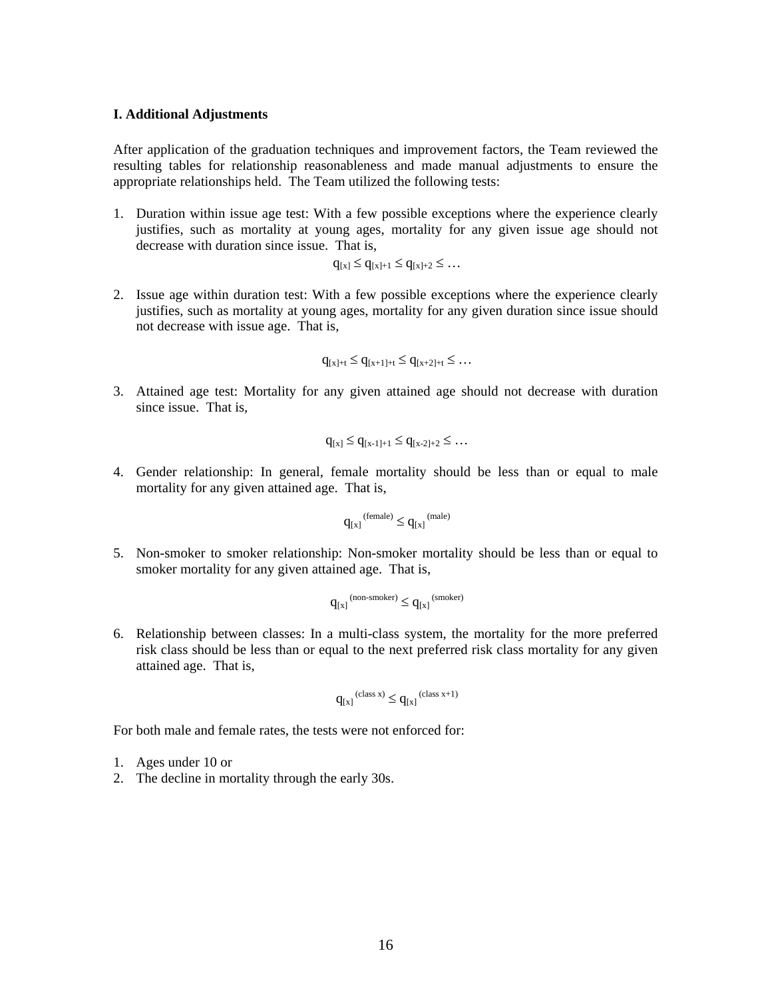#### **I. Additional Adjustments**

After application of the graduation techniques and improvement factors, the Team reviewed the resulting tables for relationship reasonableness and made manual adjustments to ensure the appropriate relationships held. The Team utilized the following tests:

1. Duration within issue age test: With a few possible exceptions where the experience clearly justifies, such as mortality at young ages, mortality for any given issue age should not decrease with duration since issue. That is,

$$
q_{[x]} \leq q_{[x]+1} \leq q_{[x]+2} \leq \dots
$$

2. Issue age within duration test: With a few possible exceptions where the experience clearly justifies, such as mortality at young ages, mortality for any given duration since issue should not decrease with issue age. That is,

$$
q_{[x]+t}\leq q_{[x+1]+t}\leq q_{[x+2]+t}\leq \ldots
$$

3. Attained age test: Mortality for any given attained age should not decrease with duration since issue. That is,

$$
q_{[x]} \leq q_{[x-1]+1} \leq q_{[x-2]+2} \leq \dots
$$

4. Gender relationship: In general, female mortality should be less than or equal to male mortality for any given attained age. That is,

$$
q_{[x]}^{\text{(female)}} \leq q_{[x]}^{\text{(male)}}
$$

5. Non-smoker to smoker relationship: Non-smoker mortality should be less than or equal to smoker mortality for any given attained age. That is,

$$
q_{[x]}^{\hspace*{1em} \textrm{(non-smoker)}} \leq q_{[x]}^{\hspace*{1em} \textrm{(smoker)}}
$$

6. Relationship between classes: In a multi-class system, the mortality for the more preferred risk class should be less than or equal to the next preferred risk class mortality for any given attained age. That is,

$$
q_{[x]}^{\ (class\ x)} \leq q_{[x]}^{\ (class\ x+1)}
$$

For both male and female rates, the tests were not enforced for:

- 1. Ages under 10 or
- 2. The decline in mortality through the early 30s.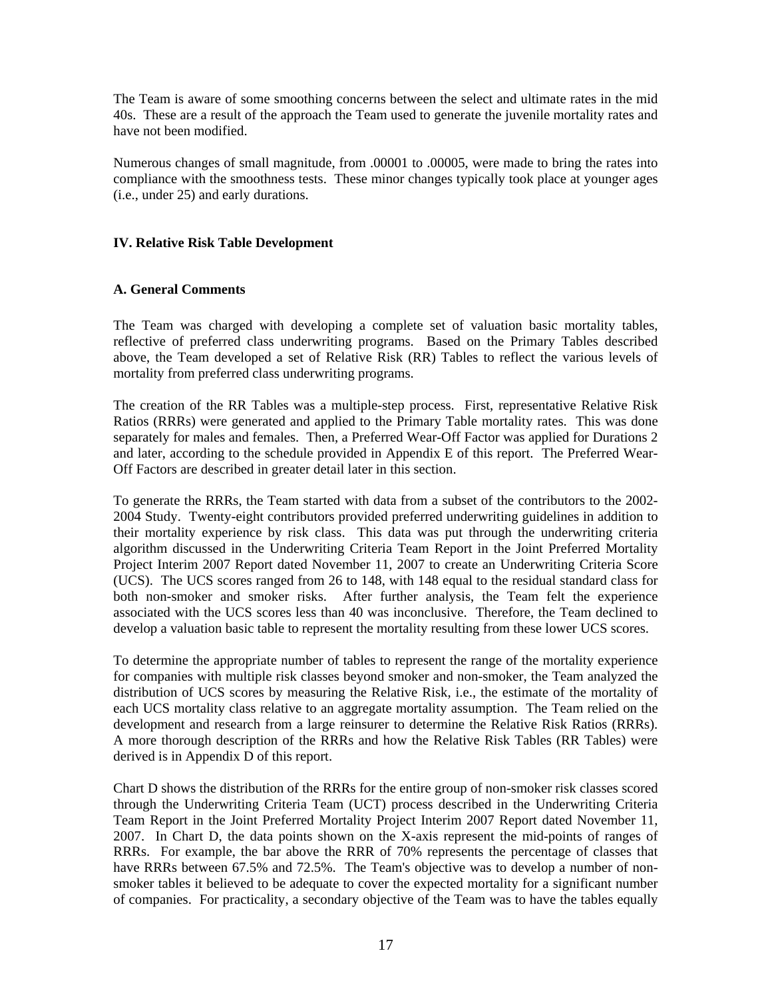The Team is aware of some smoothing concerns between the select and ultimate rates in the mid 40s. These are a result of the approach the Team used to generate the juvenile mortality rates and have not been modified.

Numerous changes of small magnitude, from .00001 to .00005, were made to bring the rates into compliance with the smoothness tests. These minor changes typically took place at younger ages (i.e., under 25) and early durations.

# **IV. Relative Risk Table Development**

# **A. General Comments**

The Team was charged with developing a complete set of valuation basic mortality tables, reflective of preferred class underwriting programs. Based on the Primary Tables described above, the Team developed a set of Relative Risk (RR) Tables to reflect the various levels of mortality from preferred class underwriting programs.

The creation of the RR Tables was a multiple-step process. First, representative Relative Risk Ratios (RRRs) were generated and applied to the Primary Table mortality rates. This was done separately for males and females. Then, a Preferred Wear-Off Factor was applied for Durations 2 and later, according to the schedule provided in Appendix E of this report. The Preferred Wear-Off Factors are described in greater detail later in this section.

To generate the RRRs, the Team started with data from a subset of the contributors to the 2002- 2004 Study. Twenty-eight contributors provided preferred underwriting guidelines in addition to their mortality experience by risk class. This data was put through the underwriting criteria algorithm discussed in the Underwriting Criteria Team Report in the Joint Preferred Mortality Project Interim 2007 Report dated November 11, 2007 to create an Underwriting Criteria Score (UCS). The UCS scores ranged from 26 to 148, with 148 equal to the residual standard class for both non-smoker and smoker risks. After further analysis, the Team felt the experience associated with the UCS scores less than 40 was inconclusive. Therefore, the Team declined to develop a valuation basic table to represent the mortality resulting from these lower UCS scores.

To determine the appropriate number of tables to represent the range of the mortality experience for companies with multiple risk classes beyond smoker and non-smoker, the Team analyzed the distribution of UCS scores by measuring the Relative Risk, i.e., the estimate of the mortality of each UCS mortality class relative to an aggregate mortality assumption. The Team relied on the development and research from a large reinsurer to determine the Relative Risk Ratios (RRRs). A more thorough description of the RRRs and how the Relative Risk Tables (RR Tables) were derived is in Appendix D of this report.

Chart D shows the distribution of the RRRs for the entire group of non-smoker risk classes scored through the Underwriting Criteria Team (UCT) process described in the Underwriting Criteria Team Report in the Joint Preferred Mortality Project Interim 2007 Report dated November 11, 2007. In Chart D, the data points shown on the X-axis represent the mid-points of ranges of RRRs. For example, the bar above the RRR of 70% represents the percentage of classes that have RRRs between 67.5% and 72.5%. The Team's objective was to develop a number of nonsmoker tables it believed to be adequate to cover the expected mortality for a significant number of companies. For practicality, a secondary objective of the Team was to have the tables equally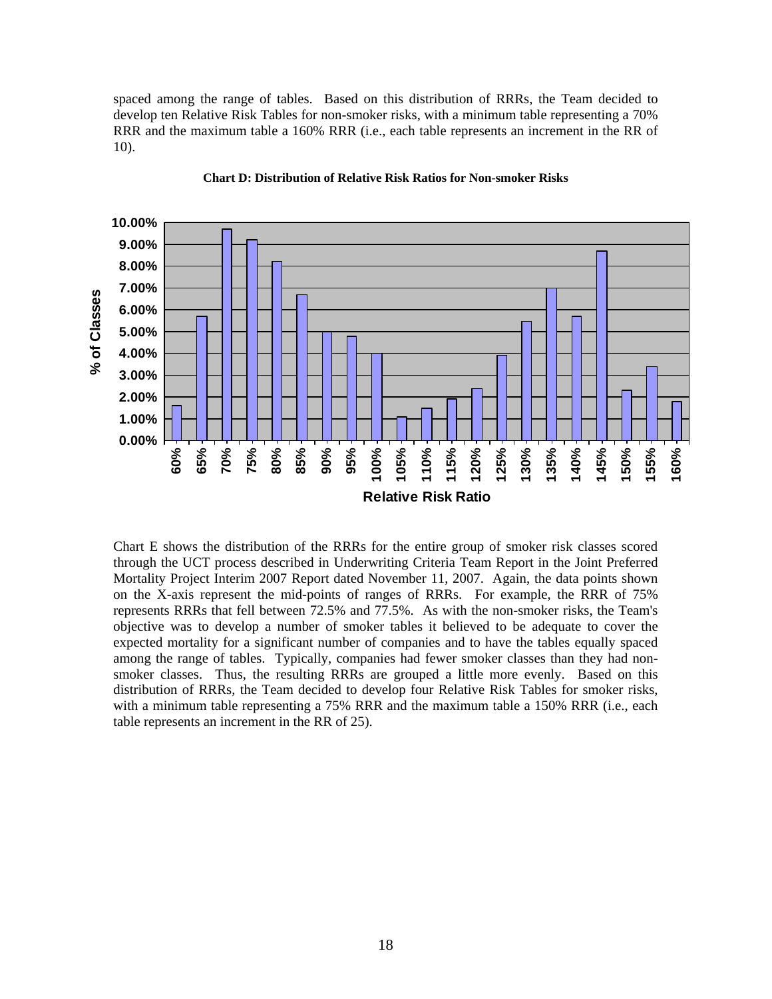spaced among the range of tables. Based on this distribution of RRRs, the Team decided to develop ten Relative Risk Tables for non-smoker risks, with a minimum table representing a 70% RRR and the maximum table a 160% RRR (i.e., each table represents an increment in the RR of 10).



#### **Chart D: Distribution of Relative Risk Ratios for Non-smoker Risks**

Chart E shows the distribution of the RRRs for the entire group of smoker risk classes scored through the UCT process described in Underwriting Criteria Team Report in the Joint Preferred Mortality Project Interim 2007 Report dated November 11, 2007. Again, the data points shown on the X-axis represent the mid-points of ranges of RRRs. For example, the RRR of 75% represents RRRs that fell between 72.5% and 77.5%. As with the non-smoker risks, the Team's objective was to develop a number of smoker tables it believed to be adequate to cover the expected mortality for a significant number of companies and to have the tables equally spaced among the range of tables. Typically, companies had fewer smoker classes than they had nonsmoker classes. Thus, the resulting RRRs are grouped a little more evenly. Based on this distribution of RRRs, the Team decided to develop four Relative Risk Tables for smoker risks, with a minimum table representing a 75% RRR and the maximum table a 150% RRR (i.e., each table represents an increment in the RR of 25).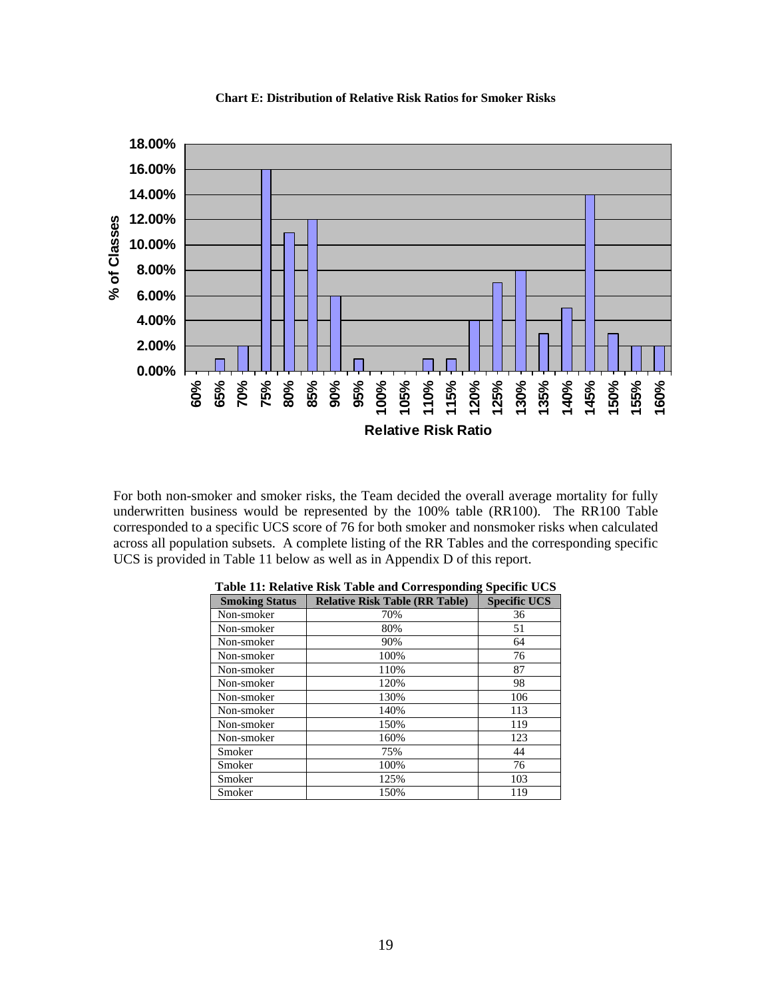

**Chart E: Distribution of Relative Risk Ratios for Smoker Risks** 

For both non-smoker and smoker risks, the Team decided the overall average mortality for fully underwritten business would be represented by the 100% table (RR100). The RR100 Table corresponded to a specific UCS score of 76 for both smoker and nonsmoker risks when calculated across all population subsets. A complete listing of the RR Tables and the corresponding specific UCS is provided in Table 11 below as well as in Appendix D of this report.

| <b>Smoking Status</b> | <b>Relative Risk Table (RR Table)</b> | <b>Specific UCS</b> |
|-----------------------|---------------------------------------|---------------------|
| Non-smoker            | 70%                                   | 36                  |
| Non-smoker            | 80%                                   | 51                  |
| Non-smoker            | 90%                                   | 64                  |
| Non-smoker            | 100%                                  | 76                  |
| Non-smoker            | 110%                                  | 87                  |
| Non-smoker            | 120%                                  | 98                  |
| Non-smoker            | 130%                                  | 106                 |
| Non-smoker            | 140%                                  | 113                 |
| Non-smoker            | 150%                                  | 119                 |
| Non-smoker            | 160%                                  | 123                 |
| Smoker                | 75%                                   | 44                  |
| Smoker                | 100%                                  | 76                  |
| Smoker                | 125%                                  | 103                 |
| Smoker                | 150%                                  | 119                 |

|  |  | Table 11: Relative Risk Table and Corresponding Specific UCS |
|--|--|--------------------------------------------------------------|
|  |  |                                                              |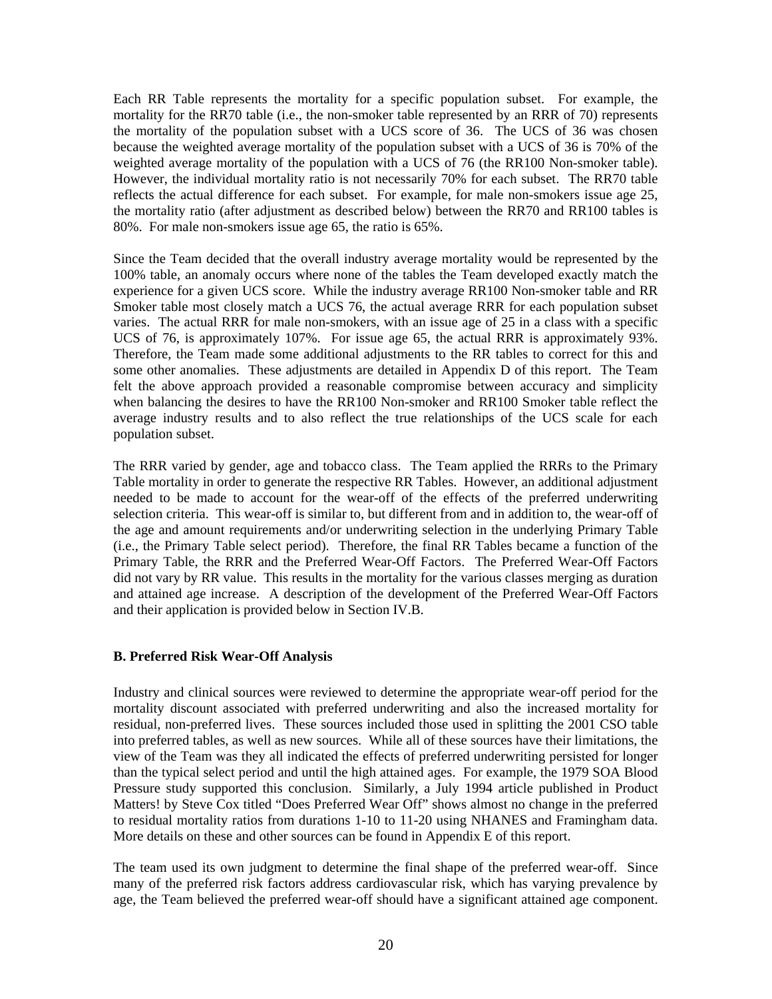Each RR Table represents the mortality for a specific population subset. For example, the mortality for the RR70 table (i.e., the non-smoker table represented by an RRR of 70) represents the mortality of the population subset with a UCS score of 36. The UCS of 36 was chosen because the weighted average mortality of the population subset with a UCS of 36 is 70% of the weighted average mortality of the population with a UCS of 76 (the RR100 Non-smoker table). However, the individual mortality ratio is not necessarily 70% for each subset. The RR70 table reflects the actual difference for each subset. For example, for male non-smokers issue age 25, the mortality ratio (after adjustment as described below) between the RR70 and RR100 tables is 80%. For male non-smokers issue age 65, the ratio is 65%.

Since the Team decided that the overall industry average mortality would be represented by the 100% table, an anomaly occurs where none of the tables the Team developed exactly match the experience for a given UCS score. While the industry average RR100 Non-smoker table and RR Smoker table most closely match a UCS 76, the actual average RRR for each population subset varies. The actual RRR for male non-smokers, with an issue age of 25 in a class with a specific UCS of 76, is approximately 107%. For issue age 65, the actual RRR is approximately 93%. Therefore, the Team made some additional adjustments to the RR tables to correct for this and some other anomalies. These adjustments are detailed in Appendix D of this report. The Team felt the above approach provided a reasonable compromise between accuracy and simplicity when balancing the desires to have the RR100 Non-smoker and RR100 Smoker table reflect the average industry results and to also reflect the true relationships of the UCS scale for each population subset.

The RRR varied by gender, age and tobacco class. The Team applied the RRRs to the Primary Table mortality in order to generate the respective RR Tables. However, an additional adjustment needed to be made to account for the wear-off of the effects of the preferred underwriting selection criteria. This wear-off is similar to, but different from and in addition to, the wear-off of the age and amount requirements and/or underwriting selection in the underlying Primary Table (i.e., the Primary Table select period). Therefore, the final RR Tables became a function of the Primary Table, the RRR and the Preferred Wear-Off Factors. The Preferred Wear-Off Factors did not vary by RR value. This results in the mortality for the various classes merging as duration and attained age increase. A description of the development of the Preferred Wear-Off Factors and their application is provided below in Section IV.B.

# **B. Preferred Risk Wear-Off Analysis**

Industry and clinical sources were reviewed to determine the appropriate wear-off period for the mortality discount associated with preferred underwriting and also the increased mortality for residual, non-preferred lives. These sources included those used in splitting the 2001 CSO table into preferred tables, as well as new sources. While all of these sources have their limitations, the view of the Team was they all indicated the effects of preferred underwriting persisted for longer than the typical select period and until the high attained ages. For example, the 1979 SOA Blood Pressure study supported this conclusion. Similarly, a July 1994 article published in Product Matters! by Steve Cox titled "Does Preferred Wear Off" shows almost no change in the preferred to residual mortality ratios from durations 1-10 to 11-20 using NHANES and Framingham data. More details on these and other sources can be found in Appendix E of this report.

The team used its own judgment to determine the final shape of the preferred wear-off. Since many of the preferred risk factors address cardiovascular risk, which has varying prevalence by age, the Team believed the preferred wear-off should have a significant attained age component.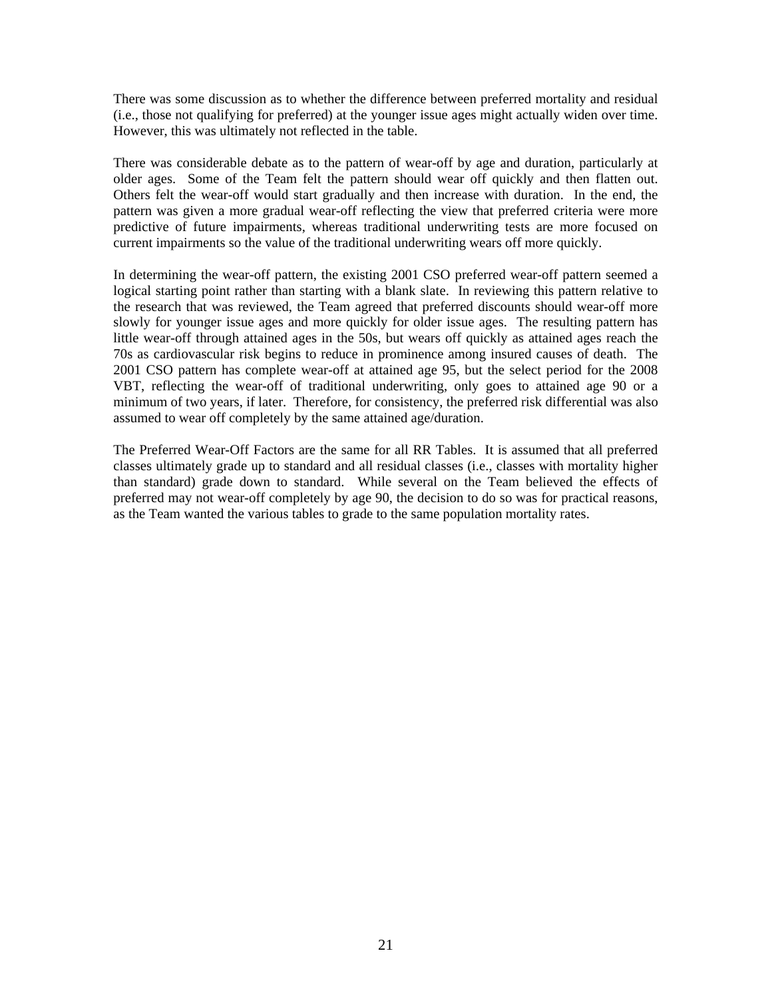There was some discussion as to whether the difference between preferred mortality and residual (i.e., those not qualifying for preferred) at the younger issue ages might actually widen over time. However, this was ultimately not reflected in the table.

There was considerable debate as to the pattern of wear-off by age and duration, particularly at older ages. Some of the Team felt the pattern should wear off quickly and then flatten out. Others felt the wear-off would start gradually and then increase with duration. In the end, the pattern was given a more gradual wear-off reflecting the view that preferred criteria were more predictive of future impairments, whereas traditional underwriting tests are more focused on current impairments so the value of the traditional underwriting wears off more quickly.

In determining the wear-off pattern, the existing 2001 CSO preferred wear-off pattern seemed a logical starting point rather than starting with a blank slate. In reviewing this pattern relative to the research that was reviewed, the Team agreed that preferred discounts should wear-off more slowly for younger issue ages and more quickly for older issue ages. The resulting pattern has little wear-off through attained ages in the 50s, but wears off quickly as attained ages reach the 70s as cardiovascular risk begins to reduce in prominence among insured causes of death. The 2001 CSO pattern has complete wear-off at attained age 95, but the select period for the 2008 VBT, reflecting the wear-off of traditional underwriting, only goes to attained age 90 or a minimum of two years, if later. Therefore, for consistency, the preferred risk differential was also assumed to wear off completely by the same attained age/duration.

The Preferred Wear-Off Factors are the same for all RR Tables. It is assumed that all preferred classes ultimately grade up to standard and all residual classes (i.e., classes with mortality higher than standard) grade down to standard. While several on the Team believed the effects of preferred may not wear-off completely by age 90, the decision to do so was for practical reasons, as the Team wanted the various tables to grade to the same population mortality rates.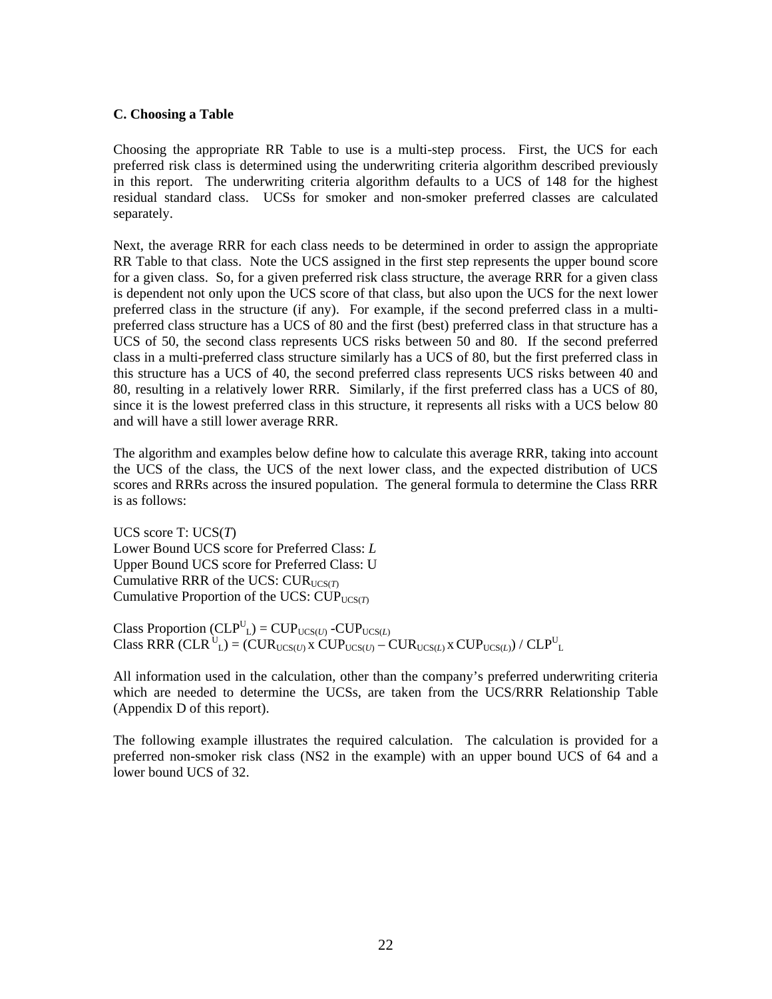#### **C. Choosing a Table**

Choosing the appropriate RR Table to use is a multi-step process. First, the UCS for each preferred risk class is determined using the underwriting criteria algorithm described previously in this report. The underwriting criteria algorithm defaults to a UCS of 148 for the highest residual standard class. UCSs for smoker and non-smoker preferred classes are calculated separately.

Next, the average RRR for each class needs to be determined in order to assign the appropriate RR Table to that class. Note the UCS assigned in the first step represents the upper bound score for a given class. So, for a given preferred risk class structure, the average RRR for a given class is dependent not only upon the UCS score of that class, but also upon the UCS for the next lower preferred class in the structure (if any). For example, if the second preferred class in a multipreferred class structure has a UCS of 80 and the first (best) preferred class in that structure has a UCS of 50, the second class represents UCS risks between 50 and 80. If the second preferred class in a multi-preferred class structure similarly has a UCS of 80, but the first preferred class in this structure has a UCS of 40, the second preferred class represents UCS risks between 40 and 80, resulting in a relatively lower RRR. Similarly, if the first preferred class has a UCS of 80, since it is the lowest preferred class in this structure, it represents all risks with a UCS below 80 and will have a still lower average RRR.

The algorithm and examples below define how to calculate this average RRR, taking into account the UCS of the class, the UCS of the next lower class, and the expected distribution of UCS scores and RRRs across the insured population. The general formula to determine the Class RRR is as follows:

UCS score T: UCS(*T*) Lower Bound UCS score for Preferred Class: *L* Upper Bound UCS score for Preferred Class: U Cumulative RRR of the UCS: CUR<sub>UCS(T)</sub> Cumulative Proportion of the UCS: CUP<sub>UCS(*T*)</sub>

Class Proportion  $(CLP^U_L) = CUP_{UCS(U)} - CUP_{UCS(L)}$  $\text{Class RRR (CLR }^{\text{U}}_{\text{L}}) = (\text{CUR}_{\text{UCS}(U)} \times \text{CUP}_{\text{UCS}(U)} - \text{CUR}_{\text{UCS}(L)} \times \text{CUP}_{\text{UCS}(L)}) / \text{CLP}_{\text{L}}^{\text{U}}$ 

All information used in the calculation, other than the company's preferred underwriting criteria which are needed to determine the UCSs, are taken from the UCS/RRR Relationship Table (Appendix D of this report).

The following example illustrates the required calculation. The calculation is provided for a preferred non-smoker risk class (NS2 in the example) with an upper bound UCS of 64 and a lower bound UCS of 32.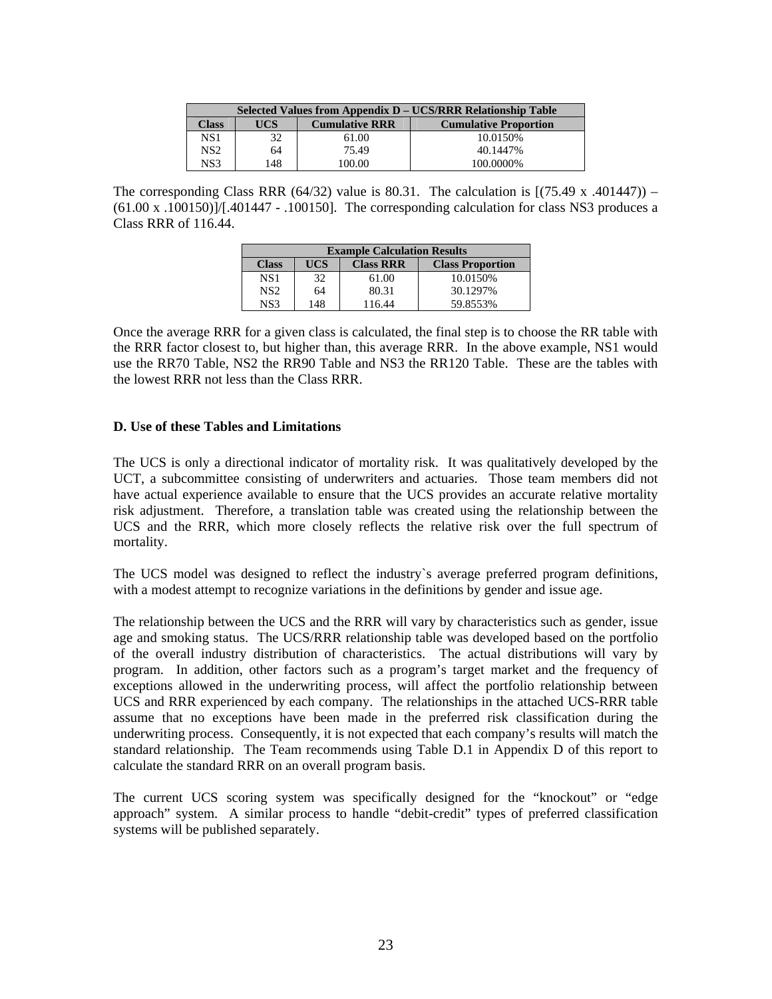| Selected Values from Appendix D – UCS/RRR Relationship Table |            |                       |                              |  |  |  |  |  |
|--------------------------------------------------------------|------------|-----------------------|------------------------------|--|--|--|--|--|
| <b>Class</b>                                                 | <b>UCS</b> | <b>Cumulative RRR</b> | <b>Cumulative Proportion</b> |  |  |  |  |  |
| NS 1                                                         | 32         | 61.00                 | 10.0150\%                    |  |  |  |  |  |
| NS2                                                          | 64         | 75.49                 | 40.1447\%                    |  |  |  |  |  |
| NS3                                                          | 148        | 100.00                | 100.0000%                    |  |  |  |  |  |

The corresponding Class RRR  $(64/32)$  value is 80.31. The calculation is  $(75.49 \times .401447))$  –  $(61.00 \times .100150)$ ]/[.401447 - .100150]. The corresponding calculation for class NS3 produces a Class RRR of 116.44.

| <b>Example Calculation Results</b> |     |                  |                         |  |  |  |  |  |
|------------------------------------|-----|------------------|-------------------------|--|--|--|--|--|
| <b>Class</b>                       | UCS | <b>Class RRR</b> | <b>Class Proportion</b> |  |  |  |  |  |
| NS 1                               | 32  | 61.00            | 10.0150\%               |  |  |  |  |  |
| NS2                                | 64  | 80.31            | 30.1297%                |  |  |  |  |  |
| NS3                                | 148 | 116.44           | 59.8553%                |  |  |  |  |  |

Once the average RRR for a given class is calculated, the final step is to choose the RR table with the RRR factor closest to, but higher than, this average RRR. In the above example, NS1 would use the RR70 Table, NS2 the RR90 Table and NS3 the RR120 Table. These are the tables with the lowest RRR not less than the Class RRR.

# **D. Use of these Tables and Limitations**

The UCS is only a directional indicator of mortality risk. It was qualitatively developed by the UCT, a subcommittee consisting of underwriters and actuaries. Those team members did not have actual experience available to ensure that the UCS provides an accurate relative mortality risk adjustment. Therefore, a translation table was created using the relationship between the UCS and the RRR, which more closely reflects the relative risk over the full spectrum of mortality.

The UCS model was designed to reflect the industry`s average preferred program definitions, with a modest attempt to recognize variations in the definitions by gender and issue age.

The relationship between the UCS and the RRR will vary by characteristics such as gender, issue age and smoking status. The UCS/RRR relationship table was developed based on the portfolio of the overall industry distribution of characteristics. The actual distributions will vary by program. In addition, other factors such as a program's target market and the frequency of exceptions allowed in the underwriting process, will affect the portfolio relationship between UCS and RRR experienced by each company. The relationships in the attached UCS-RRR table assume that no exceptions have been made in the preferred risk classification during the underwriting process. Consequently, it is not expected that each company's results will match the standard relationship. The Team recommends using Table D.1 in Appendix D of this report to calculate the standard RRR on an overall program basis.

The current UCS scoring system was specifically designed for the "knockout" or "edge approach" system. A similar process to handle "debit-credit" types of preferred classification systems will be published separately.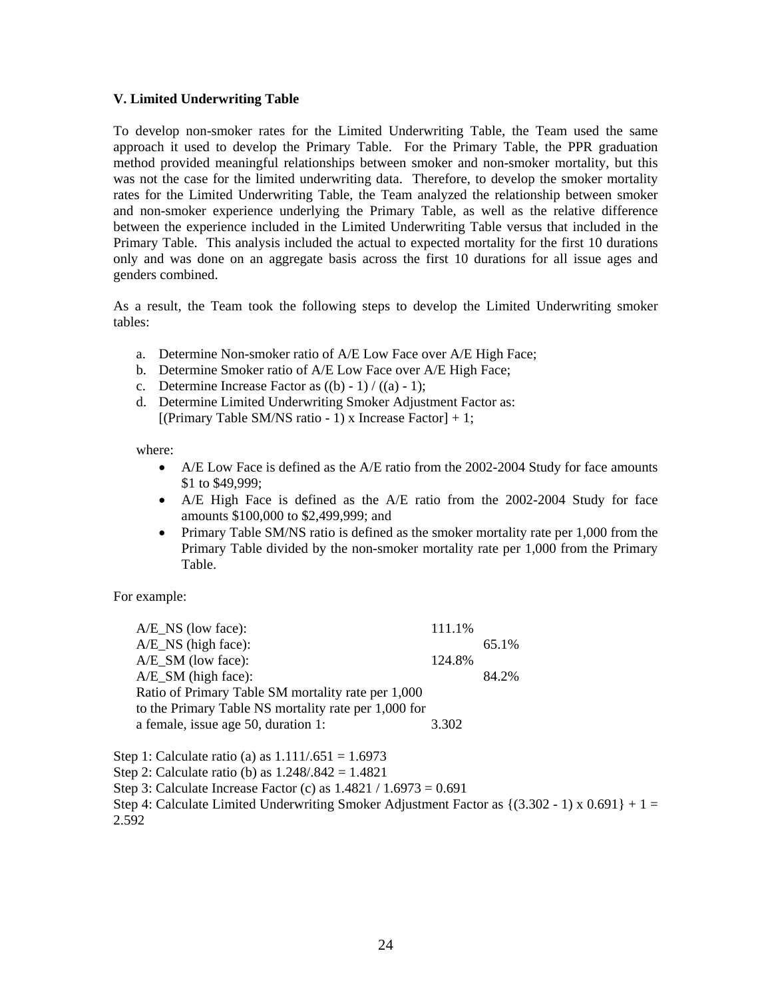#### **V. Limited Underwriting Table**

To develop non-smoker rates for the Limited Underwriting Table, the Team used the same approach it used to develop the Primary Table. For the Primary Table, the PPR graduation method provided meaningful relationships between smoker and non-smoker mortality, but this was not the case for the limited underwriting data. Therefore, to develop the smoker mortality rates for the Limited Underwriting Table, the Team analyzed the relationship between smoker and non-smoker experience underlying the Primary Table, as well as the relative difference between the experience included in the Limited Underwriting Table versus that included in the Primary Table. This analysis included the actual to expected mortality for the first 10 durations only and was done on an aggregate basis across the first 10 durations for all issue ages and genders combined.

As a result, the Team took the following steps to develop the Limited Underwriting smoker tables:

- a. Determine Non-smoker ratio of A/E Low Face over A/E High Face;
- b. Determine Smoker ratio of A/E Low Face over A/E High Face;
- c. Determine Increase Factor as  $((b) 1) / ((a) 1)$ ;
- d. Determine Limited Underwriting Smoker Adjustment Factor as: [(Primary Table SM/NS ratio - 1) x Increase Factor]  $+ 1$ ;

where:

- A/E Low Face is defined as the A/E ratio from the 2002-2004 Study for face amounts \$1 to \$49,999:
- A/E High Face is defined as the A/E ratio from the 2002-2004 Study for face amounts \$100,000 to \$2,499,999; and
- Primary Table SM/NS ratio is defined as the smoker mortality rate per 1,000 from the Primary Table divided by the non-smoker mortality rate per 1,000 from the Primary Table.

For example:

A/E\_NS (low face): 111.1%  $A/E$  NS (high face): 65.1% A/E\_SM (low face): 124.8% A/E\_SM (high face): 84.2% Ratio of Primary Table SM mortality rate per 1,000 to the Primary Table NS mortality rate per 1,000 for a female, issue age 50, duration 1: 3.302

Step 1: Calculate ratio (a) as  $1.111/.651 = 1.6973$ Step 2: Calculate ratio (b) as 1.248/.842 = 1.4821 Step 3: Calculate Increase Factor (c) as 1.4821 / 1.6973 = 0.691 Step 4: Calculate Limited Underwriting Smoker Adjustment Factor as  $\{(3.302 - 1) \times 0.691\} + 1 =$ 2.592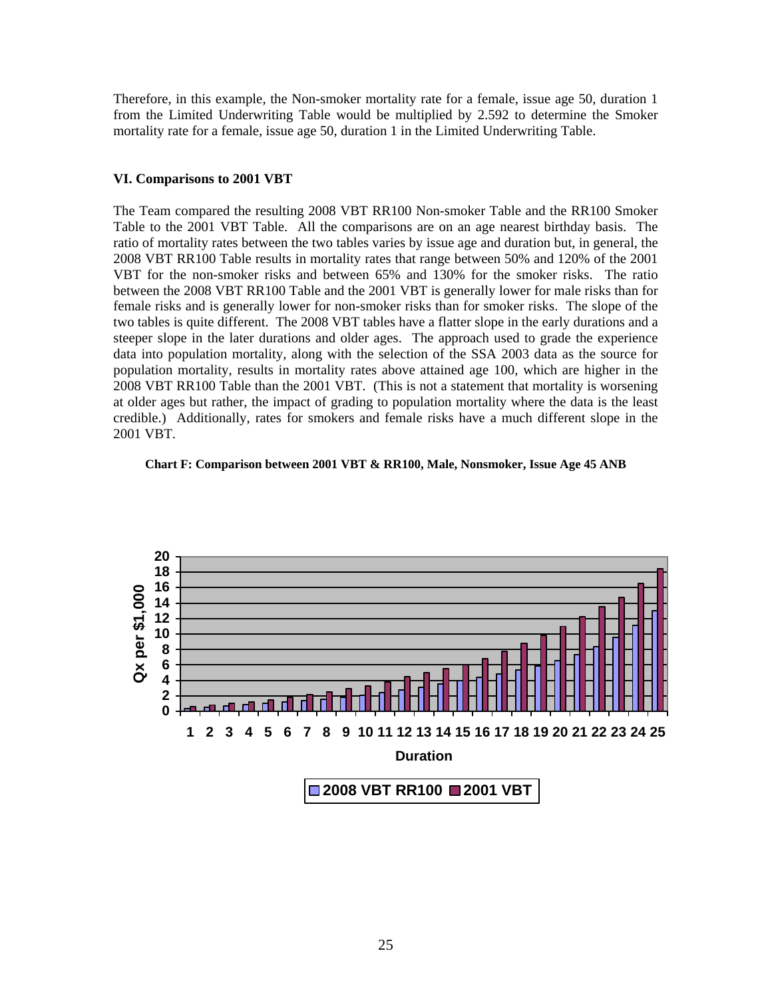Therefore, in this example, the Non-smoker mortality rate for a female, issue age 50, duration 1 from the Limited Underwriting Table would be multiplied by 2.592 to determine the Smoker mortality rate for a female, issue age 50, duration 1 in the Limited Underwriting Table.

#### **VI. Comparisons to 2001 VBT**

The Team compared the resulting 2008 VBT RR100 Non-smoker Table and the RR100 Smoker Table to the 2001 VBT Table. All the comparisons are on an age nearest birthday basis. The ratio of mortality rates between the two tables varies by issue age and duration but, in general, the 2008 VBT RR100 Table results in mortality rates that range between 50% and 120% of the 2001 VBT for the non-smoker risks and between 65% and 130% for the smoker risks. The ratio between the 2008 VBT RR100 Table and the 2001 VBT is generally lower for male risks than for female risks and is generally lower for non-smoker risks than for smoker risks. The slope of the two tables is quite different. The 2008 VBT tables have a flatter slope in the early durations and a steeper slope in the later durations and older ages. The approach used to grade the experience data into population mortality, along with the selection of the SSA 2003 data as the source for population mortality, results in mortality rates above attained age 100, which are higher in the 2008 VBT RR100 Table than the 2001 VBT. (This is not a statement that mortality is worsening at older ages but rather, the impact of grading to population mortality where the data is the least credible.) Additionally, rates for smokers and female risks have a much different slope in the 2001 VBT.



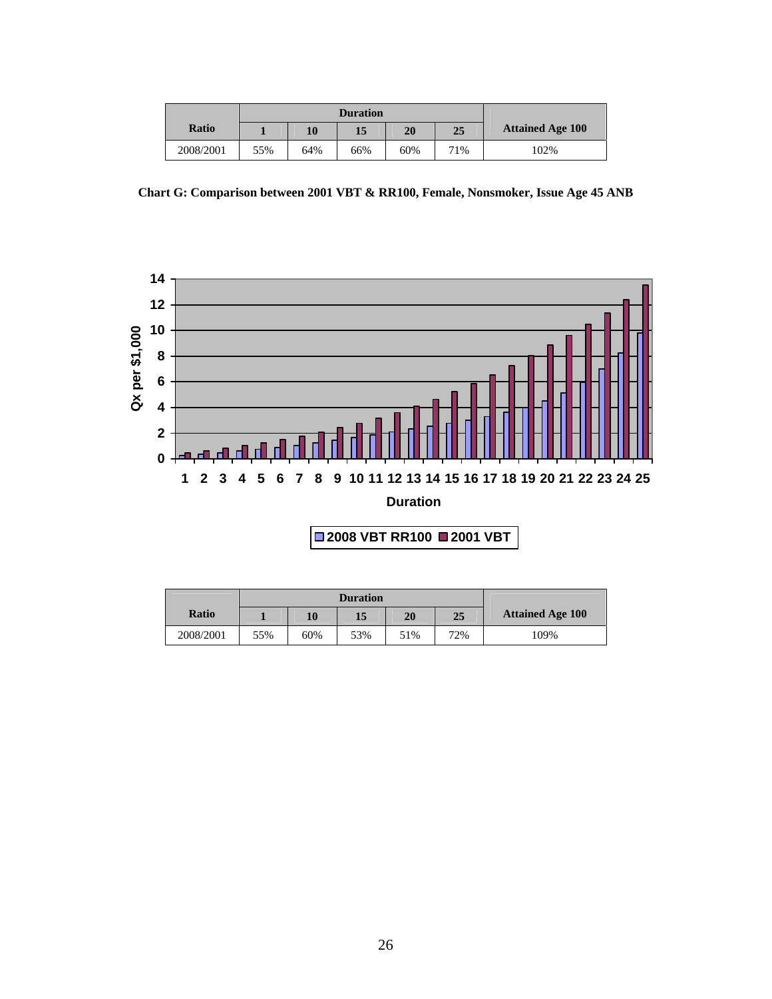| <b>Ratio</b> |     | 10  | 15  | 20  | 25  | <b>Attained Age 100</b> |
|--------------|-----|-----|-----|-----|-----|-------------------------|
| 2008/2001    | 55% | 64% | 66% | 60% | 71% | 102%                    |

**Chart G: Comparison between 2001 VBT & RR100, Female, Nonsmoker, Issue Age 45 ANB** 



| <b>Ratio</b> |     | 10  | 15  | 20  | 25  | <b>Attained Age 100</b> |
|--------------|-----|-----|-----|-----|-----|-------------------------|
| 2008/2001    | 55% | 60% | 53% | 51% | 72% | 109%                    |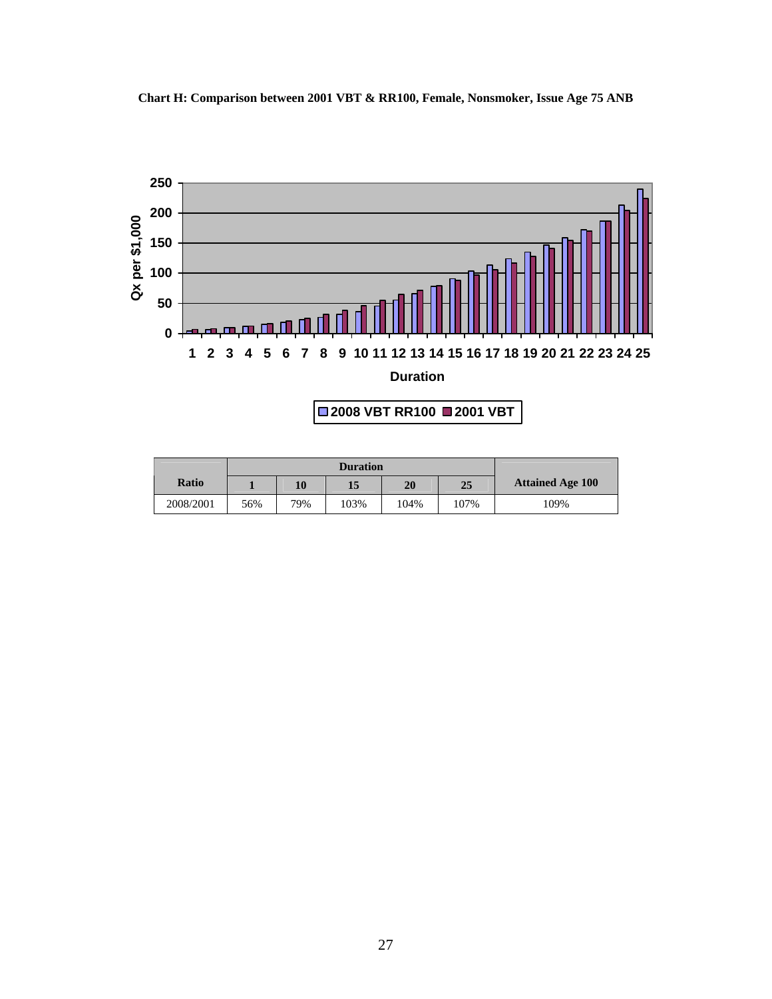**Chart H: Comparison between 2001 VBT & RR100, Female, Nonsmoker, Issue Age 75 ANB** 



# **2008 VBT RR100 2001 VBT**

| <b>Ratio</b> |     | 10  | 15   | 20   | 25   | <b>Attained Age 100</b> |
|--------------|-----|-----|------|------|------|-------------------------|
| 2008/2001    | 56% | 79% | 103% | 104% | 107% | 109%                    |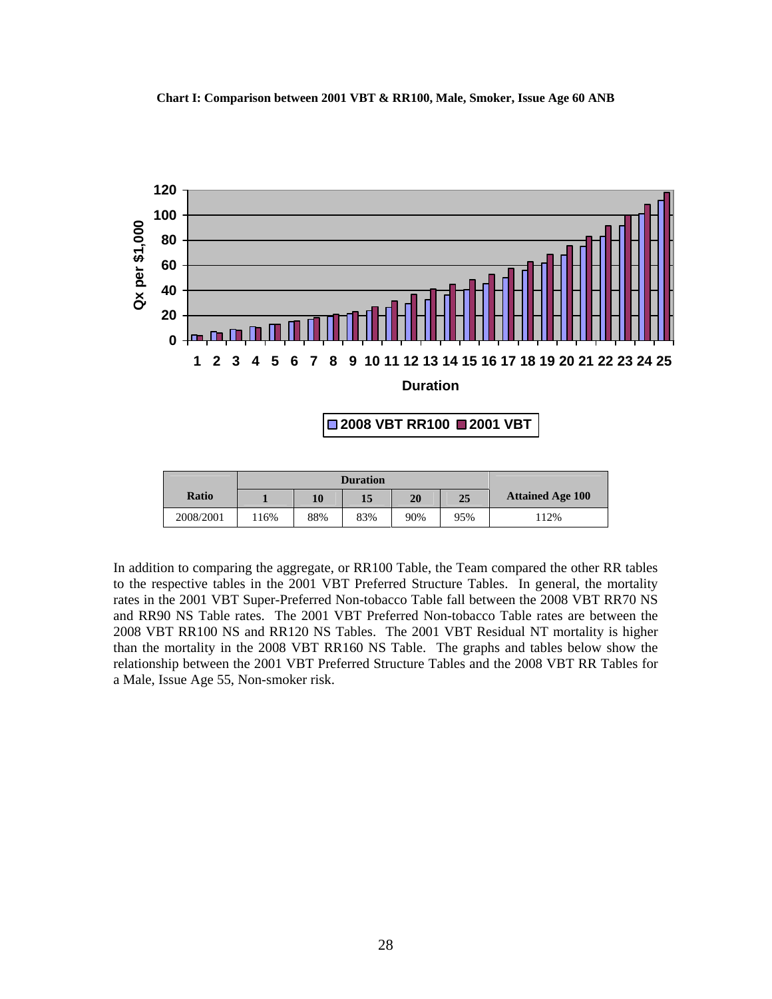

|              |     | <b>Duration</b> |     |     |     |                         |
|--------------|-----|-----------------|-----|-----|-----|-------------------------|
| <b>Ratio</b> |     | 10              | 15  | 20  | 25  | <b>Attained Age 100</b> |
| 2008/2001    | 16% | 88%             | 83% | 90% | 95% | 112%                    |

In addition to comparing the aggregate, or RR100 Table, the Team compared the other RR tables to the respective tables in the 2001 VBT Preferred Structure Tables. In general, the mortality rates in the 2001 VBT Super-Preferred Non-tobacco Table fall between the 2008 VBT RR70 NS and RR90 NS Table rates. The 2001 VBT Preferred Non-tobacco Table rates are between the 2008 VBT RR100 NS and RR120 NS Tables. The 2001 VBT Residual NT mortality is higher than the mortality in the 2008 VBT RR160 NS Table. The graphs and tables below show the relationship between the 2001 VBT Preferred Structure Tables and the 2008 VBT RR Tables for a Male, Issue Age 55, Non-smoker risk.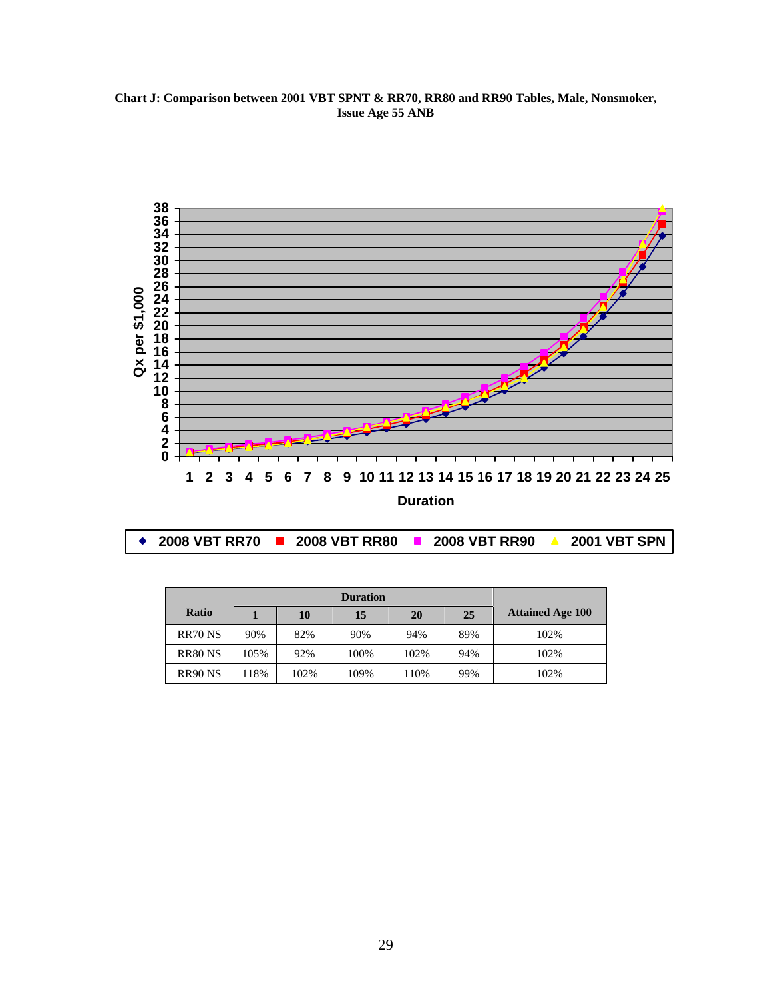**Chart J: Comparison between 2001 VBT SPNT & RR70, RR80 and RR90 Tables, Male, Nonsmoker, Issue Age 55 ANB** 



|  |  |  | -2001 VBT SPN |
|--|--|--|---------------|
|--|--|--|---------------|

| <b>Ratio</b>       |      | 10   | 15   | 20   | 25  | <b>Attained Age 100</b> |
|--------------------|------|------|------|------|-----|-------------------------|
| RR70 <sub>NS</sub> | 90%  | 82%  | 90%  | 94%  | 89% | 102%                    |
| <b>RR80 NS</b>     | 105% | 92%  | 100% | 102% | 94% | 102%                    |
| <b>RR90 NS</b>     | 118% | 102% | 109% | 110% | 99% | 102%                    |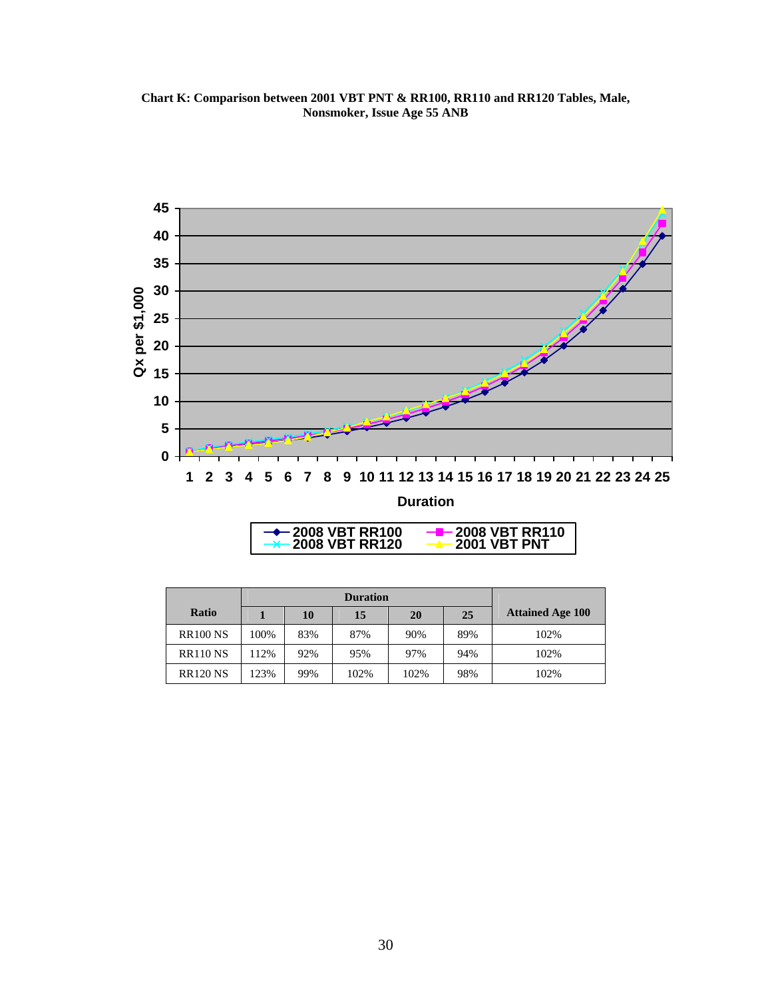**Chart K: Comparison between 2001 VBT PNT & RR100, RR110 and RR120 Tables, Male, Nonsmoker, Issue Age 55 ANB** 



| $\rightarrow$ 2008 VBT RR100 | $-$ 2008 VBT RR110         |
|------------------------------|----------------------------|
| $\rightarrow$ 2008 VBT RR120 | $\rightarrow$ 2001 VBT PNT |
|                              |                            |

| Ratio           |      | 10  | 15   | 20   | 25  | <b>Attained Age 100</b> |
|-----------------|------|-----|------|------|-----|-------------------------|
| <b>RR100 NS</b> | 100% | 83% | 87%  | 90%  | 89% | 102%                    |
| <b>RR110 NS</b> | 112% | 92% | 95%  | 97%  | 94% | 102%                    |
| <b>RR120 NS</b> | 123% | 99% | 102% | 102% | 98% | 102%                    |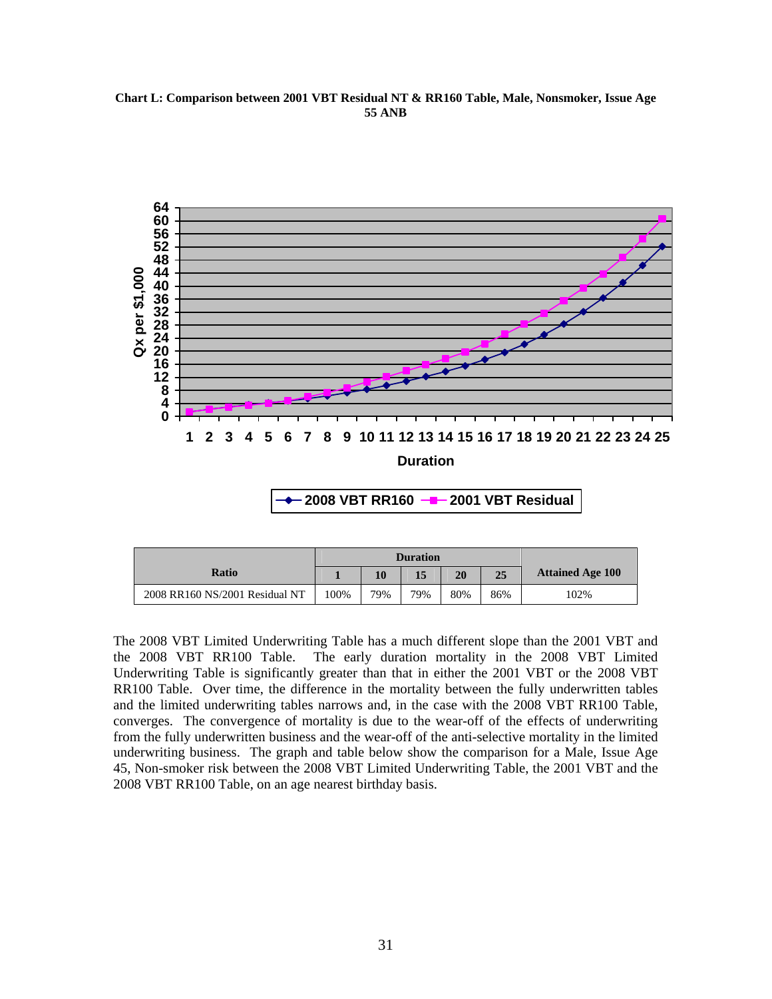**Chart L: Comparison between 2001 VBT Residual NT & RR160 Table, Male, Nonsmoker, Issue Age 55 ANB** 



|                                | <b>Duration</b> |     |     |     |     |                         |
|--------------------------------|-----------------|-----|-----|-----|-----|-------------------------|
| Ratio                          |                 | 10  | 15  | 20  | 25  | <b>Attained Age 100</b> |
| 2008 RR160 NS/2001 Residual NT | 100%            | 79% | 79% | 80% | 86% | 102%                    |

The 2008 VBT Limited Underwriting Table has a much different slope than the 2001 VBT and the 2008 VBT RR100 Table. The early duration mortality in the 2008 VBT Limited Underwriting Table is significantly greater than that in either the 2001 VBT or the 2008 VBT RR100 Table. Over time, the difference in the mortality between the fully underwritten tables and the limited underwriting tables narrows and, in the case with the 2008 VBT RR100 Table, converges. The convergence of mortality is due to the wear-off of the effects of underwriting from the fully underwritten business and the wear-off of the anti-selective mortality in the limited underwriting business. The graph and table below show the comparison for a Male, Issue Age 45, Non-smoker risk between the 2008 VBT Limited Underwriting Table, the 2001 VBT and the 2008 VBT RR100 Table, on an age nearest birthday basis.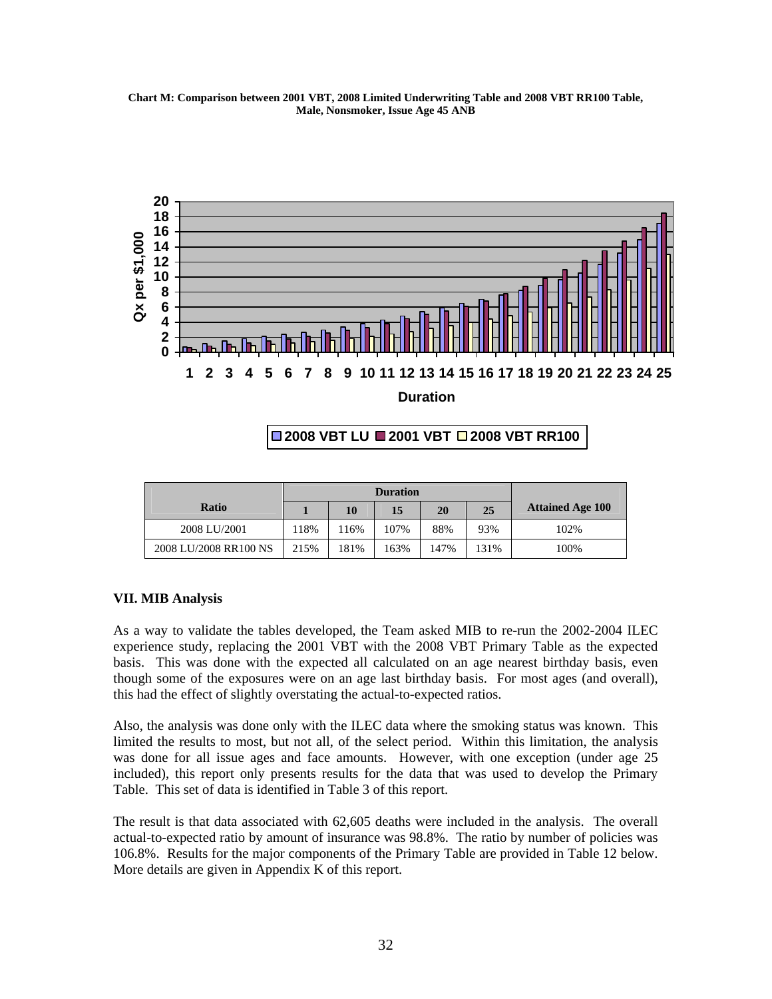**Chart M: Comparison between 2001 VBT, 2008 Limited Underwriting Table and 2008 VBT RR100 Table, Male, Nonsmoker, Issue Age 45 ANB** 



# **2008 VBT LU 2001 VBT 2008 VBT RR100**

|                       |      | <b>Duration</b> |      |      |      |                         |
|-----------------------|------|-----------------|------|------|------|-------------------------|
| <b>Ratio</b>          |      | 10              | 15   | 20   | 25   | <b>Attained Age 100</b> |
| 2008 LU/2001          | 18%  | 16%             | 107% | 88%  | 93%  | 102%                    |
| 2008 LU/2008 RR100 NS | 215% | 81%             | 163% | 147% | 131% | 100%                    |

# **VII. MIB Analysis**

As a way to validate the tables developed, the Team asked MIB to re-run the 2002-2004 ILEC experience study, replacing the 2001 VBT with the 2008 VBT Primary Table as the expected basis. This was done with the expected all calculated on an age nearest birthday basis, even though some of the exposures were on an age last birthday basis. For most ages (and overall), this had the effect of slightly overstating the actual-to-expected ratios.

Also, the analysis was done only with the ILEC data where the smoking status was known. This limited the results to most, but not all, of the select period. Within this limitation, the analysis was done for all issue ages and face amounts. However, with one exception (under age 25 included), this report only presents results for the data that was used to develop the Primary Table. This set of data is identified in Table 3 of this report.

The result is that data associated with 62,605 deaths were included in the analysis. The overall actual-to-expected ratio by amount of insurance was 98.8%. The ratio by number of policies was 106.8%. Results for the major components of the Primary Table are provided in Table 12 below. More details are given in Appendix K of this report.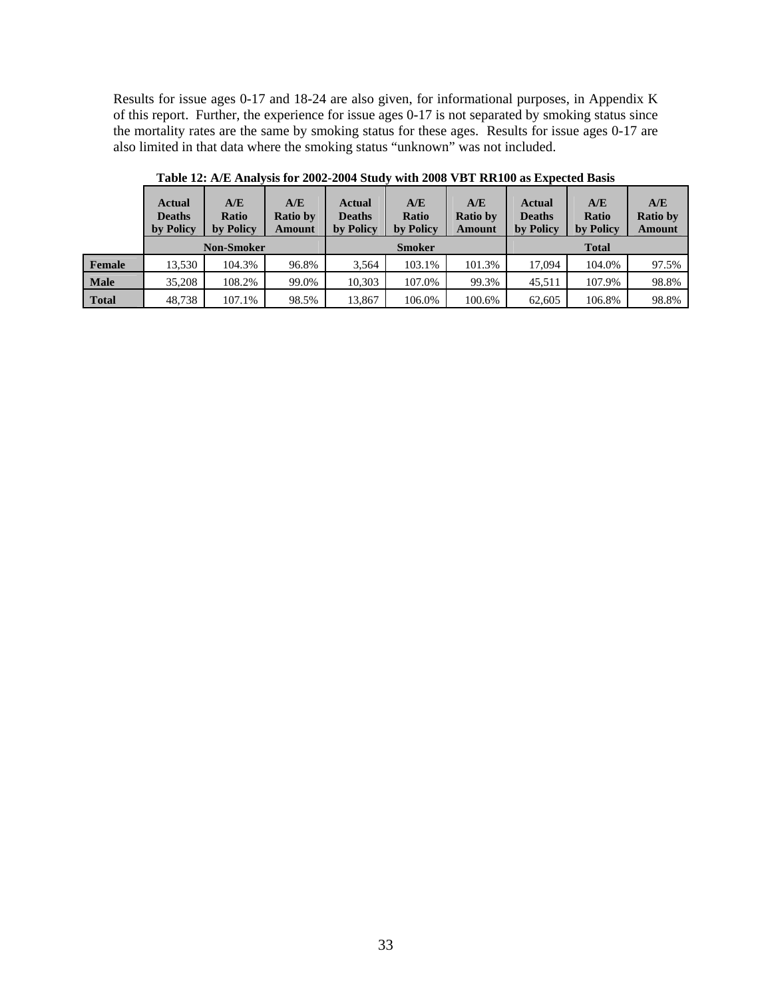Results for issue ages 0-17 and 18-24 are also given, for informational purposes, in Appendix K of this report. Further, the experience for issue ages 0-17 is not separated by smoking status since the mortality rates are the same by smoking status for these ages. Results for issue ages 0-17 are also limited in that data where the smoking status "unknown" was not included.

|              | <b>Actual</b><br><b>Deaths</b><br>by Policy | A/E<br>Ratio<br>by Policy | A/E<br><b>Ratio by</b><br>Amount | <b>Actual</b><br><b>Deaths</b><br>by Policy | A/E<br><b>Ratio</b><br>by Policy | A/E<br><b>Ratio by</b><br><b>Amount</b> | Actual<br><b>Deaths</b><br>by Policy | A/E<br>Ratio<br>by Policy | A/E<br><b>Ratio by</b><br><b>Amount</b> |
|--------------|---------------------------------------------|---------------------------|----------------------------------|---------------------------------------------|----------------------------------|-----------------------------------------|--------------------------------------|---------------------------|-----------------------------------------|
|              | <b>Non-Smoker</b>                           |                           |                                  |                                             | <b>Smoker</b>                    |                                         | <b>Total</b>                         |                           |                                         |
| Female       | 13.530                                      | 104.3%                    | 96.8%                            | 3.564                                       | 103.1%                           | 101.3%                                  | 17.094                               | 104.0%                    | 97.5%                                   |
| <b>Male</b>  | 35,208                                      | 108.2%                    | 99.0%                            | 10.303                                      | 107.0%                           | 99.3%                                   | 45.511                               | 107.9%                    | 98.8%                                   |
| <b>Total</b> | 48.738                                      | 107.1%                    | 98.5%                            | 13,867                                      | 106.0%                           | 100.6%                                  | 62.605                               | 106.8%                    | 98.8%                                   |

**Table 12: A/E Analysis for 2002-2004 Study with 2008 VBT RR100 as Expected Basis**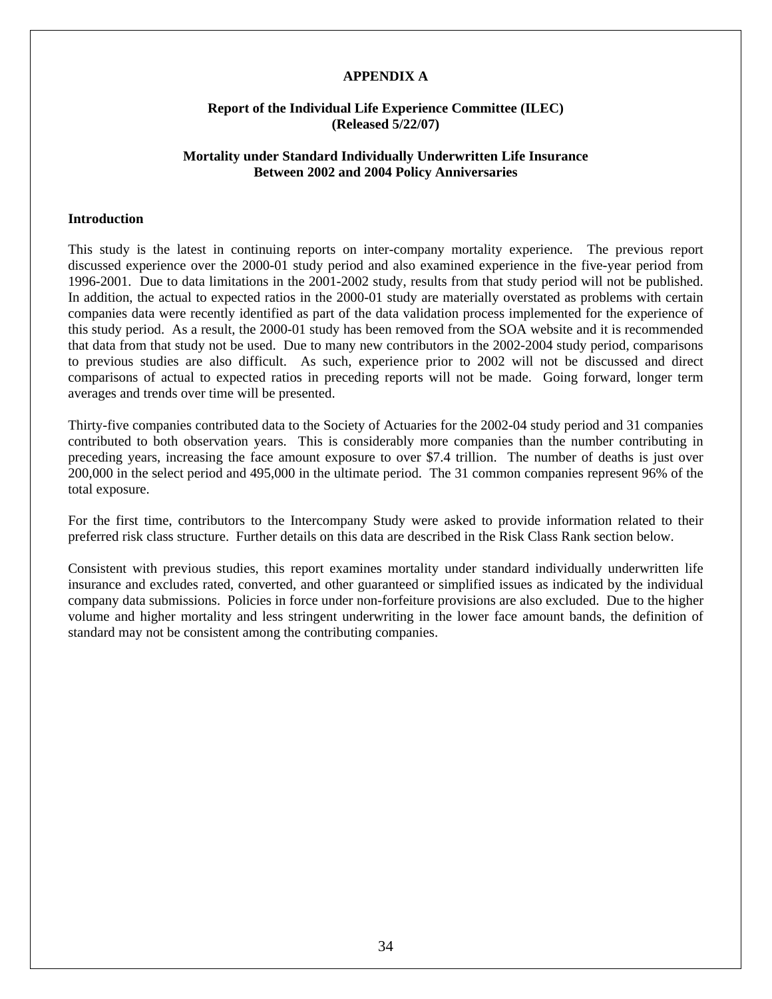# **APPENDIX A**

# **Report of the Individual Life Experience Committee (ILEC) (Released 5/22/07)**

# **Mortality under Standard Individually Underwritten Life Insurance Between 2002 and 2004 Policy Anniversaries**

#### **Introduction**

This study is the latest in continuing reports on inter-company mortality experience. The previous report discussed experience over the 2000-01 study period and also examined experience in the five-year period from 1996-2001. Due to data limitations in the 2001-2002 study, results from that study period will not be published. In addition, the actual to expected ratios in the 2000-01 study are materially overstated as problems with certain companies data were recently identified as part of the data validation process implemented for the experience of this study period. As a result, the 2000-01 study has been removed from the SOA website and it is recommended that data from that study not be used. Due to many new contributors in the 2002-2004 study period, comparisons to previous studies are also difficult. As such, experience prior to 2002 will not be discussed and direct comparisons of actual to expected ratios in preceding reports will not be made. Going forward, longer term averages and trends over time will be presented.

Thirty-five companies contributed data to the Society of Actuaries for the 2002-04 study period and 31 companies contributed to both observation years. This is considerably more companies than the number contributing in preceding years, increasing the face amount exposure to over \$7.4 trillion. The number of deaths is just over 200,000 in the select period and 495,000 in the ultimate period. The 31 common companies represent 96% of the total exposure.

For the first time, contributors to the Intercompany Study were asked to provide information related to their preferred risk class structure. Further details on this data are described in the Risk Class Rank section below.

Consistent with previous studies, this report examines mortality under standard individually underwritten life insurance and excludes rated, converted, and other guaranteed or simplified issues as indicated by the individual company data submissions. Policies in force under non-forfeiture provisions are also excluded. Due to the higher volume and higher mortality and less stringent underwriting in the lower face amount bands, the definition of standard may not be consistent among the contributing companies.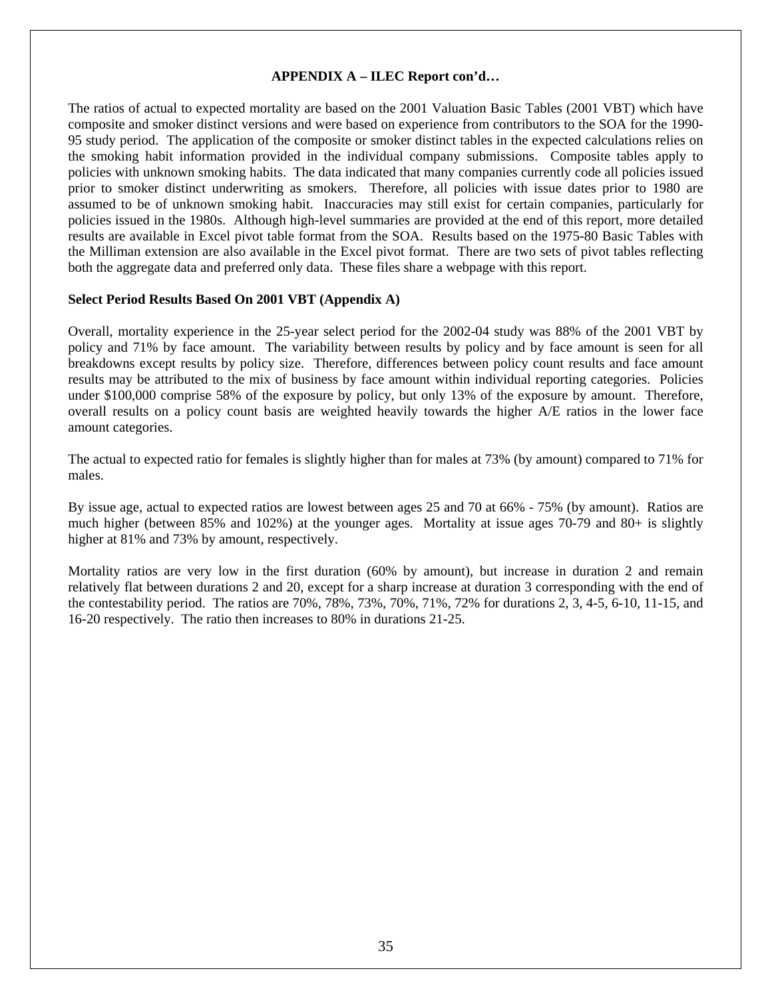# **APPENDIX A – ILEC Report con'd…**

The ratios of actual to expected mortality are based on the 2001 Valuation Basic Tables (2001 VBT) which have composite and smoker distinct versions and were based on experience from contributors to the SOA for the 1990- 95 study period. The application of the composite or smoker distinct tables in the expected calculations relies on the smoking habit information provided in the individual company submissions. Composite tables apply to policies with unknown smoking habits. The data indicated that many companies currently code all policies issued prior to smoker distinct underwriting as smokers. Therefore, all policies with issue dates prior to 1980 are assumed to be of unknown smoking habit. Inaccuracies may still exist for certain companies, particularly for policies issued in the 1980s. Although high-level summaries are provided at the end of this report, more detailed results are available in Excel pivot table format from the SOA. Results based on the 1975-80 Basic Tables with the Milliman extension are also available in the Excel pivot format. There are two sets of pivot tables reflecting both the aggregate data and preferred only data. These files share a webpage with this report.

#### **Select Period Results Based On 2001 VBT (Appendix A)**

Overall, mortality experience in the 25-year select period for the 2002-04 study was 88% of the 2001 VBT by policy and 71% by face amount. The variability between results by policy and by face amount is seen for all breakdowns except results by policy size. Therefore, differences between policy count results and face amount results may be attributed to the mix of business by face amount within individual reporting categories. Policies under \$100,000 comprise 58% of the exposure by policy, but only 13% of the exposure by amount. Therefore, overall results on a policy count basis are weighted heavily towards the higher A/E ratios in the lower face amount categories.

The actual to expected ratio for females is slightly higher than for males at 73% (by amount) compared to 71% for males.

By issue age, actual to expected ratios are lowest between ages 25 and 70 at 66% - 75% (by amount). Ratios are much higher (between 85% and 102%) at the younger ages. Mortality at issue ages 70-79 and 80+ is slightly higher at 81% and 73% by amount, respectively.

Mortality ratios are very low in the first duration (60% by amount), but increase in duration 2 and remain relatively flat between durations 2 and 20, except for a sharp increase at duration 3 corresponding with the end of the contestability period. The ratios are 70%, 78%, 73%, 70%, 71%, 72% for durations 2, 3, 4-5, 6-10, 11-15, and 16-20 respectively. The ratio then increases to 80% in durations 21-25.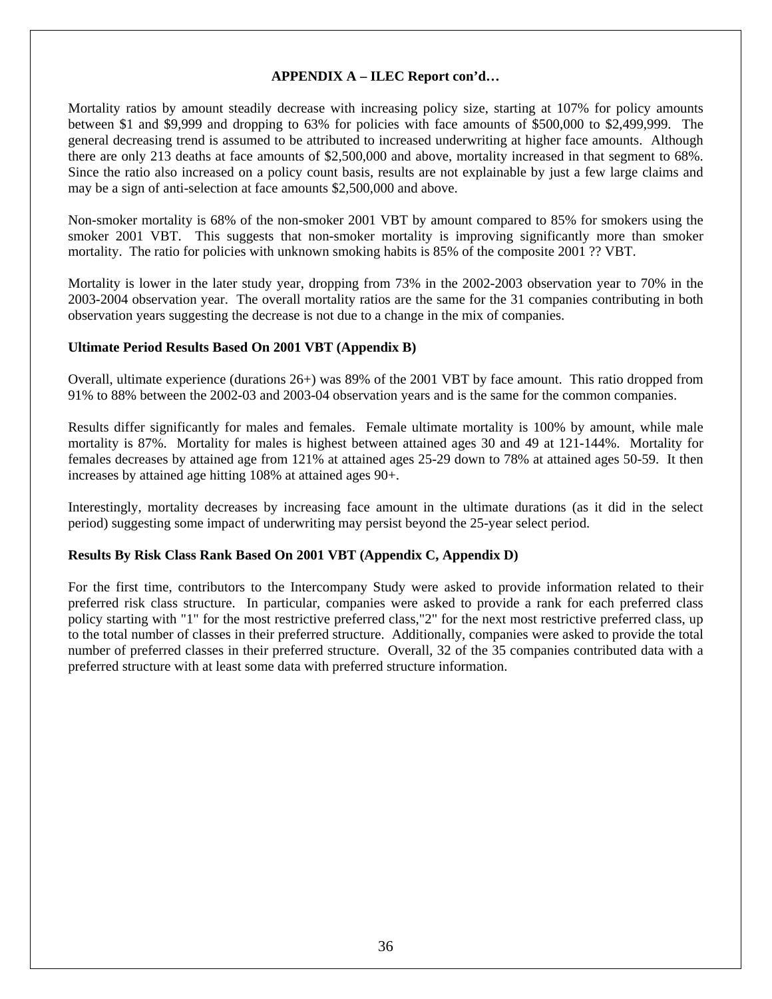# **APPENDIX A – ILEC Report con'd…**

Mortality ratios by amount steadily decrease with increasing policy size, starting at 107% for policy amounts between \$1 and \$9,999 and dropping to 63% for policies with face amounts of \$500,000 to \$2,499,999. The general decreasing trend is assumed to be attributed to increased underwriting at higher face amounts. Although there are only 213 deaths at face amounts of \$2,500,000 and above, mortality increased in that segment to 68%. Since the ratio also increased on a policy count basis, results are not explainable by just a few large claims and may be a sign of anti-selection at face amounts \$2,500,000 and above.

Non-smoker mortality is 68% of the non-smoker 2001 VBT by amount compared to 85% for smokers using the smoker 2001 VBT. This suggests that non-smoker mortality is improving significantly more than smoker mortality. The ratio for policies with unknown smoking habits is 85% of the composite 2001 ?? VBT.

Mortality is lower in the later study year, dropping from 73% in the 2002-2003 observation year to 70% in the 2003-2004 observation year. The overall mortality ratios are the same for the 31 companies contributing in both observation years suggesting the decrease is not due to a change in the mix of companies.

# **Ultimate Period Results Based On 2001 VBT (Appendix B)**

Overall, ultimate experience (durations 26+) was 89% of the 2001 VBT by face amount. This ratio dropped from 91% to 88% between the 2002-03 and 2003-04 observation years and is the same for the common companies.

Results differ significantly for males and females. Female ultimate mortality is 100% by amount, while male mortality is 87%. Mortality for males is highest between attained ages 30 and 49 at 121-144%. Mortality for females decreases by attained age from 121% at attained ages 25-29 down to 78% at attained ages 50-59. It then increases by attained age hitting 108% at attained ages 90+.

Interestingly, mortality decreases by increasing face amount in the ultimate durations (as it did in the select period) suggesting some impact of underwriting may persist beyond the 25-year select period.

# **Results By Risk Class Rank Based On 2001 VBT (Appendix C, Appendix D)**

For the first time, contributors to the Intercompany Study were asked to provide information related to their preferred risk class structure. In particular, companies were asked to provide a rank for each preferred class policy starting with "1" for the most restrictive preferred class,"2" for the next most restrictive preferred class, up to the total number of classes in their preferred structure. Additionally, companies were asked to provide the total number of preferred classes in their preferred structure. Overall, 32 of the 35 companies contributed data with a preferred structure with at least some data with preferred structure information.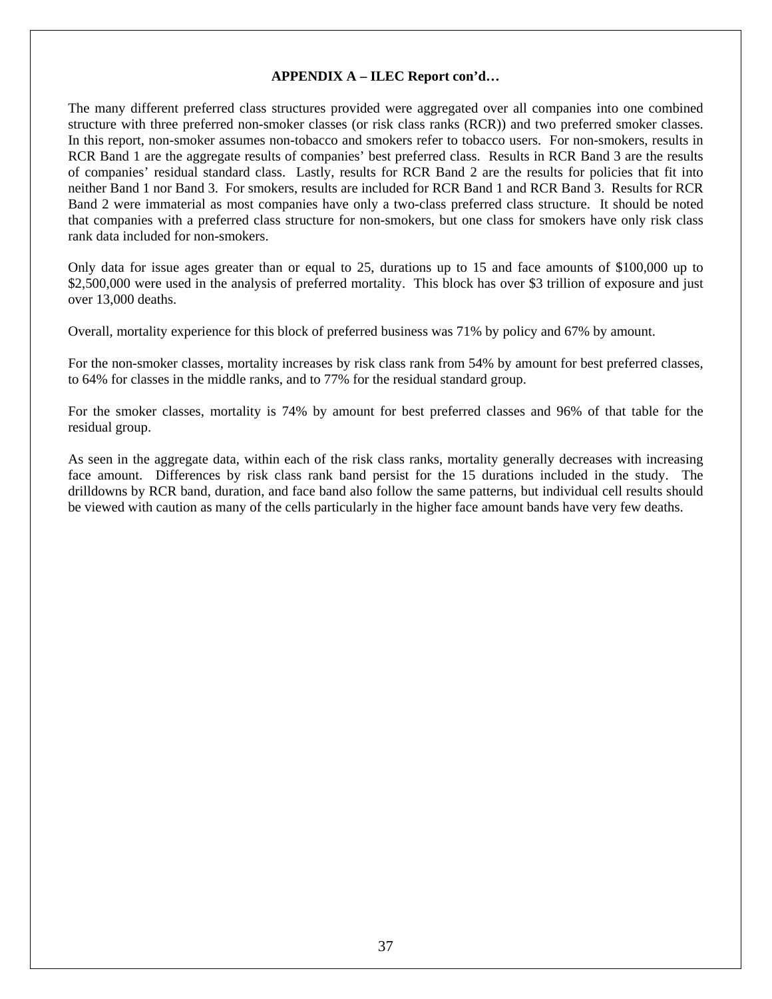The many different preferred class structures provided were aggregated over all companies into one combined structure with three preferred non-smoker classes (or risk class ranks (RCR)) and two preferred smoker classes. In this report, non-smoker assumes non-tobacco and smokers refer to tobacco users. For non-smokers, results in RCR Band 1 are the aggregate results of companies' best preferred class. Results in RCR Band 3 are the results of companies' residual standard class. Lastly, results for RCR Band 2 are the results for policies that fit into neither Band 1 nor Band 3. For smokers, results are included for RCR Band 1 and RCR Band 3. Results for RCR Band 2 were immaterial as most companies have only a two-class preferred class structure. It should be noted that companies with a preferred class structure for non-smokers, but one class for smokers have only risk class rank data included for non-smokers.

Only data for issue ages greater than or equal to 25, durations up to 15 and face amounts of \$100,000 up to \$2,500,000 were used in the analysis of preferred mortality. This block has over \$3 trillion of exposure and just over 13,000 deaths.

Overall, mortality experience for this block of preferred business was 71% by policy and 67% by amount.

For the non-smoker classes, mortality increases by risk class rank from 54% by amount for best preferred classes, to 64% for classes in the middle ranks, and to 77% for the residual standard group.

For the smoker classes, mortality is 74% by amount for best preferred classes and 96% of that table for the residual group.

As seen in the aggregate data, within each of the risk class ranks, mortality generally decreases with increasing face amount. Differences by risk class rank band persist for the 15 durations included in the study. The drilldowns by RCR band, duration, and face band also follow the same patterns, but individual cell results should be viewed with caution as many of the cells particularly in the higher face amount bands have very few deaths.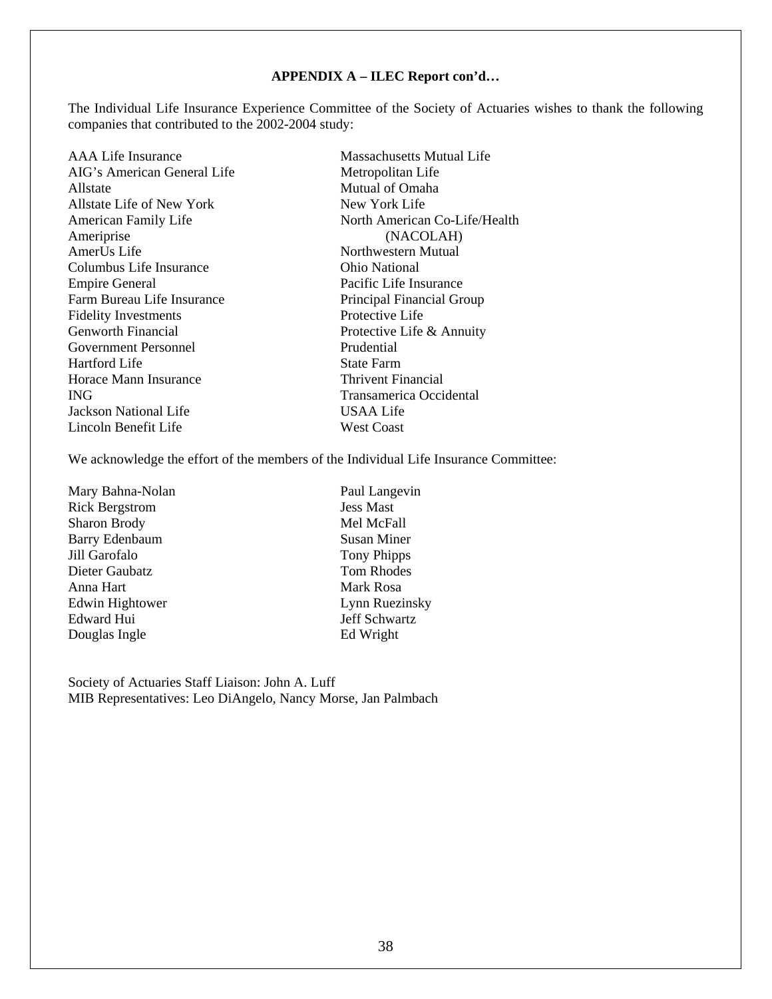The Individual Life Insurance Experience Committee of the Society of Actuaries wishes to thank the following companies that contributed to the 2002-2004 study:

AAA Life Insurance Massachusetts Mutual Life AIG's American General Life Metropolitan Life Allstate Mutual of Omaha Allstate Life of New York New York Life Ameriprise (NACOLAH)<br>AmerUs Life (NACOLAH) Columbus Life Insurance Ohio National Empire General Pacific Life Insurance Farm Bureau Life Insurance<br>
Financial Group<br>
Principal Financial Group<br>
Protective Life<br>
Protective Life Fidelity Investments Genworth Financial Protective Life & Annuity Government Personnel Prudential Hartford Life State Farm Horace Mann Insurance Thrivent Financial ING Transamerica Occidental Jackson National Life USAA Life Lincoln Benefit Life West Coast

American Family Life North American Co-Life/Health Northwestern Mutual

We acknowledge the effort of the members of the Individual Life Insurance Committee:

Mary Bahna-Nolan Paul Langevin Rick Bergstrom Jess Mast Sharon Brody Mel McFall Barry Edenbaum Susan Miner Jill Garofalo Tony Phipps Dieter Gaubatz Tom Rhodes Anna Hart Mark Rosa Edwin Hightower Lynn Ruezinsky Edward Hui Jeff Schwartz Douglas Ingle Ed Wright

Society of Actuaries Staff Liaison: John A. Luff MIB Representatives: Leo DiAngelo, Nancy Morse, Jan Palmbach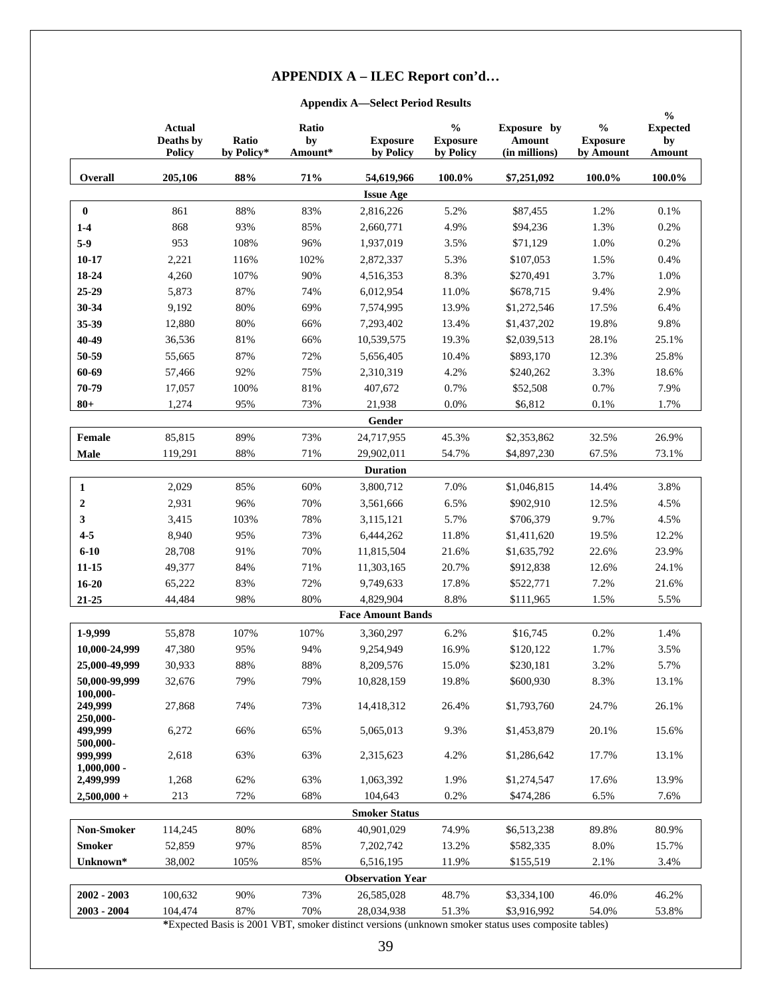### **Appendix A—Select Period Results**

|                                 | <b>Actual</b><br>Deaths by<br><b>Policy</b> | Ratio<br>by Policy* | Ratio<br>by<br>Amount* | <b>Exposure</b><br>by Policy | $\mathbf{0}_{\mathbf{0}}^{\prime}$<br><b>Exposure</b><br>by Policy | Exposure by<br>Amount<br>(in millions) | $\frac{0}{0}$<br><b>Exposure</b><br>by Amount | $\frac{6}{6}$<br><b>Expected</b><br>by<br>Amount |
|---------------------------------|---------------------------------------------|---------------------|------------------------|------------------------------|--------------------------------------------------------------------|----------------------------------------|-----------------------------------------------|--------------------------------------------------|
| Overall                         | 205,106                                     | 88%                 | 71%                    | 54,619,966                   | 100.0%                                                             | \$7,251,092                            | 100.0%                                        | 100.0%                                           |
|                                 |                                             |                     |                        | <b>Issue Age</b>             |                                                                    |                                        |                                               |                                                  |
| $\bf{0}$                        | 861                                         | 88%                 | 83%                    | 2,816,226                    | 5.2%                                                               | \$87,455                               | 1.2%                                          | 0.1%                                             |
| $1-4$                           | 868                                         | 93%                 | 85%                    | 2,660,771                    | 4.9%                                                               | \$94,236                               | 1.3%                                          | 0.2%                                             |
| $5-9$                           | 953                                         | 108%                | 96%                    | 1,937,019                    | 3.5%                                                               | \$71,129                               | 1.0%                                          | 0.2%                                             |
| $10 - 17$                       | 2,221                                       | 116%                | 102%                   | 2,872,337                    | 5.3%                                                               | \$107,053                              | 1.5%                                          | 0.4%                                             |
| 18-24                           | 4,260                                       | 107%                | 90%                    | 4,516,353                    | 8.3%                                                               | \$270,491                              | 3.7%                                          | 1.0%                                             |
| 25-29                           | 5,873                                       | 87%                 | 74%                    | 6,012,954                    | 11.0%                                                              | \$678,715                              | 9.4%                                          | 2.9%                                             |
| 30-34                           | 9,192                                       | 80%                 | 69%                    | 7,574,995                    | 13.9%                                                              | \$1,272,546                            | 17.5%                                         | 6.4%                                             |
| 35-39                           | 12,880                                      | 80%                 | 66%                    | 7,293,402                    | 13.4%                                                              | \$1,437,202                            | 19.8%                                         | 9.8%                                             |
| 40-49                           | 36,536                                      | 81%                 | 66%                    | 10,539,575                   | 19.3%                                                              | \$2,039,513                            | 28.1%                                         | 25.1%                                            |
| 50-59                           | 55,665                                      | 87%                 | 72%                    | 5,656,405                    | 10.4%                                                              | \$893,170                              | 12.3%                                         | 25.8%                                            |
| 60-69                           | 57,466                                      | 92%                 | 75%                    | 2,310,319                    | 4.2%                                                               | \$240,262                              | 3.3%                                          | 18.6%                                            |
| 70-79                           | 17,057                                      | 100%                | 81%                    | 407,672                      | 0.7%                                                               | \$52,508                               | 0.7%                                          | 7.9%                                             |
| $80 +$                          | 1,274                                       | 95%                 | 73%                    | 21,938                       | 0.0%                                                               | \$6,812                                | 0.1%                                          | 1.7%                                             |
|                                 |                                             |                     |                        | Gender                       |                                                                    |                                        |                                               |                                                  |
| Female                          | 85,815                                      | 89%                 | 73%                    | 24,717,955                   | 45.3%                                                              | \$2,353,862                            | 32.5%                                         | 26.9%                                            |
| Male                            | 119,291                                     | 88%                 | $71\%$                 | 29,902,011                   | 54.7%                                                              | \$4,897,230                            | 67.5%                                         | 73.1%                                            |
|                                 |                                             |                     |                        | <b>Duration</b>              |                                                                    |                                        |                                               |                                                  |
|                                 |                                             |                     |                        |                              |                                                                    |                                        |                                               |                                                  |
| 1                               | 2,029                                       | 85%                 | 60%                    | 3,800,712                    | 7.0%                                                               | \$1,046,815                            | 14.4%                                         | 3.8%                                             |
| $\boldsymbol{2}$                | 2,931                                       | 96%                 | 70%                    | 3,561,666                    | 6.5%                                                               | \$902,910                              | 12.5%                                         | 4.5%                                             |
| 3                               | 3,415                                       | 103%                | 78%                    | 3,115,121                    | 5.7%                                                               | \$706,379                              | 9.7%                                          | 4.5%                                             |
| $4 - 5$                         | 8,940                                       | 95%                 | 73%                    | 6,444,262                    | 11.8%                                                              | \$1,411,620                            | 19.5%                                         | 12.2%                                            |
| $6 - 10$                        | 28,708                                      | 91%                 | 70%                    | 11,815,504                   | 21.6%                                                              | \$1,635,792                            | 22.6%                                         | 23.9%                                            |
| 11-15                           | 49,377                                      | 84%                 | 71%                    | 11,303,165                   | 20.7%                                                              | \$912,838                              | 12.6%                                         | 24.1%                                            |
| $16 - 20$                       | 65,222                                      | 83%                 | 72%                    | 9,749,633                    | 17.8%                                                              | \$522,771                              | 7.2%                                          | 21.6%                                            |
| $21 - 25$                       | 44,484                                      | 98%                 | 80%                    | 4,829,904                    | 8.8%                                                               | \$111.965                              | 1.5%                                          | 5.5%                                             |
|                                 |                                             |                     |                        | <b>Face Amount Bands</b>     |                                                                    |                                        |                                               |                                                  |
| 1-9,999                         | 55,878                                      | 107%                | 107%                   | 3,360,297                    | 6.2%                                                               | \$16,745                               | 0.2%                                          | 1.4%                                             |
| 10,000-24,999                   | 47,380                                      | 95%                 | 94%                    | 9,254,949                    | 16.9%                                                              | \$120,122                              | 1.7%                                          | 3.5%                                             |
| 25,000-49,999                   | 30,933                                      | 88%                 | $88\%$                 | 8,209,576                    | 15.0%                                                              | \$230,181                              | 3.2%                                          | 5.7%                                             |
| 50,000-99,999                   | 32,676                                      | 79%                 | 79%                    | 10,828,159                   | 19.8%                                                              | \$600,930                              | 8.3%                                          | 13.1%                                            |
| 100.000-<br>249,999<br>250,000- | 27,868                                      | 74%                 | 73%                    | 14,418,312                   | 26.4%                                                              | \$1,793,760                            | 24.7%                                         | 26.1%                                            |
| 499,999<br>500,000-             | 6,272                                       | 66%                 | 65%                    | 5,065,013                    | 9.3%                                                               | \$1,453,879                            | 20.1%                                         | 15.6%                                            |
| 999,999<br>$1,000,000 -$        | 2,618                                       | 63%                 | 63%                    | 2,315,623                    | 4.2%                                                               | \$1,286,642                            | 17.7%                                         | 13.1%                                            |
| 2,499,999                       | 1,268                                       | 62%                 | 63%                    | 1,063,392                    | 1.9%                                                               | \$1,274,547                            | 17.6%                                         | 13.9%                                            |
| $2,500,000+$                    | 213                                         | 72%                 | 68%                    | 104,643                      | 0.2%                                                               | \$474,286                              | 6.5%                                          | 7.6%                                             |
|                                 |                                             |                     |                        | <b>Smoker Status</b>         |                                                                    |                                        |                                               |                                                  |
| <b>Non-Smoker</b>               | 114,245                                     | 80%                 | 68%                    | 40,901,029                   | 74.9%                                                              | \$6,513,238                            | 89.8%                                         | 80.9%                                            |
| <b>Smoker</b>                   | 52,859                                      | 97%                 | 85%                    | 7,202,742                    | 13.2%                                                              | \$582,335                              | 8.0%                                          | 15.7%                                            |
| Unknown*                        | 38,002                                      | 105%                | 85%                    | 6,516,195                    | 11.9%                                                              | \$155,519                              | 2.1%                                          | 3.4%                                             |
|                                 |                                             |                     |                        | <b>Observation Year</b>      |                                                                    |                                        |                                               |                                                  |
| $2002 - 2003$                   | 100,632                                     | 90%                 | 73%                    | 26,585,028                   | 48.7%                                                              | \$3,334,100                            | 46.0%                                         | 46.2%                                            |
| $2003 - 2004$                   | 104,474                                     | 87%                 | 70%                    | 28,034,938                   | 51.3%                                                              | \$3,916,992                            | 54.0%                                         | 53.8%                                            |

**\***Expected Basis is 2001 VBT, smoker distinct versions (unknown smoker status uses composite tables)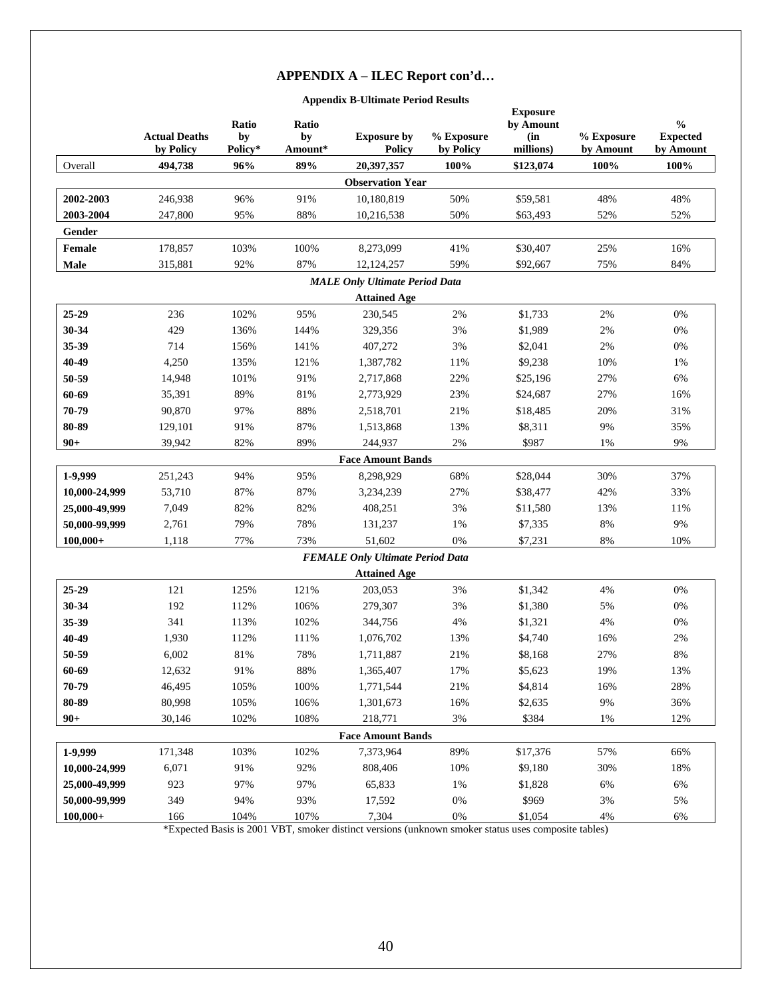### **Appendix B-Ultimate Period Results**

|               | <b>Actual Deaths</b><br>by Policy | Ratio<br>by<br>Policy* | Ratio<br>by<br>Amount* | <b>Exposure by</b><br><b>Policy</b>     | % Exposure<br>by Policy | <b>Exposure</b><br>by Amount<br>(in<br>millions) | % Exposure<br>by Amount | $\frac{0}{0}$<br><b>Expected</b><br>by Amount |
|---------------|-----------------------------------|------------------------|------------------------|-----------------------------------------|-------------------------|--------------------------------------------------|-------------------------|-----------------------------------------------|
| Overall       | 494,738                           | 96%                    | 89%                    | 20,397,357                              | 100%                    | \$123,074                                        | 100%                    | 100%                                          |
|               |                                   |                        |                        | <b>Observation Year</b>                 |                         |                                                  |                         |                                               |
| 2002-2003     | 246,938                           | 96%                    | 91%                    | 10,180,819                              | 50%                     | \$59,581                                         | 48%                     | 48%                                           |
| 2003-2004     | 247,800                           | 95%                    | 88%                    | 10,216,538                              | 50%                     | \$63,493                                         | 52%                     | 52%                                           |
| Gender        |                                   |                        |                        |                                         |                         |                                                  |                         |                                               |
| Female        | 178,857                           | 103%                   | 100%                   | 8,273,099                               | 41%                     | \$30,407                                         | 25%                     | 16%                                           |
| <b>Male</b>   | 315,881                           | 92%                    | 87%                    | 12,124,257                              | 59%                     | \$92,667                                         | 75%                     | 84%                                           |
|               |                                   |                        |                        | <b>MALE Only Ultimate Period Data</b>   |                         |                                                  |                         |                                               |
|               |                                   |                        |                        | <b>Attained Age</b>                     |                         |                                                  |                         |                                               |
| 25-29         | 236                               | 102%                   | 95%                    | 230,545                                 | $2\%$                   | \$1,733                                          | 2%                      | 0%                                            |
| 30-34         | 429                               | 136%                   | 144%                   | 329,356                                 | 3%                      | \$1,989                                          | $2\%$                   | 0%                                            |
| 35-39         | 714                               | 156%                   | 141%                   | 407,272                                 | 3%                      | \$2,041                                          | $2\%$                   | 0%                                            |
| 40-49         | 4,250                             | 135%                   | 121%                   | 1,387,782                               | 11%                     | \$9,238                                          | 10%                     | 1%                                            |
| 50-59         | 14,948                            | 101%                   | 91%                    | 2,717,868                               | 22%                     | \$25,196                                         | 27%                     | 6%                                            |
| 60-69         | 35,391                            | 89%                    | 81%                    | 2,773,929                               | 23%                     | \$24,687                                         | 27%                     | 16%                                           |
| 70-79         | 90,870                            | 97%                    | 88%                    | 2,518,701                               | 21%                     | \$18,485                                         | 20%                     | 31%                                           |
| 80-89         | 129,101                           | 91%                    | 87%                    | 1,513,868                               | 13%                     | \$8,311                                          | 9%                      | 35%                                           |
| $90 +$        | 39,942                            | 82%                    | 89%                    | 244,937                                 | $2\%$                   | \$987                                            | $1\%$                   | 9%                                            |
|               |                                   |                        |                        | <b>Face Amount Bands</b>                |                         |                                                  |                         |                                               |
| 1-9,999       | 251,243                           | 94%                    | 95%                    | 8,298,929                               | 68%                     | \$28,044                                         | 30%                     | 37%                                           |
| 10,000-24,999 | 53,710                            | 87%                    | 87%                    | 3,234,239                               | 27%                     | \$38,477                                         | 42%                     | 33%                                           |
| 25,000-49,999 | 7,049                             | 82%                    | 82%                    | 408,251                                 | 3%                      | \$11,580                                         | 13%                     | 11%                                           |
| 50,000-99,999 | 2,761                             | 79%                    | 78%                    | 131,237                                 | 1%                      | \$7,335                                          | $8\%$                   | $9\%$                                         |
| $100,000+$    | 1,118                             | 77%                    | 73%                    | 51,602                                  | 0%                      | \$7,231                                          | $8\%$                   | 10%                                           |
|               |                                   |                        |                        | <b>FEMALE Only Ultimate Period Data</b> |                         |                                                  |                         |                                               |
|               |                                   |                        |                        | <b>Attained Age</b>                     |                         |                                                  |                         |                                               |
| 25-29         | 121                               | 125%                   | 121%                   | 203,053                                 | 3%                      | \$1,342                                          | 4%                      | 0%                                            |
| 30-34         | 192                               | 112%                   | 106%                   | 279,307                                 | 3%                      | \$1,380                                          | 5%                      | 0%                                            |
| 35-39         | 341                               | 113%                   | 102%                   | 344,756                                 | 4%                      | \$1,321                                          | 4%                      | $0\%$                                         |
| 40-49         | 1,930                             | 112%                   | 111%                   | 1,076,702                               | 13%                     | \$4,740                                          | 16%                     | $2\%$                                         |
| 50-59         | 6,002                             | 81%                    | 78%                    | 1,711,887                               | 21%                     | \$8,168                                          | 27%                     | $8\%$                                         |
| 60-69         | 12,632                            | $91\%$                 | $88\%$                 | 1,365,407                               | 17%                     | \$5,623                                          | 19%                     | 13%                                           |
| 70-79         | 46,495                            | 105%                   | 100%                   | 1,771,544                               | 21%                     | \$4,814                                          | 16%                     | 28%                                           |
| 80-89         | 80,998                            | 105%                   | 106%                   | 1,301,673                               | 16%                     | \$2,635                                          | $9\%$                   | 36%                                           |
| $90 +$        | 30,146                            | 102%                   | 108%                   | 218,771                                 | 3%                      | \$384                                            | 1%                      | 12%                                           |
|               |                                   |                        |                        | <b>Face Amount Bands</b>                |                         |                                                  |                         |                                               |
| 1-9,999       | 171,348                           | 103%                   | 102%                   | 7,373,964                               | 89%                     | \$17,376                                         | 57%                     | 66%                                           |
| 10,000-24,999 | 6,071                             | 91%                    | 92%                    | 808,406                                 | 10%                     | \$9,180                                          | 30%                     | 18%                                           |
| 25,000-49,999 | 923                               | 97%                    | 97%                    | 65,833                                  | $1\%$                   | \$1,828                                          | 6%                      | 6%                                            |
| 50,000-99,999 | 349                               | 94%                    | 93%                    | 17,592                                  | $0\%$                   | \$969                                            | 3%                      | 5%                                            |
| $100,000+$    | 166                               | 104%                   | 107%                   | 7,304                                   | 0%                      | \$1,054                                          | 4%                      | 6%                                            |

\*Expected Basis is 2001 VBT, smoker distinct versions (unknown smoker status uses composite tables)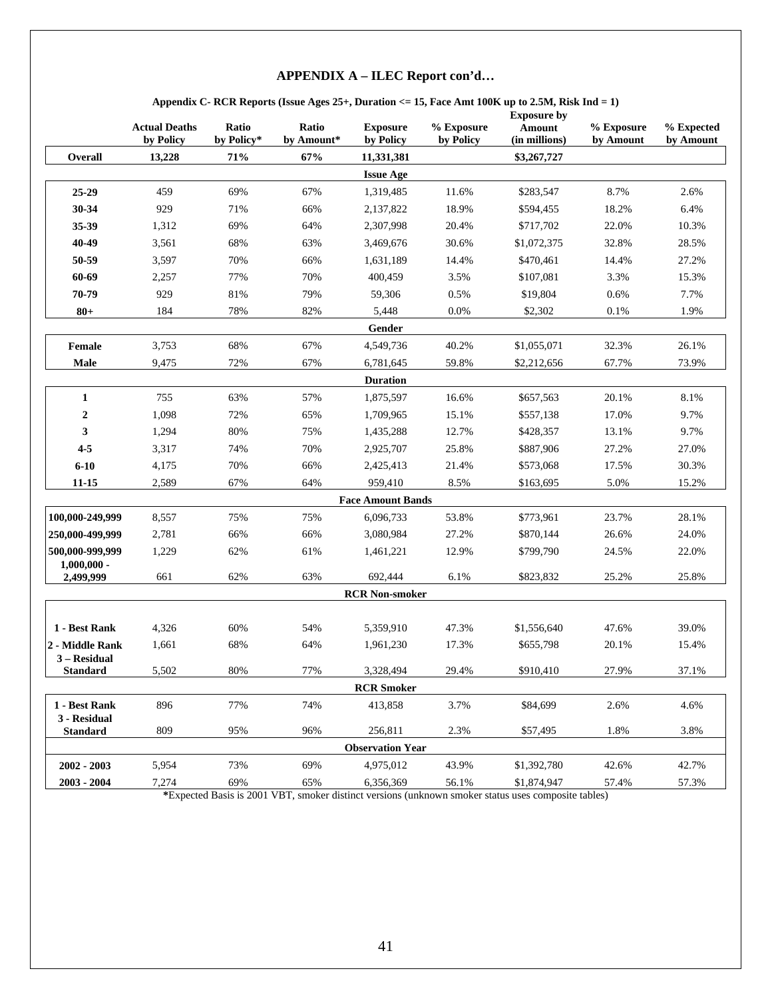#### **Appendix C- RCR Reports (Issue Ages 25+, Duration <= 15, Face Amt 100K up to 2.5M, Risk Ind = 1)**

|                                 | <b>Actual Deaths</b><br>by Policy | Ratio<br>by Policy* | Ratio<br>by Amount* | <b>Exposure</b><br>by Policy | % Exposure<br>by Policy | <b>Exposure by</b><br>Amount<br>(in millions) | % Exposure<br>by Amount | % Expected<br>by Amount |
|---------------------------------|-----------------------------------|---------------------|---------------------|------------------------------|-------------------------|-----------------------------------------------|-------------------------|-------------------------|
| Overall                         | 13,228                            | 71%                 | 67%                 | 11,331,381                   |                         | \$3,267,727                                   |                         |                         |
|                                 |                                   |                     |                     | <b>Issue Age</b>             |                         |                                               |                         |                         |
| 25-29                           | 459                               | 69%                 | 67%                 | 1,319,485                    | 11.6%                   | \$283,547                                     | 8.7%                    | 2.6%                    |
| 30-34                           | 929                               | 71%                 | 66%                 | 2,137,822                    | 18.9%                   | \$594,455                                     | 18.2%                   | 6.4%                    |
| 35-39                           | 1,312                             | 69%                 | 64%                 | 2,307,998                    | 20.4%                   | \$717,702                                     | 22.0%                   | 10.3%                   |
| 40-49                           | 3,561                             | 68%                 | 63%                 | 3,469,676                    | 30.6%                   | \$1,072,375                                   | 32.8%                   | 28.5%                   |
| 50-59                           | 3,597                             | 70%                 | 66%                 | 1,631,189                    | 14.4%                   | \$470,461                                     | 14.4%                   | 27.2%                   |
| 60-69                           | 2,257                             | 77%                 | 70%                 | 400,459                      | 3.5%                    | \$107,081                                     | 3.3%                    | 15.3%                   |
| 70-79                           | 929                               | 81%                 | 79%                 | 59,306                       | 0.5%                    | \$19,804                                      | 0.6%                    | 7.7%                    |
| $80+$                           | 184                               | 78%                 | 82%                 | 5,448                        | 0.0%                    | \$2,302                                       | 0.1%                    | 1.9%                    |
|                                 |                                   |                     |                     | Gender                       |                         |                                               |                         |                         |
| <b>Female</b>                   | 3,753                             | 68%                 | 67%                 | 4,549,736                    | 40.2%                   | \$1,055,071                                   | 32.3%                   | 26.1%                   |
| Male                            | 9,475                             | 72%                 | 67%                 | 6,781,645                    | 59.8%                   | \$2,212,656                                   | 67.7%                   | 73.9%                   |
|                                 |                                   |                     |                     | <b>Duration</b>              |                         |                                               |                         |                         |
| $\mathbf{1}$                    | 755                               | 63%                 | 57%                 | 1,875,597                    | 16.6%                   | \$657,563                                     | 20.1%                   | 8.1%                    |
| $\boldsymbol{2}$                | 1,098                             | 72%                 | 65%                 | 1,709,965                    | 15.1%                   | \$557,138                                     | 17.0%                   | 9.7%                    |
| 3                               | 1,294                             | 80%                 | 75%                 | 1,435,288                    | 12.7%                   | \$428,357                                     | 13.1%                   | 9.7%                    |
| $4 - 5$                         | 3,317                             | 74%                 | 70%                 | 2,925,707                    | 25.8%                   | \$887,906                                     | 27.2%                   | 27.0%                   |
| $6 - 10$                        | 4,175                             | 70%                 | 66%                 | 2,425,413                    | 21.4%                   | \$573,068                                     | 17.5%                   | 30.3%                   |
| 11-15                           | 2,589                             | 67%                 | 64%                 | 959,410                      | 8.5%                    | \$163,695                                     | 5.0%                    | 15.2%                   |
|                                 |                                   |                     |                     | <b>Face Amount Bands</b>     |                         |                                               |                         |                         |
| 100,000-249,999                 | 8,557                             | 75%                 | 75%                 | 6,096,733                    | 53.8%                   | \$773,961                                     | 23.7%                   | 28.1%                   |
| 250,000-499,999                 | 2,781                             | 66%                 | 66%                 | 3,080,984                    | 27.2%                   | \$870,144                                     | 26.6%                   | 24.0%                   |
| 500,000-999,999                 | 1,229                             | 62%                 | 61%                 | 1,461,221                    | 12.9%                   | \$799,790                                     | 24.5%                   | 22.0%                   |
| $1,000,000 -$                   |                                   |                     |                     |                              |                         |                                               |                         |                         |
| 2,499,999                       | 661                               | 62%                 | 63%                 | 692,444                      | 6.1%                    | \$823,832                                     | 25.2%                   | 25.8%                   |
|                                 |                                   |                     |                     | <b>RCR Non-smoker</b>        |                         |                                               |                         |                         |
| 1 - Best Rank                   |                                   | 60%                 | 54%                 | 5,359,910                    | 47.3%                   | \$1,556,640                                   | 47.6%                   | 39.0%                   |
|                                 | 4,326                             | 68%                 | 64%                 |                              |                         |                                               |                         |                         |
| 2 - Middle Rank<br>3 - Residual | 1,661                             |                     |                     | 1,961,230                    | 17.3%                   | \$655,798                                     | 20.1%                   | 15.4%                   |
| <b>Standard</b>                 | 5,502                             | 80%                 | 77%                 | 3,328,494                    | 29.4%                   | \$910,410                                     | 27.9%                   | 37.1%                   |
|                                 |                                   |                     |                     | <b>RCR Smoker</b>            |                         |                                               |                         |                         |
| 1 - Best Rank<br>3 - Residual   | 896                               | 77%                 | 74%                 | 413,858                      | 3.7%                    | \$84,699                                      | 2.6%                    | 4.6%                    |
| <b>Standard</b>                 | 809                               | 95%                 | 96%                 | 256,811                      | 2.3%                    | \$57,495                                      | 1.8%                    | 3.8%                    |
|                                 |                                   |                     |                     | <b>Observation Year</b>      |                         |                                               |                         |                         |
| 2002 - 2003                     | 5,954                             | 73%                 | 69%                 | 4,975,012                    | 43.9%                   | \$1,392,780                                   | 42.6%                   | 42.7%                   |
| 2003 - 2004                     | 7,274                             | 69%                 | 65%                 | 6,356,369                    | 56.1%                   | \$1,874,947                                   | 57.4%                   | 57.3%                   |

**\***Expected Basis is 2001 VBT, smoker distinct versions (unknown smoker status uses composite tables)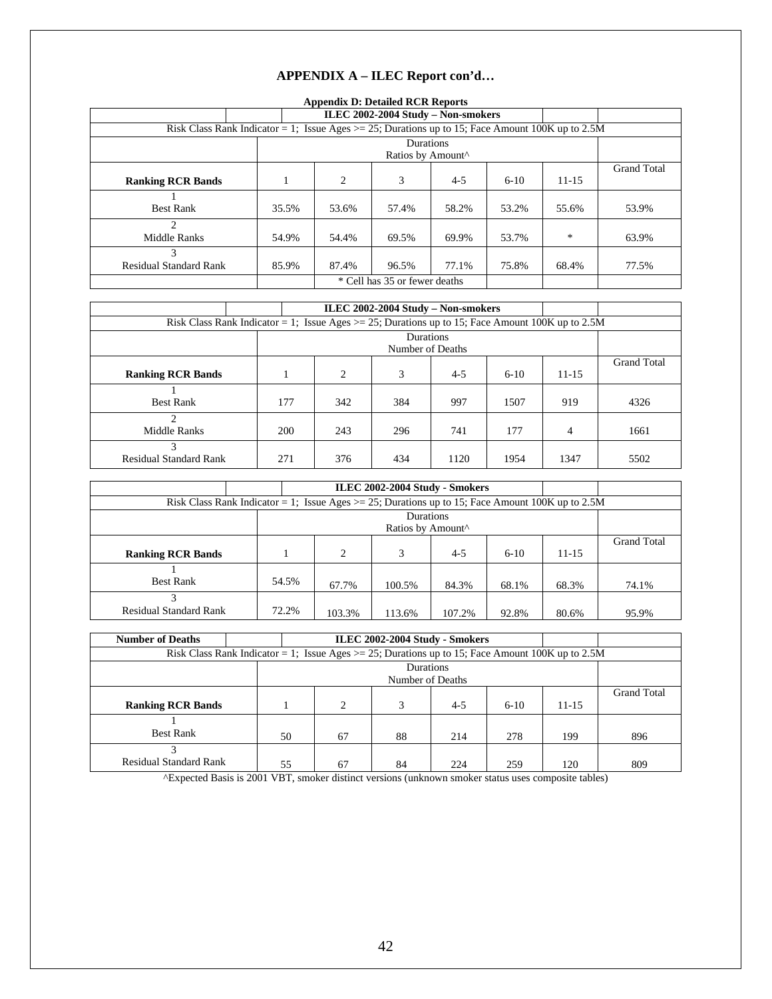## **Appendix D: Detailed RCR Reports**

| --rr                                                                                                |       |                                            |                   |       |       |        |                    |  |  |  |
|-----------------------------------------------------------------------------------------------------|-------|--------------------------------------------|-------------------|-------|-------|--------|--------------------|--|--|--|
|                                                                                                     |       | ILEC 2002-2004 Study - Non-smokers         |                   |       |       |        |                    |  |  |  |
| Risk Class Rank Indicator = 1; Issue Ages $>$ = 25; Durations up to 15; Face Amount 100K up to 2.5M |       |                                            |                   |       |       |        |                    |  |  |  |
|                                                                                                     |       |                                            | <b>Durations</b>  |       |       |        |                    |  |  |  |
|                                                                                                     |       |                                            | Ratios by Amount^ |       |       |        |                    |  |  |  |
|                                                                                                     |       |                                            |                   |       |       |        | <b>Grand Total</b> |  |  |  |
| <b>Ranking RCR Bands</b>                                                                            |       | 3<br>$4 - 5$<br>2<br>$11 - 15$<br>$6 - 10$ |                   |       |       |        |                    |  |  |  |
|                                                                                                     |       |                                            |                   |       |       |        |                    |  |  |  |
| <b>Best Rank</b>                                                                                    | 35.5% | 53.6%                                      | 57.4%             | 58.2% | 53.2% | 55.6%  | 53.9%              |  |  |  |
| $\mathfrak{D}$                                                                                      |       |                                            |                   |       |       |        |                    |  |  |  |
| <b>Middle Ranks</b>                                                                                 | 54.9% | 54.4%                                      | 69.5%             | 69.9% | 53.7% | $\ast$ | 63.9%              |  |  |  |
| 3                                                                                                   |       |                                            |                   |       |       |        |                    |  |  |  |
| <b>Residual Standard Rank</b>                                                                       | 85.9% | 87.4%<br>77.1%<br>96.5%<br>75.8%<br>68.4%  |                   |       |       |        |                    |  |  |  |
|                                                                                                     |       | * Cell has 35 or fewer deaths              |                   |       |       |        |                    |  |  |  |

|                                                                                                     |     |     | ILEC 2002-2004 Study – Non-smokers |         |        |           |                    |
|-----------------------------------------------------------------------------------------------------|-----|-----|------------------------------------|---------|--------|-----------|--------------------|
| Risk Class Rank Indicator = 1; Issue Ages $>$ = 25; Durations up to 15; Face Amount 100K up to 2.5M |     |     |                                    |         |        |           |                    |
|                                                                                                     |     |     | <b>Durations</b>                   |         |        |           |                    |
|                                                                                                     |     |     | Number of Deaths                   |         |        |           |                    |
|                                                                                                     |     |     |                                    |         |        |           | <b>Grand Total</b> |
| <b>Ranking RCR Bands</b>                                                                            |     | 2   | 3                                  | $4 - 5$ | $6-10$ | $11 - 15$ |                    |
|                                                                                                     |     |     |                                    |         |        |           |                    |
| <b>Best Rank</b>                                                                                    | 177 | 342 | 384                                | 997     | 1507   | 919       | 4326               |
| $\mathfrak{D}$                                                                                      |     |     |                                    |         |        |           |                    |
| Middle Ranks                                                                                        | 200 | 243 | 296                                | 741     | 177    | 4         | 1661               |
| 3                                                                                                   |     |     |                                    |         |        |           |                    |
| <b>Residual Standard Rank</b>                                                                       | 271 | 376 | 434                                | 1120    | 1954   | 1347      | 5502               |

|                                                                                                     |       | ILEC 2002-2004 Study - Smokers |                |                               |         |        |           |                    |  |
|-----------------------------------------------------------------------------------------------------|-------|--------------------------------|----------------|-------------------------------|---------|--------|-----------|--------------------|--|
| Risk Class Rank Indicator = 1; Issue Ages $>$ = 25; Durations up to 15; Face Amount 100K up to 2.5M |       |                                |                |                               |         |        |           |                    |  |
|                                                                                                     |       |                                |                | Durations                     |         |        |           |                    |  |
|                                                                                                     |       |                                |                | Ratios by Amount <sup>^</sup> |         |        |           |                    |  |
|                                                                                                     |       |                                |                |                               |         |        |           | <b>Grand Total</b> |  |
| <b>Ranking RCR Bands</b>                                                                            |       |                                | $\overline{c}$ | 3                             | $4 - 5$ | $6-10$ | $11 - 15$ |                    |  |
|                                                                                                     |       |                                |                |                               |         |        |           |                    |  |
| <b>Best Rank</b>                                                                                    | 54.5% |                                | 67.7%          | 100.5%                        | 84.3%   | 68.1%  | 68.3%     | 74.1%              |  |
|                                                                                                     |       |                                |                |                               |         |        |           |                    |  |
| <b>Residual Standard Rank</b>                                                                       | 72.2% |                                | 103.3%         | 113.6%                        | 107.2%  | 92.8%  | 80.6%     | 95.9%              |  |

| <b>Number of Deaths</b>                                                                             | ILEC 2002-2004 Study - Smokers |                |                  |         |          |           |                    |  |
|-----------------------------------------------------------------------------------------------------|--------------------------------|----------------|------------------|---------|----------|-----------|--------------------|--|
| Risk Class Rank Indicator = 1; Issue Ages $>$ = 25; Durations up to 15; Face Amount 100K up to 2.5M |                                |                |                  |         |          |           |                    |  |
|                                                                                                     |                                |                | Durations        |         |          |           |                    |  |
|                                                                                                     |                                |                | Number of Deaths |         |          |           |                    |  |
|                                                                                                     |                                |                |                  |         |          |           | <b>Grand Total</b> |  |
| <b>Ranking RCR Bands</b>                                                                            |                                | $\overline{c}$ | 3                | $4 - 5$ | $6 - 10$ | $11 - 15$ |                    |  |
|                                                                                                     |                                |                |                  |         |          |           |                    |  |
| <b>Best Rank</b>                                                                                    | 50                             | 67             | 88               | 214     | 278      | 199       | 896                |  |
|                                                                                                     |                                |                |                  |         |          |           |                    |  |
| <b>Residual Standard Rank</b>                                                                       | 55                             | 67             | 84               | 224     | 259      | 120       | 809                |  |

^Expected Basis is 2001 VBT, smoker distinct versions (unknown smoker status uses composite tables)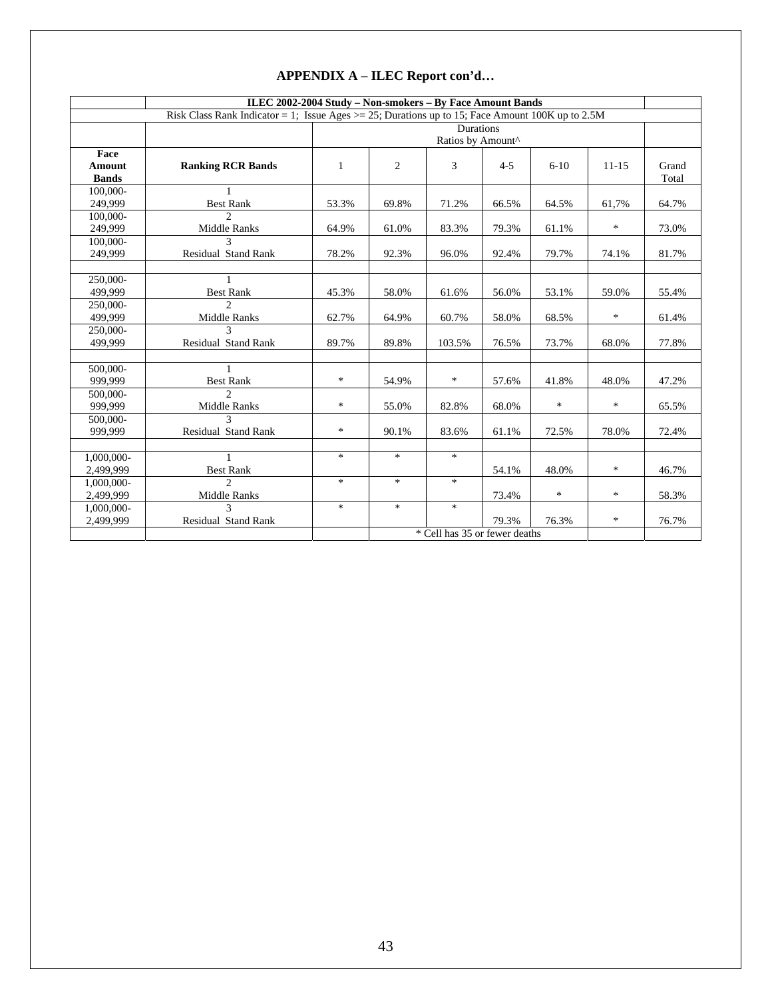|               | ILEC 2002-2004 Study - Non-smokers - By Face Amount Bands                                           |              |        |                               |         |        |           |       |
|---------------|-----------------------------------------------------------------------------------------------------|--------------|--------|-------------------------------|---------|--------|-----------|-------|
|               | Risk Class Rank Indicator = 1; Issue Ages $>$ = 25; Durations up to 15; Face Amount 100K up to 2.5M |              |        |                               |         |        |           |       |
|               |                                                                                                     |              |        | Durations                     |         |        |           |       |
|               |                                                                                                     |              |        | Ratios by Amount^             |         |        |           |       |
| Face          |                                                                                                     |              |        |                               |         |        |           |       |
| <b>Amount</b> | <b>Ranking RCR Bands</b>                                                                            | $\mathbf{1}$ | 2      | 3                             | $4 - 5$ | $6-10$ | $11 - 15$ | Grand |
| <b>Bands</b>  |                                                                                                     |              |        |                               |         |        |           | Total |
| 100,000-      | $\mathbf{1}$                                                                                        |              |        |                               |         |        |           |       |
| 249,999       | <b>Best Rank</b>                                                                                    | 53.3%        | 69.8%  | 71.2%                         | 66.5%   | 64.5%  | 61,7%     | 64.7% |
| 100,000-      | $\mathcal{D}_{\alpha}$                                                                              |              |        |                               |         |        |           |       |
| 249,999       | Middle Ranks                                                                                        | 64.9%        | 61.0%  | 83.3%                         | 79.3%   | 61.1%  | $\ast$    | 73.0% |
| 100,000-      |                                                                                                     |              |        |                               |         |        |           |       |
| 249,999       | Residual Stand Rank                                                                                 | 78.2%        | 92.3%  | 96.0%                         | 92.4%   | 79.7%  | 74.1%     | 81.7% |
|               |                                                                                                     |              |        |                               |         |        |           |       |
| 250,000-      | 1                                                                                                   |              |        |                               |         |        |           |       |
| 499,999       | <b>Best Rank</b>                                                                                    | 45.3%        | 58.0%  | 61.6%                         | 56.0%   | 53.1%  | 59.0%     | 55.4% |
| 250,000-      | $\mathcal{D}$                                                                                       |              |        |                               |         |        |           |       |
| 499.999       | <b>Middle Ranks</b>                                                                                 | 62.7%        | 64.9%  | 60.7%                         | 58.0%   | 68.5%  | $\ast$    | 61.4% |
| 250,000-      | 3                                                                                                   |              |        |                               |         |        |           |       |
| 499,999       | Residual Stand Rank                                                                                 | 89.7%        | 89.8%  | 103.5%                        | 76.5%   | 73.7%  | 68.0%     | 77.8% |
|               |                                                                                                     |              |        |                               |         |        |           |       |
| 500,000-      | $\mathbf{1}$                                                                                        |              |        |                               |         |        |           |       |
| 999,999       | <b>Best Rank</b>                                                                                    | *            | 54.9%  | $\ast$                        | 57.6%   | 41.8%  | 48.0%     | 47.2% |
| 500,000-      | $\mathcal{D}$                                                                                       |              |        |                               |         |        |           |       |
| 999,999       | Middle Ranks                                                                                        | $\ast$       | 55.0%  | 82.8%                         | 68.0%   | $\ast$ | $\ast$    | 65.5% |
| 500,000-      | $\mathbf{3}$                                                                                        |              |        |                               |         |        |           |       |
| 999,999       | Residual Stand Rank                                                                                 | $\ast$       | 90.1%  | 83.6%                         | 61.1%   | 72.5%  | 78.0%     | 72.4% |
|               |                                                                                                     |              |        |                               |         |        |           |       |
| 1,000,000-    |                                                                                                     | $\ast$       | $\ast$ | $\ast$                        |         |        |           |       |
| 2.499.999     | <b>Best Rank</b>                                                                                    |              |        |                               | 54.1%   | 48.0%  | $\ast$    | 46.7% |
| 1,000,000-    | $\mathcal{D}$                                                                                       | $\ast$       | $\ast$ | $\ast$                        |         |        |           |       |
| 2,499,999     | Middle Ranks                                                                                        |              |        |                               | 73.4%   | $\ast$ | $\ast$    | 58.3% |
| 1,000,000-    | $\mathcal{L}$                                                                                       | $\ast$       | $\ast$ | $\ast$                        |         |        |           |       |
| 2,499,999     | Residual Stand Rank                                                                                 |              |        |                               | 79.3%   | 76.3%  | $\ast$    | 76.7% |
|               |                                                                                                     |              |        | * Cell has 35 or fewer deaths |         |        |           |       |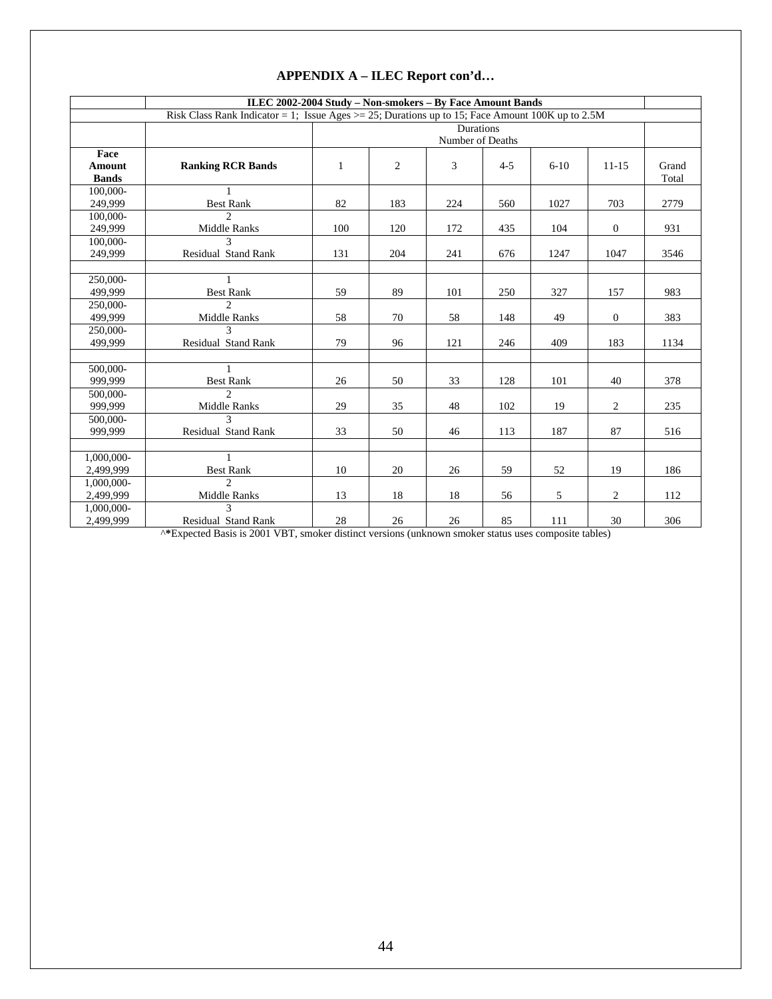|                     | ILEC 2002-2004 Study - Non-smokers - By Face Amount Bands                                           |     |     |                  |         |          |                  |       |
|---------------------|-----------------------------------------------------------------------------------------------------|-----|-----|------------------|---------|----------|------------------|-------|
|                     | Risk Class Rank Indicator = 1; Issue Ages $>$ = 25; Durations up to 15; Face Amount 100K up to 2.5M |     |     |                  |         |          |                  |       |
|                     |                                                                                                     |     |     | Durations        |         |          |                  |       |
|                     |                                                                                                     |     |     | Number of Deaths |         |          |                  |       |
| Face                |                                                                                                     |     |     |                  |         |          |                  |       |
| <b>Amount</b>       | <b>Ranking RCR Bands</b>                                                                            | 1   | 2   | 3                | $4 - 5$ | $6 - 10$ | $11 - 15$        | Grand |
| <b>Bands</b>        |                                                                                                     |     |     |                  |         |          |                  | Total |
| 100,000-            |                                                                                                     |     |     |                  |         |          |                  |       |
| 249,999             | <b>Best Rank</b>                                                                                    | 82  | 183 | 224              | 560     | 1027     | 703              | 2779  |
| 100,000-            | C                                                                                                   |     |     |                  |         |          |                  |       |
| 249,999             | Middle Ranks                                                                                        | 100 | 120 | 172              | 435     | 104      | $\mathbf{0}$     | 931   |
| 100,000-            | $\mathbf{3}$                                                                                        |     |     |                  |         |          |                  |       |
| 249,999             | Residual Stand Rank                                                                                 | 131 | 204 | 241              | 676     | 1247     | 1047             | 3546  |
|                     |                                                                                                     |     |     |                  |         |          |                  |       |
| 250,000-            | $\mathbf{1}$                                                                                        |     |     |                  |         |          |                  |       |
| 499,999             | <b>Best Rank</b><br>$\mathcal{D}_{\alpha}$                                                          | 59  | 89  | 101              | 250     | 327      | 157              | 983   |
| 250,000-<br>499,999 | Middle Ranks                                                                                        | 58  | 70  | 58               | 148     | 49       | $\boldsymbol{0}$ | 383   |
| 250,000-            |                                                                                                     |     |     |                  |         |          |                  |       |
| 499,999             | Residual Stand Rank                                                                                 | 79  | 96  | 121              | 246     | 409      | 183              | 1134  |
|                     |                                                                                                     |     |     |                  |         |          |                  |       |
| 500,000-            | $\mathbf{1}$                                                                                        |     |     |                  |         |          |                  |       |
| 999,999             | <b>Best Rank</b>                                                                                    | 26  | 50  | 33               | 128     | 101      | 40               | 378   |
| 500,000-            | $\mathcal{D}_{\alpha}$                                                                              |     |     |                  |         |          |                  |       |
| 999,999             | Middle Ranks                                                                                        | 29  | 35  | 48               | 102     | 19       | 2                | 235   |
| 500,000-            | $\mathcal{L}$                                                                                       |     |     |                  |         |          |                  |       |
| 999,999             | Residual Stand Rank                                                                                 | 33  | 50  | 46               | 113     | 187      | 87               | 516   |
|                     |                                                                                                     |     |     |                  |         |          |                  |       |
| 1,000,000-          | $\mathbf{1}$                                                                                        |     |     |                  |         |          |                  |       |
| 2,499,999           | <b>Best Rank</b>                                                                                    | 10  | 20  | 26               | 59      | 52       | 19               | 186   |
| 1,000,000-          | $\mathcal{D}_{\alpha}$                                                                              |     |     |                  |         |          |                  |       |
| 2,499,999           | Middle Ranks                                                                                        | 13  | 18  | 18               | 56      | 5        | $\overline{c}$   | 112   |
| 1,000,000-          | $\mathbf{3}$                                                                                        |     |     |                  |         |          |                  |       |
| 2,499,999           | Residual Stand Rank                                                                                 | 28  | 26  | 26               | 85      | 111      | 30               | 306   |

^**\***Expected Basis is 2001 VBT, smoker distinct versions (unknown smoker status uses composite tables)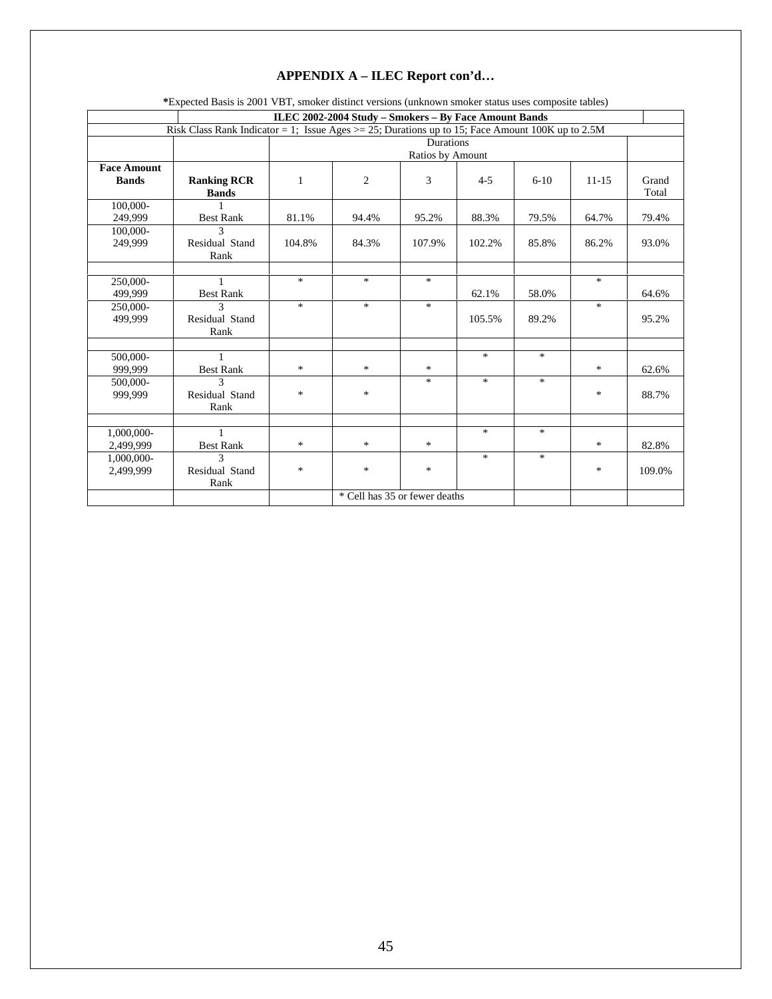| *Expected Basis is 2001 VBT, smoker distinct versions (unknown smoker status uses composite tables) |                                                                                                   |              |                                                       |                               |         |        |           |                |
|-----------------------------------------------------------------------------------------------------|---------------------------------------------------------------------------------------------------|--------------|-------------------------------------------------------|-------------------------------|---------|--------|-----------|----------------|
|                                                                                                     |                                                                                                   |              | ILEC 2002-2004 Study - Smokers - By Face Amount Bands |                               |         |        |           |                |
|                                                                                                     | Risk Class Rank Indicator = 1; Issue Ages > = 25; Durations up to 15; Face Amount 100K up to 2.5M |              |                                                       |                               |         |        |           |                |
|                                                                                                     |                                                                                                   |              |                                                       | <b>Durations</b>              |         |        |           |                |
|                                                                                                     |                                                                                                   |              |                                                       | Ratios by Amount              |         |        |           |                |
| <b>Face Amount</b><br><b>Bands</b>                                                                  | <b>Ranking RCR</b><br><b>Bands</b>                                                                | $\mathbf{1}$ | $\overline{c}$                                        | 3                             | $4 - 5$ | $6-10$ | $11 - 15$ | Grand<br>Total |
| 100.000-<br>249,999                                                                                 | <b>Best Rank</b>                                                                                  | 81.1%        | 94.4%                                                 | 95.2%                         | 88.3%   | 79.5%  | 64.7%     | 79.4%          |
| $100,000-$                                                                                          | $\mathbf{3}$                                                                                      |              |                                                       |                               |         |        |           |                |
| 249,999                                                                                             | Residual Stand<br>Rank                                                                            | 104.8%       | 84.3%                                                 | 107.9%                        | 102.2%  | 85.8%  | 86.2%     | 93.0%          |
|                                                                                                     |                                                                                                   |              |                                                       |                               |         |        |           |                |
| 250,000-<br>499.999                                                                                 | 1<br><b>Best Rank</b>                                                                             | $\ast$       | $\ast$                                                | $\ast$                        | 62.1%   | 58.0%  | $\ast$    | 64.6%          |
| 250,000-<br>499,999                                                                                 | $\mathbf{3}$<br>Residual Stand<br>Rank                                                            | $\ast$       | $\ast$                                                | $\ast$                        | 105.5%  | 89.2%  | $\ast$    | 95.2%          |
|                                                                                                     |                                                                                                   |              |                                                       |                               |         |        |           |                |
| 500,000-<br>999.999                                                                                 | 1<br><b>Best Rank</b>                                                                             | $\ast$       | $\ast$                                                | *                             | $\ast$  | $\ast$ | $\ast$    | 62.6%          |
| 500,000-<br>999,999                                                                                 | $\mathbf{3}$<br>Residual Stand<br>Rank                                                            | $\ast$       | *                                                     | $\ast$                        | $\ast$  | $\ast$ | *         | 88.7%          |
|                                                                                                     |                                                                                                   |              |                                                       |                               |         |        |           |                |
| 1,000,000-<br>2,499,999                                                                             | 1<br><b>Best Rank</b>                                                                             | $\ast$       | $\ast$                                                | $\ast$                        | $\ast$  | $\ast$ | $\ast$    | 82.8%          |
| 1,000,000-<br>2,499,999                                                                             | $\mathbf{3}$<br>Residual Stand<br>Rank                                                            | $\ast$       | $\ast$                                                | $\ast$                        | $\ast$  | $\ast$ | $\ast$    | 109.0%         |
|                                                                                                     |                                                                                                   |              |                                                       | * Cell has 35 or fewer deaths |         |        |           |                |

45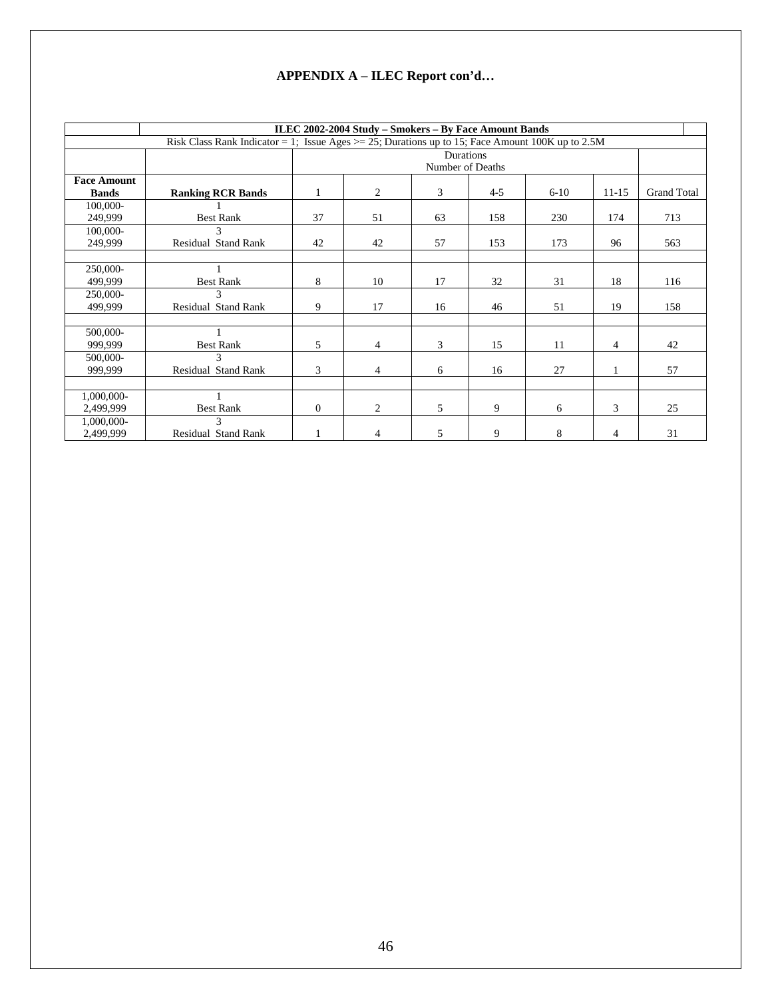|                    |                                                                                                     |              | ILEC 2002-2004 Study – Smokers – By Face Amount Bands |    |                  |          |                |                    |  |
|--------------------|-----------------------------------------------------------------------------------------------------|--------------|-------------------------------------------------------|----|------------------|----------|----------------|--------------------|--|
|                    | Risk Class Rank Indicator = 1; Issue Ages $>$ = 25; Durations up to 15; Face Amount 100K up to 2.5M |              |                                                       |    |                  |          |                |                    |  |
|                    |                                                                                                     |              |                                                       |    | Durations        |          |                |                    |  |
|                    |                                                                                                     |              |                                                       |    | Number of Deaths |          |                |                    |  |
| <b>Face Amount</b> |                                                                                                     |              |                                                       |    |                  |          |                |                    |  |
| <b>Bands</b>       | <b>Ranking RCR Bands</b>                                                                            |              | $\overline{c}$                                        | 3  | $4 - 5$          | $6 - 10$ | $11 - 15$      | <b>Grand Total</b> |  |
| 100,000-           |                                                                                                     |              |                                                       |    |                  |          |                |                    |  |
| 249,999            | <b>Best Rank</b>                                                                                    | 37           | 51                                                    | 63 | 158              | 230      | 174            | 713                |  |
| 100,000-           | 3                                                                                                   |              |                                                       |    |                  |          |                |                    |  |
| 249,999            | <b>Residual Stand Rank</b>                                                                          | 42           | 42                                                    | 57 | 153              | 173      | 96             | 563                |  |
|                    |                                                                                                     |              |                                                       |    |                  |          |                |                    |  |
| 250,000-           |                                                                                                     |              |                                                       |    |                  |          |                |                    |  |
| 499,999            | <b>Best Rank</b>                                                                                    | 8            | 10                                                    | 17 | 32               | 31       | 18             | 116                |  |
| 250,000-           |                                                                                                     |              |                                                       |    |                  |          |                |                    |  |
| 499,999            | Residual Stand Rank                                                                                 | 9            | 17                                                    | 16 | 46               | 51       | 19             | 158                |  |
|                    |                                                                                                     |              |                                                       |    |                  |          |                |                    |  |
| 500,000-           |                                                                                                     |              |                                                       |    |                  |          |                |                    |  |
| 999,999            | <b>Best Rank</b>                                                                                    | 5            | 4                                                     | 3  | 15               | 11       | 4              | 42                 |  |
| 500,000-           | 3                                                                                                   |              |                                                       |    |                  |          |                |                    |  |
| 999,999            | Residual Stand Rank                                                                                 | 3            | $\overline{4}$                                        | 6  | 16               | 27       | 1              | 57                 |  |
|                    |                                                                                                     |              |                                                       |    |                  |          |                |                    |  |
| 1,000,000-         |                                                                                                     |              |                                                       |    |                  |          |                |                    |  |
| 2,499,999          | <b>Best Rank</b>                                                                                    | $\mathbf{0}$ | $\overline{c}$                                        | 5  | 9                | 6        | 3              | 25                 |  |
| 1,000,000-         | $\mathbf{3}$                                                                                        |              |                                                       |    |                  |          |                |                    |  |
| 2,499,999          | Residual Stand Rank                                                                                 |              | 4                                                     | 5  | 9                | 8        | $\overline{4}$ | 31                 |  |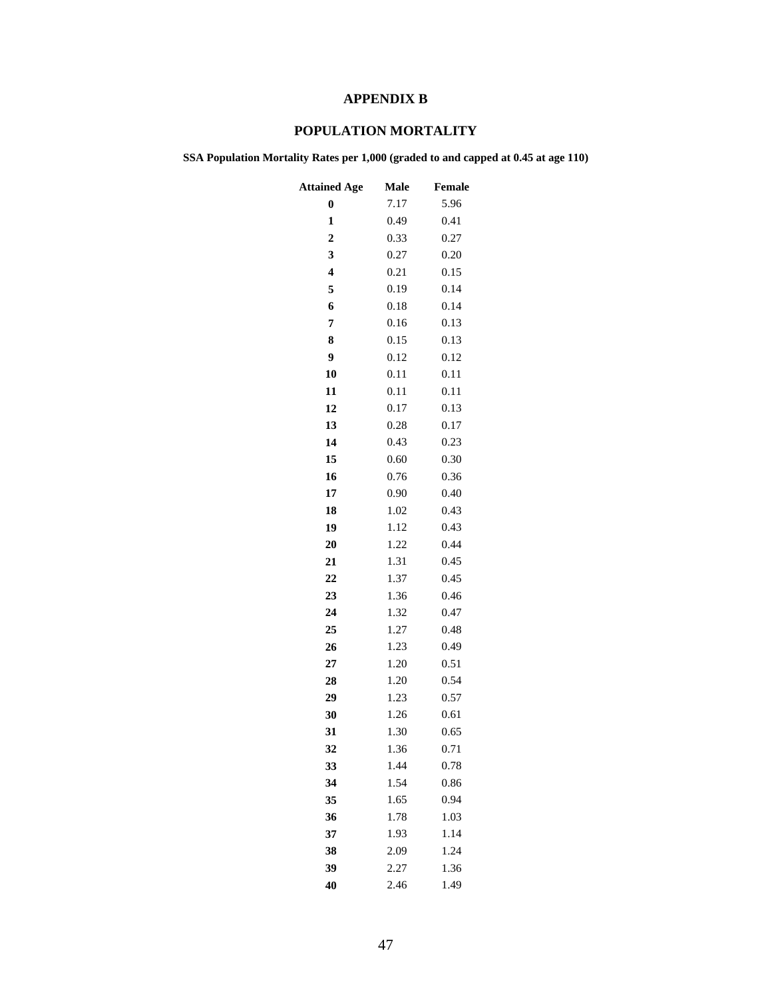# **APPENDIX B**

# **POPULATION MORTALITY**

**SSA Population Mortality Rates per 1,000 (graded to and capped at 0.45 at age 110)** 

| <b>Attained Age</b>     | Male | Female |
|-------------------------|------|--------|
| $\bf{0}$                | 7.17 | 5.96   |
| 1                       | 0.49 | 0.41   |
| $\overline{2}$          | 0.33 | 0.27   |
| 3                       | 0.27 | 0.20   |
| $\overline{\mathbf{4}}$ | 0.21 | 0.15   |
| 5                       | 0.19 | 0.14   |
| 6                       | 0.18 | 0.14   |
| 7                       | 0.16 | 0.13   |
| 8                       | 0.15 | 0.13   |
| 9                       | 0.12 | 0.12   |
| 10                      | 0.11 | 0.11   |
| 11                      | 0.11 | 0.11   |
| 12                      | 0.17 | 0.13   |
| 13                      | 0.28 | 0.17   |
| 14                      | 0.43 | 0.23   |
| 15                      | 0.60 | 0.30   |
| 16                      | 0.76 | 0.36   |
| 17                      | 0.90 | 0.40   |
| 18                      | 1.02 | 0.43   |
| 19                      | 1.12 | 0.43   |
| 20                      | 1.22 | 0.44   |
| 21                      | 1.31 | 0.45   |
| 22                      | 1.37 | 0.45   |
| 23                      | 1.36 | 0.46   |
| 24                      | 1.32 | 0.47   |
| 25                      | 1.27 | 0.48   |
| 26                      | 1.23 | 0.49   |
| 27                      | 1.20 | 0.51   |
| 28                      | 1.20 | 0.54   |
| 29                      | 1.23 | 0.57   |
| 30                      | 1.26 | 0.61   |
| 31                      | 1.30 | 0.65   |
| 32                      | 1.36 | 0.71   |
| 33                      | 1.44 | 0.78   |
| 34                      | 1.54 | 0.86   |
| 35                      | 1.65 | 0.94   |
| 36                      | 1.78 | 1.03   |
| 37                      | 1.93 | 1.14   |
| 38                      | 2.09 | 1.24   |
| 39                      | 2.27 | 1.36   |
| 40                      | 2.46 | 1.49   |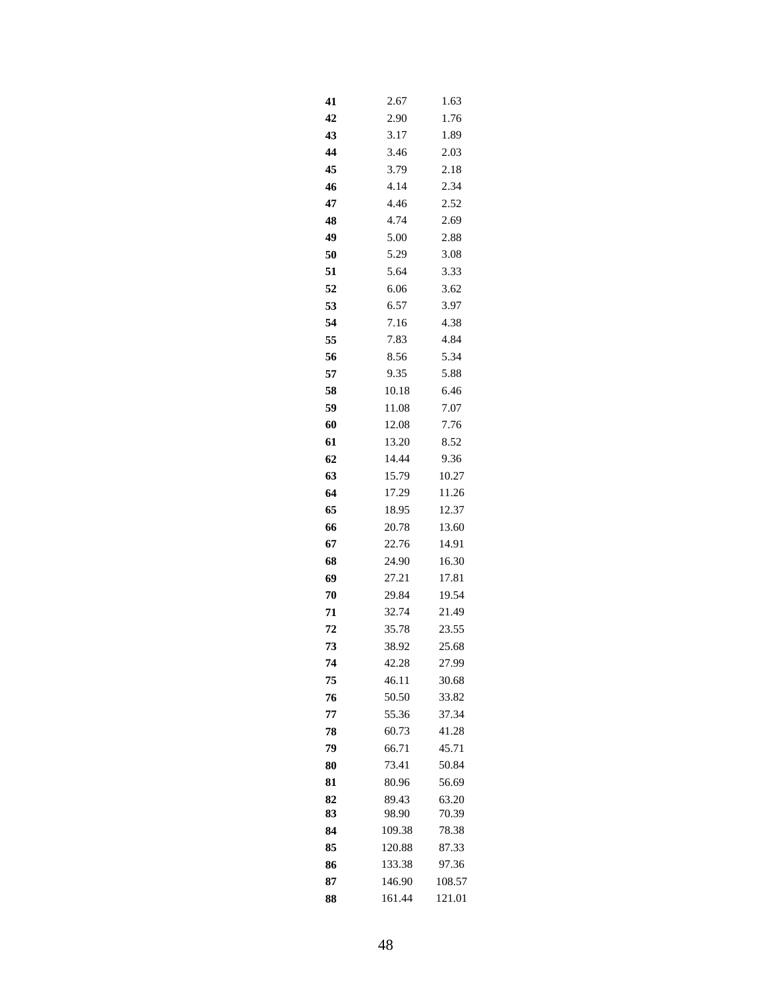| 41       | 2.67           | 1.63           |
|----------|----------------|----------------|
| 42       | 2.90           | 1.76           |
| 43       | 3.17           | 1.89           |
| 44       | 3.46           | 2.03           |
| 45       | 3.79           | 2.18           |
| 46       | 4.14           | 2.34           |
| 47       | 4.46           | 2.52           |
| 48       | 4.74           | 2.69           |
| 49       | 5.00           | 2.88           |
| 50       | 5.29           | 3.08           |
| 51       | 5.64           | 3.33           |
| 52       | 6.06           | 3.62           |
| 53       | 6.57           | 3.97           |
| 54       | 7.16           | 4.38           |
| 55       | 7.83           | 4.84           |
| 56       | 8.56           | 5.34           |
| 57       | 9.35           | 5.88           |
| 58       | 10.18          | 6.46           |
| 59       | 11.08          | 7.07           |
| 60       | 12.08          | 7.76           |
| 61       | 13.20          | 8.52           |
| 62       | 14.44          | 9.36           |
| 63       | 15.79          | 10.27          |
| 64       | 17.29          | 11.26          |
| 65       | 18.95          | 12.37          |
| 66       | 20.78          | 13.60          |
| 67       | 22.76          | 14.91          |
| 68       | 24.90          | 16.30          |
| 69       | 27.21          | 17.81          |
| 70       | 29.84<br>32.74 | 19.54<br>21.49 |
| 71       | 35.78          | 23.55          |
| 72<br>73 | 38.92          | 25.68          |
| 74       | 42.28          | 27.99          |
| 75       | 46.11          | 30.68          |
| 76       | 50.50          | 33.82          |
| 77       | 55.36          | 37.34          |
| 78       | 60.73          | 41.28          |
| 79       | 66.71          | 45.71          |
| 80       | 73.41          | 50.84          |
| 81       | 80.96          | 56.69          |
| 82       | 89.43          | 63.20          |
| 83       | 98.90          | 70.39          |
| 84       | 109.38         | 78.38          |
| 85       | 120.88         | 87.33          |
| 86       | 133.38         | 97.36          |
| 87       | 146.90         | 108.57         |
| 88       | 161.44         | 121.01         |
|          |                |                |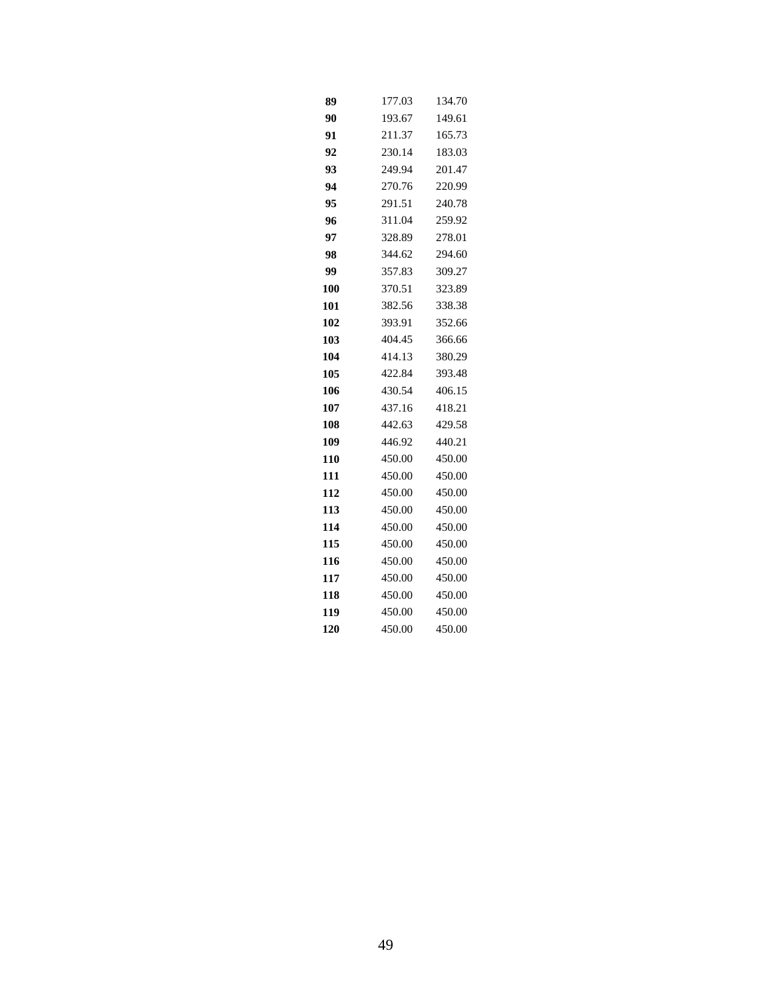| 89  | 177.03 | 134.70 |
|-----|--------|--------|
| 90  | 193.67 | 149.61 |
| 91  | 211.37 | 165.73 |
| 92  | 230.14 | 183.03 |
| 93  | 249.94 | 201.47 |
| 94  | 270.76 | 220.99 |
| 95  | 291.51 | 240.78 |
| 96  | 311.04 | 259.92 |
| 97  | 328.89 | 278.01 |
| 98  | 344.62 | 294.60 |
| 99  | 357.83 | 309.27 |
| 100 | 370.51 | 323.89 |
| 101 | 382.56 | 338.38 |
| 102 | 393.91 | 352.66 |
| 103 | 404.45 | 366.66 |
| 104 | 414.13 | 380.29 |
| 105 | 422.84 | 393.48 |
| 106 | 430.54 | 406.15 |
| 107 | 437.16 | 418.21 |
| 108 | 442.63 | 429.58 |
| 109 | 446.92 | 440.21 |
| 110 | 450.00 | 450.00 |
| 111 | 450.00 | 450.00 |
| 112 | 450.00 | 450.00 |
| 113 | 450.00 | 450.00 |
| 114 | 450.00 | 450.00 |
| 115 | 450.00 | 450.00 |
| 116 | 450.00 | 450.00 |
| 117 | 450.00 | 450.00 |
| 118 | 450.00 | 450.00 |
| 119 | 450.00 | 450.00 |
| 120 | 450.00 | 450.00 |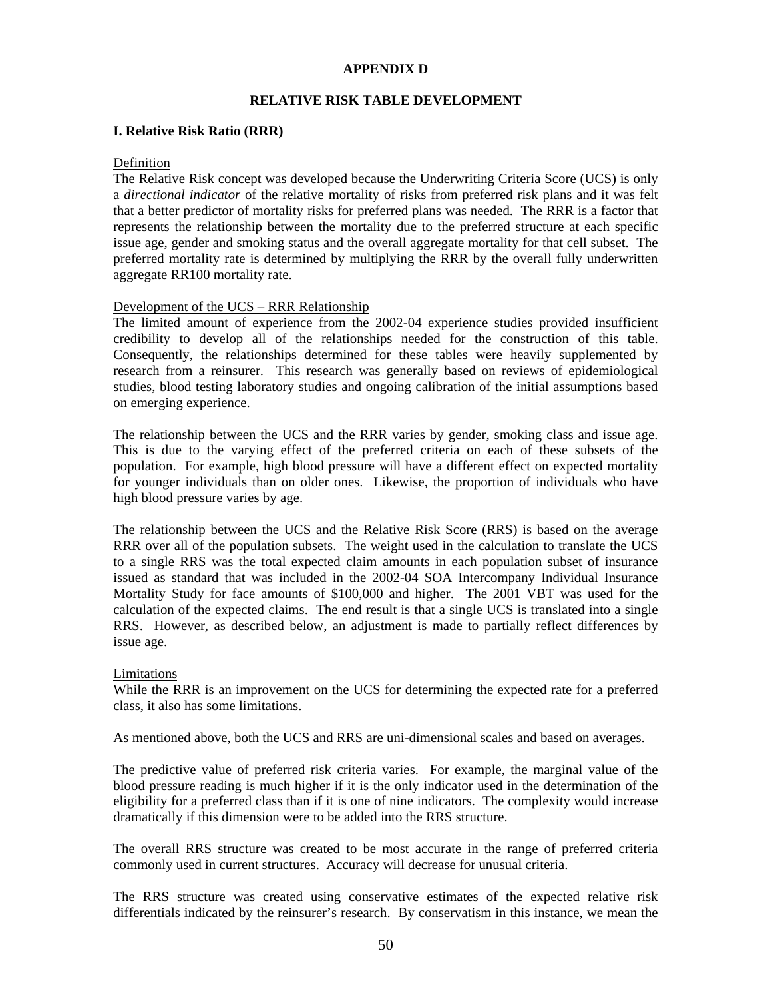## **APPENDIX D**

## **RELATIVE RISK TABLE DEVELOPMENT**

### **I. Relative Risk Ratio (RRR)**

### Definition

The Relative Risk concept was developed because the Underwriting Criteria Score (UCS) is only a *directional indicator* of the relative mortality of risks from preferred risk plans and it was felt that a better predictor of mortality risks for preferred plans was needed. The RRR is a factor that represents the relationship between the mortality due to the preferred structure at each specific issue age, gender and smoking status and the overall aggregate mortality for that cell subset. The preferred mortality rate is determined by multiplying the RRR by the overall fully underwritten aggregate RR100 mortality rate.

### Development of the UCS – RRR Relationship

The limited amount of experience from the 2002-04 experience studies provided insufficient credibility to develop all of the relationships needed for the construction of this table. Consequently, the relationships determined for these tables were heavily supplemented by research from a reinsurer. This research was generally based on reviews of epidemiological studies, blood testing laboratory studies and ongoing calibration of the initial assumptions based on emerging experience.

The relationship between the UCS and the RRR varies by gender, smoking class and issue age. This is due to the varying effect of the preferred criteria on each of these subsets of the population. For example, high blood pressure will have a different effect on expected mortality for younger individuals than on older ones. Likewise, the proportion of individuals who have high blood pressure varies by age.

The relationship between the UCS and the Relative Risk Score (RRS) is based on the average RRR over all of the population subsets. The weight used in the calculation to translate the UCS to a single RRS was the total expected claim amounts in each population subset of insurance issued as standard that was included in the 2002-04 SOA Intercompany Individual Insurance Mortality Study for face amounts of \$100,000 and higher. The 2001 VBT was used for the calculation of the expected claims. The end result is that a single UCS is translated into a single RRS. However, as described below, an adjustment is made to partially reflect differences by issue age.

#### Limitations

While the RRR is an improvement on the UCS for determining the expected rate for a preferred class, it also has some limitations.

As mentioned above, both the UCS and RRS are uni-dimensional scales and based on averages.

The predictive value of preferred risk criteria varies. For example, the marginal value of the blood pressure reading is much higher if it is the only indicator used in the determination of the eligibility for a preferred class than if it is one of nine indicators. The complexity would increase dramatically if this dimension were to be added into the RRS structure.

The overall RRS structure was created to be most accurate in the range of preferred criteria commonly used in current structures. Accuracy will decrease for unusual criteria.

The RRS structure was created using conservative estimates of the expected relative risk differentials indicated by the reinsurer's research. By conservatism in this instance, we mean the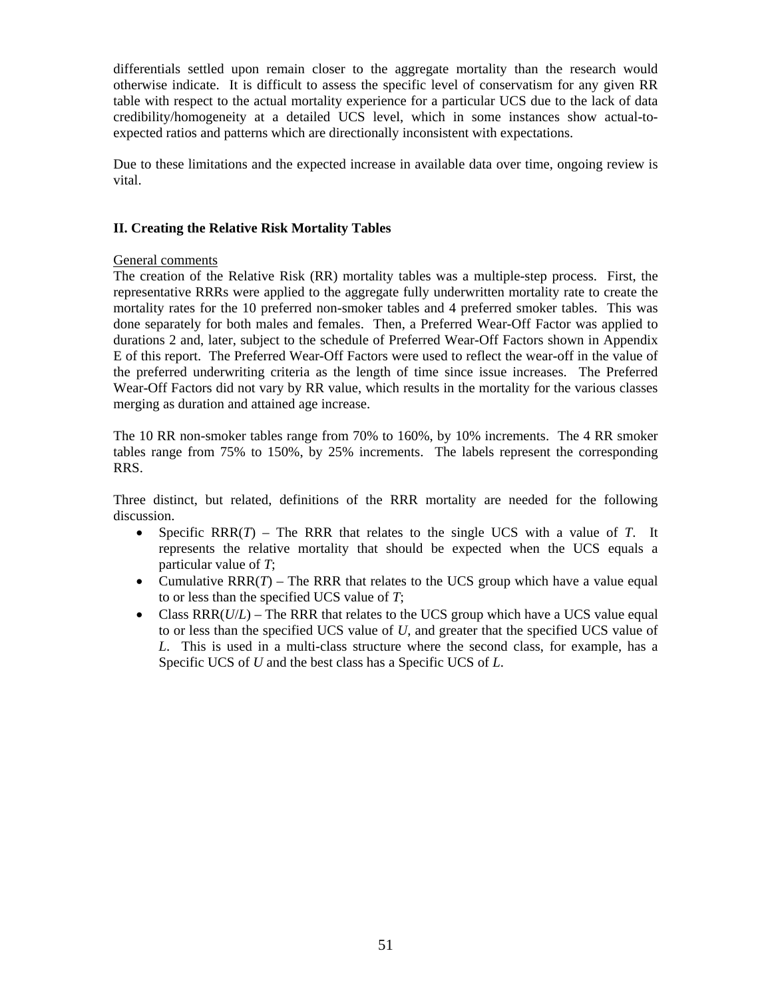differentials settled upon remain closer to the aggregate mortality than the research would otherwise indicate. It is difficult to assess the specific level of conservatism for any given RR table with respect to the actual mortality experience for a particular UCS due to the lack of data credibility/homogeneity at a detailed UCS level, which in some instances show actual-toexpected ratios and patterns which are directionally inconsistent with expectations.

Due to these limitations and the expected increase in available data over time, ongoing review is vital.

## **II. Creating the Relative Risk Mortality Tables**

## General comments

The creation of the Relative Risk (RR) mortality tables was a multiple-step process. First, the representative RRRs were applied to the aggregate fully underwritten mortality rate to create the mortality rates for the 10 preferred non-smoker tables and 4 preferred smoker tables. This was done separately for both males and females. Then, a Preferred Wear-Off Factor was applied to durations 2 and, later, subject to the schedule of Preferred Wear-Off Factors shown in Appendix E of this report. The Preferred Wear-Off Factors were used to reflect the wear-off in the value of the preferred underwriting criteria as the length of time since issue increases. The Preferred Wear-Off Factors did not vary by RR value, which results in the mortality for the various classes merging as duration and attained age increase.

The 10 RR non-smoker tables range from 70% to 160%, by 10% increments. The 4 RR smoker tables range from 75% to 150%, by 25% increments. The labels represent the corresponding RRS.

Three distinct, but related, definitions of the RRR mortality are needed for the following discussion.

- Specific RRR(*T*) The RRR that relates to the single UCS with a value of *T*. It represents the relative mortality that should be expected when the UCS equals a particular value of *T*;
- Cumulative  $RRR(T)$  The RRR that relates to the UCS group which have a value equal to or less than the specified UCS value of *T*;
- Class RRR( $U/L$ ) The RRR that relates to the UCS group which have a UCS value equal to or less than the specified UCS value of *U*, and greater that the specified UCS value of *L*. This is used in a multi-class structure where the second class, for example, has a Specific UCS of *U* and the best class has a Specific UCS of *L*.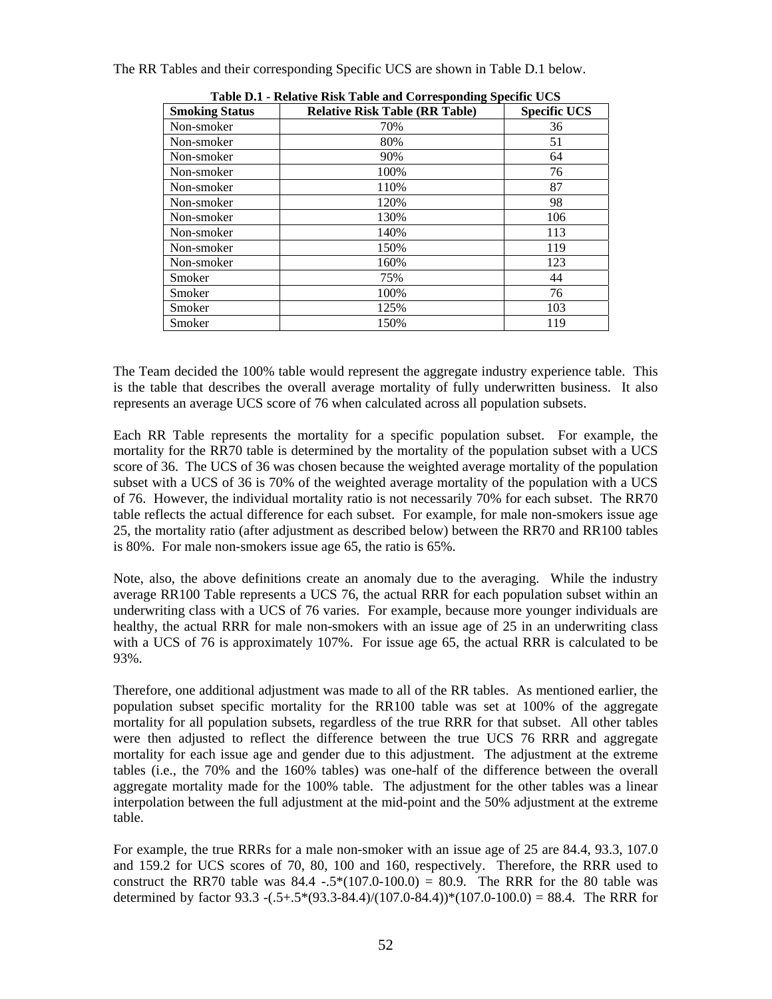| Table D.I - Kelative Kisk Table and Corresponding Specific OCS |                                       |                     |  |  |  |  |  |  |  |
|----------------------------------------------------------------|---------------------------------------|---------------------|--|--|--|--|--|--|--|
| <b>Smoking Status</b>                                          | <b>Relative Risk Table (RR Table)</b> | <b>Specific UCS</b> |  |  |  |  |  |  |  |
| Non-smoker                                                     | 70%                                   | 36                  |  |  |  |  |  |  |  |
| Non-smoker                                                     | 80%                                   | 51                  |  |  |  |  |  |  |  |
| Non-smoker                                                     | 90%                                   | 64                  |  |  |  |  |  |  |  |
| Non-smoker                                                     | 100%                                  | 76                  |  |  |  |  |  |  |  |
| Non-smoker                                                     | 110%                                  | 87                  |  |  |  |  |  |  |  |
| Non-smoker                                                     | 120%                                  | 98                  |  |  |  |  |  |  |  |
| Non-smoker                                                     | 130%                                  | 106                 |  |  |  |  |  |  |  |
| Non-smoker                                                     | 140%                                  | 113                 |  |  |  |  |  |  |  |
| Non-smoker                                                     | 150%                                  | 119                 |  |  |  |  |  |  |  |
| Non-smoker                                                     | 160%                                  | 123                 |  |  |  |  |  |  |  |
| Smoker                                                         | 75%                                   | 44                  |  |  |  |  |  |  |  |
| Smoker                                                         | 100%                                  | 76                  |  |  |  |  |  |  |  |
| Smoker                                                         | 125%                                  | 103                 |  |  |  |  |  |  |  |
| Smoker                                                         | 150%                                  | 119                 |  |  |  |  |  |  |  |

The RR Tables and their corresponding Specific UCS are shown in Table D.1 below.

The Team decided the 100% table would represent the aggregate industry experience table. This is the table that describes the overall average mortality of fully underwritten business. It also

represents an average UCS score of 76 when calculated across all population subsets.

**Table D.1 - Relative Risk Table and Corresponding Specific UCS** 

Each RR Table represents the mortality for a specific population subset. For example, the mortality for the RR70 table is determined by the mortality of the population subset with a UCS score of 36. The UCS of 36 was chosen because the weighted average mortality of the population subset with a UCS of 36 is 70% of the weighted average mortality of the population with a UCS of 76. However, the individual mortality ratio is not necessarily 70% for each subset. The RR70 table reflects the actual difference for each subset. For example, for male non-smokers issue age 25, the mortality ratio (after adjustment as described below) between the RR70 and RR100 tables is 80%. For male non-smokers issue age 65, the ratio is 65%.

Note, also, the above definitions create an anomaly due to the averaging. While the industry average RR100 Table represents a UCS 76, the actual RRR for each population subset within an underwriting class with a UCS of 76 varies. For example, because more younger individuals are healthy, the actual RRR for male non-smokers with an issue age of 25 in an underwriting class with a UCS of 76 is approximately 107%. For issue age 65, the actual RRR is calculated to be 93%.

Therefore, one additional adjustment was made to all of the RR tables. As mentioned earlier, the population subset specific mortality for the RR100 table was set at 100% of the aggregate mortality for all population subsets, regardless of the true RRR for that subset. All other tables were then adjusted to reflect the difference between the true UCS 76 RRR and aggregate mortality for each issue age and gender due to this adjustment. The adjustment at the extreme tables (i.e., the 70% and the 160% tables) was one-half of the difference between the overall aggregate mortality made for the 100% table. The adjustment for the other tables was a linear interpolation between the full adjustment at the mid-point and the 50% adjustment at the extreme table.

For example, the true RRRs for a male non-smoker with an issue age of 25 are 84.4, 93.3, 107.0 and 159.2 for UCS scores of 70, 80, 100 and 160, respectively. Therefore, the RRR used to construct the RR70 table was  $84.4 - 5*(107.0-100.0) = 80.9$ . The RRR for the 80 table was determined by factor 93.3  $-(.5+.5*(93.3-84.4)/(107.0-84.4))*(107.0-100.0) = 88.4$ . The RRR for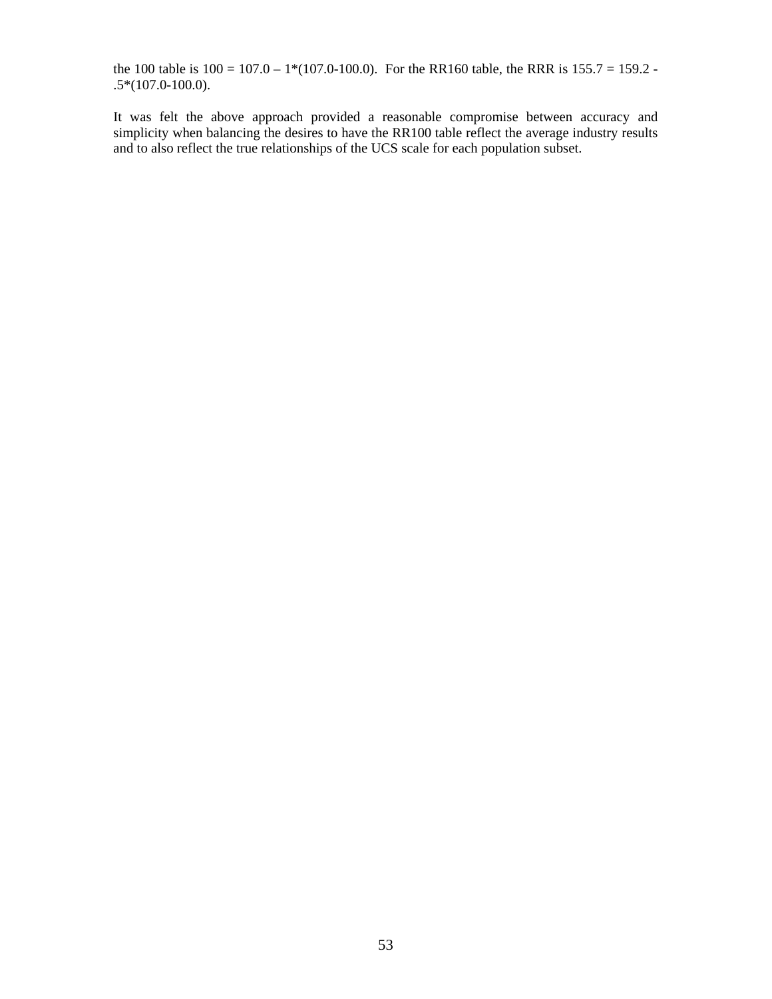the 100 table is  $100 = 107.0 - 1*(107.0 - 100.0)$ . For the RR160 table, the RRR is  $155.7 = 159.2$ . .5\*(107.0-100.0).

It was felt the above approach provided a reasonable compromise between accuracy and simplicity when balancing the desires to have the RR100 table reflect the average industry results and to also reflect the true relationships of the UCS scale for each population subset.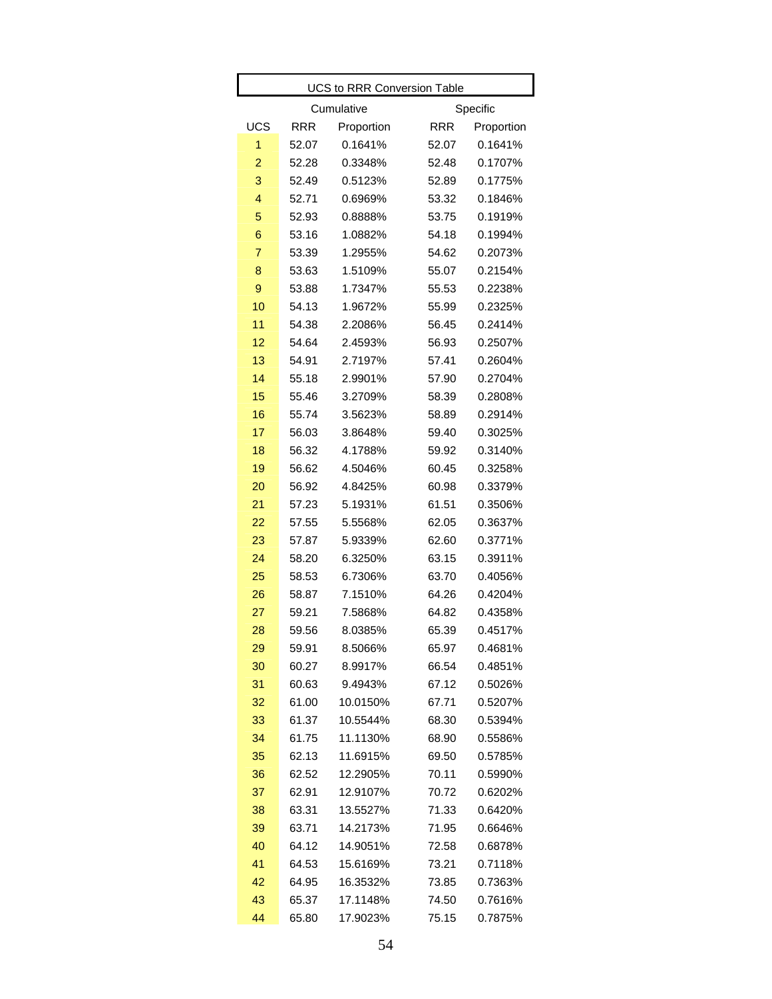|                | <b>UCS to RRR Conversion Table</b> |            |            |            |  |  |  |  |  |
|----------------|------------------------------------|------------|------------|------------|--|--|--|--|--|
|                |                                    | Cumulative |            | Specific   |  |  |  |  |  |
| UCS            | <b>RRR</b>                         | Proportion | <b>RRR</b> | Proportion |  |  |  |  |  |
| 1              | 52.07                              | 0.1641%    | 52.07      | 0.1641%    |  |  |  |  |  |
| $\overline{2}$ | 52.28                              | 0.3348%    | 52.48      | 0.1707%    |  |  |  |  |  |
| 3              | 52.49                              | 0.5123%    | 52.89      | 0.1775%    |  |  |  |  |  |
| $\overline{4}$ | 52.71                              | 0.6969%    | 53.32      | 0.1846%    |  |  |  |  |  |
| 5              | 52.93                              | 0.8888%    | 53.75      | 0.1919%    |  |  |  |  |  |
| 6              | 53.16                              | 1.0882%    | 54.18      | 0.1994%    |  |  |  |  |  |
| $\overline{7}$ | 53.39                              | 1.2955%    | 54.62      | 0.2073%    |  |  |  |  |  |
| 8              | 53.63                              | 1.5109%    | 55.07      | 0.2154%    |  |  |  |  |  |
| 9              | 53.88                              | 1.7347%    | 55.53      | 0.2238%    |  |  |  |  |  |
| 10             | 54.13                              | 1.9672%    | 55.99      | 0.2325%    |  |  |  |  |  |
| 11             | 54.38                              | 2.2086%    | 56.45      | 0.2414%    |  |  |  |  |  |
| 12             | 54.64                              | 2.4593%    | 56.93      | 0.2507%    |  |  |  |  |  |
| 13             | 54.91                              | 2.7197%    | 57.41      | 0.2604%    |  |  |  |  |  |
| 14             | 55.18                              | 2.9901%    | 57.90      | 0.2704%    |  |  |  |  |  |
| 15             | 55.46                              | 3.2709%    | 58.39      | 0.2808%    |  |  |  |  |  |
| 16             | 55.74                              | 3.5623%    | 58.89      | 0.2914%    |  |  |  |  |  |
| 17             | 56.03                              | 3.8648%    | 59.40      | 0.3025%    |  |  |  |  |  |
| 18             | 56.32                              | 4.1788%    | 59.92      | 0.3140%    |  |  |  |  |  |
| 19             | 56.62                              | 4.5046%    | 60.45      | 0.3258%    |  |  |  |  |  |
| 20             | 56.92                              | 4.8425%    | 60.98      | 0.3379%    |  |  |  |  |  |
| 21             | 57.23                              | 5.1931%    | 61.51      | 0.3506%    |  |  |  |  |  |
| 22             | 57.55                              | 5.5568%    | 62.05      | 0.3637%    |  |  |  |  |  |
| 23             | 57.87                              | 5.9339%    | 62.60      | 0.3771%    |  |  |  |  |  |
| 24             | 58.20                              | 6.3250%    | 63.15      | 0.3911%    |  |  |  |  |  |
| 25             | 58.53                              | 6.7306%    | 63.70      | 0.4056%    |  |  |  |  |  |
| 26             | 58.87                              | 7.1510%    | 64.26      | 0.4204%    |  |  |  |  |  |
| 27             | 59.21                              | 7.5868%    | 64.82      | 0.4358%    |  |  |  |  |  |
| 28             | 59.56                              | 8.0385%    | 65.39      | 0.4517%    |  |  |  |  |  |
| 29             | 59.91                              | 8.5066%    | 65.97      | 0.4681%    |  |  |  |  |  |
| 30             | 60.27                              | 8.9917%    | 66.54      | 0.4851%    |  |  |  |  |  |
| 31             | 60.63                              | 9.4943%    | 67.12      | 0.5026%    |  |  |  |  |  |
| 32             | 61.00                              | 10.0150%   | 67.71      | 0.5207%    |  |  |  |  |  |
| 33             | 61.37                              | 10.5544%   | 68.30      | 0.5394%    |  |  |  |  |  |
| 34             | 61.75                              | 11.1130%   | 68.90      | 0.5586%    |  |  |  |  |  |
| 35             | 62.13                              | 11.6915%   | 69.50      | 0.5785%    |  |  |  |  |  |
| 36             | 62.52                              | 12.2905%   | 70.11      | 0.5990%    |  |  |  |  |  |
| 37             | 62.91                              | 12.9107%   | 70.72      | 0.6202%    |  |  |  |  |  |
| 38             | 63.31                              | 13.5527%   | 71.33      | 0.6420%    |  |  |  |  |  |
| 39             | 63.71                              | 14.2173%   | 71.95      | 0.6646%    |  |  |  |  |  |
| 40             | 64.12                              | 14.9051%   | 72.58      | 0.6878%    |  |  |  |  |  |
| 41             | 64.53                              | 15.6169%   | 73.21      | 0.7118%    |  |  |  |  |  |
| 42             | 64.95                              | 16.3532%   | 73.85      | 0.7363%    |  |  |  |  |  |
| 43             | 65.37                              | 17.1148%   | 74.50      | 0.7616%    |  |  |  |  |  |
| 44             | 65.80                              | 17.9023%   | 75.15      | 0.7875%    |  |  |  |  |  |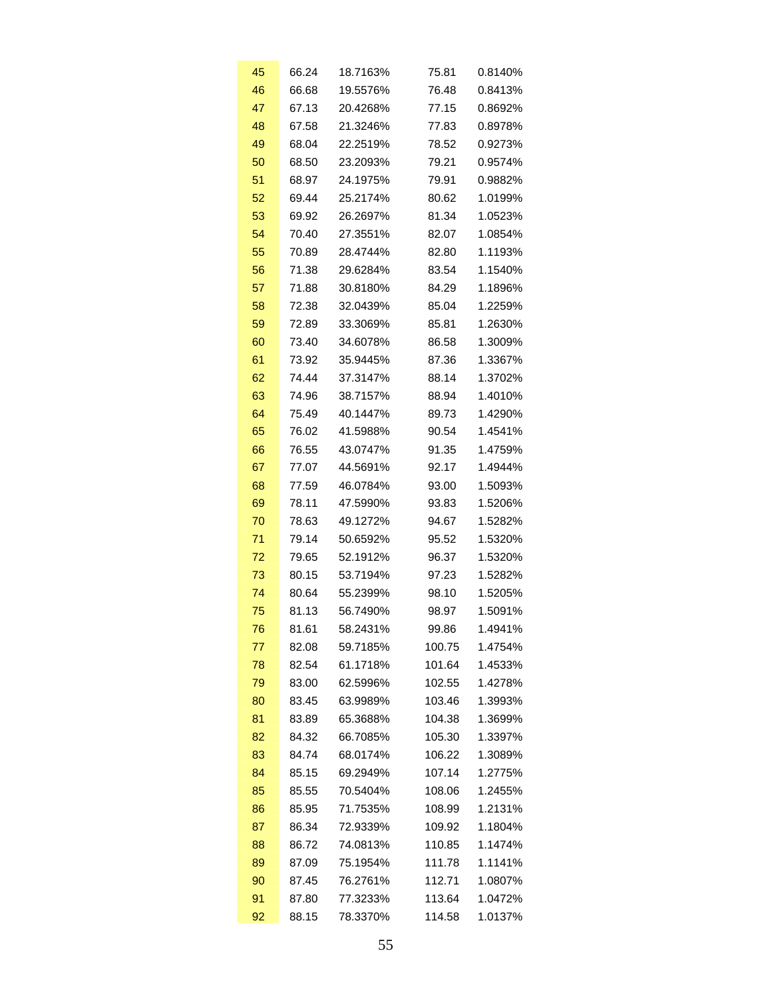| 45 | 66.24 | 18.7163% | 75.81  | 0.8140% |
|----|-------|----------|--------|---------|
| 46 | 66.68 | 19.5576% | 76.48  | 0.8413% |
| 47 | 67.13 | 20.4268% | 77.15  | 0.8692% |
| 48 | 67.58 | 21.3246% | 77.83  | 0.8978% |
| 49 | 68.04 | 22.2519% | 78.52  | 0.9273% |
| 50 | 68.50 | 23.2093% | 79.21  | 0.9574% |
| 51 | 68.97 | 24.1975% | 79.91  | 0.9882% |
| 52 | 69.44 | 25.2174% | 80.62  | 1.0199% |
| 53 | 69.92 | 26.2697% | 81.34  | 1.0523% |
| 54 | 70.40 | 27.3551% | 82.07  | 1.0854% |
| 55 | 70.89 | 28.4744% | 82.80  | 1.1193% |
| 56 | 71.38 | 29.6284% | 83.54  | 1.1540% |
| 57 | 71.88 | 30.8180% | 84.29  | 1.1896% |
| 58 | 72.38 | 32.0439% | 85.04  | 1.2259% |
| 59 | 72.89 | 33.3069% | 85.81  | 1.2630% |
| 60 | 73.40 | 34.6078% | 86.58  | 1.3009% |
| 61 | 73.92 | 35.9445% | 87.36  | 1.3367% |
| 62 | 74.44 | 37.3147% | 88.14  | 1.3702% |
| 63 | 74.96 | 38.7157% | 88.94  | 1.4010% |
| 64 | 75.49 | 40.1447% | 89.73  | 1.4290% |
| 65 | 76.02 | 41.5988% | 90.54  | 1.4541% |
| 66 | 76.55 | 43.0747% | 91.35  | 1.4759% |
| 67 | 77.07 | 44.5691% | 92.17  | 1.4944% |
| 68 | 77.59 | 46.0784% | 93.00  | 1.5093% |
| 69 | 78.11 | 47.5990% | 93.83  | 1.5206% |
| 70 | 78.63 | 49.1272% | 94.67  | 1.5282% |
| 71 | 79.14 | 50.6592% | 95.52  | 1.5320% |
| 72 | 79.65 | 52.1912% | 96.37  | 1.5320% |
| 73 | 80.15 | 53.7194% | 97.23  | 1.5282% |
| 74 | 80.64 | 55.2399% | 98.10  | 1.5205% |
| 75 | 81.13 | 56.7490% | 98.97  | 1.5091% |
| 76 | 81.61 | 58.2431% | 99.86  | 1.4941% |
| 77 | 82.08 | 59.7185% | 100.75 | 1.4754% |
| 78 | 82.54 | 61.1718% | 101.64 | 1.4533% |
| 79 | 83.00 | 62.5996% | 102.55 | 1.4278% |
| 80 | 83.45 | 63.9989% | 103.46 | 1.3993% |
| 81 | 83.89 | 65.3688% | 104.38 | 1.3699% |
| 82 | 84.32 | 66.7085% | 105.30 | 1.3397% |
| 83 | 84.74 | 68.0174% | 106.22 | 1.3089% |
| 84 | 85.15 | 69.2949% | 107.14 | 1.2775% |
| 85 | 85.55 | 70.5404% | 108.06 | 1.2455% |
| 86 | 85.95 | 71.7535% | 108.99 | 1.2131% |
| 87 | 86.34 | 72.9339% | 109.92 | 1.1804% |
| 88 | 86.72 | 74.0813% | 110.85 | 1.1474% |
| 89 | 87.09 | 75.1954% | 111.78 | 1.1141% |
| 90 | 87.45 | 76.2761% | 112.71 | 1.0807% |
| 91 | 87.80 | 77.3233% | 113.64 | 1.0472% |
| 92 | 88.15 | 78.3370% | 114.58 | 1.0137% |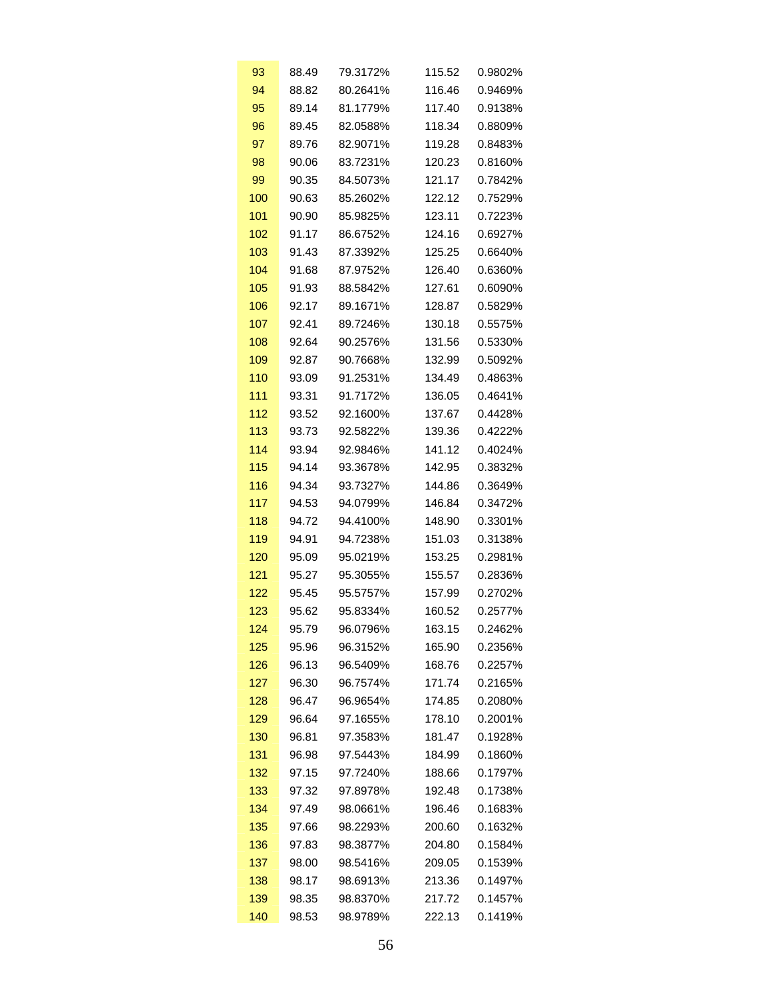| 93  | 88.49 | 79.3172% | 115.52 | 0.9802% |
|-----|-------|----------|--------|---------|
| 94  | 88.82 | 80.2641% | 116.46 | 0.9469% |
| 95  | 89.14 | 81.1779% | 117.40 | 0.9138% |
| 96  | 89.45 | 82.0588% | 118.34 | 0.8809% |
| 97  | 89.76 | 82.9071% | 119.28 | 0.8483% |
| 98  | 90.06 | 83.7231% | 120.23 | 0.8160% |
| 99  | 90.35 | 84.5073% | 121.17 | 0.7842% |
| 100 | 90.63 | 85.2602% | 122.12 | 0.7529% |
| 101 | 90.90 | 85.9825% | 123.11 | 0.7223% |
| 102 | 91.17 | 86.6752% | 124.16 | 0.6927% |
| 103 | 91.43 | 87.3392% | 125.25 | 0.6640% |
| 104 | 91.68 | 87.9752% | 126.40 | 0.6360% |
| 105 | 91.93 | 88.5842% | 127.61 | 0.6090% |
| 106 | 92.17 | 89.1671% | 128.87 | 0.5829% |
| 107 | 92.41 | 89.7246% | 130.18 | 0.5575% |
| 108 | 92.64 | 90.2576% | 131.56 | 0.5330% |
| 109 | 92.87 | 90.7668% | 132.99 | 0.5092% |
| 110 | 93.09 | 91.2531% | 134.49 | 0.4863% |
| 111 | 93.31 | 91.7172% | 136.05 | 0.4641% |
| 112 | 93.52 | 92.1600% | 137.67 | 0.4428% |
| 113 | 93.73 | 92.5822% | 139.36 | 0.4222% |
| 114 | 93.94 | 92.9846% | 141.12 | 0.4024% |
| 115 | 94.14 | 93.3678% | 142.95 | 0.3832% |
| 116 | 94.34 | 93.7327% | 144.86 | 0.3649% |
| 117 | 94.53 | 94.0799% | 146.84 | 0.3472% |
| 118 | 94.72 | 94.4100% | 148.90 | 0.3301% |
| 119 | 94.91 | 94.7238% | 151.03 | 0.3138% |
| 120 | 95.09 | 95.0219% | 153.25 | 0.2981% |
| 121 | 95.27 | 95.3055% | 155.57 | 0.2836% |
| 122 | 95.45 | 95.5757% | 157.99 | 0.2702% |
| 123 | 95.62 | 95.8334% | 160.52 | 0.2577% |
| 124 | 95.79 | 96.0796% | 163.15 | 0.2462% |
| 125 | 95.96 | 96.3152% | 165.90 | 0.2356% |
| 126 | 96.13 | 96.5409% | 168.76 | 0.2257% |
| 127 | 96.30 | 96.7574% | 171.74 | 0.2165% |
| 128 | 96.47 | 96.9654% | 174.85 | 0.2080% |
| 129 | 96.64 | 97.1655% | 178.10 | 0.2001% |
| 130 | 96.81 | 97.3583% | 181.47 | 0.1928% |
| 131 | 96.98 | 97.5443% | 184.99 | 0.1860% |
| 132 | 97.15 | 97.7240% | 188.66 | 0.1797% |
| 133 | 97.32 | 97.8978% | 192.48 | 0.1738% |
| 134 | 97.49 | 98.0661% | 196.46 | 0.1683% |
| 135 | 97.66 | 98.2293% | 200.60 | 0.1632% |
| 136 | 97.83 | 98.3877% | 204.80 | 0.1584% |
| 137 | 98.00 | 98.5416% | 209.05 | 0.1539% |
| 138 | 98.17 | 98.6913% | 213.36 | 0.1497% |
| 139 | 98.35 | 98.8370% | 217.72 | 0.1457% |
| 140 | 98.53 | 98.9789% | 222.13 | 0.1419% |
|     |       |          |        |         |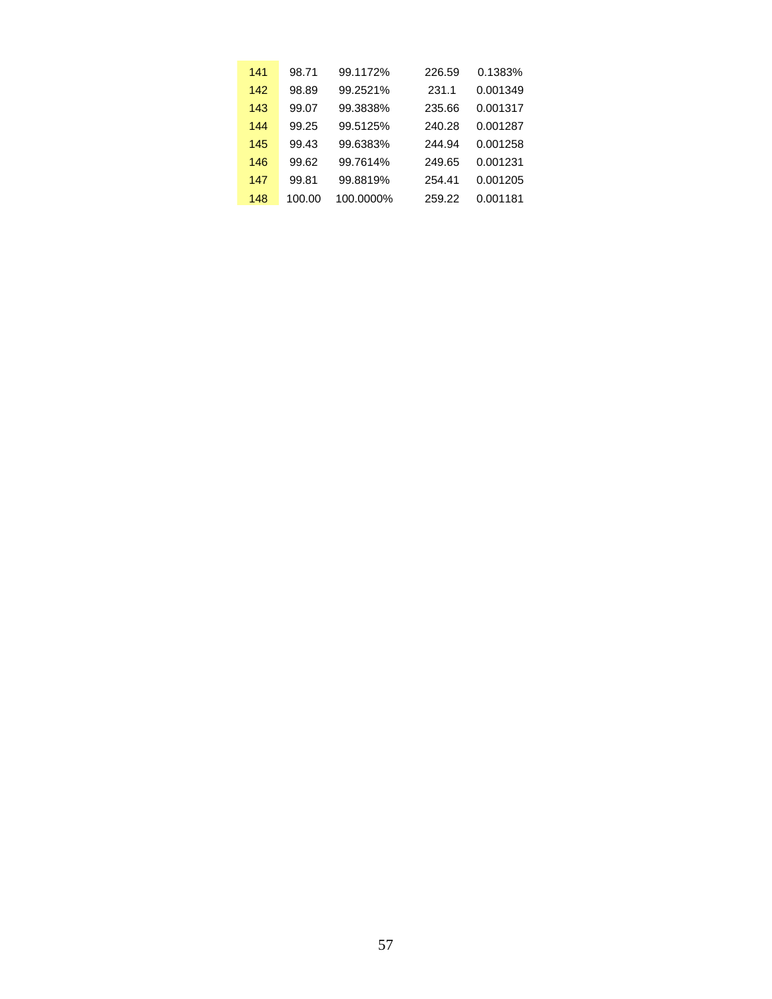| 141 | 98.71  | 99.1172%  | 226.59 | 0.1383%  |
|-----|--------|-----------|--------|----------|
| 142 | 98.89  | 99.2521%  | 231.1  | 0.001349 |
| 143 | 99.07  | 99.3838%  | 235.66 | 0.001317 |
| 144 | 99.25  | 99.5125%  | 240.28 | 0.001287 |
| 145 | 99.43  | 99.6383%  | 244.94 | 0.001258 |
| 146 | 99.62  | 99.7614%  | 249.65 | 0.001231 |
| 147 | 99.81  | 99.8819%  | 254.41 | 0.001205 |
| 148 | 100.00 | 100.0000% | 259.22 | 0.001181 |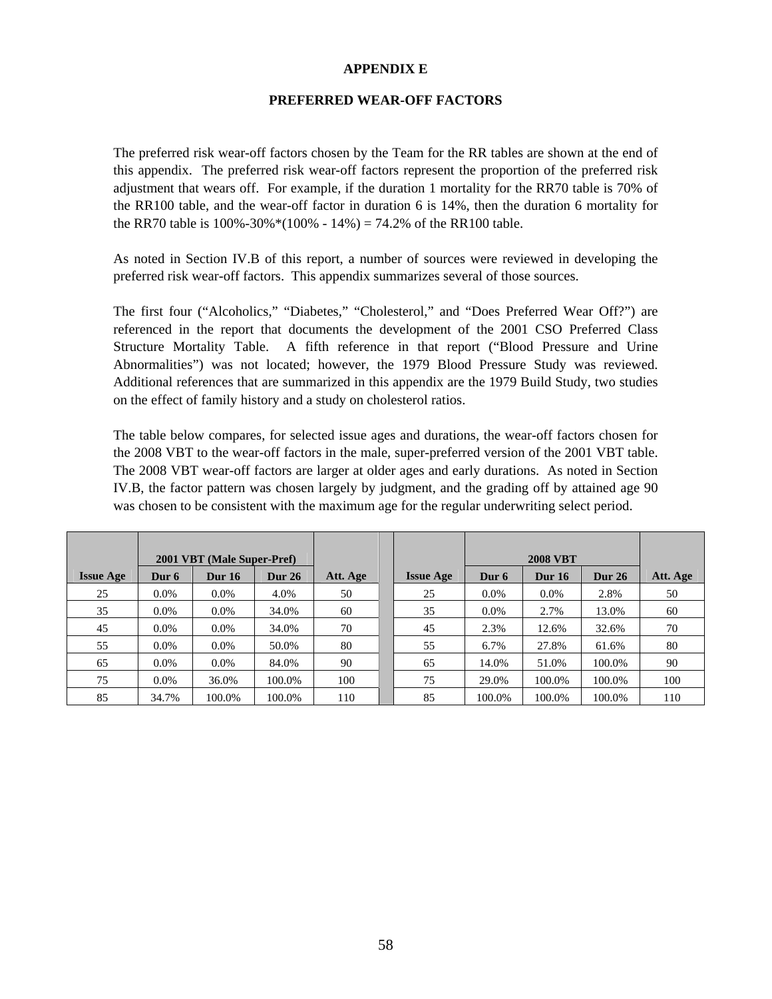## **APPENDIX E**

### **PREFERRED WEAR-OFF FACTORS**

The preferred risk wear-off factors chosen by the Team for the RR tables are shown at the end of this appendix. The preferred risk wear-off factors represent the proportion of the preferred risk adjustment that wears off. For example, if the duration 1 mortality for the RR70 table is 70% of the RR100 table, and the wear-off factor in duration 6 is 14%, then the duration 6 mortality for the RR70 table is  $100\% - 30\% * (100\% - 14\%) = 74.2\%$  of the RR100 table.

As noted in Section IV.B of this report, a number of sources were reviewed in developing the preferred risk wear-off factors. This appendix summarizes several of those sources.

The first four ("Alcoholics," "Diabetes," "Cholesterol," and "Does Preferred Wear Off?") are referenced in the report that documents the development of the 2001 CSO Preferred Class Structure Mortality Table. A fifth reference in that report ("Blood Pressure and Urine Abnormalities") was not located; however, the 1979 Blood Pressure Study was reviewed. Additional references that are summarized in this appendix are the 1979 Build Study, two studies on the effect of family history and a study on cholesterol ratios.

The table below compares, for selected issue ages and durations, the wear-off factors chosen for the 2008 VBT to the wear-off factors in the male, super-preferred version of the 2001 VBT table. The 2008 VBT wear-off factors are larger at older ages and early durations. As noted in Section IV.B, the factor pattern was chosen largely by judgment, and the grading off by attained age 90 was chosen to be consistent with the maximum age for the regular underwriting select period.

|                  |         | 2001 VBT (Male Super-Pref) |               |          |                  |         | <b>2008 VBT</b> |               |          |
|------------------|---------|----------------------------|---------------|----------|------------------|---------|-----------------|---------------|----------|
| <b>Issue Age</b> | Dur 6   | <b>Dur 16</b>              | <b>Dur 26</b> | Att. Age | <b>Issue Age</b> | Dur 6   | <b>Dur 16</b>   | <b>Dur 26</b> | Att. Age |
| 25               | $0.0\%$ | $0.0\%$                    | 4.0%          | 50       | 25               | $0.0\%$ | $0.0\%$         | 2.8%          | 50       |
| 35               | $0.0\%$ | $0.0\%$                    | 34.0%         | 60       | 35               | $0.0\%$ | 2.7%            | 13.0%         | 60       |
| 45               | $0.0\%$ | $0.0\%$                    | 34.0%         | 70       | 45               | 2.3%    | 12.6%           | 32.6%         | 70       |
| 55               | $0.0\%$ | $0.0\%$                    | 50.0%         | 80       | 55               | 6.7%    | 27.8%           | 61.6%         | 80       |
| 65               | $0.0\%$ | $0.0\%$                    | 84.0%         | 90       | 65               | 14.0%   | 51.0%           | 100.0%        | 90       |
| 75               | $0.0\%$ | 36.0%                      | 100.0%        | 100      | 75               | 29.0%   | 100.0%          | 100.0%        | 100      |
| 85               | 34.7%   | 100.0%                     | 100.0%        | 110      | 85               | 100.0%  | 100.0%          | 100.0%        | 110      |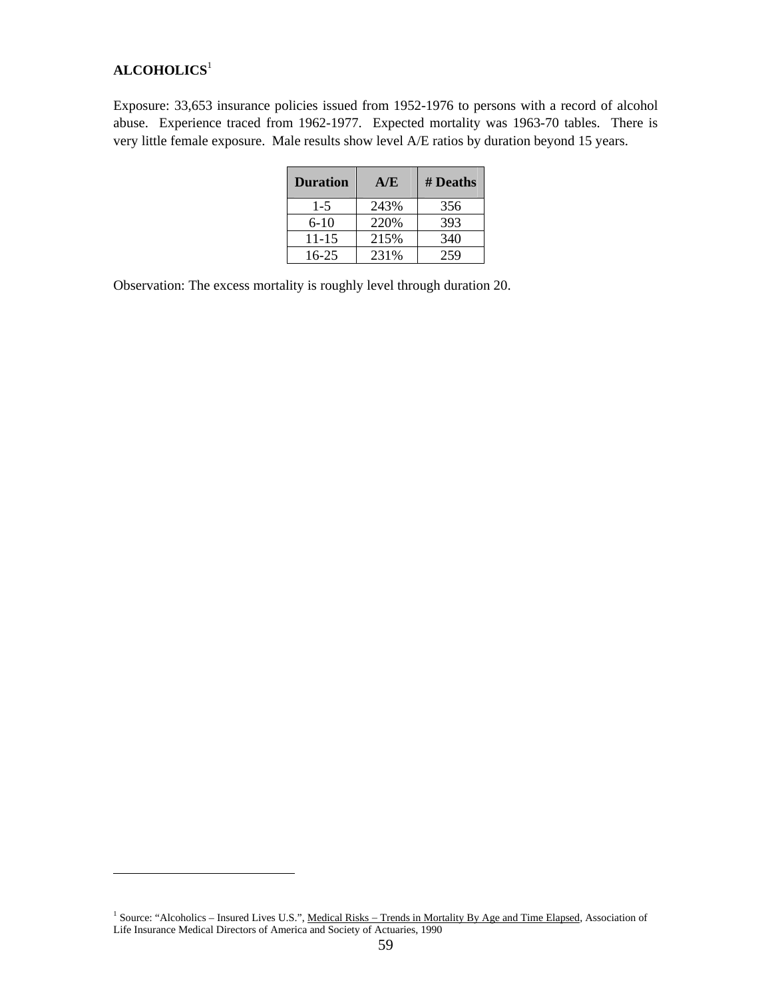# **ALCOHOLICS**<sup>1</sup>

 $\overline{a}$ 

Exposure: 33,653 insurance policies issued from 1952-1976 to persons with a record of alcohol abuse. Experience traced from 1962-1977. Expected mortality was 1963-70 tables. There is very little female exposure. Male results show level A/E ratios by duration beyond 15 years.

| <b>Duration</b> | A/E  | # Deaths |
|-----------------|------|----------|
| 1-5             | 243% | 356      |
| $6-10$          | 220% | 393      |
| $11 - 15$       | 215% | 340      |
| $16 - 25$       | 231% | 259      |

Observation: The excess mortality is roughly level through duration 20.

<sup>&</sup>lt;sup>1</sup> Source: "Alcoholics – Insured Lives U.S.", Medical Risks – Trends in Mortality By Age and Time Elapsed, Association of Life Insurance Medical Directors of America and Society of Actuaries, 1990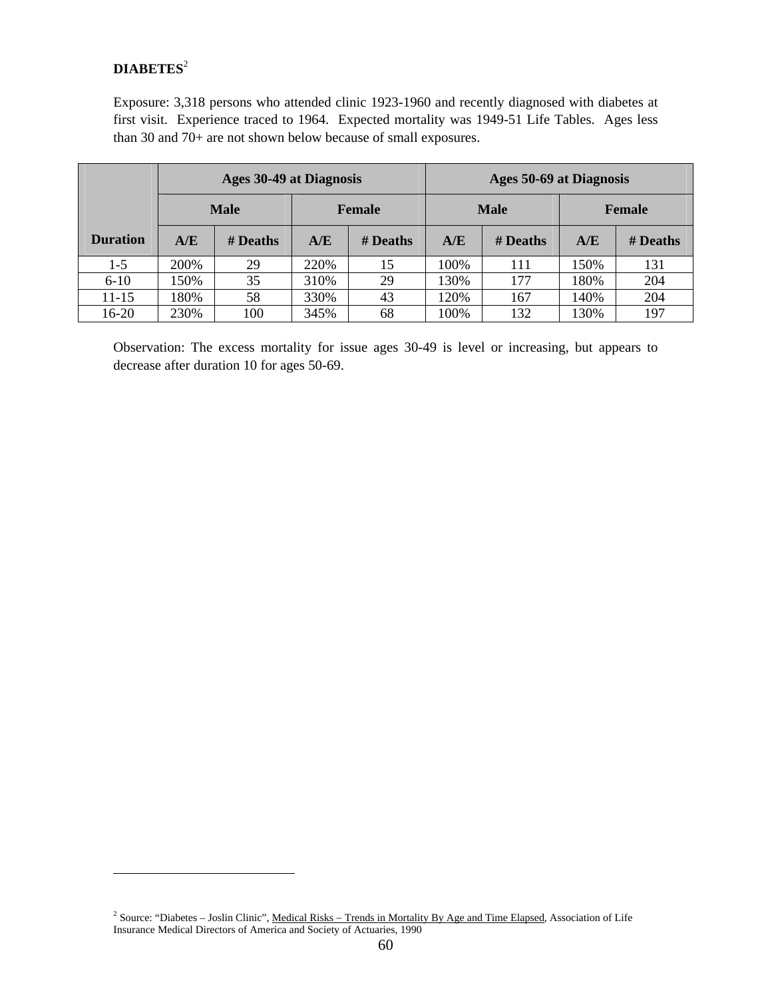## **DIABETES**<sup>2</sup>

 $\overline{a}$ 

Exposure: 3,318 persons who attended clinic 1923-1960 and recently diagnosed with diabetes at first visit. Experience traced to 1964. Expected mortality was 1949-51 Life Tables. Ages less than 30 and 70+ are not shown below because of small exposures.

|                 |      | <b>Ages 30-49 at Diagnosis</b> |               |          | <b>Ages 50-69 at Diagnosis</b> |          |               |          |  |  |
|-----------------|------|--------------------------------|---------------|----------|--------------------------------|----------|---------------|----------|--|--|
|                 |      | <b>Male</b>                    | <b>Female</b> |          | <b>Male</b>                    |          | <b>Female</b> |          |  |  |
| <b>Duration</b> | A/E  | # Deaths                       | A/E           | # Deaths | A/E                            | # Deaths | A/E           | # Deaths |  |  |
| $1-5$           | 200% | 29                             | 220%          | 15       | 100%                           | 111      | 150%          | 131      |  |  |
| $6 - 10$        | 150% | 35                             | 310%          | 29       | 130%                           | 177      | 180%          | 204      |  |  |
| $11 - 15$       | 180% | 58                             | 330%          | 43       | 120%                           | 167      | 140%          | 204      |  |  |
| 16-20           | 230% | 100                            | 345%          | 68       | 100%                           | 132      | 130%          | 197      |  |  |

Observation: The excess mortality for issue ages 30-49 is level or increasing, but appears to decrease after duration 10 for ages 50-69.

<sup>&</sup>lt;sup>2</sup> Source: "Diabetes – Joslin Clinic", <u>Medical Risks – Trends in Mortality By Age and Time Elapsed</u>, Association of Life Insurance Medical Directors of America and Society of Actuaries, 1990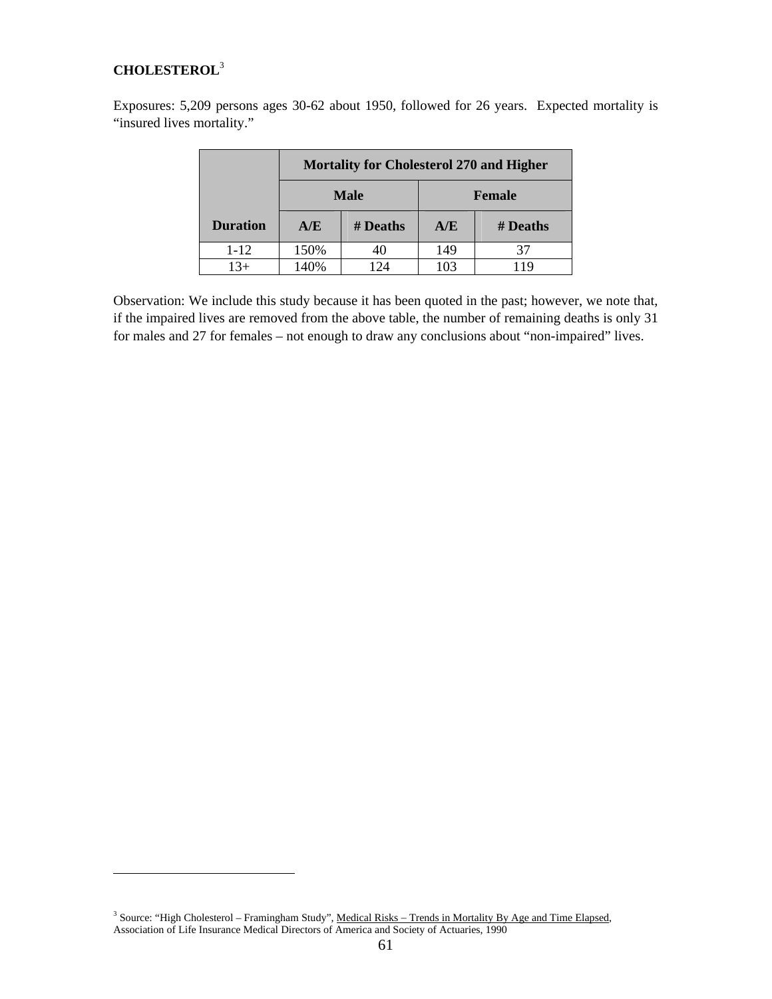## **CHOLESTEROL**<sup>3</sup>

 $\overline{a}$ 

Exposures: 5,209 persons ages 30-62 about 1950, followed for 26 years. Expected mortality is "insured lives mortality."

|                 | <b>Mortality for Cholesterol 270 and Higher</b> |             |               |          |  |  |  |  |  |
|-----------------|-------------------------------------------------|-------------|---------------|----------|--|--|--|--|--|
|                 |                                                 | <b>Male</b> | <b>Female</b> |          |  |  |  |  |  |
| <b>Duration</b> | A/E                                             | # Deaths    | A/E           | # Deaths |  |  |  |  |  |
| $1 - 12$        | 150%                                            | 40          | 149           |          |  |  |  |  |  |
| $13+$           | 140%                                            | 124         | 103           | 119      |  |  |  |  |  |

Observation: We include this study because it has been quoted in the past; however, we note that, if the impaired lives are removed from the above table, the number of remaining deaths is only 31 for males and 27 for females – not enough to draw any conclusions about "non-impaired" lives.

<sup>&</sup>lt;sup>3</sup> Source: "High Cholesterol – Framingham Study", Medical Risks – Trends in Mortality By Age and Time Elapsed, Association of Life Insurance Medical Directors of America and Society of Actuaries, 1990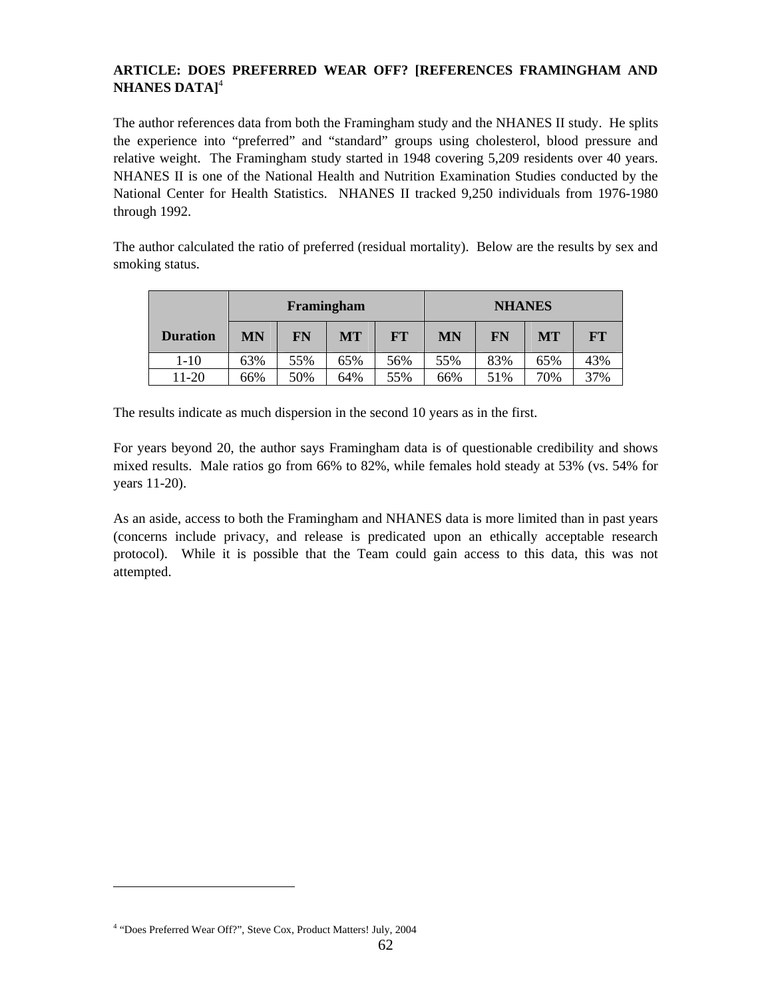## **ARTICLE: DOES PREFERRED WEAR OFF? [REFERENCES FRAMINGHAM AND NHANES DATA]**<sup>4</sup>

The author references data from both the Framingham study and the NHANES II study. He splits the experience into "preferred" and "standard" groups using cholesterol, blood pressure and relative weight. The Framingham study started in 1948 covering 5,209 residents over 40 years. NHANES II is one of the National Health and Nutrition Examination Studies conducted by the National Center for Health Statistics. NHANES II tracked 9,250 individuals from 1976-1980 through 1992.

The author calculated the ratio of preferred (residual mortality). Below are the results by sex and smoking status.

|                 | Framingham |     |           |           | <b>NHANES</b> |     |     |      |
|-----------------|------------|-----|-----------|-----------|---------------|-----|-----|------|
| <b>Duration</b> | MN         | FN  | <b>MT</b> | <b>FT</b> | MN            | FN  | MT  | $FT$ |
| 1-10            | 63%        | 55% | 65%       | 56%       | 55%           | 83% | 65% | 43%  |
| 11-20           | 66%        | 50% | 64%       | 55%       | 66%           | 51% | 70% | 37%  |

The results indicate as much dispersion in the second 10 years as in the first.

For years beyond 20, the author says Framingham data is of questionable credibility and shows mixed results. Male ratios go from 66% to 82%, while females hold steady at 53% (vs. 54% for years 11-20).

As an aside, access to both the Framingham and NHANES data is more limited than in past years (concerns include privacy, and release is predicated upon an ethically acceptable research protocol). While it is possible that the Team could gain access to this data, this was not attempted.

 $\overline{a}$ 

<sup>&</sup>lt;sup>4</sup> "Does Preferred Wear Off?", Steve Cox, Product Matters! July, 2004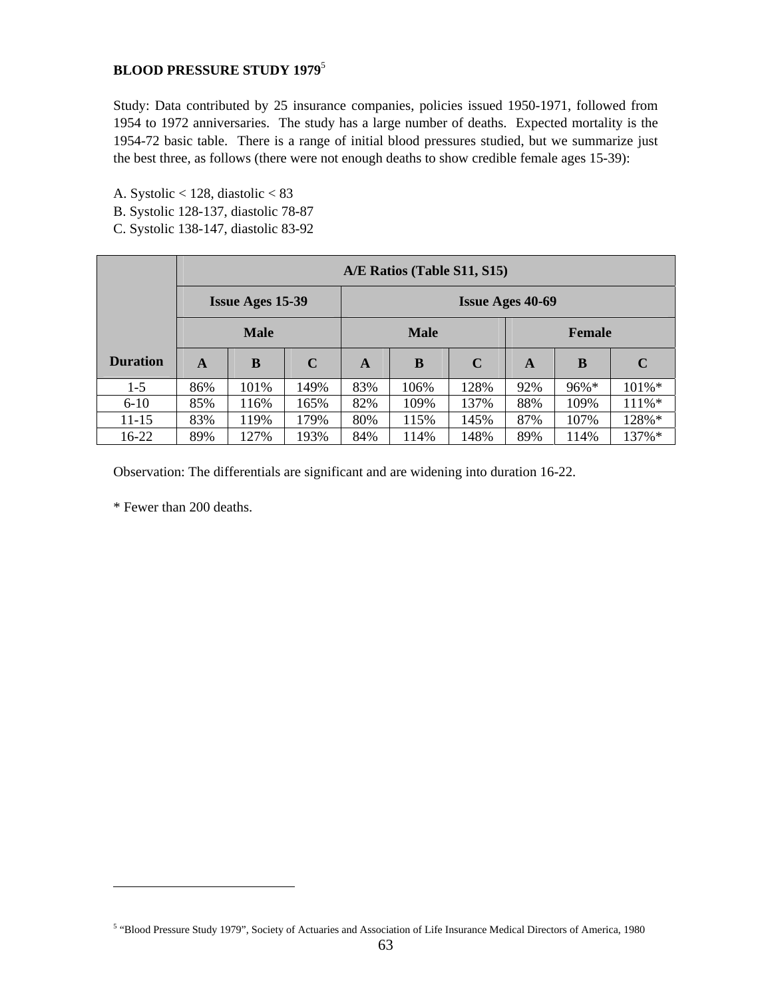## **BLOOD PRESSURE STUDY 1979**<sup>5</sup>

Study: Data contributed by 25 insurance companies, policies issued 1950-1971, followed from 1954 to 1972 anniversaries. The study has a large number of deaths. Expected mortality is the 1954-72 basic table. There is a range of initial blood pressures studied, but we summarize just the best three, as follows (there were not enough deaths to show credible female ages 15-39):

- A. Systolic < 128, diastolic < 83
- B. Systolic 128-137, diastolic 78-87
- C. Systolic 138-147, diastolic 83-92

|                 |     |                         |      |     | A/E Ratios (Table S11, S15) |      |                         |               |             |
|-----------------|-----|-------------------------|------|-----|-----------------------------|------|-------------------------|---------------|-------------|
|                 |     | <b>Issue Ages 15-39</b> |      |     |                             |      | <b>Issue Ages 40-69</b> |               |             |
|                 |     | <b>Male</b>             |      |     | <b>Male</b>                 |      |                         | <b>Female</b> |             |
| <b>Duration</b> | A   | B                       | C    | A   | B                           | C    | A                       | B             | $\mathbf C$ |
| $1 - 5$         | 86% | 101%                    | 149% | 83% | 106%                        | 128% | 92%                     | 96%*          | $101\%*$    |
| $6 - 10$        | 85% | 116%                    | 165% | 82% | 109%                        | 137% | 88%                     | 109%          | 111%*       |
| $11 - 15$       | 83% | 119%                    | 179% | 80% | 115%                        | 145% | 87%                     | 107%          | 128%*       |
| 16-22           | 89% | 127%                    | 193% | 84% | 114%                        | 148% | 89%                     | 114%          | 137%*       |

Observation: The differentials are significant and are widening into duration 16-22.

\* Fewer than 200 deaths.

 $\overline{a}$ 

<sup>5</sup> "Blood Pressure Study 1979", Society of Actuaries and Association of Life Insurance Medical Directors of America, 1980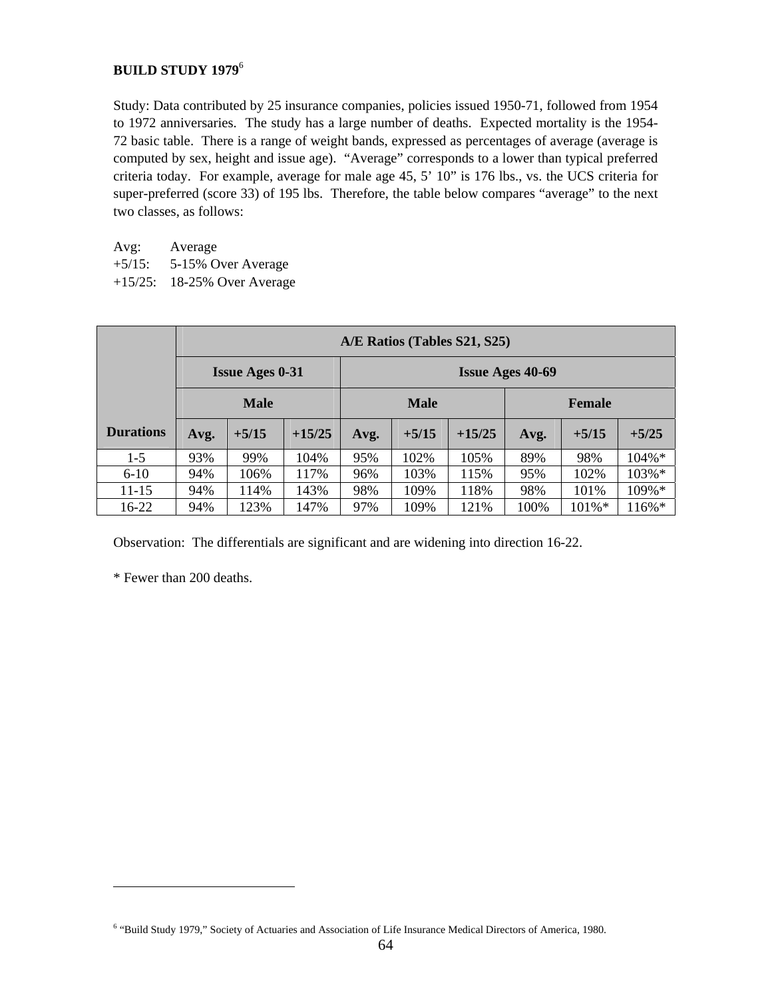## **BUILD STUDY 1979**<sup>6</sup>

Study: Data contributed by 25 insurance companies, policies issued 1950-71, followed from 1954 to 1972 anniversaries. The study has a large number of deaths. Expected mortality is the 1954- 72 basic table. There is a range of weight bands, expressed as percentages of average (average is computed by sex, height and issue age). "Average" corresponds to a lower than typical preferred criteria today. For example, average for male age 45, 5' 10" is 176 lbs., vs. the UCS criteria for super-preferred (score 33) of 195 lbs. Therefore, the table below compares "average" to the next two classes, as follows:

| Avg: | Average |
|------|---------|
|------|---------|

- +5/15: 5-15% Over Average
- +15/25: 18-25% Over Average

|                  |      |                        |          |      |             | A/E Ratios (Tables S21, S25) |                         |               |           |
|------------------|------|------------------------|----------|------|-------------|------------------------------|-------------------------|---------------|-----------|
|                  |      | <b>Issue Ages 0-31</b> |          |      |             |                              | <b>Issue Ages 40-69</b> |               |           |
|                  |      | <b>Male</b>            |          |      | <b>Male</b> |                              |                         | <b>Female</b> |           |
| <b>Durations</b> | Avg. | $+5/15$                | $+15/25$ | Avg. | $+5/15$     | $+15/25$                     | Avg.                    | $+5/15$       | $+5/25$   |
| $1 - 5$          | 93%  | 99%                    | 104%     | 95%  | 102%        | 105%                         | 89%                     | 98%           | $104\% *$ |
| $6 - 10$         | 94%  | 106%                   | 117%     | 96%  | 103%        | 115%                         | 95%                     | 102%          | 103%*     |
| 11-15            | 94%  | 114%                   | 143%     | 98%  | 109%        | 118%                         | 98%                     | 101%          | 109%*     |
| 16-22            | 94%  | 123%                   | 147%     | 97%  | 109%        | 121%                         | 100%                    | 101%*         | 116%*     |

Observation: The differentials are significant and are widening into direction 16-22.

\* Fewer than 200 deaths.

 $\overline{a}$ 

<sup>6</sup> "Build Study 1979," Society of Actuaries and Association of Life Insurance Medical Directors of America, 1980.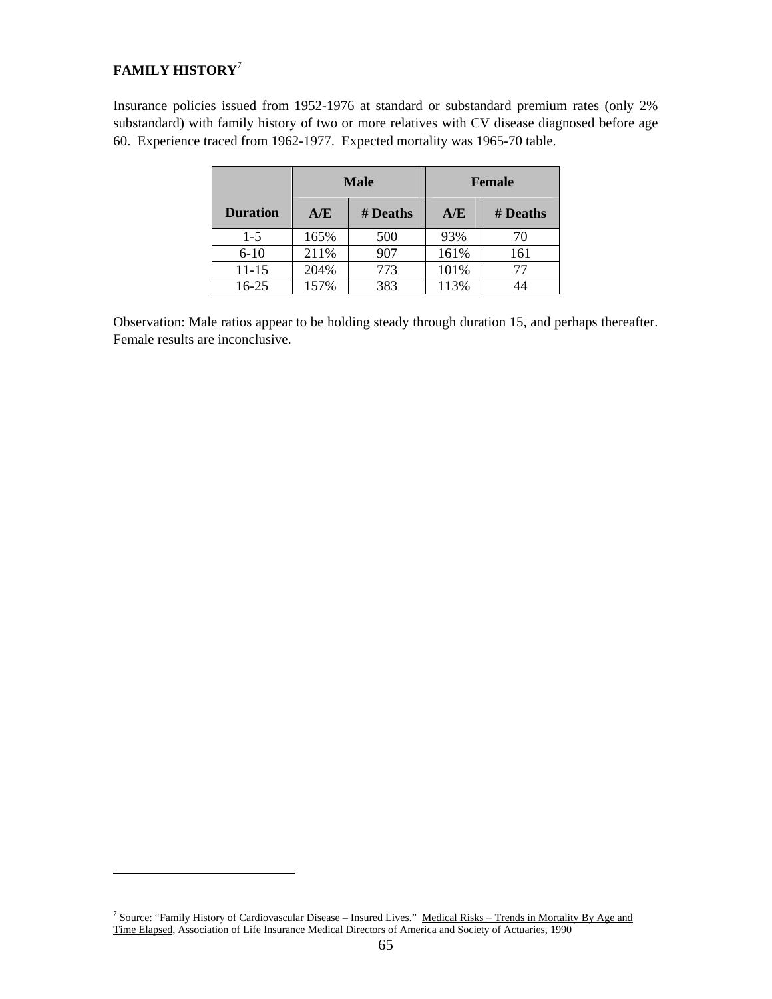## **FAMILY HISTORY**<sup>7</sup>

 $\overline{a}$ 

Insurance policies issued from 1952-1976 at standard or substandard premium rates (only 2% substandard) with family history of two or more relatives with CV disease diagnosed before age 60. Experience traced from 1962-1977. Expected mortality was 1965-70 table.

|                 |      | Male     |      | Female   |
|-----------------|------|----------|------|----------|
| <b>Duration</b> | A/E  | # Deaths | A/E  | # Deaths |
| $1-5$           | 165% | 500      | 93%  | 70       |
| $6 - 10$        | 211% | 907      | 161% | 161      |
| $11 - 15$       | 204% | 773      | 101% | 77       |
| $16 - 25$       | 157% | 383      | 113% |          |

Observation: Male ratios appear to be holding steady through duration 15, and perhaps thereafter. Female results are inconclusive.

<sup>7</sup> Source: "Family History of Cardiovascular Disease – Insured Lives." Medical Risks – Trends in Mortality By Age and Time Elapsed, Association of Life Insurance Medical Directors of America and Society of Actuaries, 1990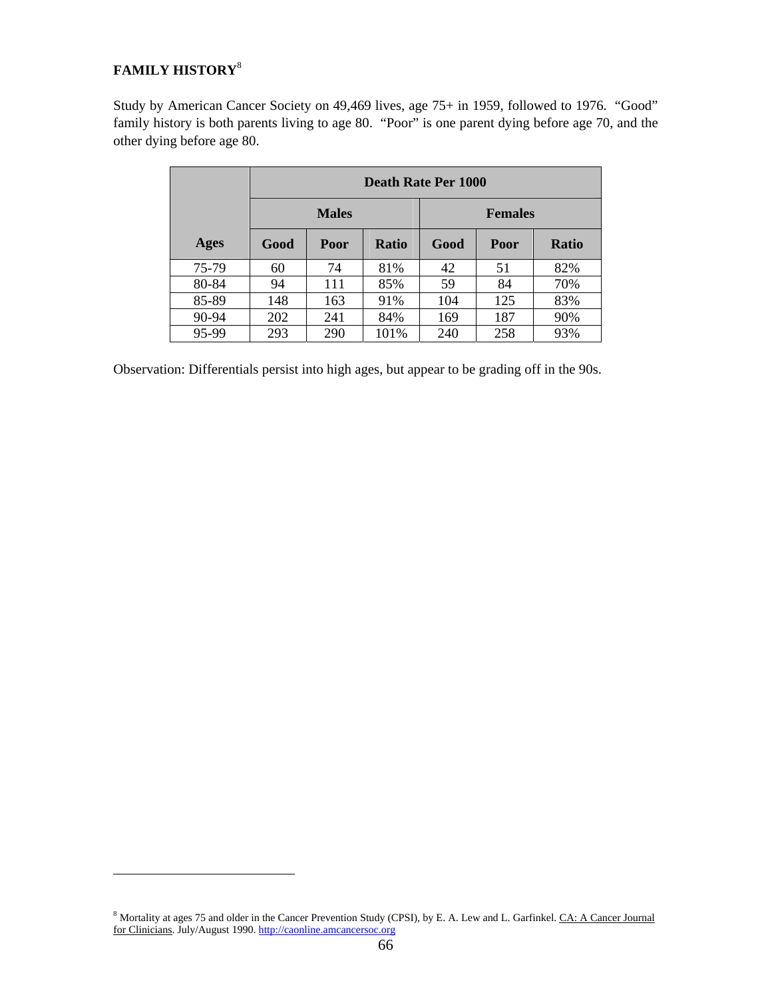# **FAMILY HISTORY**<sup>8</sup>

 $\overline{a}$ 

Study by American Cancer Society on 49,469 lives, age 75+ in 1959, followed to 1976. "Good" family history is both parents living to age 80. "Poor" is one parent dying before age 70, and the other dying before age 80.

|       |      |              | Death Rate Per 1000 |      |                |              |
|-------|------|--------------|---------------------|------|----------------|--------------|
|       |      | <b>Males</b> |                     |      | <b>Females</b> |              |
| Ages  | Good | Poor         | <b>Ratio</b>        | Good | Poor           | <b>Ratio</b> |
| 75-79 | 60   | 74           | 81%                 | 42   | 51             | 82%          |
| 80-84 | 94   | 111          | 85%                 | 59   | 84             | 70%          |
| 85-89 | 148  | 163          | 91%                 | 104  | 125            | 83%          |
| 90-94 | 202  | 241          | 84%                 | 169  | 187            | 90%          |
| 95-99 | 293  | 290          | 101%                | 240  | 258            | 93%          |

Observation: Differentials persist into high ages, but appear to be grading off in the 90s.

<sup>&</sup>lt;sup>8</sup> Mortality at ages 75 and older in the Cancer Prevention Study (CPSI), by E. A. Lew and L. Garfinkel. CA: A Cancer Journal for Clinicians. July/August 1990. http://caonline.amcancersoc.org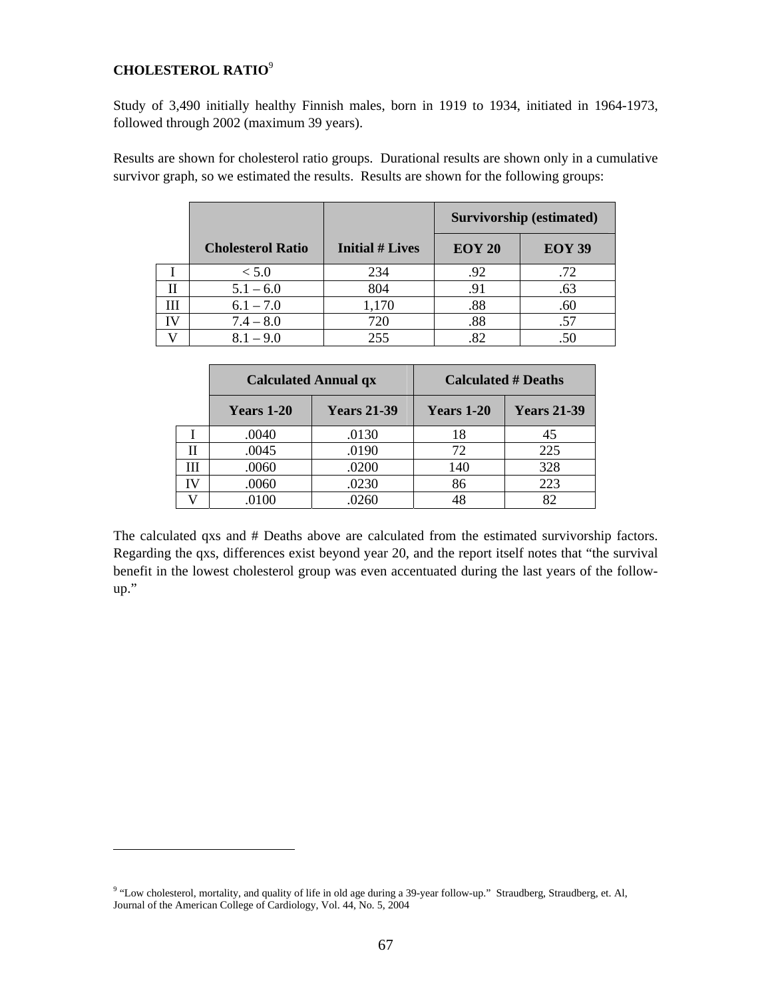## **CHOLESTEROL RATIO**<sup>9</sup>

 $\overline{a}$ 

Study of 3,490 initially healthy Finnish males, born in 1919 to 1934, initiated in 1964-1973, followed through 2002 (maximum 39 years).

Results are shown for cholesterol ratio groups. Durational results are shown only in a cumulative survivor graph, so we estimated the results. Results are shown for the following groups:

|                          |                        |               | Survivorship (estimated) |
|--------------------------|------------------------|---------------|--------------------------|
| <b>Cholesterol Ratio</b> | <b>Initial # Lives</b> | <b>EOY 20</b> | <b>EOY 39</b>            |
| < 5.0                    | 234                    | .92           | .72                      |
| $5.1 - 6.0$              | 804                    | .91           | .63                      |
| $6.1 - 7.0$              | 1,170                  | .88           | .60                      |
| $7.4 - 8.0$              | 720                    | .88           | .57                      |
| $8.1 - 9.0$              | 255                    | .82           |                          |

|    | <b>Calculated Annual qx</b> |                    | <b>Calculated # Deaths</b> |                    |
|----|-----------------------------|--------------------|----------------------------|--------------------|
|    | <b>Years 1-20</b>           | <b>Years 21-39</b> | <b>Years 1-20</b>          | <b>Years 21-39</b> |
|    | .0040                       | .0130              | 18                         | 45                 |
| Н  | .0045                       | .0190              | 72                         | 225                |
| Ш  | .0060                       | .0200              | 140                        | 328                |
| IV | .0060                       | .0230              | 86                         | 223                |
|    | .0100                       | 0260               | 48                         | 82                 |

The calculated qxs and # Deaths above are calculated from the estimated survivorship factors. Regarding the qxs, differences exist beyond year 20, and the report itself notes that "the survival benefit in the lowest cholesterol group was even accentuated during the last years of the followup."

<sup>&</sup>lt;sup>9</sup> "Low cholesterol, mortality, and quality of life in old age during a 39-year follow-up." Straudberg, Straudberg, et. Al, Journal of the American College of Cardiology, Vol. 44, No. 5, 2004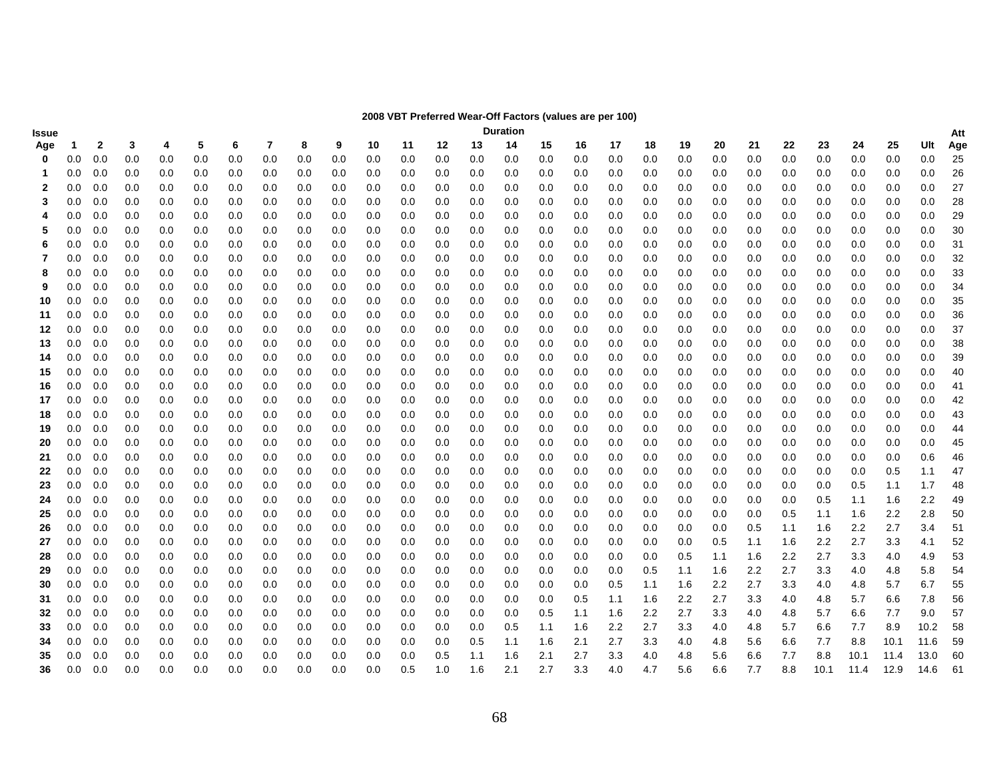| $\sim$ (raided are per roo)<br>Issue |                                                                                                                                                         |                                                                                                                                            |                                                                                                                          |                                                                                                                          |                                                                                                                          |                                                                                                                          |                                                                                                                          |                                                                                                                          |                                                                                                                          |                                                                                                                           |                                                                                                                           |                                                                                                                           |                                                                                                                           |                                                                                                                                              |                                                                                                                           |                                                                                                                           |                                                                                                                           |                                                                                                                           |                                                                                                                           |                                                                                                                           |                                                                                                                           |                                                                                                                           |                                                                                                                           |                                                                                                                           |                                                                                                                           |                                                                                                                                                                      |
|--------------------------------------|---------------------------------------------------------------------------------------------------------------------------------------------------------|--------------------------------------------------------------------------------------------------------------------------------------------|--------------------------------------------------------------------------------------------------------------------------|--------------------------------------------------------------------------------------------------------------------------|--------------------------------------------------------------------------------------------------------------------------|--------------------------------------------------------------------------------------------------------------------------|--------------------------------------------------------------------------------------------------------------------------|--------------------------------------------------------------------------------------------------------------------------|--------------------------------------------------------------------------------------------------------------------------|---------------------------------------------------------------------------------------------------------------------------|---------------------------------------------------------------------------------------------------------------------------|---------------------------------------------------------------------------------------------------------------------------|---------------------------------------------------------------------------------------------------------------------------|----------------------------------------------------------------------------------------------------------------------------------------------|---------------------------------------------------------------------------------------------------------------------------|---------------------------------------------------------------------------------------------------------------------------|---------------------------------------------------------------------------------------------------------------------------|---------------------------------------------------------------------------------------------------------------------------|---------------------------------------------------------------------------------------------------------------------------|---------------------------------------------------------------------------------------------------------------------------|---------------------------------------------------------------------------------------------------------------------------|---------------------------------------------------------------------------------------------------------------------------|---------------------------------------------------------------------------------------------------------------------------|---------------------------------------------------------------------------------------------------------------------------|---------------------------------------------------------------------------------------------------------------------------|----------------------------------------------------------------------------------------------------------------------------------------------------------------------|
|                                      |                                                                                                                                                         |                                                                                                                                            |                                                                                                                          |                                                                                                                          |                                                                                                                          |                                                                                                                          |                                                                                                                          |                                                                                                                          |                                                                                                                          |                                                                                                                           |                                                                                                                           |                                                                                                                           |                                                                                                                           |                                                                                                                                              |                                                                                                                           |                                                                                                                           |                                                                                                                           |                                                                                                                           |                                                                                                                           |                                                                                                                           |                                                                                                                           |                                                                                                                           |                                                                                                                           |                                                                                                                           |                                                                                                                           | Att                                                                                                                                                                  |
|                                      |                                                                                                                                                         |                                                                                                                                            |                                                                                                                          |                                                                                                                          |                                                                                                                          |                                                                                                                          |                                                                                                                          |                                                                                                                          |                                                                                                                          |                                                                                                                           |                                                                                                                           |                                                                                                                           |                                                                                                                           |                                                                                                                                              |                                                                                                                           |                                                                                                                           |                                                                                                                           |                                                                                                                           |                                                                                                                           |                                                                                                                           |                                                                                                                           |                                                                                                                           |                                                                                                                           |                                                                                                                           |                                                                                                                           | Age                                                                                                                                                                  |
|                                      |                                                                                                                                                         |                                                                                                                                            |                                                                                                                          |                                                                                                                          |                                                                                                                          |                                                                                                                          |                                                                                                                          |                                                                                                                          |                                                                                                                          |                                                                                                                           |                                                                                                                           |                                                                                                                           |                                                                                                                           |                                                                                                                                              |                                                                                                                           |                                                                                                                           |                                                                                                                           |                                                                                                                           |                                                                                                                           |                                                                                                                           |                                                                                                                           |                                                                                                                           |                                                                                                                           |                                                                                                                           |                                                                                                                           | 25                                                                                                                                                                   |
|                                      |                                                                                                                                                         |                                                                                                                                            |                                                                                                                          |                                                                                                                          |                                                                                                                          |                                                                                                                          |                                                                                                                          |                                                                                                                          |                                                                                                                          |                                                                                                                           |                                                                                                                           |                                                                                                                           |                                                                                                                           |                                                                                                                                              |                                                                                                                           |                                                                                                                           |                                                                                                                           |                                                                                                                           |                                                                                                                           |                                                                                                                           |                                                                                                                           |                                                                                                                           |                                                                                                                           |                                                                                                                           |                                                                                                                           | 26                                                                                                                                                                   |
|                                      |                                                                                                                                                         |                                                                                                                                            |                                                                                                                          |                                                                                                                          |                                                                                                                          |                                                                                                                          |                                                                                                                          |                                                                                                                          |                                                                                                                          |                                                                                                                           |                                                                                                                           |                                                                                                                           |                                                                                                                           |                                                                                                                                              |                                                                                                                           |                                                                                                                           |                                                                                                                           |                                                                                                                           |                                                                                                                           |                                                                                                                           |                                                                                                                           |                                                                                                                           |                                                                                                                           |                                                                                                                           |                                                                                                                           | 27                                                                                                                                                                   |
|                                      |                                                                                                                                                         |                                                                                                                                            |                                                                                                                          |                                                                                                                          |                                                                                                                          |                                                                                                                          |                                                                                                                          |                                                                                                                          |                                                                                                                          |                                                                                                                           |                                                                                                                           |                                                                                                                           |                                                                                                                           |                                                                                                                                              |                                                                                                                           |                                                                                                                           |                                                                                                                           |                                                                                                                           |                                                                                                                           |                                                                                                                           |                                                                                                                           |                                                                                                                           |                                                                                                                           |                                                                                                                           |                                                                                                                           | 28                                                                                                                                                                   |
|                                      |                                                                                                                                                         |                                                                                                                                            |                                                                                                                          |                                                                                                                          |                                                                                                                          |                                                                                                                          |                                                                                                                          |                                                                                                                          |                                                                                                                          |                                                                                                                           |                                                                                                                           |                                                                                                                           |                                                                                                                           |                                                                                                                                              |                                                                                                                           |                                                                                                                           |                                                                                                                           |                                                                                                                           |                                                                                                                           |                                                                                                                           |                                                                                                                           |                                                                                                                           |                                                                                                                           |                                                                                                                           |                                                                                                                           | 29                                                                                                                                                                   |
|                                      |                                                                                                                                                         |                                                                                                                                            |                                                                                                                          |                                                                                                                          |                                                                                                                          |                                                                                                                          |                                                                                                                          |                                                                                                                          |                                                                                                                          |                                                                                                                           |                                                                                                                           |                                                                                                                           |                                                                                                                           |                                                                                                                                              |                                                                                                                           |                                                                                                                           |                                                                                                                           |                                                                                                                           |                                                                                                                           |                                                                                                                           |                                                                                                                           |                                                                                                                           |                                                                                                                           |                                                                                                                           |                                                                                                                           | 30                                                                                                                                                                   |
|                                      |                                                                                                                                                         |                                                                                                                                            |                                                                                                                          |                                                                                                                          |                                                                                                                          |                                                                                                                          |                                                                                                                          |                                                                                                                          |                                                                                                                          |                                                                                                                           |                                                                                                                           |                                                                                                                           |                                                                                                                           |                                                                                                                                              |                                                                                                                           |                                                                                                                           |                                                                                                                           |                                                                                                                           |                                                                                                                           |                                                                                                                           |                                                                                                                           |                                                                                                                           |                                                                                                                           |                                                                                                                           |                                                                                                                           | 31                                                                                                                                                                   |
|                                      |                                                                                                                                                         |                                                                                                                                            |                                                                                                                          |                                                                                                                          |                                                                                                                          |                                                                                                                          |                                                                                                                          |                                                                                                                          |                                                                                                                          |                                                                                                                           |                                                                                                                           |                                                                                                                           |                                                                                                                           |                                                                                                                                              |                                                                                                                           |                                                                                                                           |                                                                                                                           |                                                                                                                           |                                                                                                                           |                                                                                                                           |                                                                                                                           |                                                                                                                           |                                                                                                                           |                                                                                                                           |                                                                                                                           | 32                                                                                                                                                                   |
|                                      |                                                                                                                                                         |                                                                                                                                            |                                                                                                                          |                                                                                                                          |                                                                                                                          |                                                                                                                          |                                                                                                                          |                                                                                                                          |                                                                                                                          |                                                                                                                           |                                                                                                                           |                                                                                                                           |                                                                                                                           |                                                                                                                                              |                                                                                                                           |                                                                                                                           |                                                                                                                           |                                                                                                                           |                                                                                                                           |                                                                                                                           |                                                                                                                           |                                                                                                                           |                                                                                                                           |                                                                                                                           |                                                                                                                           | 33                                                                                                                                                                   |
|                                      |                                                                                                                                                         |                                                                                                                                            |                                                                                                                          |                                                                                                                          |                                                                                                                          |                                                                                                                          |                                                                                                                          |                                                                                                                          |                                                                                                                          |                                                                                                                           |                                                                                                                           |                                                                                                                           |                                                                                                                           |                                                                                                                                              |                                                                                                                           |                                                                                                                           |                                                                                                                           |                                                                                                                           |                                                                                                                           |                                                                                                                           |                                                                                                                           |                                                                                                                           |                                                                                                                           |                                                                                                                           |                                                                                                                           | 34                                                                                                                                                                   |
|                                      |                                                                                                                                                         |                                                                                                                                            |                                                                                                                          |                                                                                                                          |                                                                                                                          |                                                                                                                          |                                                                                                                          |                                                                                                                          |                                                                                                                          |                                                                                                                           |                                                                                                                           |                                                                                                                           |                                                                                                                           |                                                                                                                                              |                                                                                                                           |                                                                                                                           |                                                                                                                           |                                                                                                                           |                                                                                                                           |                                                                                                                           |                                                                                                                           |                                                                                                                           |                                                                                                                           |                                                                                                                           |                                                                                                                           | 35                                                                                                                                                                   |
|                                      |                                                                                                                                                         |                                                                                                                                            |                                                                                                                          |                                                                                                                          |                                                                                                                          |                                                                                                                          |                                                                                                                          |                                                                                                                          |                                                                                                                          |                                                                                                                           |                                                                                                                           |                                                                                                                           |                                                                                                                           |                                                                                                                                              |                                                                                                                           |                                                                                                                           |                                                                                                                           |                                                                                                                           |                                                                                                                           |                                                                                                                           |                                                                                                                           |                                                                                                                           |                                                                                                                           |                                                                                                                           |                                                                                                                           | 36                                                                                                                                                                   |
|                                      |                                                                                                                                                         |                                                                                                                                            |                                                                                                                          |                                                                                                                          |                                                                                                                          |                                                                                                                          |                                                                                                                          |                                                                                                                          |                                                                                                                          |                                                                                                                           |                                                                                                                           |                                                                                                                           |                                                                                                                           |                                                                                                                                              |                                                                                                                           |                                                                                                                           |                                                                                                                           |                                                                                                                           |                                                                                                                           |                                                                                                                           |                                                                                                                           |                                                                                                                           |                                                                                                                           |                                                                                                                           |                                                                                                                           | 37                                                                                                                                                                   |
|                                      |                                                                                                                                                         |                                                                                                                                            |                                                                                                                          |                                                                                                                          |                                                                                                                          |                                                                                                                          |                                                                                                                          |                                                                                                                          |                                                                                                                          |                                                                                                                           |                                                                                                                           |                                                                                                                           |                                                                                                                           |                                                                                                                                              |                                                                                                                           |                                                                                                                           |                                                                                                                           |                                                                                                                           |                                                                                                                           |                                                                                                                           |                                                                                                                           |                                                                                                                           |                                                                                                                           |                                                                                                                           |                                                                                                                           | 38                                                                                                                                                                   |
|                                      |                                                                                                                                                         |                                                                                                                                            |                                                                                                                          |                                                                                                                          |                                                                                                                          |                                                                                                                          |                                                                                                                          |                                                                                                                          |                                                                                                                          |                                                                                                                           |                                                                                                                           |                                                                                                                           |                                                                                                                           |                                                                                                                                              |                                                                                                                           |                                                                                                                           |                                                                                                                           |                                                                                                                           |                                                                                                                           |                                                                                                                           |                                                                                                                           |                                                                                                                           |                                                                                                                           |                                                                                                                           |                                                                                                                           | 39                                                                                                                                                                   |
|                                      |                                                                                                                                                         |                                                                                                                                            |                                                                                                                          |                                                                                                                          |                                                                                                                          |                                                                                                                          |                                                                                                                          |                                                                                                                          |                                                                                                                          |                                                                                                                           |                                                                                                                           |                                                                                                                           |                                                                                                                           |                                                                                                                                              |                                                                                                                           |                                                                                                                           |                                                                                                                           |                                                                                                                           |                                                                                                                           |                                                                                                                           |                                                                                                                           |                                                                                                                           |                                                                                                                           |                                                                                                                           |                                                                                                                           | 40                                                                                                                                                                   |
|                                      |                                                                                                                                                         |                                                                                                                                            |                                                                                                                          |                                                                                                                          |                                                                                                                          |                                                                                                                          |                                                                                                                          |                                                                                                                          |                                                                                                                          |                                                                                                                           |                                                                                                                           |                                                                                                                           |                                                                                                                           |                                                                                                                                              |                                                                                                                           |                                                                                                                           |                                                                                                                           |                                                                                                                           |                                                                                                                           |                                                                                                                           |                                                                                                                           |                                                                                                                           |                                                                                                                           |                                                                                                                           |                                                                                                                           | 41                                                                                                                                                                   |
|                                      |                                                                                                                                                         | 0.0                                                                                                                                        | 0.0                                                                                                                      | 0.0                                                                                                                      | 0.0                                                                                                                      | 0.0                                                                                                                      | 0.0                                                                                                                      | 0.0                                                                                                                      | 0.0                                                                                                                      | 0.0                                                                                                                       | 0.0                                                                                                                       | 0.0                                                                                                                       | 0.0                                                                                                                       | 0.0                                                                                                                                          | 0.0                                                                                                                       | 0.0                                                                                                                       | 0.0                                                                                                                       | 0.0                                                                                                                       | 0.0                                                                                                                       | 0.0                                                                                                                       | 0.0                                                                                                                       | 0.0                                                                                                                       | 0.0                                                                                                                       | 0.0                                                                                                                       |                                                                                                                           | 42                                                                                                                                                                   |
| 0.0                                  | 0.0                                                                                                                                                     | 0.0                                                                                                                                        | 0.0                                                                                                                      | 0.0                                                                                                                      | 0.0                                                                                                                      | 0.0                                                                                                                      | 0.0                                                                                                                      | 0.0                                                                                                                      | 0.0                                                                                                                      | 0.0                                                                                                                       | 0.0                                                                                                                       | 0.0                                                                                                                       | 0.0                                                                                                                       | 0.0                                                                                                                                          | 0.0                                                                                                                       | 0.0                                                                                                                       | 0.0                                                                                                                       | 0.0                                                                                                                       | 0.0                                                                                                                       | 0.0                                                                                                                       | 0.0                                                                                                                       | 0.0                                                                                                                       | 0.0                                                                                                                       | 0.0                                                                                                                       | 0.0                                                                                                                       | 43                                                                                                                                                                   |
| 0.0                                  | 0.0                                                                                                                                                     | 0.0                                                                                                                                        | 0.0                                                                                                                      | 0.0                                                                                                                      | 0.0                                                                                                                      | 0.0                                                                                                                      | 0.0                                                                                                                      | 0.0                                                                                                                      | 0.0                                                                                                                      | 0.0                                                                                                                       | 0.0                                                                                                                       | 0.0                                                                                                                       | 0.0                                                                                                                       | 0.0                                                                                                                                          | 0.0                                                                                                                       | 0.0                                                                                                                       | 0.0                                                                                                                       | 0.0                                                                                                                       | 0.0                                                                                                                       | 0.0                                                                                                                       | 0.0                                                                                                                       | 0.0                                                                                                                       | 0.0                                                                                                                       | 0.0                                                                                                                       | 0.0                                                                                                                       | 44                                                                                                                                                                   |
|                                      | 0.0                                                                                                                                                     | 0.0                                                                                                                                        | 0.0                                                                                                                      | 0.0                                                                                                                      | 0.0                                                                                                                      | 0.0                                                                                                                      | 0.0                                                                                                                      | 0.0                                                                                                                      | 0.0                                                                                                                      | 0.0                                                                                                                       | 0.0                                                                                                                       | 0.0                                                                                                                       | 0.0                                                                                                                       | 0.0                                                                                                                                          | 0.0                                                                                                                       | 0.0                                                                                                                       | 0.0                                                                                                                       | 0.0                                                                                                                       | 0.0                                                                                                                       | 0.0                                                                                                                       | 0.0                                                                                                                       | 0.0                                                                                                                       | 0.0                                                                                                                       | 0.0                                                                                                                       |                                                                                                                           | 45                                                                                                                                                                   |
| 0.0                                  | 0.0                                                                                                                                                     | 0.0                                                                                                                                        | 0.0                                                                                                                      | 0.0                                                                                                                      | 0.0                                                                                                                      | 0.0                                                                                                                      | 0.0                                                                                                                      | 0.0                                                                                                                      | 0.0                                                                                                                      | 0.0                                                                                                                       | 0.0                                                                                                                       | 0.0                                                                                                                       | 0.0                                                                                                                       | 0.0                                                                                                                                          | 0.0                                                                                                                       | 0.0                                                                                                                       | 0.0                                                                                                                       | 0.0                                                                                                                       | 0.0                                                                                                                       | 0.0                                                                                                                       | 0.0                                                                                                                       | 0.0                                                                                                                       | 0.0                                                                                                                       | 0.0                                                                                                                       |                                                                                                                           | 46                                                                                                                                                                   |
| 0.0                                  | 0.0                                                                                                                                                     | 0.0                                                                                                                                        | 0.0                                                                                                                      | 0.0                                                                                                                      | 0.0                                                                                                                      | 0.0                                                                                                                      | 0.0                                                                                                                      | 0.0                                                                                                                      | 0.0                                                                                                                      | 0.0                                                                                                                       | 0.0                                                                                                                       | 0.0                                                                                                                       | 0.0                                                                                                                       | 0.0                                                                                                                                          | 0.0                                                                                                                       | 0.0                                                                                                                       | 0.0                                                                                                                       | 0.0                                                                                                                       | 0.0                                                                                                                       | 0.0                                                                                                                       | 0.0                                                                                                                       | 0.0                                                                                                                       | 0.0                                                                                                                       | 0.5                                                                                                                       | 1.1                                                                                                                       | 47                                                                                                                                                                   |
| 0.0                                  | 0.0                                                                                                                                                     | 0.0                                                                                                                                        | 0.0                                                                                                                      | 0.0                                                                                                                      | 0.0                                                                                                                      | 0.0                                                                                                                      | 0.0                                                                                                                      | 0.0                                                                                                                      | 0.0                                                                                                                      | 0.0                                                                                                                       | 0.0                                                                                                                       | 0.0                                                                                                                       | 0.0                                                                                                                       | 0.0                                                                                                                                          | 0.0                                                                                                                       | 0.0                                                                                                                       | 0.0                                                                                                                       | 0.0                                                                                                                       | 0.0                                                                                                                       | 0.0                                                                                                                       | 0.0                                                                                                                       | 0.0                                                                                                                       | 0.5                                                                                                                       | 1.1                                                                                                                       | 1.7                                                                                                                       | 48                                                                                                                                                                   |
|                                      | 0.0                                                                                                                                                     | 0.0                                                                                                                                        | 0.0                                                                                                                      | 0.0                                                                                                                      | 0.0                                                                                                                      | 0.0                                                                                                                      | 0.0                                                                                                                      | 0.0                                                                                                                      | 0.0                                                                                                                      | 0.0                                                                                                                       | 0.0                                                                                                                       | 0.0                                                                                                                       | 0.0                                                                                                                       | 0.0                                                                                                                                          | 0.0                                                                                                                       | 0.0                                                                                                                       | 0.0                                                                                                                       | 0.0                                                                                                                       | 0.0                                                                                                                       | 0.0                                                                                                                       | 0.0                                                                                                                       | 0.5                                                                                                                       | 1.1                                                                                                                       | 1.6                                                                                                                       |                                                                                                                           | 49                                                                                                                                                                   |
| 0.0                                  | 0.0                                                                                                                                                     | 0.0                                                                                                                                        | 0.0                                                                                                                      | 0.0                                                                                                                      | 0.0                                                                                                                      | 0.0                                                                                                                      | 0.0                                                                                                                      | 0.0                                                                                                                      | 0.0                                                                                                                      | 0.0                                                                                                                       | 0.0                                                                                                                       | 0.0                                                                                                                       | 0.0                                                                                                                       | 0.0                                                                                                                                          | 0.0                                                                                                                       | 0.0                                                                                                                       | 0.0                                                                                                                       | 0.0                                                                                                                       | 0.0                                                                                                                       | 0.0                                                                                                                       | 0.5                                                                                                                       | 1.1                                                                                                                       | 1.6                                                                                                                       | 2.2                                                                                                                       |                                                                                                                           | 50                                                                                                                                                                   |
| 0.0                                  | 0.0                                                                                                                                                     | 0.0                                                                                                                                        | 0.0                                                                                                                      | 0.0                                                                                                                      | 0.0                                                                                                                      | 0.0                                                                                                                      | 0.0                                                                                                                      | 0.0                                                                                                                      | 0.0                                                                                                                      | 0.0                                                                                                                       | 0.0                                                                                                                       | 0.0                                                                                                                       | 0.0                                                                                                                       | 0.0                                                                                                                                          | 0.0                                                                                                                       | 0.0                                                                                                                       | 0.0                                                                                                                       | 0.0                                                                                                                       | 0.0                                                                                                                       | 0.5                                                                                                                       | 1.1                                                                                                                       | 1.6                                                                                                                       | 2.2                                                                                                                       | 2.7                                                                                                                       |                                                                                                                           | 51                                                                                                                                                                   |
| 0.0                                  | 0.0                                                                                                                                                     | 0.0                                                                                                                                        | 0.0                                                                                                                      | 0.0                                                                                                                      | 0.0                                                                                                                      | 0.0                                                                                                                      | 0.0                                                                                                                      | 0.0                                                                                                                      | 0.0                                                                                                                      | 0.0                                                                                                                       | 0.0                                                                                                                       | 0.0                                                                                                                       | 0.0                                                                                                                       | 0.0                                                                                                                                          | 0.0                                                                                                                       | 0.0                                                                                                                       | 0.0                                                                                                                       | 0.0                                                                                                                       | 0.5                                                                                                                       | 1.1                                                                                                                       | 1.6                                                                                                                       | 2.2                                                                                                                       | 2.7                                                                                                                       | 3.3                                                                                                                       | 4.1                                                                                                                       | 52                                                                                                                                                                   |
| 0.0                                  | 0.0                                                                                                                                                     | 0.0                                                                                                                                        | 0.0                                                                                                                      | 0.0                                                                                                                      | 0.0                                                                                                                      | 0.0                                                                                                                      | 0.0                                                                                                                      | 0.0                                                                                                                      | 0.0                                                                                                                      | 0.0                                                                                                                       | 0.0                                                                                                                       | 0.0                                                                                                                       | 0.0                                                                                                                       | 0.0                                                                                                                                          | 0.0                                                                                                                       | 0.0                                                                                                                       | 0.0                                                                                                                       | 0.5                                                                                                                       | 1.1                                                                                                                       | 1.6                                                                                                                       | 2.2                                                                                                                       | 2.7                                                                                                                       | 3.3                                                                                                                       | 4.0                                                                                                                       | 4.9                                                                                                                       | 53                                                                                                                                                                   |
| 0.0                                  | 0.0                                                                                                                                                     | 0.0                                                                                                                                        | 0.0                                                                                                                      | 0.0                                                                                                                      | 0.0                                                                                                                      | 0.0                                                                                                                      | 0.0                                                                                                                      | 0.0                                                                                                                      | 0.0                                                                                                                      | 0.0                                                                                                                       | 0.0                                                                                                                       | 0.0                                                                                                                       | 0.0                                                                                                                       | 0.0                                                                                                                                          | 0.0                                                                                                                       | 0.0                                                                                                                       | 0.5                                                                                                                       | 1.1                                                                                                                       | 1.6                                                                                                                       | 2.2                                                                                                                       | 2.7                                                                                                                       | 3.3                                                                                                                       | 4.0                                                                                                                       | 4.8                                                                                                                       | 5.8                                                                                                                       | 54                                                                                                                                                                   |
| 0.0                                  | 0.0                                                                                                                                                     | 0.0                                                                                                                                        | 0.0                                                                                                                      | 0.0                                                                                                                      | 0.0                                                                                                                      | 0.0                                                                                                                      | 0.0                                                                                                                      | 0.0                                                                                                                      | 0.0                                                                                                                      | 0.0                                                                                                                       | 0.0                                                                                                                       | 0.0                                                                                                                       | 0.0                                                                                                                       | 0.0                                                                                                                                          | 0.0                                                                                                                       | 0.5                                                                                                                       | 1.1                                                                                                                       | 1.6                                                                                                                       | 2.2                                                                                                                       | 2.7                                                                                                                       | 3.3                                                                                                                       | 4.0                                                                                                                       | 4.8                                                                                                                       | 5.7                                                                                                                       | 6.7                                                                                                                       | 55                                                                                                                                                                   |
| 0.0                                  | 0.0                                                                                                                                                     | 0.0                                                                                                                                        | 0.0                                                                                                                      | 0.0                                                                                                                      | 0.0                                                                                                                      | 0.0                                                                                                                      | 0.0                                                                                                                      | 0.0                                                                                                                      | 0.0                                                                                                                      | 0.0                                                                                                                       | 0.0                                                                                                                       | 0.0                                                                                                                       | 0.0                                                                                                                       | 0.0                                                                                                                                          | 0.5                                                                                                                       | 1.1                                                                                                                       | 1.6                                                                                                                       | 2.2                                                                                                                       | 2.7                                                                                                                       | 3.3                                                                                                                       | 4.0                                                                                                                       | 4.8                                                                                                                       | 5.7                                                                                                                       | 6.6                                                                                                                       | 7.8                                                                                                                       | 56                                                                                                                                                                   |
| 0.0                                  | 0.0                                                                                                                                                     | 0.0                                                                                                                                        | 0.0                                                                                                                      | 0.0                                                                                                                      | 0.0                                                                                                                      | 0.0                                                                                                                      | 0.0                                                                                                                      | 0.0                                                                                                                      | 0.0                                                                                                                      | 0.0                                                                                                                       | 0.0                                                                                                                       | 0.0                                                                                                                       | 0.0                                                                                                                       | 0.5                                                                                                                                          | 1.1                                                                                                                       | 1.6                                                                                                                       | 2.2                                                                                                                       | 2.7                                                                                                                       | 3.3                                                                                                                       | 4.0                                                                                                                       | 4.8                                                                                                                       | 5.7                                                                                                                       | 6.6                                                                                                                       | 7.7                                                                                                                       | 9.0                                                                                                                       | 57                                                                                                                                                                   |
| 0.0                                  | 0.0                                                                                                                                                     | 0.0                                                                                                                                        | 0.0                                                                                                                      | 0.0                                                                                                                      | 0.0                                                                                                                      | 0.0                                                                                                                      | 0.0                                                                                                                      | 0.0                                                                                                                      | 0.0                                                                                                                      | 0.0                                                                                                                       | 0.0                                                                                                                       | 0.0                                                                                                                       | 0.5                                                                                                                       | 1.1                                                                                                                                          | 1.6                                                                                                                       | 2.2                                                                                                                       | 2.7                                                                                                                       | 3.3                                                                                                                       | 4.0                                                                                                                       | 4.8                                                                                                                       | 5.7                                                                                                                       | 6.6                                                                                                                       | 7.7                                                                                                                       | 8.9                                                                                                                       | 10.2                                                                                                                      | 58                                                                                                                                                                   |
| 0.0                                  | 0.0                                                                                                                                                     | 0.0                                                                                                                                        | 0.0                                                                                                                      | 0.0                                                                                                                      | 0.0                                                                                                                      | 0.0                                                                                                                      | 0.0                                                                                                                      | 0.0                                                                                                                      | 0.0                                                                                                                      | 0.0                                                                                                                       | 0.0                                                                                                                       | 0.5                                                                                                                       | 1.1                                                                                                                       | 1.6                                                                                                                                          | 2.1                                                                                                                       | 2.7                                                                                                                       | 3.3                                                                                                                       | 4.0                                                                                                                       | 4.8                                                                                                                       | 5.6                                                                                                                       | 6.6                                                                                                                       | 7.7                                                                                                                       | 8.8                                                                                                                       | 10.1                                                                                                                      | 11.6                                                                                                                      | 59                                                                                                                                                                   |
| 0.0                                  | 0.0                                                                                                                                                     | 0.0                                                                                                                                        | 0.0                                                                                                                      | 0.0                                                                                                                      | 0.0                                                                                                                      | 0.0                                                                                                                      | 0.0                                                                                                                      | 0.0                                                                                                                      | 0.0                                                                                                                      | 0.0                                                                                                                       | 0.5                                                                                                                       | 1.1                                                                                                                       | 1.6                                                                                                                       | 2.1                                                                                                                                          | 2.7                                                                                                                       | 3.3                                                                                                                       | 4.0                                                                                                                       | 4.8                                                                                                                       | 5.6                                                                                                                       | 6.6                                                                                                                       | 7.7                                                                                                                       | 8.8                                                                                                                       | 10.1                                                                                                                      | 11.4                                                                                                                      | 13.0                                                                                                                      | 60                                                                                                                                                                   |
| 0.0                                  | 0.0                                                                                                                                                     | 0.0                                                                                                                                        | 0.0                                                                                                                      | 0.0                                                                                                                      | 0.0                                                                                                                      | 0.0                                                                                                                      | 0.0                                                                                                                      | 0.0                                                                                                                      | 0.0                                                                                                                      | 0.5                                                                                                                       | 1.0                                                                                                                       | 1.6                                                                                                                       | 2.1                                                                                                                       | 2.7                                                                                                                                          | 3.3                                                                                                                       | 4.0                                                                                                                       | 4.7                                                                                                                       | 5.6                                                                                                                       | 6.6                                                                                                                       | 7.7                                                                                                                       | 8.8                                                                                                                       | 10.1                                                                                                                      | 11.4                                                                                                                      | 12.9                                                                                                                      | 14.6                                                                                                                      | 61                                                                                                                                                                   |
|                                      | $\mathbf 1$<br>0.0<br>0.0<br>0.0<br>0.0<br>0.0<br>0.0<br>0.0<br>0.0<br>0.0<br>0.0<br>0.0<br>0.0<br>0.0<br>0.0<br>0.0<br>0.0<br>0.0<br>0.0<br>0.0<br>0.0 | $\mathbf{2}$<br>0.0<br>0.0<br>0.0<br>0.0<br>0.0<br>0.0<br>0.0<br>0.0<br>0.0<br>0.0<br>0.0<br>0.0<br>0.0<br>0.0<br>0.0<br>0.0<br>0.0<br>0.0 | 3<br>0.0<br>0.0<br>0.0<br>0.0<br>0.0<br>0.0<br>0.0<br>0.0<br>0.0<br>0.0<br>0.0<br>0.0<br>0.0<br>0.0<br>0.0<br>0.0<br>0.0 | 4<br>0.0<br>0.0<br>0.0<br>0.0<br>0.0<br>0.0<br>0.0<br>0.0<br>0.0<br>0.0<br>0.0<br>0.0<br>0.0<br>0.0<br>0.0<br>0.0<br>0.0 | 5<br>0.0<br>0.0<br>0.0<br>0.0<br>0.0<br>0.0<br>0.0<br>0.0<br>0.0<br>0.0<br>0.0<br>0.0<br>0.0<br>0.0<br>0.0<br>0.0<br>0.0 | 6<br>0.0<br>0.0<br>0.0<br>0.0<br>0.0<br>0.0<br>0.0<br>0.0<br>0.0<br>0.0<br>0.0<br>0.0<br>0.0<br>0.0<br>0.0<br>0.0<br>0.0 | 7<br>0.0<br>0.0<br>0.0<br>0.0<br>0.0<br>0.0<br>0.0<br>0.0<br>0.0<br>0.0<br>0.0<br>0.0<br>0.0<br>0.0<br>0.0<br>0.0<br>0.0 | 8<br>0.0<br>0.0<br>0.0<br>0.0<br>0.0<br>0.0<br>0.0<br>0.0<br>0.0<br>0.0<br>0.0<br>0.0<br>0.0<br>0.0<br>0.0<br>0.0<br>0.0 | 9<br>0.0<br>0.0<br>0.0<br>0.0<br>0.0<br>0.0<br>0.0<br>0.0<br>0.0<br>0.0<br>0.0<br>0.0<br>0.0<br>0.0<br>0.0<br>0.0<br>0.0 | 10<br>0.0<br>0.0<br>0.0<br>0.0<br>0.0<br>0.0<br>0.0<br>0.0<br>0.0<br>0.0<br>0.0<br>0.0<br>0.0<br>0.0<br>0.0<br>0.0<br>0.0 | 11<br>0.0<br>0.0<br>0.0<br>0.0<br>0.0<br>0.0<br>0.0<br>0.0<br>0.0<br>0.0<br>0.0<br>0.0<br>0.0<br>0.0<br>0.0<br>0.0<br>0.0 | 12<br>0.0<br>0.0<br>0.0<br>0.0<br>0.0<br>0.0<br>0.0<br>0.0<br>0.0<br>0.0<br>0.0<br>0.0<br>0.0<br>0.0<br>0.0<br>0.0<br>0.0 | 13<br>0.0<br>0.0<br>0.0<br>0.0<br>0.0<br>0.0<br>0.0<br>0.0<br>0.0<br>0.0<br>0.0<br>0.0<br>0.0<br>0.0<br>0.0<br>0.0<br>0.0 | <b>Duration</b><br>14<br>0.0<br>0.0<br>0.0<br>0.0<br>0.0<br>0.0<br>0.0<br>0.0<br>0.0<br>0.0<br>0.0<br>0.0<br>0.0<br>0.0<br>0.0<br>0.0<br>0.0 | 15<br>0.0<br>0.0<br>0.0<br>0.0<br>0.0<br>0.0<br>0.0<br>0.0<br>0.0<br>0.0<br>0.0<br>0.0<br>0.0<br>0.0<br>0.0<br>0.0<br>0.0 | 16<br>0.0<br>0.0<br>0.0<br>0.0<br>0.0<br>0.0<br>0.0<br>0.0<br>0.0<br>0.0<br>0.0<br>0.0<br>0.0<br>0.0<br>0.0<br>0.0<br>0.0 | 17<br>0.0<br>0.0<br>0.0<br>0.0<br>0.0<br>0.0<br>0.0<br>0.0<br>0.0<br>0.0<br>0.0<br>0.0<br>0.0<br>0.0<br>0.0<br>0.0<br>0.0 | 18<br>0.0<br>0.0<br>0.0<br>0.0<br>0.0<br>0.0<br>0.0<br>0.0<br>0.0<br>0.0<br>0.0<br>0.0<br>0.0<br>0.0<br>0.0<br>0.0<br>0.0 | 19<br>0.0<br>0.0<br>0.0<br>0.0<br>0.0<br>0.0<br>0.0<br>0.0<br>0.0<br>0.0<br>0.0<br>0.0<br>0.0<br>0.0<br>0.0<br>0.0<br>0.0 | 20<br>0.0<br>0.0<br>0.0<br>0.0<br>0.0<br>0.0<br>0.0<br>0.0<br>0.0<br>0.0<br>0.0<br>0.0<br>0.0<br>0.0<br>0.0<br>0.0<br>0.0 | 21<br>0.0<br>0.0<br>0.0<br>0.0<br>0.0<br>0.0<br>0.0<br>0.0<br>0.0<br>0.0<br>0.0<br>0.0<br>0.0<br>0.0<br>0.0<br>0.0<br>0.0 | 22<br>0.0<br>0.0<br>0.0<br>0.0<br>0.0<br>0.0<br>0.0<br>0.0<br>0.0<br>0.0<br>0.0<br>0.0<br>0.0<br>0.0<br>0.0<br>0.0<br>0.0 | 23<br>0.0<br>0.0<br>0.0<br>0.0<br>0.0<br>0.0<br>0.0<br>0.0<br>0.0<br>0.0<br>0.0<br>0.0<br>0.0<br>0.0<br>0.0<br>0.0<br>0.0 | 24<br>0.0<br>0.0<br>0.0<br>0.0<br>0.0<br>0.0<br>0.0<br>0.0<br>0.0<br>0.0<br>0.0<br>0.0<br>0.0<br>0.0<br>0.0<br>0.0<br>0.0 | 25<br>0.0<br>0.0<br>0.0<br>0.0<br>0.0<br>0.0<br>0.0<br>0.0<br>0.0<br>0.0<br>0.0<br>0.0<br>0.0<br>0.0<br>0.0<br>0.0<br>0.0 | Ult<br>0.0<br>0.0<br>0.0<br>0.0<br>0.0<br>0.0<br>0.0<br>0.0<br>0.0<br>0.0<br>0.0<br>0.0<br>0.0<br>0.0<br>0.0<br>0.0<br>0.0<br>0.0<br>0.0<br>0.6<br>2.2<br>2.8<br>3.4 |

#### **2008 VBT Preferred Wear-Off Factors (values are per 100)**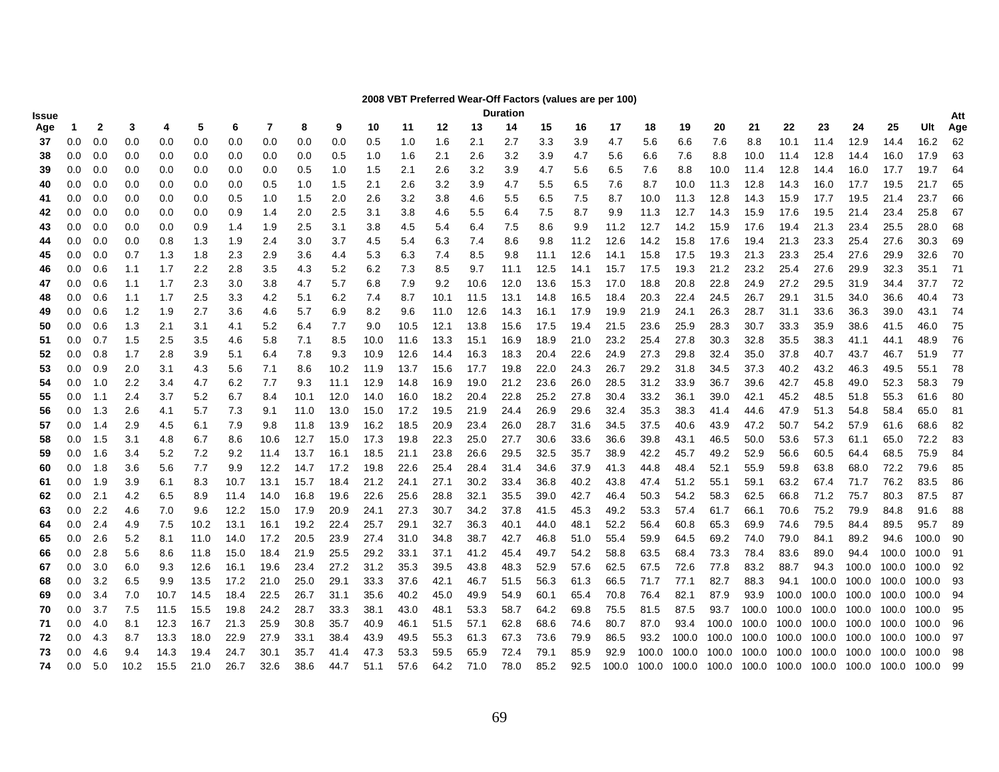### **2008 VBT Preferred Wear-Off Factors (values are per 100)**

| Issue    |                |              |            |            |            |              |              |              |              |              |              |              |              | <b>Duration</b> |              |              |              |              |              |              |                         |              |                                                       |              |                   |              | Att      |
|----------|----------------|--------------|------------|------------|------------|--------------|--------------|--------------|--------------|--------------|--------------|--------------|--------------|-----------------|--------------|--------------|--------------|--------------|--------------|--------------|-------------------------|--------------|-------------------------------------------------------|--------------|-------------------|--------------|----------|
| Age      | $\overline{1}$ | $\mathbf{2}$ | 3          | 4          | 5          | 6            | 7            | 8            | 9            | 10           | 11           | 12           | 13           | 14              | 15           | 16           | 17           | 18           | 19           | 20           | 21                      | 22           | 23                                                    | 24           | 25                | Ult          | Age      |
| 37       | 0.0            | 0.0          | 0.0        | 0.0        | 0.0        | 0.0          | 0.0          | 0.0          | 0.0          | 0.5          | 1.0          | 1.6          | 2.1          | 2.7             | 3.3          | 3.9          | 4.7          | 5.6          | 6.6          | 7.6          | 8.8                     | 10.1         | 11.4                                                  | 12.9         | 14.4              | 16.2         | 62       |
| 38       | 0.0            | 0.0          | 0.0        | 0.0        | 0.0        | 0.0          | 0.0          | 0.0          | 0.5          | 1.0          | 1.6          | 2.1          | 2.6          | 3.2             | 3.9          | 4.7          | 5.6          | 6.6          | 7.6          | 8.8          | 10.0                    | 11.4         | 12.8                                                  | 14.4         | 16.0              | 17.9         | 63       |
| 39       | 0.0            | 0.0          | 0.0        | 0.0        | 0.0        | 0.0          | 0.0          | 0.5          | 1.0          | 1.5          | 2.1          | 2.6          | 3.2          | 3.9             | 4.7          | 5.6          | 6.5          | 7.6          | 8.8          | 10.0         | 11.4                    | 12.8         | 14.4                                                  | 16.0         | 17.7              | 19.7         | 64       |
| 40       | 0.0            | 0.0          | 0.0        | 0.0        | 0.0        | 0.0          | 0.5          | 1.0          | 1.5          | 2.1          | 2.6          | 3.2          | 3.9          | 4.7             | 5.5          | 6.5          | 7.6          | 8.7          | 10.0         | 11.3         | 12.8                    | 14.3         | 16.0                                                  | 17.7         | 19.5              | 21.7         | 65       |
| 41       | 0.0            | 0.0          | 0.0        | 0.0        | 0.0        | 0.5          | 1.0          | 1.5          | 2.0          | 2.6          | 3.2          | 3.8          | 4.6          | 5.5             | 6.5          | 7.5          | 8.7          | 10.0         | 11.3         | 12.8         | 14.3                    | 15.9         | 17.7                                                  | 19.5         | 21.4              | 23.7         | 66       |
| 42       | 0.0            | 0.0          | 0.0        | 0.0        | 0.0        | 0.9          | 1.4          | 2.0          | 2.5          | 3.1          | 3.8          | 4.6          | 5.5          | 6.4             | 7.5          | 8.7          | 9.9          | 11.3         | 12.7         | 14.3         | 15.9                    | 17.6         | 19.5                                                  | 21.4         | 23.4              | 25.8         | 67       |
| 43       | 0.0            | 0.0          | 0.0        | 0.0        | 0.9        | 1.4          | 1.9          | 2.5          | 3.1          | 3.8          | 4.5          | 5.4          | 6.4          | 7.5             | 8.6          | 9.9          | 11.2         | 12.7         | 14.2         | 15.9         | 17.6                    | 19.4         | 21.3                                                  | 23.4         | 25.5              | 28.0         | 68       |
| 44       | 0.0            | 0.0          | 0.0        | 0.8        | 1.3        | 1.9          | 2.4          | 3.0          | 3.7          | 4.5          | 5.4          | 6.3          | 7.4          | 8.6             | 9.8          | 11.2         | 12.6         | 14.2         | 15.8         | 17.6         | 19.4                    | 21.3         | 23.3                                                  | 25.4         | 27.6              | 30.3         | 69       |
| 45       | 0.0            | 0.0          | 0.7        | 1.3        | 1.8        | 2.3          | 2.9          | 3.6          | 4.4          | 5.3          | 6.3          | 7.4          | 8.5          | 9.8             | 11.1         | 12.6         | 14.1         | 15.8         | 17.5         | 19.3         | 21.3                    | 23.3         | 25.4                                                  | 27.6         | 29.9              | 32.6         | 70       |
| 46       | 0.0            | 0.6          | 1.1        | 1.7        | 2.2        | 2.8          | 3.5          | 4.3          | 5.2          | 6.2          | 7.3          | 8.5          | 9.7          | 11.1            | 12.5         | 14.1         | 15.7         | 17.5         | 19.3         | 21.2         | 23.2                    | 25.4         | 27.6                                                  | 29.9         | 32.3              | 35.1         | 71       |
| 47       | 0.0            | 0.6          | 1.1        | 1.7        | 2.3        | 3.0          | 3.8          | 4.7          | 5.7          | 6.8          | 7.9          | 9.2          | 10.6         | 12.0            | 13.6         | 15.3         | 17.0         | 18.8         | 20.8         | 22.8         | 24.9                    | 27.2         | 29.5                                                  | 31.9         | 34.4              | 37.7         | 72       |
| 48       | 0.0            | 0.6          | 1.1        | 1.7        | 2.5        | 3.3          | 4.2          | 5.1          | 6.2          | 7.4          | 8.7          | 10.1         | 11.5         | 13.1            | 14.8         | 16.5         | 18.4         | 20.3         | 22.4         | 24.5         | 26.7                    | 29.1         | 31.5                                                  | 34.0         | 36.6              | 40.4         | 73       |
| 49       | 0.0            | 0.6          | $1.2$      | 1.9        | 2.7        | 3.6          | 4.6          | 5.7          | 6.9          | 8.2          | 9.6          | 11.0         | 12.6         | 14.3            | 16.1         | 17.9         | 19.9         | 21.9         | 24.1         | 26.3         | 28.7                    | 31.1         | 33.6                                                  | 36.3         | 39.0              | 43.1         | - 74     |
| 50       | 0.0            | 0.6          | 1.3        | 2.1        | 3.1        | 4.1          | 5.2          | 6.4          | 7.7          | 9.0          | 10.5         | 12.1         | 13.8         | 15.6            | 17.5         | 19.4         | 21.5         | 23.6         | 25.9         | 28.3         | 30.7                    | 33.3         | 35.9                                                  | 38.6         | 41.5              | 46.0         | 75       |
| 51       | 0.0            | 0.7          | 1.5        | 2.5        | 3.5        | 4.6          | 5.8          | 7.1          | 8.5          | 10.0         | 11.6         | 13.3         | 15.1         | 16.9            | 18.9         | 21.0         | 23.2         | 25.4         | 27.8         | 30.3         | 32.8                    | 35.5         | 38.3                                                  | 41.1         | 44.1              | 48.9         | 76       |
| 52       | 0.0            | 0.8          | 1.7        | 2.8        | 3.9        | 5.1          | 6.4          | 7.8          | 9.3          | 10.9         | 12.6         | 14.4         | 16.3         | 18.3            | 20.4         | 22.6         | 24.9         | 27.3         | 29.8         | 32.4         | 35.0                    | 37.8         | 40.7                                                  | 43.7         | 46.7              | 51.9         | 77       |
| 53       | 0.0            | 0.9          | 2.0        | 3.1        | 4.3        | 5.6          | 7.1          | 8.6          | 10.2         | 11.9         | 13.7         | 15.6         | 17.7         | 19.8            | 22.0         | 24.3         | 26.7         | 29.2         | 31.8         | 34.5         | 37.3                    | 40.2         | 43.2                                                  | 46.3         | 49.5              | 55.1         | 78       |
| 54       | 0.0            | 1.0          | 2.2        | 3.4        | 4.7        | 6.2          | 7.7          | 9.3          | 11.1         | 12.9         | 14.8         | 16.9         | 19.0         | 21.2            | 23.6         | 26.0         | 28.5         | 31.2         | 33.9         | 36.7         | 39.6                    | 42.7         | 45.8                                                  | 49.0         | 52.3              | 58.3         | 79       |
| 55       | 0.0            | 1.1          | 2.4        | 3.7        | 5.2        | 6.7          | 8.4          | 10.1         | 12.0         | 14.0         | 16.0         | 18.2         | 20.4         | 22.8            | 25.2         | 27.8         | 30.4         | 33.2         | 36.1         | 39.0         | 42.1                    | 45.2         | 48.5                                                  | 51.8         | 55.3              | 61.6         | 80       |
| 56       | 0.0            | 1.3          | 2.6        | 4.1        | 5.7        | 7.3          | 9.1          | 11.0         | 13.0         | 15.0         | 17.2         | 19.5         | 21.9         | 24.4            | 26.9         | 29.6         | 32.4         | 35.3         | 38.3         | 41.4         | 44.6                    | 47.9         | 51.3                                                  | 54.8         | 58.4              | 65.0         | 81       |
| 57       | 0.0            | 1.4          | 2.9        | 4.5        | 6.1        | 7.9          | 9.8          | 11.8         | 13.9         | 16.2         | 18.5         | 20.9         | 23.4         | 26.0            | 28.7         | 31.6         | 34.5         | 37.5         | 40.6         | 43.9         | 47.2                    | 50.7         | 54.2                                                  | 57.9         | 61.6              | 68.6         | 82       |
| 58       | 0.0            | 1.5          | 3.1        | 4.8        | 6.7        | 8.6          | 10.6         | 12.7         | 15.0         | 17.3         | 19.8         | 22.3         | 25.0         | 27.7            | 30.6         | 33.6         | 36.6         | 39.8         | 43.1         | 46.5         | 50.0                    | 53.6         | 57.3                                                  | 61.1         | 65.0              | 72.2         | 83       |
| 59       | 0.0            | 1.6          | 3.4        | 5.2        | 7.2        | 9.2          | 11.4         | 13.7         | 16.1         | 18.5         | 21.1         | 23.8         | 26.6         | 29.5            | 32.5         | 35.7         | 38.9         | 42.2         | 45.7         | 49.2         | 52.9                    | 56.6         | 60.5                                                  | 64.4         | 68.5              | 75.9         | 84       |
| 60       | 0.0            | 1.8          | 3.6        | 5.6        | 7.7        | 9.9          | 12.2         | 14.7         | 17.2         | 19.8         | 22.6         | 25.4         | 28.4         | 31.4            | 34.6         | 37.9         | 41.3         | 44.8         | 48.4         | 52.1         | 55.9                    | 59.8         | 63.8                                                  | 68.0         | 72.2              | 79.6         | 85       |
| 61       | 0.0            | 1.9          | 3.9        | 6.1        | 8.3        | 10.7         | 13.1         | 15.7         | 18.4         | 21.2         | 24.1         | 27.1         | 30.2         | 33.4            | 36.8         | 40.2         | 43.8         | 47.4         | 51.2         | 55.1         | 59.1<br>62.5            | 63.2         | 67.4                                                  | 71.7         | 76.2<br>80.3      | 83.5<br>87.5 | 86<br>87 |
| 62       | 0.0<br>0.0     | 2.1<br>2.2   | 4.2<br>4.6 | 6.5<br>7.0 | 8.9<br>9.6 | 11.4<br>12.2 | 14.0<br>15.0 | 16.8<br>17.9 | 19.6<br>20.9 | 22.6<br>24.1 | 25.6<br>27.3 | 28.8<br>30.7 | 32.1<br>34.2 | 35.5<br>37.8    | 39.0<br>41.5 | 42.7<br>45.3 | 46.4<br>49.2 | 50.3<br>53.3 | 54.2<br>57.4 | 58.3<br>61.7 | 66.1                    | 66.8<br>70.6 | 71.2<br>75.2                                          | 75.7<br>79.9 | 84.8              | 91.6         | 88       |
| 63<br>64 | 0.0            | 2.4          | 4.9        | 7.5        | 10.2       | 13.1         | 16.1         | 19.2         | 22.4         | 25.7         | 29.1         | 32.7         | 36.3         | 40.1            | 44.0         | 48.1         | 52.2         | 56.4         | 60.8         | 65.3         | 69.9                    | 74.6         | 79.5                                                  | 84.4         | 89.5              | 95.7         | 89       |
| 65       | 0.0            | 2.6          | 5.2        | 8.1        | 11.0       | 14.0         | 17.2         | 20.5         | 23.9         | 27.4         | 31.0         | 34.8         | 38.7         | 42.7            | 46.8         | 51.0         | 55.4         | 59.9         | 64.5         | 69.2         | 74.0                    | 79.0         | 84.1                                                  | 89.2         | 94.6              | 100.0        | 90       |
| 66       | 0.0            | 2.8          | 5.6        | 8.6        | 11.8       | 15.0         | 18.4         | 21.9         | 25.5         | 29.2         | 33.1         | 37.1         | 41.2         | 45.4            | 49.7         | 54.2         | 58.8         | 63.5         | 68.4         | 73.3         | 78.4                    | 83.6         | 89.0                                                  | 94.4         | 100.0             | 100.0        | 91       |
| 67       | 0.0            | 3.0          | 6.0        | 9.3        | 12.6       | 16.1         | 19.6         | 23.4         | 27.2         | 31.2         | 35.3         | 39.5         | 43.8         | 48.3            | 52.9         | 57.6         | 62.5         | 67.5         | 72.6         | 77.8         | 83.2                    | 88.7         | 94.3                                                  | 100.0        | 100.0 100.0       |              | 92       |
| 68       | 0.0            | 3.2          | 6.5        | 9.9        | 13.5       | 17.2         | 21.0         | 25.0         | 29.1         | 33.3         | 37.6         | 42.1         | 46.7         | 51.5            | 56.3         | 61.3         | 66.5         | 71.7         | 77.1         | 82.7         | 88.3                    | 94.1         | 100.0                                                 | 100.0        | 100.0 100.0       |              | 93       |
| 69       | 0.0            | 3.4          | 7.0        | 10.7       | 14.5       | 18.4         | 22.5         | 26.7         | 31.1         | 35.6         | 40.2         | 45.0         | 49.9         | 54.9            | 60.1         | 65.4         | 70.8         | 76.4         | 82.1         | 87.9         | 93.9                    |              | 100.0 100.0                                           |              | 100.0 100.0 100.0 |              | 94       |
| 70       | 0.0            | 3.7          | 7.5        | 11.5       | 15.5       | 19.8         | 24.2         | 28.7         | 33.3         | 38.1         | 43.0         | 48.1         | 53.3         | 58.7            | 64.2         | 69.8         | 75.5         | 81.5         | 87.5         | 93.7         | 100.0                   | 100.0 100.0  |                                                       | 100.0 100.0  |                   | 100.0        | 95       |
| 71       | 0.0            | 4.0          | 8.1        | 12.3       | 16.7       | 21.3         | 25.9         | 30.8         | 35.7         | 40.9         | 46.1         | 51.5         | 57.1         | 62.8            | 68.6         | 74.6         | 80.7         | 87.0         | 93.4         |              |                         |              | 100.0 100.0 100.0 100.0 100.0 100.0                   |              |                   | 100.0        | 96       |
| 72       | 0.0            | 4.3          | 8.7        | 13.3       | 18.0       | 22.9         | 27.9         | 33.1         | 38.4         | 43.9         | 49.5         | 55.3         | 61.3         | 67.3            | 73.6         | 79.9         | 86.5         | 93.2         | 100.0        | 100.0 100.0  |                         | 100.0 100.0  |                                                       | 100.0        | 100.0             | 100.0        | 97       |
| 73       | 0.0            | 4.6          | 9.4        | 14.3       | 19.4       | 24.7         | 30.1         | 35.7         | 41.4         | 47.3         | 53.3         | 59.5         | 65.9         | 72.4            | 79.1         | 85.9         | 92.9         | 100.0        | 100.0        |              | 100.0 100.0 100.0 100.0 |              |                                                       | 100.0        | 100.0             | 100.0        | 98       |
| 74       | 0.0            | 5.0          | 10.2       | 15.5       | 21.0       | 26.7         | 32.6         | 38.6         | 44.7         | 51.1         | 57.6         | 64.2         | 71.0         | 78.0            | 85.2         | 92.5         | 100.0        |              |              |              |                         |              | 100.0 100.0 100.0 100.0 100.0 100.0 100.0 100.0 100.0 |              |                   |              | 99       |
|          |                |              |            |            |            |              |              |              |              |              |              |              |              |                 |              |              |              |              |              |              |                         |              |                                                       |              |                   |              |          |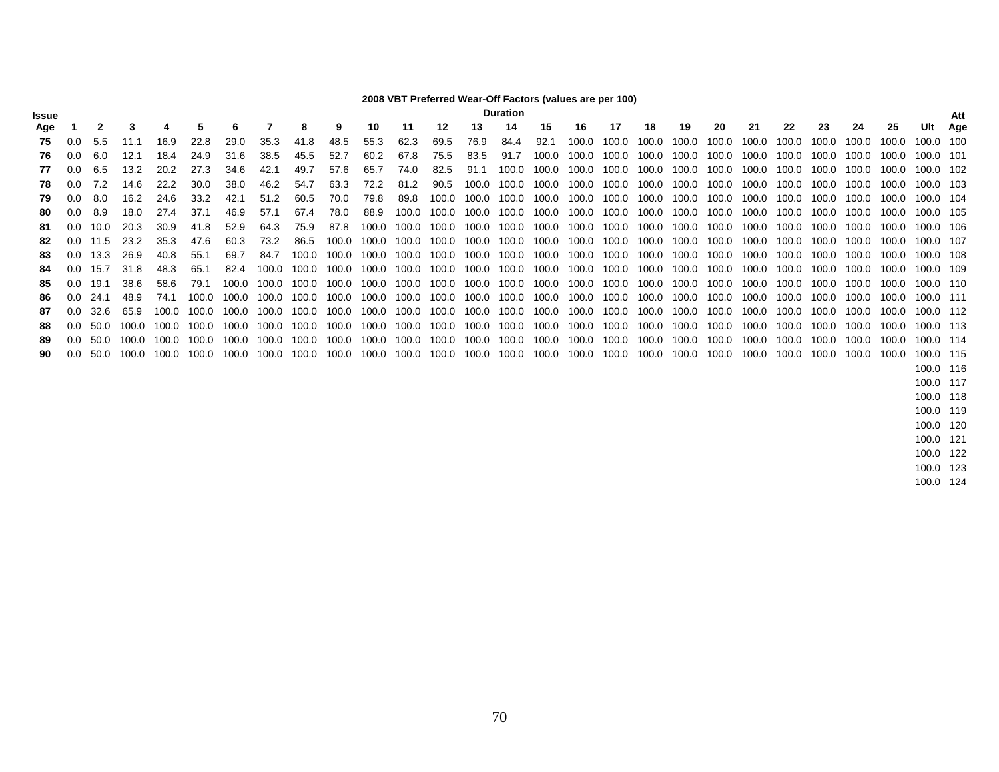### **2008 VBT Preferred Wear-Off Factors (values are per 100)**

| <b>ssue</b> |               |      |       |       |       |       |       |       |       |       |       |       |             | Duration                |       |             |       |       |       |             |             |       |       |       |       |           | Att |
|-------------|---------------|------|-------|-------|-------|-------|-------|-------|-------|-------|-------|-------|-------------|-------------------------|-------|-------------|-------|-------|-------|-------------|-------------|-------|-------|-------|-------|-----------|-----|
| Age         |               |      | 3     | 4     | 5     | 6     |       | 8     | 9     | 10    | -11   | 12    | 13          | 14                      | 15    | 16          | 17    | 18    | 19    | 20          | 21          | 22    | 23    | 24    | 25    | Ult       | Age |
| 75          | 0.0           | 5.5  | 11.1  | 16.9  | 22.8  | 29.0  | 35.3  | 41.8  | 48.5  | 55.3  | 62.3  | 69.5  | 76.9        | 84.4                    | 92.1  | 100.0       | 100.0 | 100.0 | 100.0 | 100.0       | 100.0       | 100.0 | 100.0 | 100.0 | 100.0 | 100.0 100 |     |
| 76.         | 0.0           | 6.0  | 12.1  | 18.4  | 24.9  | 31.6  | 38.5  | 45.5  | 52.7  | 60.2  | 67.8  | 75.5  | 83.5        | 91.7                    | 100.0 | 100.0       | 100.0 | 100.0 | 100.0 | 100.0       | 100.0       | 100.0 | 100.0 | 100.0 | 100.0 | 100.0 101 |     |
| 77          | 0.0           | 6.5  | 13.2  | 20.2  | 27.3  | 34.6  | 42.1  | 49.7  | 57.6  | 65.7  | 74.0  | 82.5  | 91.1        | 100.0                   | 100.0 | 100.0       | 100.0 | 100.0 | 100.0 | 100.0       | 100.0       | 100.0 | 100.0 | 100.0 | 100.0 | 100.0 102 |     |
| 78          | 0.0           | 7.2  | 14.6  | 22.2  | 30.0  | 38.0  | 46.2  | 54.7  | 63.3  | 72.2  | 81.2  | 90.5  | 100.0       | 100.0                   | 100.0 | 100.0       | 100.0 | 100.0 | 100.0 | 100.0       | 100.0       | 100.0 | 100.0 | 100.0 | 100.0 | 100.0 103 |     |
| 79          | 0.0           | 8.0  | 16.2  | 24.6  | 33.2  | 42.1  | 51.2  | 60.5  | 70.0  | 79.8  | 89.8  | 100.0 | 100.0       | 100.0                   | 100.0 | 100.0       | 100.0 | 100.0 |       | 100.0 100.0 | 100.0       | 100.0 | 100.0 | 100.0 | 100.0 | 100.0 104 |     |
|             | 0.0           | 8.9  | 18.0  | 27.4  | 37.1  | 46.9  | 57.1  | 67.4  | 78.0  | 88.9  | 100.0 |       | 100.0 100.0 | 100.0                   |       | 100.0 100.0 | 100.0 | 100.0 | 100.0 | 100.0 100.0 |             | 100.0 | 100.0 | 100.0 | 100.0 | 100.0 105 |     |
| -81         | 0.0           | 10.0 | 20.3  | 30.9  | 41.8  | 52.9  | 64.3  | 75.9  | 87.8  | 100.0 |       |       |             | 100.0 100.0 100.0 100.0 |       | 100.0 100.0 | 100.0 | 100.0 | 100.0 |             | 100.0 100.0 | 100.0 | 100.0 | 100.0 | 100.0 | 100.0 106 |     |
|             | 0.0           | 11.5 | 23.2  | 35.3  | 47.6  | 60.3  | 73.2  | 86.5  | 100.0 | 100.0 | 100.0 | 100.0 | 100.0       | 100.0                   |       | 100.0 100.0 | 100.0 | 100.0 | 100.0 | 100.0       | 100.0       | 100.0 | 100.0 | 100.0 | 100.0 | 100.0 107 |     |
| 83          | 0.0           | 13.3 | 26.9  | 40.8  | 55.1  | 69.7  | 84.7  | 100.0 | 100.0 | 100.0 | 100.0 | 100.0 | 100.0       | 100.0                   | 100.0 | 100.0       | 100.0 | 100.0 | 100.0 | 100.0       | 100.0       | 100.0 | 100.0 | 100.0 | 100.0 | 100.0 108 |     |
|             | 0.0           | 15.7 | 31.8  | 48.3  | -65.1 | 82.4  | 100.0 | 100.0 | 100.0 | 100.0 | 100.0 | 100.0 | 100.0       | 100.0                   | 100.0 | 100.0       | 100.0 | 100.0 | 100.0 | 100.0       | 100.0       | 100.0 | 100.0 | 100.0 | 100.0 | 100.0 109 |     |
| 85          | 0.0           | 19.1 | 38.6  | 58.6  | 79.1  | 100.0 | 100.0 | 100.0 | 100.0 | 100.0 | 100.0 | 100.0 | 100.0       | 100.0                   | 100.0 | 100.0       | 100.0 | 100.0 | 100.0 | 100.0       | 100.0       | 100.0 | 100.0 | 100.0 | 100.0 | 100.0 110 |     |
| 86          | 0.O           | 24.1 | 48.9  | 74.1  | 100.0 | 100.0 | 100.0 | 100.0 | 100.0 | 100.0 | 100.0 | 100.0 | 100.0       | 100.0                   |       | 100.0 100.0 | 100.0 | 100.0 | 100.0 |             | 100.0 100.0 | 100.0 | 100.0 | 100.0 | 100.0 | 100.0 111 |     |
| 87          | 0.0           | 32.6 | 65.9  | 100.0 | 100.0 | 100.0 | 100.0 | 100.0 | 100.0 | 100.0 | 100.0 | 100.0 | 100.0       | 100.0                   | 100.0 | 100.0       | 100.0 | 100.0 | 100.0 | 100.0       | 100.0       | 100.0 | 100.0 | 100.0 | 100.0 | 100.0 112 |     |
| 88          | 0.0           | 50.0 | 100.0 | 100.0 | 100.0 | 100.0 | 100.0 | 100.0 | 100.0 | 100.0 | 100.0 | 100.0 | 100.0       | 100.0                   | 100.0 | 100.0       | 100.0 | 100.0 | 100.0 | 100.0       | 100.0       | 100.0 | 100.0 | 100.0 | 100.0 | 100.0 113 |     |
| 89          | $0.0^{\circ}$ | 50.0 | 100.0 | 100.0 | 100.0 | 100.0 | 100.0 | 100.0 | 100.0 | 100.0 | 100.0 |       | 100.0 100.0 | 100.0                   |       | 100.0 100.0 | 100.0 | 100.0 | 100.0 |             | 100.0 100.0 | 100.0 | 100.0 | 100.0 | 100.0 | 100.0 114 |     |
|             | 0.0           | 50.0 | 100.0 | 100.0 | 100.0 | 100.0 | 100.0 | 100.0 | 100.0 | 100.0 | 100.0 |       |             | 100.0 100.0 100.0       |       | 100.0 100.0 | 100.0 | 100.0 | 100.0 | 100.0       | 100.0       | 100.0 | 100.0 | 100.0 | 100.0 | 100.0 115 |     |
|             |               |      |       |       |       |       |       |       |       |       |       |       |             |                         |       |             |       |       |       |             |             |       |       |       |       | 100.0 116 |     |
|             |               |      |       |       |       |       |       |       |       |       |       |       |             |                         |       |             |       |       |       |             |             |       |       |       |       | 100.0 117 |     |

100.0 124

 100.0 118 100.0 118 100.0 119 100.0 119

 100.0 120 100.0 120

 100.0 121 100.0 121

 100.0 122 100.0 122

 100.0 123 100.0 123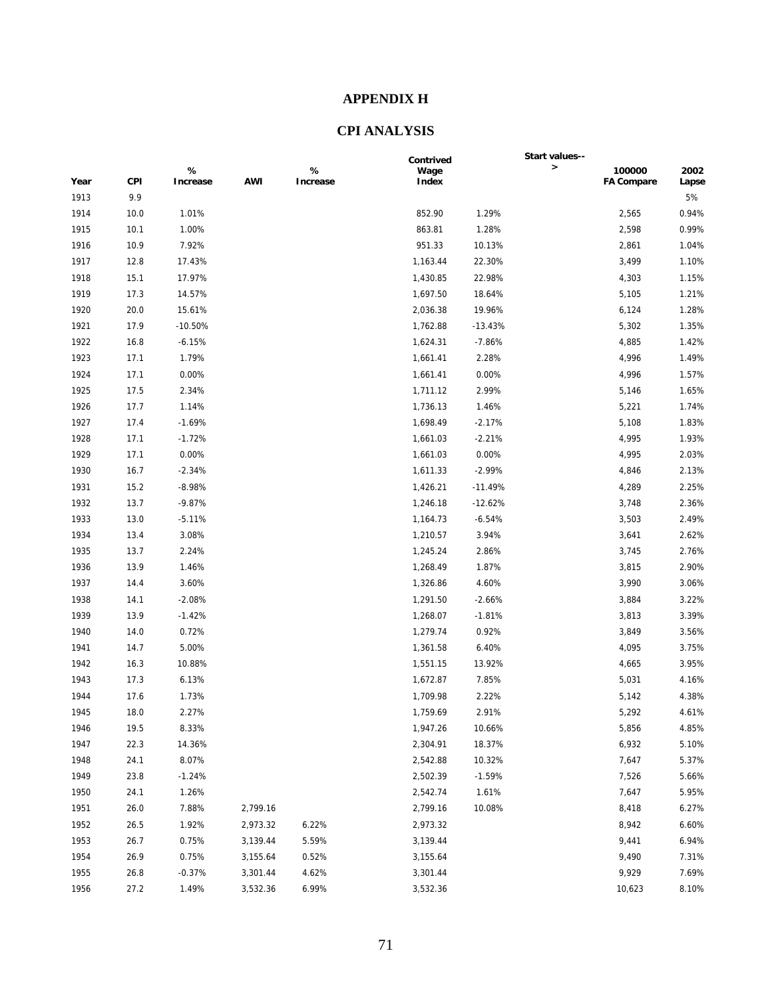## **APPENDIX H**

# **CPI ANALYSIS**

|      |      |                  |            |               | Contrived     |           | Start values-- |                             |               |
|------|------|------------------|------------|---------------|---------------|-----------|----------------|-----------------------------|---------------|
| Year | CPI  | $\%$<br>Increase | <b>AWI</b> | %<br>Increase | Wage<br>Index |           | $\,$           | 100000<br><b>FA Compare</b> | 2002<br>Lapse |
| 1913 | 9.9  |                  |            |               |               |           |                |                             | 5%            |
| 1914 | 10.0 | 1.01%            |            |               | 852.90        | 1.29%     |                | 2,565                       | 0.94%         |
| 1915 | 10.1 | 1.00%            |            |               | 863.81        | 1.28%     |                | 2,598                       | 0.99%         |
| 1916 | 10.9 | 7.92%            |            |               | 951.33        | 10.13%    |                | 2,861                       | 1.04%         |
| 1917 | 12.8 | 17.43%           |            |               | 1,163.44      | 22.30%    |                | 3,499                       | 1.10%         |
| 1918 | 15.1 | 17.97%           |            |               | 1,430.85      | 22.98%    |                | 4,303                       | 1.15%         |
| 1919 | 17.3 | 14.57%           |            |               | 1,697.50      | 18.64%    |                | 5,105                       | 1.21%         |
| 1920 | 20.0 | 15.61%           |            |               | 2,036.38      | 19.96%    |                | 6,124                       | 1.28%         |
| 1921 | 17.9 | $-10.50%$        |            |               | 1,762.88      | $-13.43%$ |                | 5,302                       | 1.35%         |
| 1922 | 16.8 | $-6.15%$         |            |               | 1,624.31      | $-7.86%$  |                | 4,885                       | 1.42%         |
| 1923 | 17.1 | 1.79%            |            |               | 1,661.41      | 2.28%     |                | 4,996                       | 1.49%         |
| 1924 | 17.1 | 0.00%            |            |               | 1,661.41      | 0.00%     |                | 4,996                       | 1.57%         |
| 1925 | 17.5 | 2.34%            |            |               | 1,711.12      | 2.99%     |                | 5,146                       | 1.65%         |
| 1926 | 17.7 | 1.14%            |            |               | 1,736.13      | 1.46%     |                | 5,221                       | 1.74%         |
| 1927 | 17.4 | $-1.69%$         |            |               | 1,698.49      | $-2.17%$  |                | 5,108                       | 1.83%         |
| 1928 | 17.1 | $-1.72%$         |            |               | 1,661.03      | $-2.21%$  |                | 4,995                       | 1.93%         |
| 1929 | 17.1 | 0.00%            |            |               | 1,661.03      | 0.00%     |                | 4,995                       | 2.03%         |
| 1930 | 16.7 | $-2.34%$         |            |               | 1,611.33      | $-2.99%$  |                | 4,846                       | 2.13%         |
| 1931 | 15.2 | $-8.98%$         |            |               | 1,426.21      | $-11.49%$ |                | 4,289                       | 2.25%         |
| 1932 | 13.7 | $-9.87%$         |            |               | 1,246.18      | $-12.62%$ |                | 3,748                       | 2.36%         |
| 1933 | 13.0 | $-5.11%$         |            |               | 1,164.73      | $-6.54%$  |                | 3,503                       | 2.49%         |
| 1934 | 13.4 | 3.08%            |            |               | 1,210.57      | 3.94%     |                | 3,641                       | 2.62%         |
| 1935 | 13.7 | 2.24%            |            |               | 1,245.24      | 2.86%     |                | 3,745                       | 2.76%         |
| 1936 | 13.9 | 1.46%            |            |               | 1,268.49      | 1.87%     |                | 3,815                       | 2.90%         |
| 1937 | 14.4 | 3.60%            |            |               | 1,326.86      | 4.60%     |                | 3,990                       | 3.06%         |
| 1938 | 14.1 | $-2.08%$         |            |               | 1,291.50      | $-2.66%$  |                | 3,884                       | 3.22%         |
| 1939 | 13.9 | $-1.42%$         |            |               | 1,268.07      | $-1.81%$  |                | 3,813                       | 3.39%         |
| 1940 | 14.0 | 0.72%            |            |               | 1,279.74      | 0.92%     |                | 3,849                       | 3.56%         |
| 1941 | 14.7 | 5.00%            |            |               | 1,361.58      | 6.40%     |                | 4,095                       | 3.75%         |
| 1942 | 16.3 | 10.88%           |            |               | 1,551.15      | 13.92%    |                | 4,665                       | 3.95%         |
| 1943 | 17.3 | 6.13%            |            |               | 1,672.87      | 7.85%     |                | 5,031                       | 4.16%         |
| 1944 | 17.6 | 1.73%            |            |               | 1,709.98      | 2.22%     |                | 5,142                       | 4.38%         |
| 1945 | 18.0 | 2.27%            |            |               | 1,759.69      | 2.91%     |                | 5,292                       | 4.61%         |
| 1946 | 19.5 | 8.33%            |            |               | 1,947.26      | 10.66%    |                | 5,856                       | 4.85%         |
| 1947 | 22.3 | 14.36%           |            |               | 2,304.91      | 18.37%    |                | 6,932                       | 5.10%         |
| 1948 | 24.1 | 8.07%            |            |               | 2,542.88      | 10.32%    |                | 7,647                       | 5.37%         |
| 1949 | 23.8 | $-1.24%$         |            |               | 2,502.39      | $-1.59%$  |                | 7,526                       | 5.66%         |
| 1950 | 24.1 | 1.26%            |            |               | 2,542.74      | 1.61%     |                | 7,647                       | 5.95%         |
| 1951 | 26.0 | 7.88%            | 2,799.16   |               | 2,799.16      | 10.08%    |                | 8,418                       | 6.27%         |
| 1952 | 26.5 | 1.92%            | 2,973.32   | 6.22%         | 2,973.32      |           |                | 8,942                       | 6.60%         |
| 1953 | 26.7 | 0.75%            | 3,139.44   | 5.59%         | 3,139.44      |           |                | 9,441                       | 6.94%         |
| 1954 | 26.9 | 0.75%            | 3,155.64   | 0.52%         | 3,155.64      |           |                | 9,490                       | 7.31%         |
| 1955 | 26.8 | $-0.37%$         | 3,301.44   | 4.62%         | 3,301.44      |           |                | 9,929                       | 7.69%         |
| 1956 | 27.2 | 1.49%            | 3,532.36   | 6.99%         | 3,532.36      |           |                | 10,623                      | 8.10%         |
|      |      |                  |            |               |               |           |                |                             |               |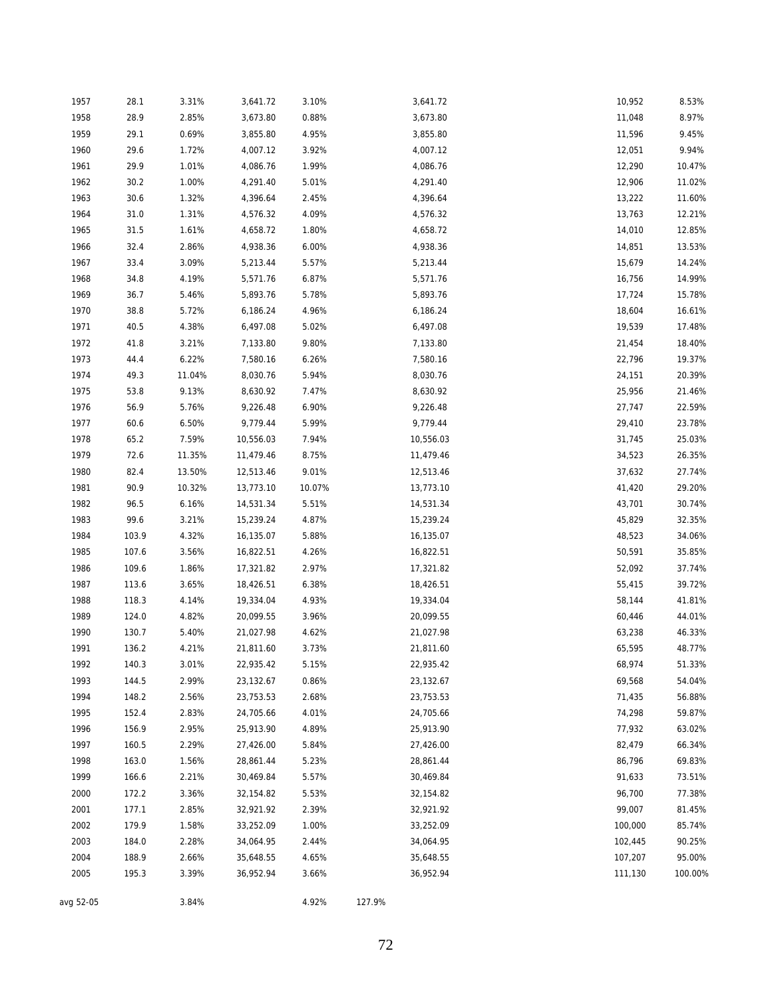| 1957      | 28.1  | 3.31%  | 3,641.72  | 3.10%  |        | 3,641.72  | 10,952  | 8.53%   |
|-----------|-------|--------|-----------|--------|--------|-----------|---------|---------|
| 1958      | 28.9  | 2.85%  | 3,673.80  | 0.88%  |        | 3,673.80  | 11,048  | 8.97%   |
| 1959      | 29.1  | 0.69%  | 3,855.80  | 4.95%  |        | 3,855.80  | 11,596  | 9.45%   |
| 1960      | 29.6  | 1.72%  | 4,007.12  | 3.92%  |        | 4,007.12  | 12,051  | 9.94%   |
| 1961      | 29.9  | 1.01%  | 4,086.76  | 1.99%  |        | 4,086.76  | 12,290  | 10.47%  |
| 1962      | 30.2  | 1.00%  | 4,291.40  | 5.01%  |        | 4,291.40  | 12,906  | 11.02%  |
| 1963      | 30.6  | 1.32%  | 4,396.64  | 2.45%  |        | 4,396.64  | 13,222  | 11.60%  |
| 1964      | 31.0  | 1.31%  | 4,576.32  | 4.09%  |        | 4,576.32  | 13,763  | 12.21%  |
| 1965      | 31.5  | 1.61%  | 4,658.72  | 1.80%  |        | 4,658.72  | 14,010  | 12.85%  |
| 1966      | 32.4  | 2.86%  | 4,938.36  | 6.00%  |        | 4,938.36  | 14,851  | 13.53%  |
| 1967      | 33.4  | 3.09%  | 5,213.44  | 5.57%  |        | 5,213.44  | 15,679  | 14.24%  |
| 1968      | 34.8  | 4.19%  | 5,571.76  | 6.87%  |        | 5,571.76  | 16,756  | 14.99%  |
| 1969      | 36.7  | 5.46%  | 5,893.76  | 5.78%  |        | 5,893.76  | 17,724  | 15.78%  |
| 1970      | 38.8  | 5.72%  | 6,186.24  | 4.96%  |        | 6,186.24  | 18,604  | 16.61%  |
| 1971      | 40.5  | 4.38%  | 6,497.08  | 5.02%  |        | 6,497.08  | 19,539  | 17.48%  |
| 1972      | 41.8  | 3.21%  | 7,133.80  | 9.80%  |        | 7,133.80  | 21,454  | 18.40%  |
| 1973      | 44.4  | 6.22%  | 7,580.16  | 6.26%  |        | 7,580.16  | 22,796  | 19.37%  |
| 1974      | 49.3  | 11.04% | 8,030.76  | 5.94%  |        | 8,030.76  | 24,151  | 20.39%  |
| 1975      | 53.8  | 9.13%  | 8,630.92  | 7.47%  |        | 8,630.92  | 25,956  | 21.46%  |
| 1976      | 56.9  | 5.76%  | 9,226.48  | 6.90%  |        | 9,226.48  | 27,747  | 22.59%  |
| 1977      | 60.6  | 6.50%  | 9,779.44  | 5.99%  |        | 9,779.44  | 29,410  | 23.78%  |
| 1978      | 65.2  | 7.59%  | 10,556.03 | 7.94%  |        | 10,556.03 | 31,745  | 25.03%  |
| 1979      | 72.6  | 11.35% | 11,479.46 | 8.75%  |        | 11,479.46 | 34,523  | 26.35%  |
| 1980      | 82.4  | 13.50% | 12,513.46 | 9.01%  |        | 12,513.46 | 37,632  | 27.74%  |
| 1981      | 90.9  | 10.32% | 13,773.10 | 10.07% |        | 13,773.10 | 41,420  | 29.20%  |
| 1982      | 96.5  | 6.16%  | 14,531.34 | 5.51%  |        | 14,531.34 | 43,701  | 30.74%  |
| 1983      | 99.6  | 3.21%  | 15,239.24 | 4.87%  |        | 15,239.24 | 45,829  | 32.35%  |
| 1984      | 103.9 | 4.32%  | 16,135.07 | 5.88%  |        | 16,135.07 | 48,523  | 34.06%  |
| 1985      | 107.6 | 3.56%  | 16,822.51 | 4.26%  |        | 16,822.51 | 50,591  | 35.85%  |
| 1986      | 109.6 | 1.86%  | 17,321.82 | 2.97%  |        | 17,321.82 | 52,092  | 37.74%  |
| 1987      | 113.6 | 3.65%  | 18,426.51 | 6.38%  |        | 18,426.51 | 55,415  | 39.72%  |
| 1988      | 118.3 | 4.14%  | 19,334.04 | 4.93%  |        | 19,334.04 | 58,144  | 41.81%  |
| 1989      | 124.0 | 4.82%  | 20,099.55 | 3.96%  |        | 20,099.55 | 60,446  | 44.01%  |
| 1990      | 130.7 | 5.40%  | 21,027.98 | 4.62%  |        | 21,027.98 | 63,238  | 46.33%  |
| 1991      | 136.2 | 4.21%  | 21,811.60 | 3.73%  |        | 21,811.60 | 65,595  | 48.77%  |
| 1992      | 140.3 | 3.01%  | 22,935.42 | 5.15%  |        | 22,935.42 | 68,974  | 51.33%  |
| 1993      | 144.5 | 2.99%  | 23,132.67 | 0.86%  |        | 23,132.67 | 69,568  | 54.04%  |
| 1994      | 148.2 | 2.56%  | 23,753.53 | 2.68%  |        | 23,753.53 | 71,435  | 56.88%  |
| 1995      | 152.4 | 2.83%  | 24,705.66 | 4.01%  |        | 24,705.66 | 74,298  | 59.87%  |
| 1996      | 156.9 | 2.95%  | 25,913.90 | 4.89%  |        | 25,913.90 | 77,932  | 63.02%  |
| 1997      | 160.5 | 2.29%  | 27,426.00 | 5.84%  |        | 27,426.00 | 82,479  | 66.34%  |
| 1998      | 163.0 | 1.56%  | 28,861.44 | 5.23%  |        | 28,861.44 | 86,796  | 69.83%  |
| 1999      | 166.6 | 2.21%  | 30,469.84 | 5.57%  |        | 30,469.84 | 91,633  | 73.51%  |
| 2000      | 172.2 | 3.36%  | 32,154.82 | 5.53%  |        | 32,154.82 | 96,700  | 77.38%  |
| 2001      | 177.1 | 2.85%  | 32,921.92 | 2.39%  |        | 32,921.92 | 99,007  | 81.45%  |
| 2002      | 179.9 | 1.58%  | 33,252.09 | 1.00%  |        | 33,252.09 | 100,000 | 85.74%  |
| 2003      | 184.0 | 2.28%  | 34,064.95 | 2.44%  |        | 34,064.95 | 102,445 | 90.25%  |
| 2004      | 188.9 | 2.66%  | 35,648.55 | 4.65%  |        | 35,648.55 | 107,207 | 95.00%  |
| 2005      | 195.3 | 3.39%  | 36,952.94 | 3.66%  |        | 36,952.94 | 111,130 | 100.00% |
|           |       |        |           |        |        |           |         |         |
| avg 52-05 |       | 3.84%  |           | 4.92%  | 127.9% |           |         |         |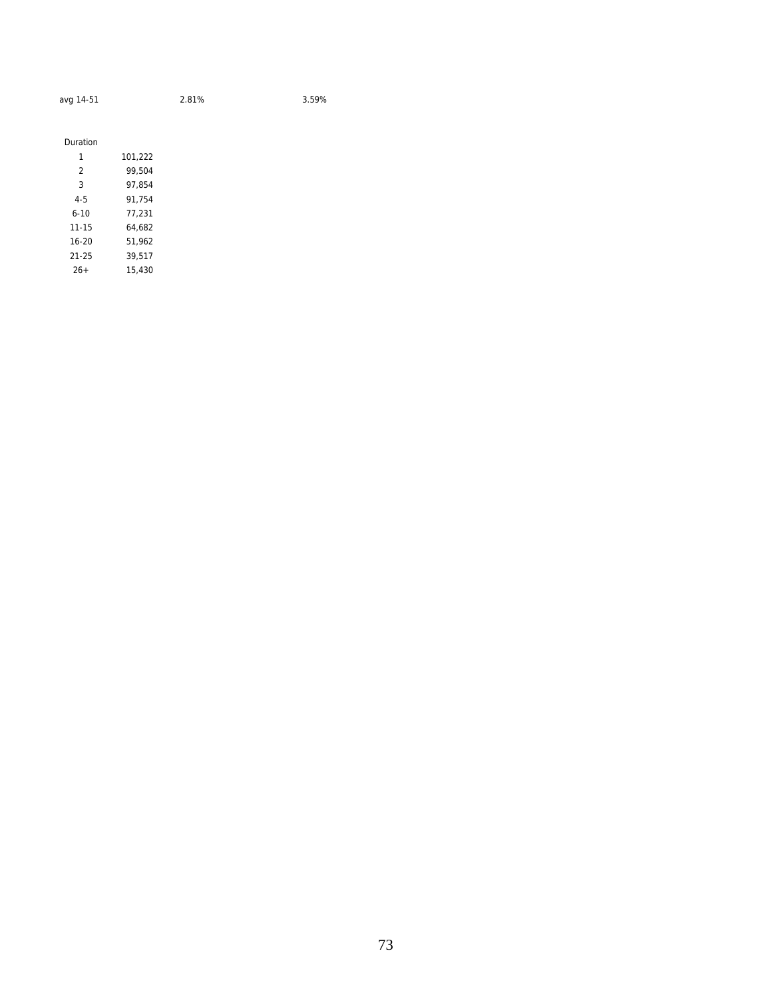| avg 14-51 | 2.81% |
|-----------|-------|
|           |       |

3.59%

| Duration |         |
|----------|---------|
| 1        | 101,222 |
| 2        | 99.504  |
| 3        | 97.854  |
| $4 - 5$  | 91,754  |
| $6 - 10$ | 77,231  |
| 11-15    | 64.682  |
| $16-20$  | 51.962  |
| 21-25    | 39.517  |
| $26+$    | 15.430  |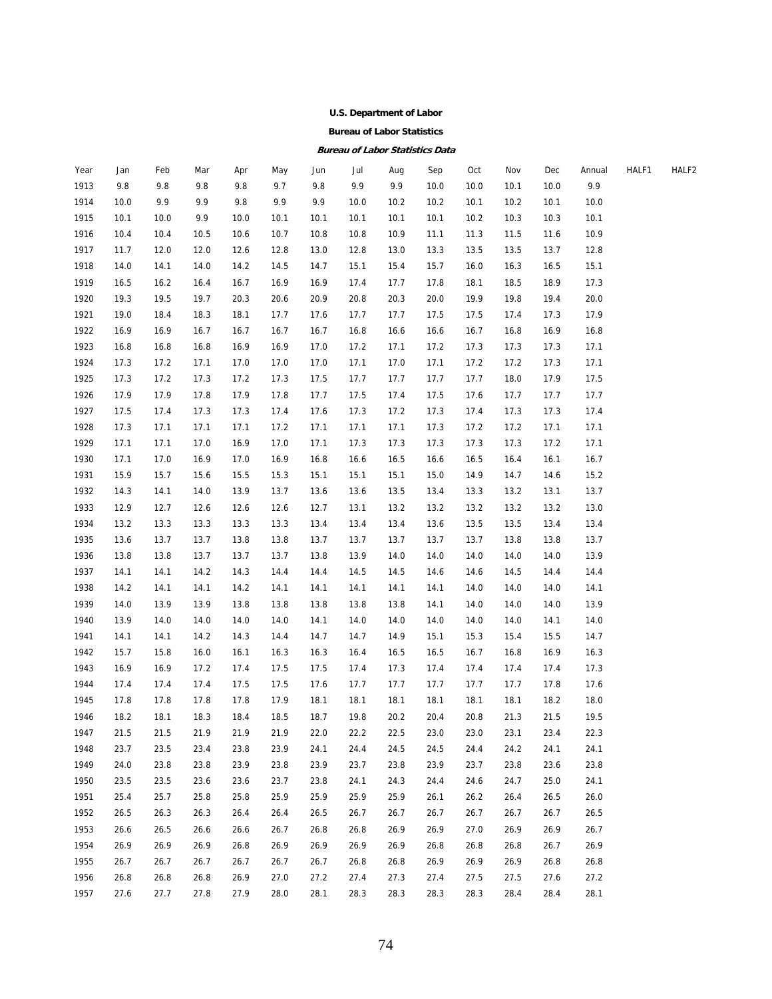#### **U.S. Department of Labor**

#### **Bureau of Labor Statistics**

#### **Bureau of Labor Statistics Data**

| Year | Jan  | Feb  | Mar  | Apr  | May  | Jun  | Jul  | Aug  | Sep  | Oct  | Nov  | Dec  | Annual | HALF1 | HALF2 |
|------|------|------|------|------|------|------|------|------|------|------|------|------|--------|-------|-------|
| 1913 | 9.8  | 9.8  | 9.8  | 9.8  | 9.7  | 9.8  | 9.9  | 9.9  | 10.0 | 10.0 | 10.1 | 10.0 | 9.9    |       |       |
| 1914 | 10.0 | 9.9  | 9.9  | 9.8  | 9.9  | 9.9  | 10.0 | 10.2 | 10.2 | 10.1 | 10.2 | 10.1 | 10.0   |       |       |
| 1915 | 10.1 | 10.0 | 9.9  | 10.0 | 10.1 | 10.1 | 10.1 | 10.1 | 10.1 | 10.2 | 10.3 | 10.3 | 10.1   |       |       |
| 1916 | 10.4 | 10.4 | 10.5 | 10.6 | 10.7 | 10.8 | 10.8 | 10.9 | 11.1 | 11.3 | 11.5 | 11.6 | 10.9   |       |       |
| 1917 | 11.7 | 12.0 | 12.0 | 12.6 | 12.8 | 13.0 | 12.8 | 13.0 | 13.3 | 13.5 | 13.5 | 13.7 | 12.8   |       |       |
| 1918 | 14.0 | 14.1 | 14.0 | 14.2 | 14.5 | 14.7 | 15.1 | 15.4 | 15.7 | 16.0 | 16.3 | 16.5 | 15.1   |       |       |
| 1919 | 16.5 | 16.2 | 16.4 | 16.7 | 16.9 | 16.9 | 17.4 | 17.7 | 17.8 | 18.1 | 18.5 | 18.9 | 17.3   |       |       |
| 1920 | 19.3 | 19.5 | 19.7 | 20.3 | 20.6 | 20.9 | 20.8 | 20.3 | 20.0 | 19.9 | 19.8 | 19.4 | 20.0   |       |       |
| 1921 | 19.0 | 18.4 | 18.3 | 18.1 | 17.7 | 17.6 | 17.7 | 17.7 | 17.5 | 17.5 | 17.4 | 17.3 | 17.9   |       |       |
| 1922 | 16.9 | 16.9 | 16.7 | 16.7 | 16.7 | 16.7 | 16.8 | 16.6 | 16.6 | 16.7 | 16.8 | 16.9 | 16.8   |       |       |
| 1923 | 16.8 | 16.8 | 16.8 | 16.9 | 16.9 | 17.0 | 17.2 | 17.1 | 17.2 | 17.3 | 17.3 | 17.3 | 17.1   |       |       |
| 1924 | 17.3 | 17.2 | 17.1 | 17.0 | 17.0 | 17.0 | 17.1 | 17.0 | 17.1 | 17.2 | 17.2 | 17.3 | 17.1   |       |       |
| 1925 | 17.3 | 17.2 | 17.3 | 17.2 | 17.3 | 17.5 | 17.7 | 17.7 | 17.7 | 17.7 | 18.0 | 17.9 | 17.5   |       |       |
| 1926 | 17.9 | 17.9 | 17.8 | 17.9 | 17.8 | 17.7 | 17.5 | 17.4 | 17.5 | 17.6 | 17.7 | 17.7 | 17.7   |       |       |
| 1927 | 17.5 | 17.4 | 17.3 | 17.3 | 17.4 | 17.6 | 17.3 | 17.2 | 17.3 | 17.4 | 17.3 | 17.3 | 17.4   |       |       |
| 1928 | 17.3 | 17.1 | 17.1 | 17.1 | 17.2 | 17.1 | 17.1 | 17.1 | 17.3 | 17.2 | 17.2 | 17.1 | 17.1   |       |       |
| 1929 | 17.1 | 17.1 | 17.0 | 16.9 | 17.0 | 17.1 | 17.3 | 17.3 | 17.3 | 17.3 | 17.3 | 17.2 | 17.1   |       |       |
| 1930 | 17.1 | 17.0 | 16.9 | 17.0 | 16.9 | 16.8 | 16.6 | 16.5 | 16.6 | 16.5 | 16.4 | 16.1 | 16.7   |       |       |
| 1931 | 15.9 | 15.7 | 15.6 | 15.5 | 15.3 | 15.1 | 15.1 | 15.1 | 15.0 | 14.9 | 14.7 | 14.6 | 15.2   |       |       |
| 1932 | 14.3 | 14.1 | 14.0 | 13.9 | 13.7 | 13.6 | 13.6 | 13.5 | 13.4 | 13.3 | 13.2 | 13.1 | 13.7   |       |       |
| 1933 | 12.9 | 12.7 | 12.6 | 12.6 | 12.6 | 12.7 | 13.1 | 13.2 | 13.2 | 13.2 | 13.2 | 13.2 | 13.0   |       |       |
| 1934 | 13.2 | 13.3 | 13.3 | 13.3 | 13.3 | 13.4 | 13.4 | 13.4 | 13.6 | 13.5 | 13.5 | 13.4 | 13.4   |       |       |
| 1935 | 13.6 | 13.7 | 13.7 | 13.8 | 13.8 | 13.7 | 13.7 | 13.7 | 13.7 | 13.7 | 13.8 | 13.8 | 13.7   |       |       |
| 1936 | 13.8 | 13.8 | 13.7 | 13.7 | 13.7 | 13.8 | 13.9 | 14.0 | 14.0 | 14.0 | 14.0 | 14.0 | 13.9   |       |       |
| 1937 | 14.1 | 14.1 | 14.2 | 14.3 | 14.4 | 14.4 | 14.5 | 14.5 | 14.6 | 14.6 | 14.5 | 14.4 | 14.4   |       |       |
| 1938 | 14.2 | 14.1 | 14.1 | 14.2 | 14.1 | 14.1 | 14.1 | 14.1 | 14.1 | 14.0 | 14.0 | 14.0 | 14.1   |       |       |
| 1939 | 14.0 | 13.9 | 13.9 | 13.8 | 13.8 | 13.8 | 13.8 | 13.8 | 14.1 | 14.0 | 14.0 | 14.0 | 13.9   |       |       |
| 1940 | 13.9 | 14.0 | 14.0 | 14.0 | 14.0 | 14.1 | 14.0 | 14.0 | 14.0 | 14.0 | 14.0 | 14.1 | 14.0   |       |       |
| 1941 | 14.1 | 14.1 | 14.2 | 14.3 | 14.4 | 14.7 | 14.7 | 14.9 | 15.1 | 15.3 | 15.4 | 15.5 | 14.7   |       |       |
| 1942 | 15.7 | 15.8 | 16.0 | 16.1 | 16.3 | 16.3 | 16.4 | 16.5 | 16.5 | 16.7 | 16.8 | 16.9 | 16.3   |       |       |
| 1943 | 16.9 | 16.9 | 17.2 | 17.4 | 17.5 | 17.5 | 17.4 | 17.3 | 17.4 | 17.4 | 17.4 | 17.4 | 17.3   |       |       |
| 1944 | 17.4 | 17.4 | 17.4 | 17.5 | 17.5 | 17.6 | 17.7 | 17.7 | 17.7 | 17.7 | 17.7 | 17.8 | 17.6   |       |       |
| 1945 | 17.8 | 17.8 | 17.8 | 17.8 | 17.9 | 18.1 | 18.1 | 18.1 | 18.1 | 18.1 | 18.1 | 18.2 | 18.0   |       |       |
| 1946 | 18.2 | 18.1 | 18.3 | 18.4 | 18.5 | 18.7 | 19.8 | 20.2 | 20.4 | 20.8 | 21.3 | 21.5 | 19.5   |       |       |
| 1947 | 21.5 | 21.5 | 21.9 | 21.9 | 21.9 | 22.0 | 22.2 | 22.5 | 23.0 | 23.0 | 23.1 | 23.4 | 22.3   |       |       |
| 1948 | 23.7 | 23.5 | 23.4 | 23.8 | 23.9 | 24.1 | 24.4 | 24.5 | 24.5 | 24.4 | 24.2 | 24.1 | 24.1   |       |       |
| 1949 | 24.0 | 23.8 | 23.8 | 23.9 | 23.8 | 23.9 | 23.7 | 23.8 | 23.9 | 23.7 | 23.8 | 23.6 | 23.8   |       |       |
| 1950 | 23.5 | 23.5 | 23.6 | 23.6 | 23.7 | 23.8 | 24.1 | 24.3 | 24.4 | 24.6 | 24.7 | 25.0 | 24.1   |       |       |
| 1951 | 25.4 | 25.7 | 25.8 | 25.8 | 25.9 | 25.9 | 25.9 | 25.9 | 26.1 | 26.2 | 26.4 | 26.5 | 26.0   |       |       |
| 1952 | 26.5 | 26.3 | 26.3 | 26.4 | 26.4 | 26.5 | 26.7 | 26.7 | 26.7 | 26.7 | 26.7 | 26.7 | 26.5   |       |       |
| 1953 | 26.6 | 26.5 | 26.6 | 26.6 | 26.7 | 26.8 | 26.8 | 26.9 | 26.9 | 27.0 | 26.9 | 26.9 | 26.7   |       |       |
| 1954 | 26.9 | 26.9 | 26.9 | 26.8 | 26.9 | 26.9 | 26.9 | 26.9 | 26.8 | 26.8 | 26.8 | 26.7 | 26.9   |       |       |
| 1955 | 26.7 | 26.7 | 26.7 | 26.7 | 26.7 | 26.7 | 26.8 | 26.8 | 26.9 | 26.9 | 26.9 | 26.8 | 26.8   |       |       |
| 1956 | 26.8 | 26.8 | 26.8 | 26.9 | 27.0 | 27.2 | 27.4 | 27.3 | 27.4 | 27.5 | 27.5 | 27.6 | 27.2   |       |       |
| 1957 | 27.6 | 27.7 | 27.8 | 27.9 | 28.0 | 28.1 | 28.3 | 28.3 | 28.3 | 28.3 | 28.4 | 28.4 | 28.1   |       |       |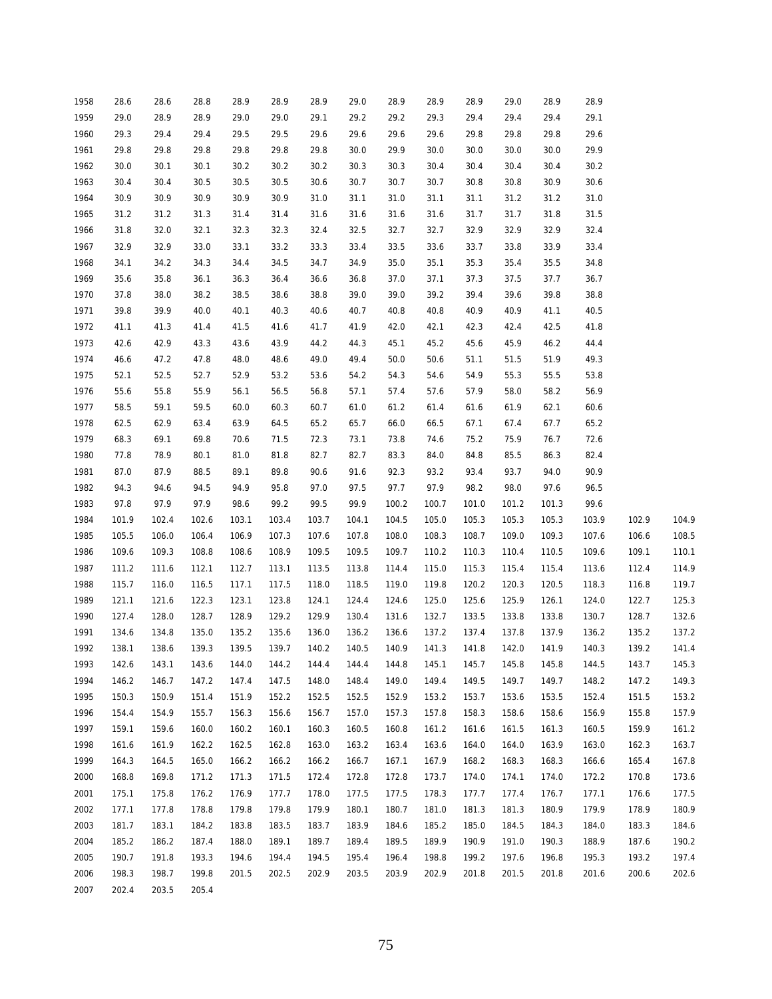| 1958 | 28.6  | 28.6  | 28.8  | 28.9  | 28.9  | 28.9  | 29.0  | 28.9  | 28.9   | 28.9           | 29.0  | 28.9           | 28.9  |       |       |
|------|-------|-------|-------|-------|-------|-------|-------|-------|--------|----------------|-------|----------------|-------|-------|-------|
| 1959 | 29.0  | 28.9  | 28.9  | 29.0  | 29.0  | 29.1  | 29.2  | 29.2  | 29.3   | 29.4           | 29.4  | 29.4           | 29.1  |       |       |
| 1960 | 29.3  | 29.4  | 29.4  | 29.5  | 29.5  | 29.6  | 29.6  | 29.6  | 29.6   | 29.8           | 29.8  | 29.8           | 29.6  |       |       |
| 1961 | 29.8  | 29.8  | 29.8  | 29.8  | 29.8  | 29.8  | 30.0  | 29.9  | 30.0   | 30.0           | 30.0  | 30.0           | 29.9  |       |       |
| 1962 | 30.0  | 30.1  | 30.1  | 30.2  | 30.2  | 30.2  | 30.3  | 30.3  | 30.4   | 30.4           | 30.4  | 30.4           | 30.2  |       |       |
| 1963 | 30.4  | 30.4  | 30.5  | 30.5  | 30.5  | 30.6  | 30.7  | 30.7  | 30.7   | 30.8           | 30.8  | 30.9           | 30.6  |       |       |
| 1964 | 30.9  | 30.9  | 30.9  | 30.9  | 30.9  | 31.0  | 31.1  | 31.0  | 31.1   | 31.1           | 31.2  | 31.2           | 31.0  |       |       |
| 1965 | 31.2  | 31.2  | 31.3  | 31.4  | 31.4  | 31.6  | 31.6  | 31.6  | 31.6   | 31.7           | 31.7  | 31.8           | 31.5  |       |       |
| 1966 | 31.8  | 32.0  | 32.1  | 32.3  | 32.3  | 32.4  | 32.5  | 32.7  | 32.7   | 32.9           | 32.9  | 32.9           | 32.4  |       |       |
| 1967 | 32.9  | 32.9  | 33.0  | 33.1  | 33.2  | 33.3  | 33.4  | 33.5  | 33.6   | 33.7           | 33.8  | 33.9           | 33.4  |       |       |
| 1968 | 34.1  | 34.2  | 34.3  | 34.4  | 34.5  | 34.7  | 34.9  | 35.0  | 35.1   | 35.3           | 35.4  | 35.5           | 34.8  |       |       |
| 1969 | 35.6  | 35.8  | 36.1  | 36.3  | 36.4  | 36.6  | 36.8  | 37.0  | 37.1   | 37.3           | 37.5  | 37.7           | 36.7  |       |       |
| 1970 | 37.8  | 38.0  | 38.2  | 38.5  | 38.6  | 38.8  | 39.0  | 39.0  | 39.2   | 39.4           | 39.6  | 39.8           | 38.8  |       |       |
| 1971 | 39.8  | 39.9  | 40.0  | 40.1  | 40.3  | 40.6  | 40.7  | 40.8  | 40.8   | 40.9           | 40.9  | 41.1           | 40.5  |       |       |
| 1972 | 41.1  | 41.3  | 41.4  | 41.5  | 41.6  | 41.7  | 41.9  | 42.0  | 42.1   | 42.3           | 42.4  | 42.5           | 41.8  |       |       |
| 1973 | 42.6  | 42.9  | 43.3  | 43.6  | 43.9  | 44.2  | 44.3  | 45.1  | 45.2   | 45.6           | 45.9  | 46.2           | 44.4  |       |       |
| 1974 | 46.6  | 47.2  | 47.8  | 48.0  | 48.6  | 49.0  | 49.4  | 50.0  | $50.6$ | 51.1           | 51.5  | 51.9           | 49.3  |       |       |
| 1975 | 52.1  | 52.5  | 52.7  | 52.9  | 53.2  | 53.6  | 54.2  | 54.3  | 54.6   | 54.9           | 55.3  | 55.5           | 53.8  |       |       |
| 1976 | 55.6  | 55.8  | 55.9  | 56.1  | 56.5  | 56.8  | 57.1  | 57.4  | 57.6   | 57.9           | 58.0  | 58.2           | 56.9  |       |       |
| 1977 | 58.5  | 59.1  | 59.5  | 60.0  | 60.3  | 60.7  | 61.0  | 61.2  | 61.4   | 61.6           | 61.9  | 62.1           | 60.6  |       |       |
| 1978 | 62.5  | 62.9  | 63.4  | 63.9  | 64.5  | 65.2  | 65.7  | 66.0  | 66.5   | 67.1           | 67.4  | 67.7           | 65.2  |       |       |
| 1979 | 68.3  | 69.1  | 69.8  | 70.6  | 71.5  | 72.3  | 73.1  | 73.8  | 74.6   | 75.2           | 75.9  | 76.7           | 72.6  |       |       |
| 1980 | 77.8  | 78.9  | 80.1  | 81.0  | 81.8  | 82.7  | 82.7  | 83.3  | 84.0   | 84.8           | 85.5  | 86.3           | 82.4  |       |       |
| 1981 | 87.0  | 87.9  | 88.5  | 89.1  | 89.8  | 90.6  | 91.6  | 92.3  | 93.2   | 93.4           | 93.7  | 94.0           | 90.9  |       |       |
| 1982 | 94.3  | 94.6  | 94.5  | 94.9  | 95.8  | 97.0  | 97.5  | 97.7  | 97.9   | 98.2           | 98.0  | 97.6           | 96.5  |       |       |
| 1983 | 97.8  | 97.9  | 97.9  | 98.6  | 99.2  | 99.5  | 99.9  | 100.2 | 100.7  | 101.0          | 101.2 | 101.3          | 99.6  |       |       |
| 1984 | 101.9 | 102.4 | 102.6 | 103.1 | 103.4 | 103.7 | 104.1 | 104.5 | 105.0  | 105.3          | 105.3 | 105.3          | 103.9 | 102.9 | 104.9 |
| 1985 | 105.5 | 106.0 | 106.4 | 106.9 | 107.3 | 107.6 | 107.8 | 108.0 | 108.3  | 108.7          | 109.0 | 109.3          | 107.6 | 106.6 | 108.5 |
| 1986 | 109.6 | 109.3 | 108.8 | 108.6 | 108.9 | 109.5 | 109.5 | 109.7 | 110.2  | 110.3          | 110.4 | 110.5          | 109.6 | 109.1 | 110.1 |
| 1987 | 111.2 | 111.6 | 112.1 | 112.7 | 113.1 | 113.5 | 113.8 | 114.4 | 115.0  | 115.3          | 115.4 | 115.4          | 113.6 | 112.4 | 114.9 |
| 1988 | 115.7 | 116.0 | 116.5 | 117.1 | 117.5 | 118.0 | 118.5 | 119.0 | 119.8  | 120.2          | 120.3 | 120.5          | 118.3 | 116.8 | 119.7 |
| 1989 | 121.1 | 121.6 | 122.3 | 123.1 | 123.8 | 124.1 | 124.4 | 124.6 | 125.0  | 125.6          | 125.9 | 126.1          | 124.0 | 122.7 | 125.3 |
| 1990 | 127.4 | 128.0 | 128.7 | 128.9 | 129.2 | 129.9 | 130.4 | 131.6 | 132.7  | 133.5          | 133.8 | 133.8          | 130.7 | 128.7 | 132.6 |
| 1991 | 134.6 | 134.8 | 135.0 | 135.2 | 135.6 | 136.0 | 136.2 | 136.6 | 137.2  | 137.4          | 137.8 | 137.9          | 136.2 | 135.2 | 137.2 |
| 1992 | 138.1 | 138.6 | 139.3 | 139.5 | 139.7 | 140.2 | 140.5 | 140.9 | 141.3  | 141.8          | 142.0 | 141.9          | 140.3 | 139.2 | 141.4 |
| 1993 | 142.6 | 143.1 | 143.6 | 144.0 | 144.2 | 144.4 | 144.4 | 144.8 | 145.1  | 145.7          | 145.8 | 145.8          | 144.5 | 143.7 | 145.3 |
| 1994 | 146.2 | 146.7 | 147.2 | 147.4 | 147.5 | 148.0 | 148.4 | 149.0 | 149.4  | 149.5          | 149.7 | 149.7          | 148.2 | 147.2 | 149.3 |
| 1995 | 150.3 | 150.9 | 151.4 | 151.9 | 152.2 | 152.5 | 152.5 | 152.9 | 153.2  | 153.7          | 153.6 | 153.5          | 152.4 | 151.5 | 153.2 |
| 1996 | 154.4 | 154.9 | 155.7 | 156.3 | 156.6 | 156.7 | 157.0 | 157.3 | 157.8  | 158.3          | 158.6 | 158.6          | 156.9 | 155.8 | 157.9 |
| 1997 | 159.1 | 159.6 | 160.0 | 160.2 | 160.1 | 160.3 | 160.5 | 160.8 | 161.2  | 161.6          | 161.5 | 161.3          | 160.5 | 159.9 | 161.2 |
| 1998 | 161.6 | 161.9 | 162.2 | 162.5 | 162.8 | 163.0 | 163.2 | 163.4 | 163.6  | 164.0          | 164.0 | 163.9          | 163.0 | 162.3 | 163.7 |
| 1999 | 164.3 | 164.5 | 165.0 | 166.2 | 166.2 | 166.2 | 166.7 | 167.1 | 167.9  | 168.2          | 168.3 | 168.3          | 166.6 | 165.4 | 167.8 |
| 2000 | 168.8 | 169.8 | 171.2 | 171.3 | 171.5 | 172.4 | 172.8 | 172.8 | 173.7  | 174.0          | 174.1 | 174.0          | 172.2 | 170.8 | 173.6 |
| 2001 | 175.1 | 175.8 | 176.2 | 176.9 | 177.7 | 178.0 | 177.5 | 177.5 | 178.3  | 177.7          | 177.4 | 176.7          | 177.1 | 176.6 | 177.5 |
| 2002 | 177.1 | 177.8 | 178.8 | 179.8 | 179.8 | 179.9 | 180.1 | 180.7 | 181.0  | 181.3          | 181.3 | 180.9          | 179.9 | 178.9 | 180.9 |
| 2003 | 181.7 | 183.1 | 184.2 | 183.8 | 183.5 | 183.7 | 183.9 | 184.6 | 185.2  | 185.0          | 184.5 |                |       | 183.3 | 184.6 |
| 2004 | 185.2 |       | 187.4 | 188.0 |       | 189.7 |       | 189.5 | 189.9  |                | 191.0 | 184.3<br>190.3 | 184.0 | 187.6 |       |
|      | 190.7 | 186.2 | 193.3 |       | 189.1 | 194.5 | 189.4 | 196.4 | 198.8  | 190.9<br>199.2 | 197.6 |                | 188.9 | 193.2 | 190.2 |
| 2005 | 198.3 | 191.8 | 199.8 | 194.6 | 194.4 |       | 195.4 |       |        |                |       | 196.8          | 195.3 |       | 197.4 |
| 2006 |       | 198.7 |       | 201.5 | 202.5 | 202.9 | 203.5 | 203.9 | 202.9  | 201.8          | 201.5 | 201.8          | 201.6 | 200.6 | 202.6 |
| 2007 | 202.4 | 203.5 | 205.4 |       |       |       |       |       |        |                |       |                |       |       |       |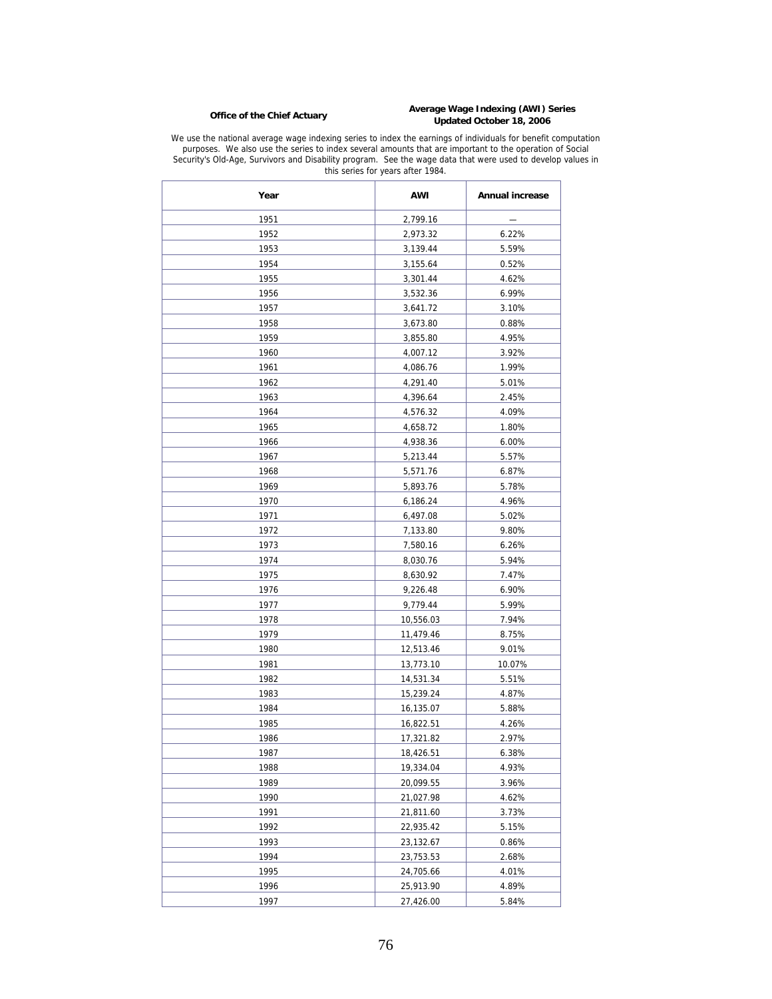# **Average Wage Indexing (AWI) Series Office of the Chief Actuary Updated October 18, 2006**

We use the national average wage indexing series to index the earnings of individuals for benefit computation purposes. We also use the series to index several amounts that are important to the operation of Social Security's Old-Age, Survivors and Disability program. See the wage data that were used to develop values in this series for years after 1984.

| Year | <b>AWI</b> | <b>Annual increase</b> |
|------|------------|------------------------|
| 1951 | 2,799.16   |                        |
| 1952 | 2,973.32   | 6.22%                  |
| 1953 | 3,139.44   | 5.59%                  |
| 1954 | 3,155.64   | 0.52%                  |
| 1955 | 3,301.44   | 4.62%                  |
| 1956 | 3,532.36   | 6.99%                  |
| 1957 | 3,641.72   | 3.10%                  |
| 1958 | 3,673.80   | 0.88%                  |
| 1959 | 3,855.80   | 4.95%                  |
| 1960 | 4,007.12   | 3.92%                  |
| 1961 | 4,086.76   | 1.99%                  |
| 1962 | 4,291.40   | 5.01%                  |
| 1963 | 4,396.64   | 2.45%                  |
| 1964 | 4,576.32   | 4.09%                  |
| 1965 | 4,658.72   | 1.80%                  |
| 1966 | 4,938.36   | 6.00%                  |
| 1967 | 5,213.44   | 5.57%                  |
| 1968 | 5,571.76   | 6.87%                  |
| 1969 | 5,893.76   | 5.78%                  |
| 1970 | 6,186.24   | 4.96%                  |
| 1971 | 6,497.08   | 5.02%                  |
| 1972 | 7,133.80   | 9.80%                  |
| 1973 | 7,580.16   | 6.26%                  |
| 1974 | 8,030.76   | 5.94%                  |
| 1975 | 8,630.92   | 7.47%                  |
| 1976 | 9,226.48   | 6.90%                  |
| 1977 | 9,779.44   | 5.99%                  |
| 1978 | 10,556.03  | 7.94%                  |
| 1979 | 11,479.46  | 8.75%                  |
| 1980 | 12,513.46  | 9.01%                  |
| 1981 | 13,773.10  | 10.07%                 |
| 1982 | 14,531.34  | 5.51%                  |
| 1983 | 15,239.24  | 4.87%                  |
| 1984 | 16,135.07  | 5.88%                  |
| 1985 | 16,822.51  | 4.26%                  |
| 1986 | 17,321.82  | 2.97%                  |
| 1987 | 18,426.51  | 6.38%                  |
| 1988 | 19,334.04  | 4.93%                  |
| 1989 | 20,099.55  | 3.96%                  |
| 1990 | 21,027.98  | 4.62%                  |
| 1991 | 21,811.60  | 3.73%                  |
| 1992 | 22,935.42  | 5.15%                  |
| 1993 | 23,132.67  | 0.86%                  |
| 1994 | 23,753.53  | 2.68%                  |
| 1995 | 24,705.66  | 4.01%                  |
| 1996 | 25,913.90  | 4.89%                  |
| 1997 | 27,426.00  | 5.84%                  |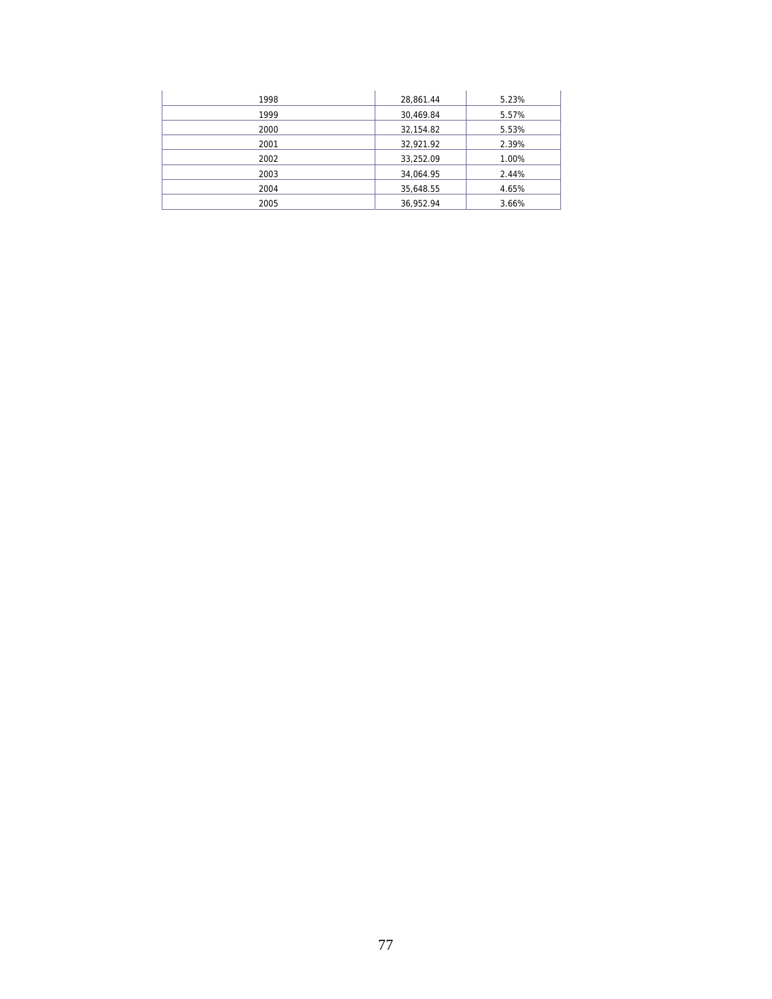| 1998 | 28,861.44 | 5.23% |
|------|-----------|-------|
| 1999 | 30,469.84 | 5.57% |
| 2000 | 32,154.82 | 5.53% |
| 2001 | 32,921.92 | 2.39% |
| 2002 | 33,252.09 | 1.00% |
| 2003 | 34,064.95 | 2.44% |
| 2004 | 35,648.55 | 4.65% |
| 2005 | 36,952.94 | 3.66% |
|      |           |       |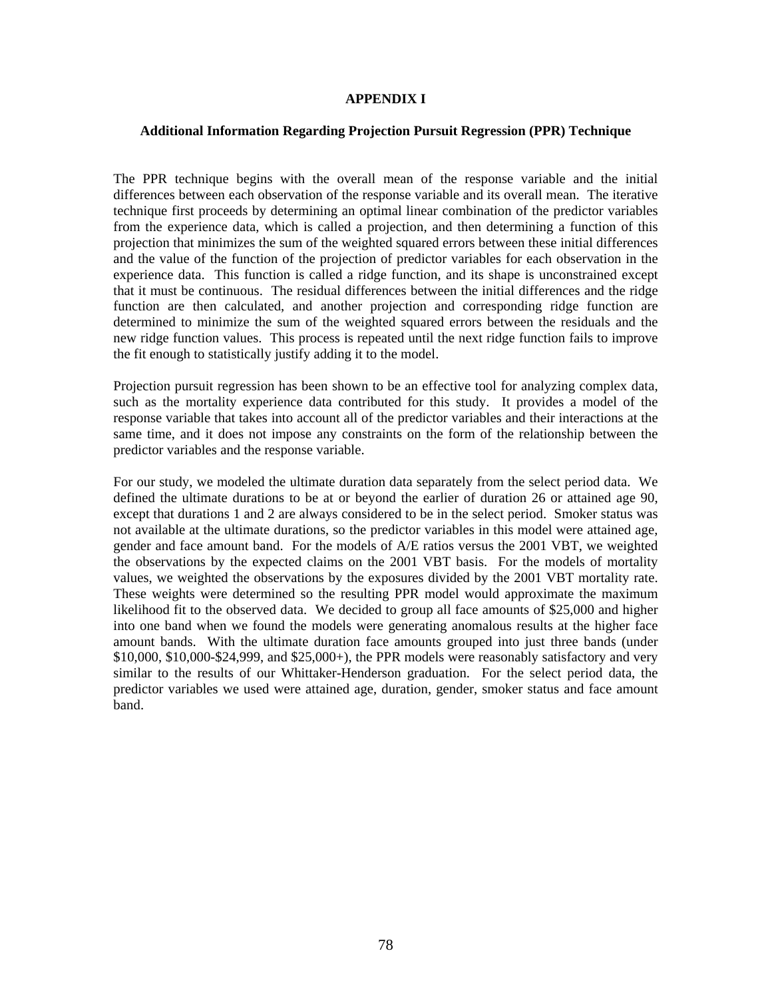#### **APPENDIX I**

#### **Additional Information Regarding Projection Pursuit Regression (PPR) Technique**

The PPR technique begins with the overall mean of the response variable and the initial differences between each observation of the response variable and its overall mean. The iterative technique first proceeds by determining an optimal linear combination of the predictor variables from the experience data, which is called a projection, and then determining a function of this projection that minimizes the sum of the weighted squared errors between these initial differences and the value of the function of the projection of predictor variables for each observation in the experience data. This function is called a ridge function, and its shape is unconstrained except that it must be continuous. The residual differences between the initial differences and the ridge function are then calculated, and another projection and corresponding ridge function are determined to minimize the sum of the weighted squared errors between the residuals and the new ridge function values. This process is repeated until the next ridge function fails to improve the fit enough to statistically justify adding it to the model.

Projection pursuit regression has been shown to be an effective tool for analyzing complex data, such as the mortality experience data contributed for this study. It provides a model of the response variable that takes into account all of the predictor variables and their interactions at the same time, and it does not impose any constraints on the form of the relationship between the predictor variables and the response variable.

For our study, we modeled the ultimate duration data separately from the select period data. We defined the ultimate durations to be at or beyond the earlier of duration 26 or attained age 90, except that durations 1 and 2 are always considered to be in the select period. Smoker status was not available at the ultimate durations, so the predictor variables in this model were attained age, gender and face amount band. For the models of A/E ratios versus the 2001 VBT, we weighted the observations by the expected claims on the 2001 VBT basis. For the models of mortality values, we weighted the observations by the exposures divided by the 2001 VBT mortality rate. These weights were determined so the resulting PPR model would approximate the maximum likelihood fit to the observed data. We decided to group all face amounts of \$25,000 and higher into one band when we found the models were generating anomalous results at the higher face amount bands. With the ultimate duration face amounts grouped into just three bands (under  $$10,000, $10,000-$24,999$ , and  $$25,000+$ ), the PPR models were reasonably satisfactory and very similar to the results of our Whittaker-Henderson graduation. For the select period data, the predictor variables we used were attained age, duration, gender, smoker status and face amount band.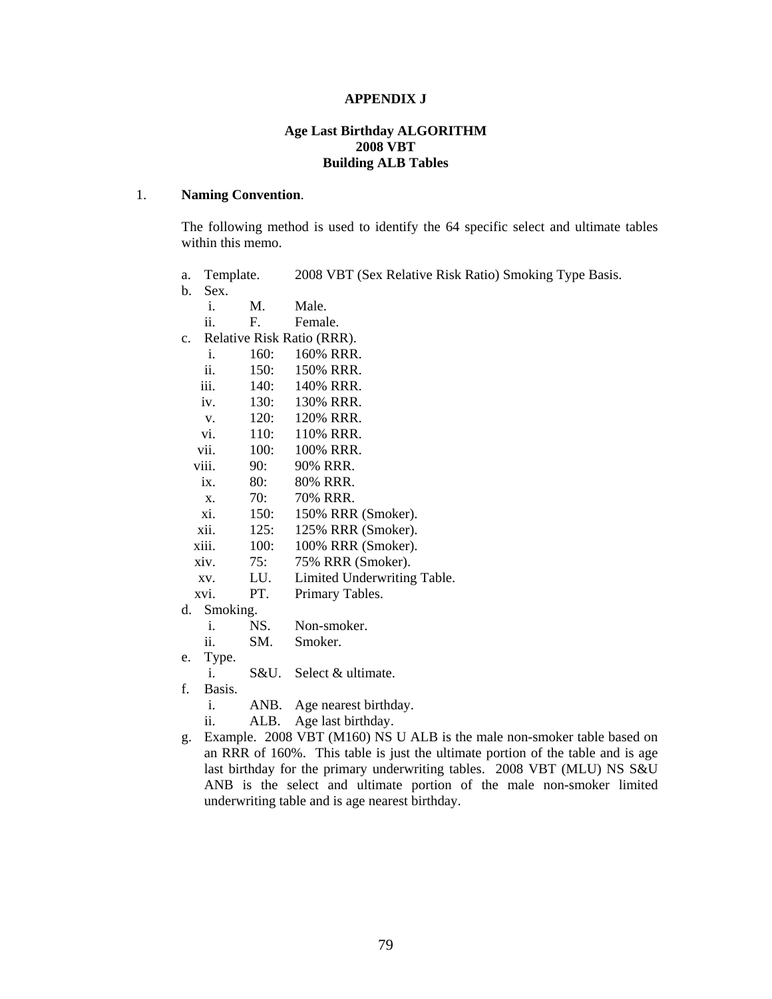#### **APPENDIX J**

#### **Age Last Birthday ALGORITHM 2008 VBT Building ALB Tables**

### 1. **Naming Convention**.

The following method is used to identify the 64 specific select and ultimate tables within this memo.

- a. Template. 2008 VBT (Sex Relative Risk Ratio) Smoking Type Basis.
- b. Sex.
	- i. M. Male.
	- ii. F. Female.
- c. Relative Risk Ratio (RRR).
	- i. 160: 160% RRR. ii. 150: 150% RRR.
	- iii. 140: 140% RRR.
	- iv. 130: 130% RRR.
	- v. 120: 120% RRR.
	- vi. 110: 110% RRR.
	- vii. 100: 100% RRR.
	- viii. 90: 90% RRR.
	- ix. 80: 80% RRR.
	- x. 70: 70% RRR.
	- xi. 150: 150% RRR (Smoker).
	- xii. 125: 125% RRR (Smoker).
	- xiii. 100: 100% RRR (Smoker).
	- xiv. 75: 75% RRR (Smoker).
	- xv. LU. Limited Underwriting Table.
	- xvi. PT. Primary Tables.
- d. Smoking.
	- i. NS. Non-smoker.
	- ii. SM. Smoker.
- e. Type.
	- i. S&U. Select & ultimate.
- f. Basis.
	- i. ANB. Age nearest birthday.
	- ii. ALB. Age last birthday.
- g. Example. 2008 VBT (M160) NS U ALB is the male non-smoker table based on an RRR of 160%. This table is just the ultimate portion of the table and is age last birthday for the primary underwriting tables. 2008 VBT (MLU) NS S&U ANB is the select and ultimate portion of the male non-smoker limited underwriting table and is age nearest birthday.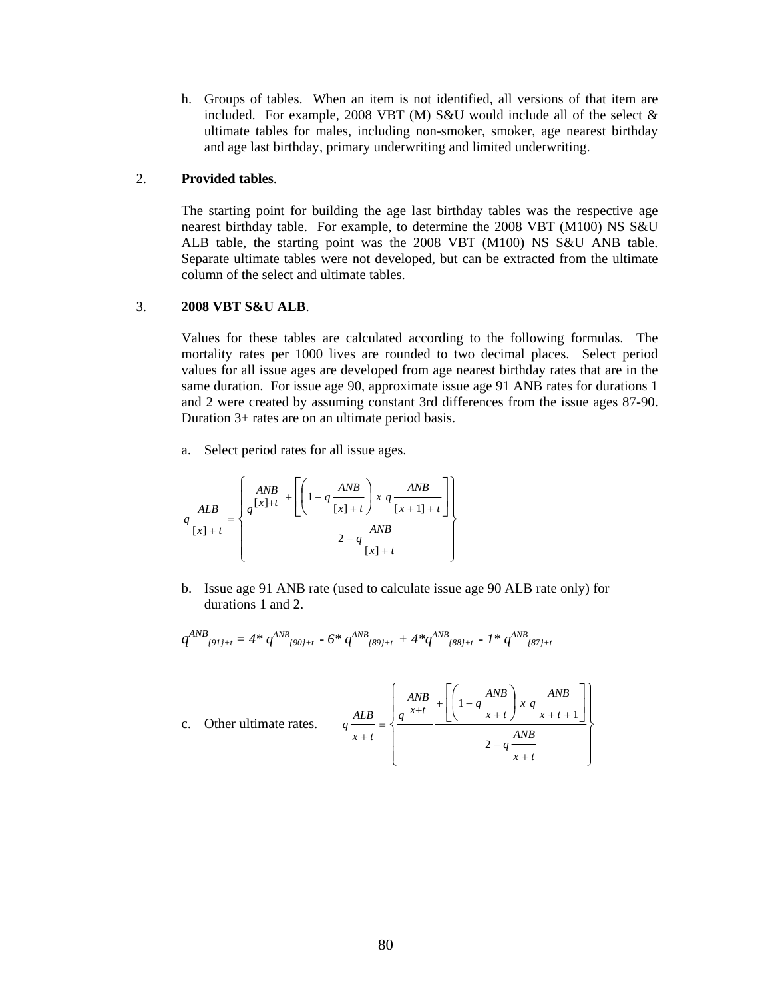h. Groups of tables. When an item is not identified, all versions of that item are included. For example, 2008 VBT (M) S&U would include all of the select  $\&$ ultimate tables for males, including non-smoker, smoker, age nearest birthday and age last birthday, primary underwriting and limited underwriting.

#### 2. **Provided tables**.

The starting point for building the age last birthday tables was the respective age nearest birthday table. For example, to determine the 2008 VBT (M100) NS S&U ALB table, the starting point was the 2008 VBT (M100) NS S&U ANB table. Separate ultimate tables were not developed, but can be extracted from the ultimate column of the select and ultimate tables.

### 3. **2008 VBT S&U ALB**.

Values for these tables are calculated according to the following formulas. The mortality rates per 1000 lives are rounded to two decimal places. Select period values for all issue ages are developed from age nearest birthday rates that are in the same duration. For issue age 90, approximate issue age 91 ANB rates for durations 1 and 2 were created by assuming constant 3rd differences from the issue ages 87-90. Duration 3+ rates are on an ultimate period basis.

a. Select period rates for all issue ages.

$$
q \frac{ALB}{[x]+t} = \left\{ \frac{a \frac{ANB}{[x]+t}}{1-q \frac{ANB}{[x]+t}} \right\} \frac{ANB}{2-q} \frac{ANB}{[x+1]+t} \right\}
$$

b. Issue age 91 ANB rate (used to calculate issue age 90 ALB rate only) for durations 1 and 2.

$$
q^{AND}_{(91)+t} = 4 * q^{AND}_{(90)+t} - 6 * q^{AND}_{(89)+t} + 4 * q^{AND}_{(88)+t} - 1 * q^{AND}_{(87)+t}
$$

c. Other ultimate rates. 
$$
q \frac{ALB}{x+t} = \left\{ \frac{\frac{AND}{q^{x+t}} + \left[ \left( 1 - q \frac{AND}{x+t} \right) x q \frac{AND}{x+t+1} \right]}{2 - q \frac{AND}{x+t}} \right\}
$$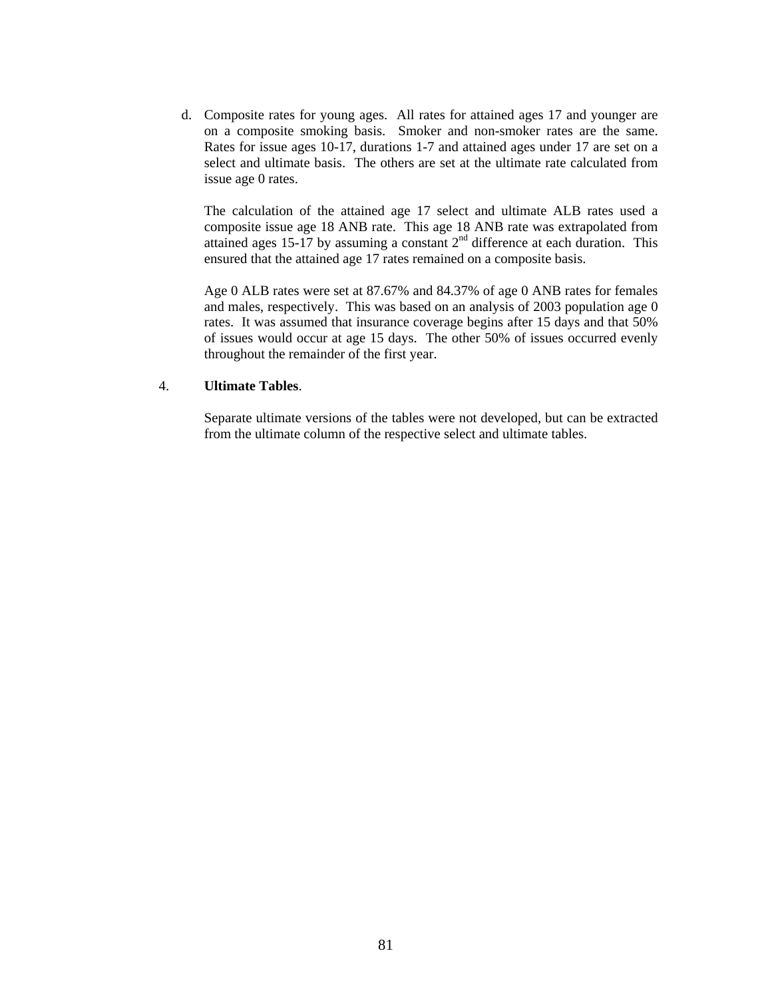d. Composite rates for young ages. All rates for attained ages 17 and younger are on a composite smoking basis. Smoker and non-smoker rates are the same. Rates for issue ages 10-17, durations 1-7 and attained ages under 17 are set on a select and ultimate basis. The others are set at the ultimate rate calculated from issue age 0 rates.

The calculation of the attained age 17 select and ultimate ALB rates used a composite issue age 18 ANB rate. This age 18 ANB rate was extrapolated from attained ages 15-17 by assuming a constant  $2<sup>nd</sup>$  difference at each duration. This ensured that the attained age 17 rates remained on a composite basis.

Age 0 ALB rates were set at 87.67% and 84.37% of age 0 ANB rates for females and males, respectively. This was based on an analysis of 2003 population age 0 rates. It was assumed that insurance coverage begins after 15 days and that 50% of issues would occur at age 15 days. The other 50% of issues occurred evenly throughout the remainder of the first year.

### 4. **Ultimate Tables**.

Separate ultimate versions of the tables were not developed, but can be extracted from the ultimate column of the respective select and ultimate tables.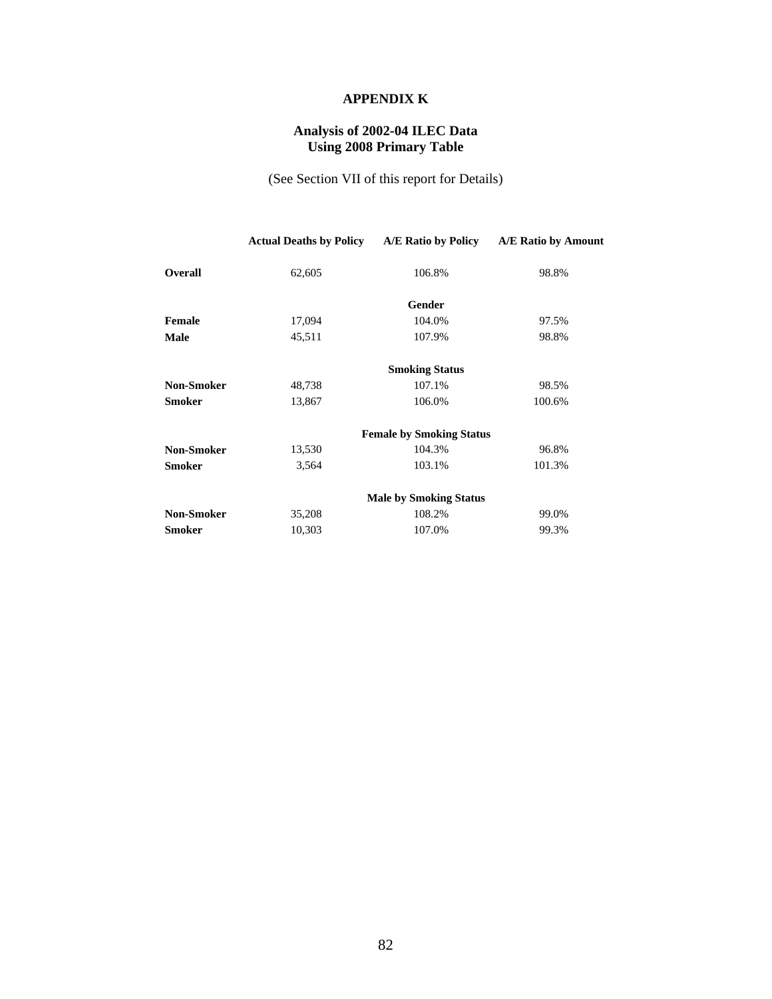# **APPENDIX K**

## **Analysis of 2002-04 ILEC Data Using 2008 Primary Table**

(See Section VII of this report for Details)

|                   | <b>Actual Deaths by Policy</b> | A/E Ratio by Policy             | A/E Ratio by Amount |
|-------------------|--------------------------------|---------------------------------|---------------------|
| <b>Overall</b>    | 62,605                         | 106.8%                          | 98.8%               |
|                   |                                | Gender                          |                     |
| Female            | 17,094                         | 104.0%                          | 97.5%               |
| <b>Male</b>       | 45,511                         | 107.9%                          | 98.8%               |
|                   |                                | <b>Smoking Status</b>           |                     |
| <b>Non-Smoker</b> | 48,738                         | 107.1%                          | 98.5%               |
| <b>Smoker</b>     | 13,867                         | 106.0%                          | 100.6%              |
|                   |                                | <b>Female by Smoking Status</b> |                     |
| <b>Non-Smoker</b> | 13,530                         | 104.3%                          | 96.8%               |
| <b>Smoker</b>     | 3,564                          | 103.1%                          | 101.3%              |
|                   |                                | <b>Male by Smoking Status</b>   |                     |
| <b>Non-Smoker</b> | 35,208                         | 108.2%                          | 99.0%               |
| <b>Smoker</b>     | 10,303                         | 107.0%                          | 99.3%               |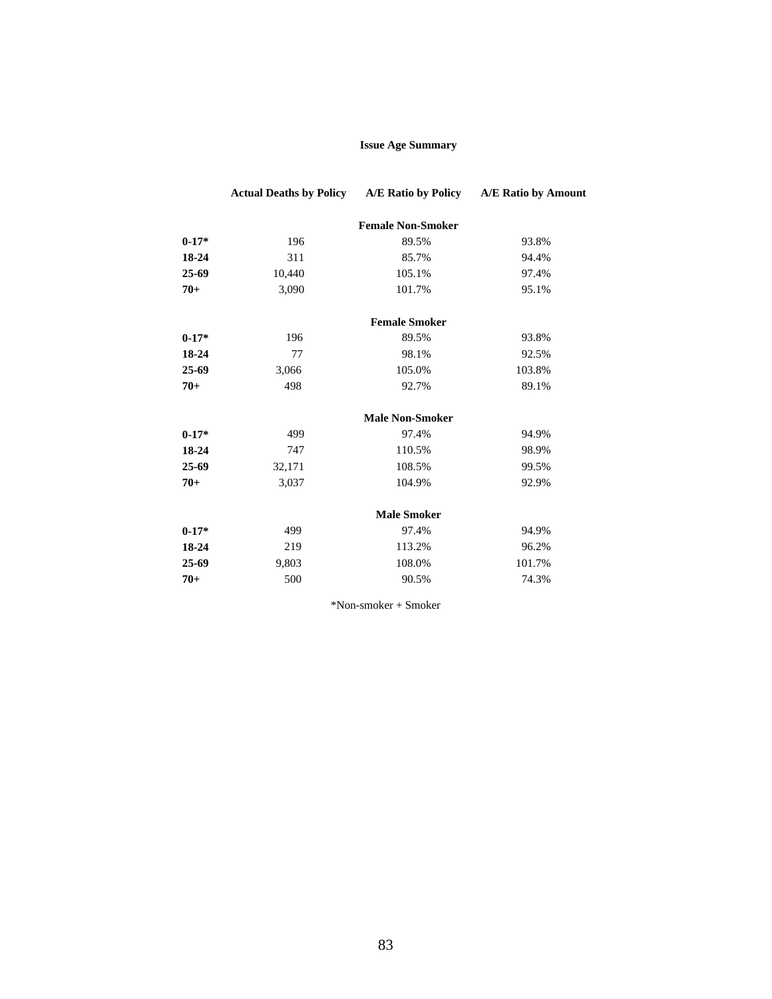### **Issue Age Summary**

|         | <b>Actual Deaths by Policy</b> | A/E Ratio by Policy      | A/E Ratio by Amount |
|---------|--------------------------------|--------------------------|---------------------|
|         |                                | <b>Female Non-Smoker</b> |                     |
| $0-17*$ | 196                            | 89.5%                    | 93.8%               |
| 18-24   | 311                            | 85.7%                    | 94.4%               |
| 25-69   | 10,440                         | 105.1%                   | 97.4%               |
| $70+$   | 3,090                          | 101.7%                   | 95.1%               |
|         |                                | <b>Female Smoker</b>     |                     |
| $0-17*$ | 196                            | 89.5%                    | 93.8%               |
| 18-24   | 77                             | 98.1%                    | 92.5%               |
| 25-69   | 3,066                          | 105.0%                   | 103.8%              |
| $70+$   | 498                            | 92.7%                    | 89.1%               |
|         |                                | <b>Male Non-Smoker</b>   |                     |
| $0-17*$ | 499                            | 97.4%                    | 94.9%               |
| 18-24   | 747                            | 110.5%                   | 98.9%               |
| 25-69   | 32,171                         | 108.5%                   | 99.5%               |
| $70+$   | 3,037                          | 104.9%                   | 92.9%               |
|         |                                | <b>Male Smoker</b>       |                     |
| $0-17*$ | 499                            | 97.4%                    | 94.9%               |
| 18-24   | 219                            | 113.2%                   | 96.2%               |
| 25-69   | 9,803                          | 108.0%                   | 101.7%              |
| $70+$   | 500                            | 90.5%                    | 74.3%               |

\*Non-smoker + Smoker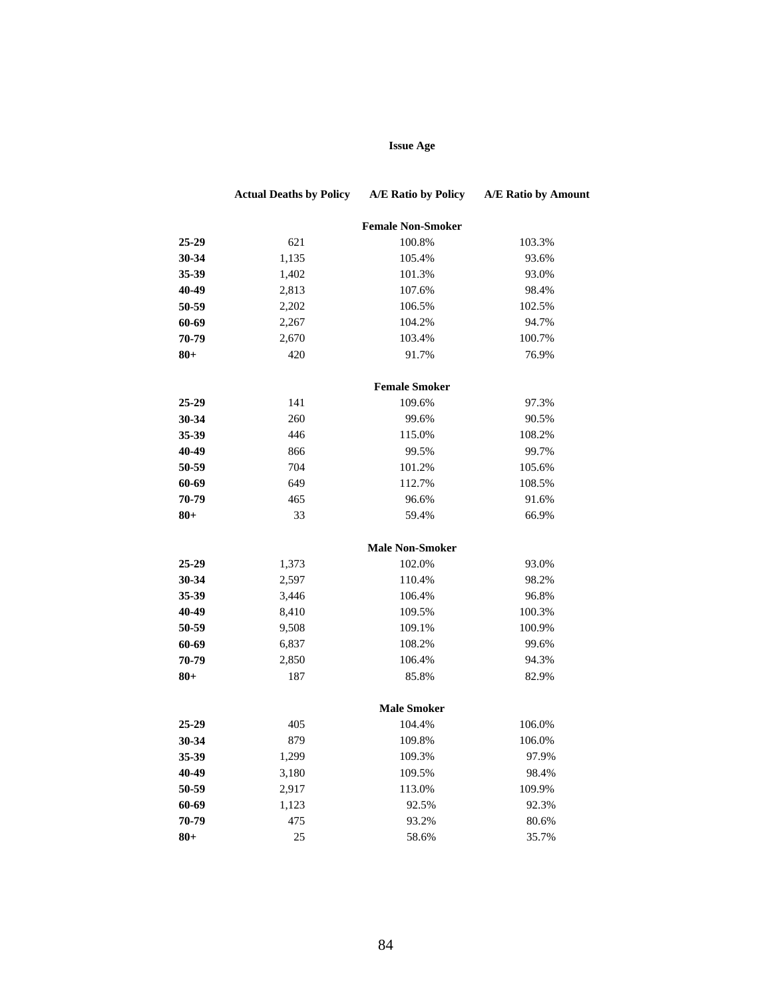# **Issue Age**

|        | <b>Actual Deaths by Policy</b> | A/E Ratio by Policy      | A/E Ratio by Amount |
|--------|--------------------------------|--------------------------|---------------------|
|        |                                | <b>Female Non-Smoker</b> |                     |
| 25-29  | 621                            | 100.8%                   | 103.3%              |
| 30-34  | 1,135                          | 105.4%                   | 93.6%               |
| 35-39  | 1,402                          | 101.3%                   | 93.0%               |
| 40-49  | 2,813                          | 107.6%                   | 98.4%               |
| 50-59  | 2,202                          | 106.5%                   | 102.5%              |
| 60-69  | 2,267                          | 104.2%                   | 94.7%               |
| 70-79  | 2,670                          | 103.4%                   | 100.7%              |
| $80+$  | 420                            | 91.7%                    | 76.9%               |
|        |                                | <b>Female Smoker</b>     |                     |
| 25-29  | 141                            | 109.6%                   | 97.3%               |
| 30-34  | 260                            | 99.6%                    | 90.5%               |
| 35-39  | 446                            | 115.0%                   | 108.2%              |
| 40-49  | 866                            | 99.5%                    | 99.7%               |
| 50-59  | 704                            | 101.2%                   | 105.6%              |
| 60-69  | 649                            | 112.7%                   | 108.5%              |
| 70-79  | 465                            | 96.6%                    | 91.6%               |
| $80 +$ | 33                             | 59.4%                    | 66.9%               |
|        |                                | <b>Male Non-Smoker</b>   |                     |
| 25-29  | 1,373                          | 102.0%                   | 93.0%               |
| 30-34  | 2,597                          | 110.4%                   | 98.2%               |
| 35-39  | 3,446                          | 106.4%                   | 96.8%               |
| 40-49  | 8,410                          | 109.5%                   | 100.3%              |
| 50-59  | 9,508                          | 109.1%                   | 100.9%              |
| 60-69  | 6,837                          | 108.2%                   | 99.6%               |
| 70-79  | 2,850                          | 106.4%                   | 94.3%               |
| 80+    | 187                            | 85.8%                    | 82.9%               |
|        |                                | <b>Male Smoker</b>       |                     |
| 25-29  | 405                            | 104.4%                   | 106.0%              |
| 30-34  | 879                            | 109.8%                   | 106.0%              |
| 35-39  | 1,299                          | 109.3%                   | 97.9%               |
| 40-49  | 3,180                          | 109.5%                   | 98.4%               |
| 50-59  | 2,917                          | 113.0%                   | 109.9%              |
| 60-69  | 1,123                          | 92.5%                    | 92.3%               |
| 70-79  | 475                            | 93.2%                    | 80.6%               |
| $80 +$ | 25                             | 58.6%                    | 35.7%               |